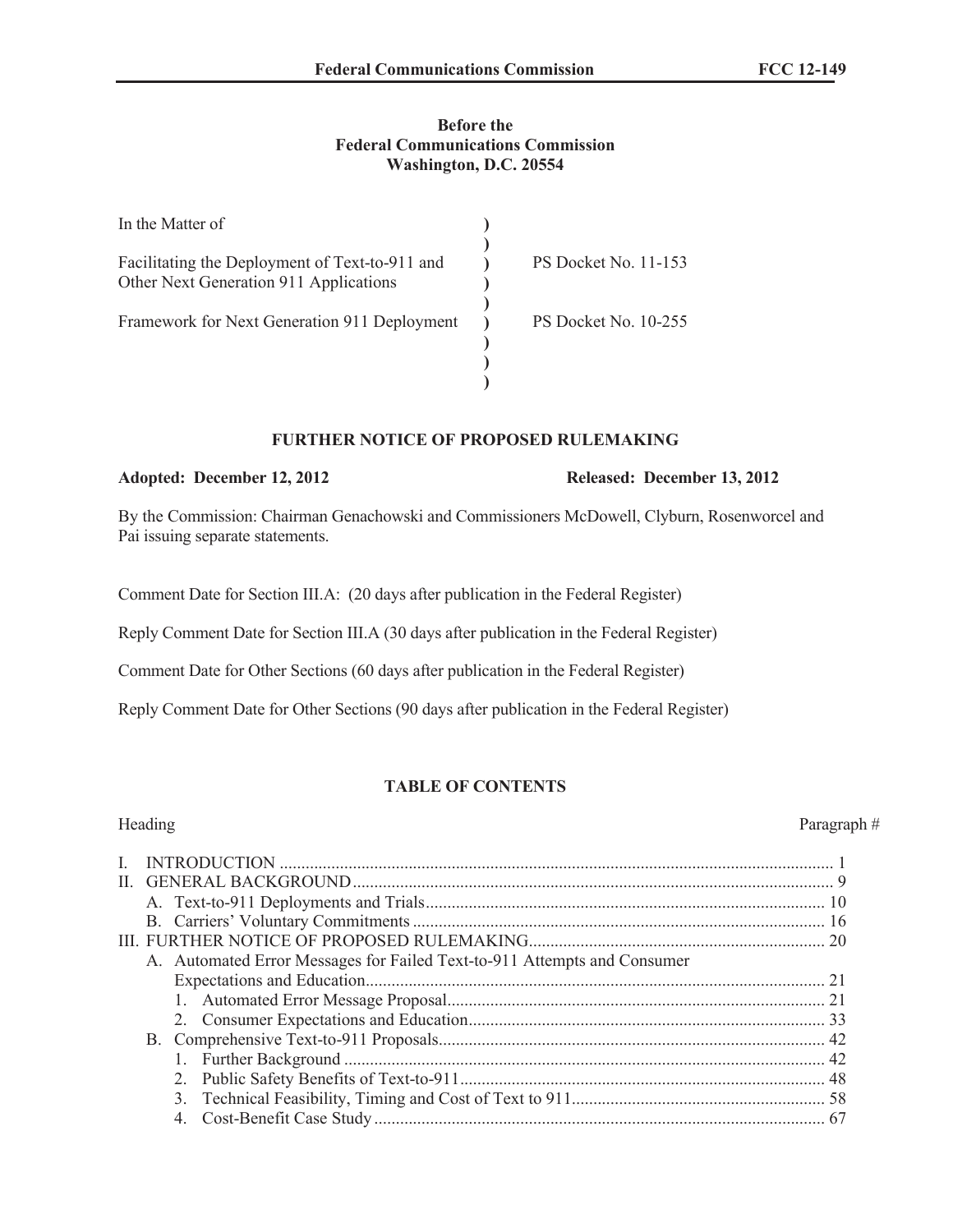### **Before the Federal Communications Commission Washington, D.C. 20554**

| In the Matter of                                                                         |                      |
|------------------------------------------------------------------------------------------|----------------------|
| Facilitating the Deployment of Text-to-911 and<br>Other Next Generation 911 Applications | PS Docket No. 11-153 |
| Framework for Next Generation 911 Deployment                                             | PS Docket No. 10-255 |
|                                                                                          |                      |
|                                                                                          |                      |

### **FURTHER NOTICE OF PROPOSED RULEMAKING**

#### **Adopted: December 12, 2012 Released: December 13, 2012**

By the Commission: Chairman Genachowski and Commissioners McDowell, Clyburn, Rosenworcel and Pai issuing separate statements.

Comment Date for Section III.A: (20 days after publication in the Federal Register)

Reply Comment Date for Section III.A (30 days after publication in the Federal Register)

Comment Date for Other Sections (60 days after publication in the Federal Register)

Reply Comment Date for Other Sections (90 days after publication in the Federal Register)

### **TABLE OF CONTENTS**

# Heading Paragraph #

| $\mathbf{H}$ |  |                                                                          |  |
|--------------|--|--------------------------------------------------------------------------|--|
|              |  |                                                                          |  |
|              |  |                                                                          |  |
|              |  |                                                                          |  |
|              |  | A. Automated Error Messages for Failed Text-to-911 Attempts and Consumer |  |
|              |  |                                                                          |  |
|              |  |                                                                          |  |
|              |  |                                                                          |  |
|              |  |                                                                          |  |
|              |  |                                                                          |  |
|              |  |                                                                          |  |
|              |  |                                                                          |  |
|              |  |                                                                          |  |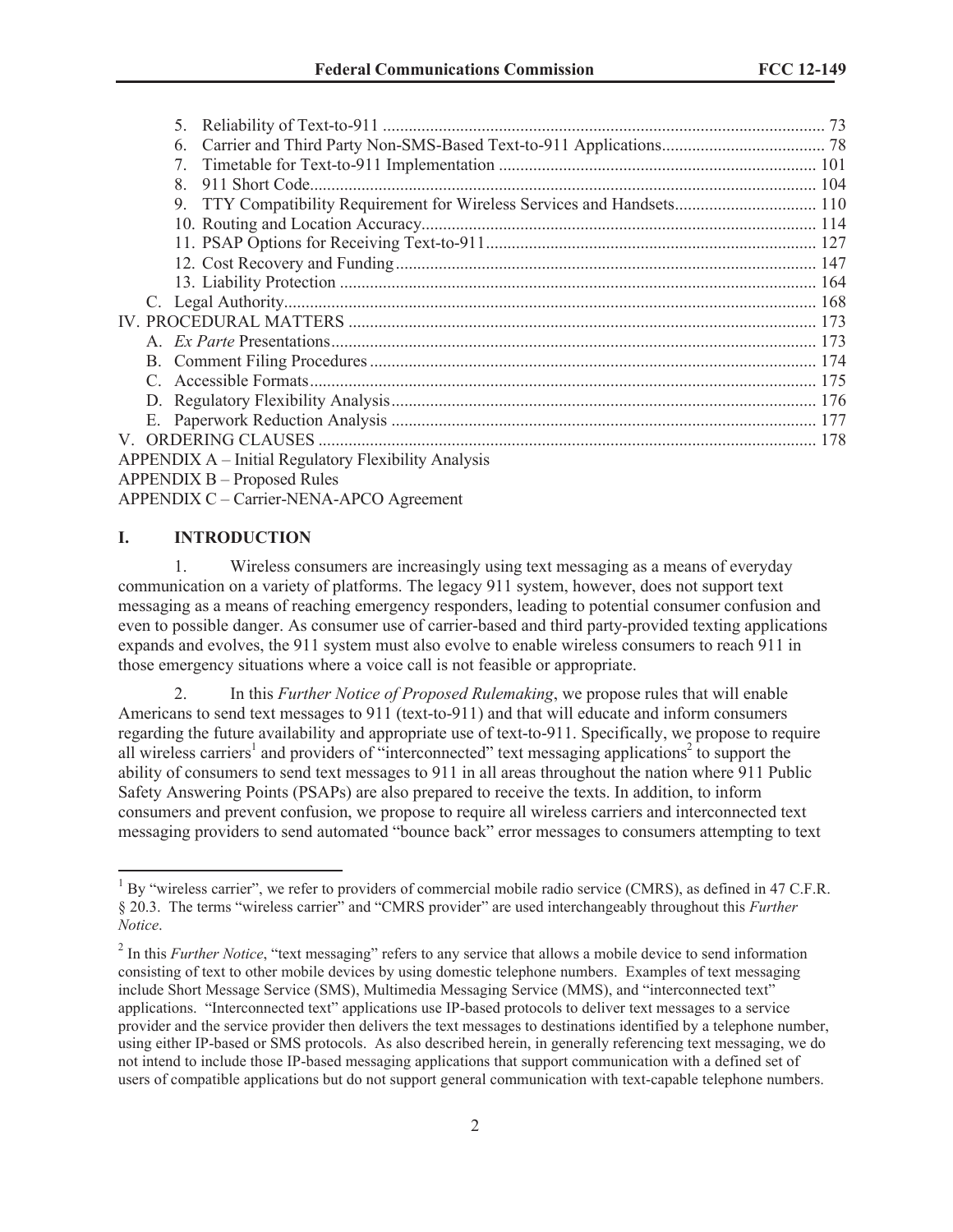| 5.                                                                      |  |
|-------------------------------------------------------------------------|--|
| 6.                                                                      |  |
| 7.                                                                      |  |
| 8                                                                       |  |
| 9. TTY Compatibility Requirement for Wireless Services and Handsets 110 |  |
|                                                                         |  |
|                                                                         |  |
|                                                                         |  |
|                                                                         |  |
|                                                                         |  |
|                                                                         |  |
|                                                                         |  |
|                                                                         |  |
|                                                                         |  |
|                                                                         |  |
|                                                                         |  |
|                                                                         |  |
| <b>APPENDIX A – Initial Regulatory Flexibility Analysis</b>             |  |
| <b>APPENDIX B – Proposed Rules</b>                                      |  |

APPENDIX C – Carrier-NENA-APCO Agreement

# **I. INTRODUCTION**

1. Wireless consumers are increasingly using text messaging as a means of everyday communication on a variety of platforms. The legacy 911 system, however, does not support text messaging as a means of reaching emergency responders, leading to potential consumer confusion and even to possible danger. As consumer use of carrier-based and third party-provided texting applications expands and evolves, the 911 system must also evolve to enable wireless consumers to reach 911 in those emergency situations where a voice call is not feasible or appropriate.

2. In this *Further Notice of Proposed Rulemaking*, we propose rules that will enable Americans to send text messages to 911 (text-to-911) and that will educate and inform consumers regarding the future availability and appropriate use of text-to-911. Specifically, we propose to require all wireless carriers<sup>1</sup> and providers of "interconnected" text messaging applications<sup>2</sup> to support the ability of consumers to send text messages to 911 in all areas throughout the nation where 911 Public Safety Answering Points (PSAPs) are also prepared to receive the texts. In addition, to inform consumers and prevent confusion, we propose to require all wireless carriers and interconnected text messaging providers to send automated "bounce back" error messages to consumers attempting to text

 $1$  By "wireless carrier", we refer to providers of commercial mobile radio service (CMRS), as defined in 47 C.F.R. § 20.3. The terms "wireless carrier" and "CMRS provider" are used interchangeably throughout this *Further Notice*.

<sup>&</sup>lt;sup>2</sup> In this *Further Notice*, "text messaging" refers to any service that allows a mobile device to send information consisting of text to other mobile devices by using domestic telephone numbers. Examples of text messaging include Short Message Service (SMS), Multimedia Messaging Service (MMS), and "interconnected text" applications. "Interconnected text" applications use IP-based protocols to deliver text messages to a service provider and the service provider then delivers the text messages to destinations identified by a telephone number, using either IP-based or SMS protocols. As also described herein, in generally referencing text messaging, we do not intend to include those IP-based messaging applications that support communication with a defined set of users of compatible applications but do not support general communication with text-capable telephone numbers.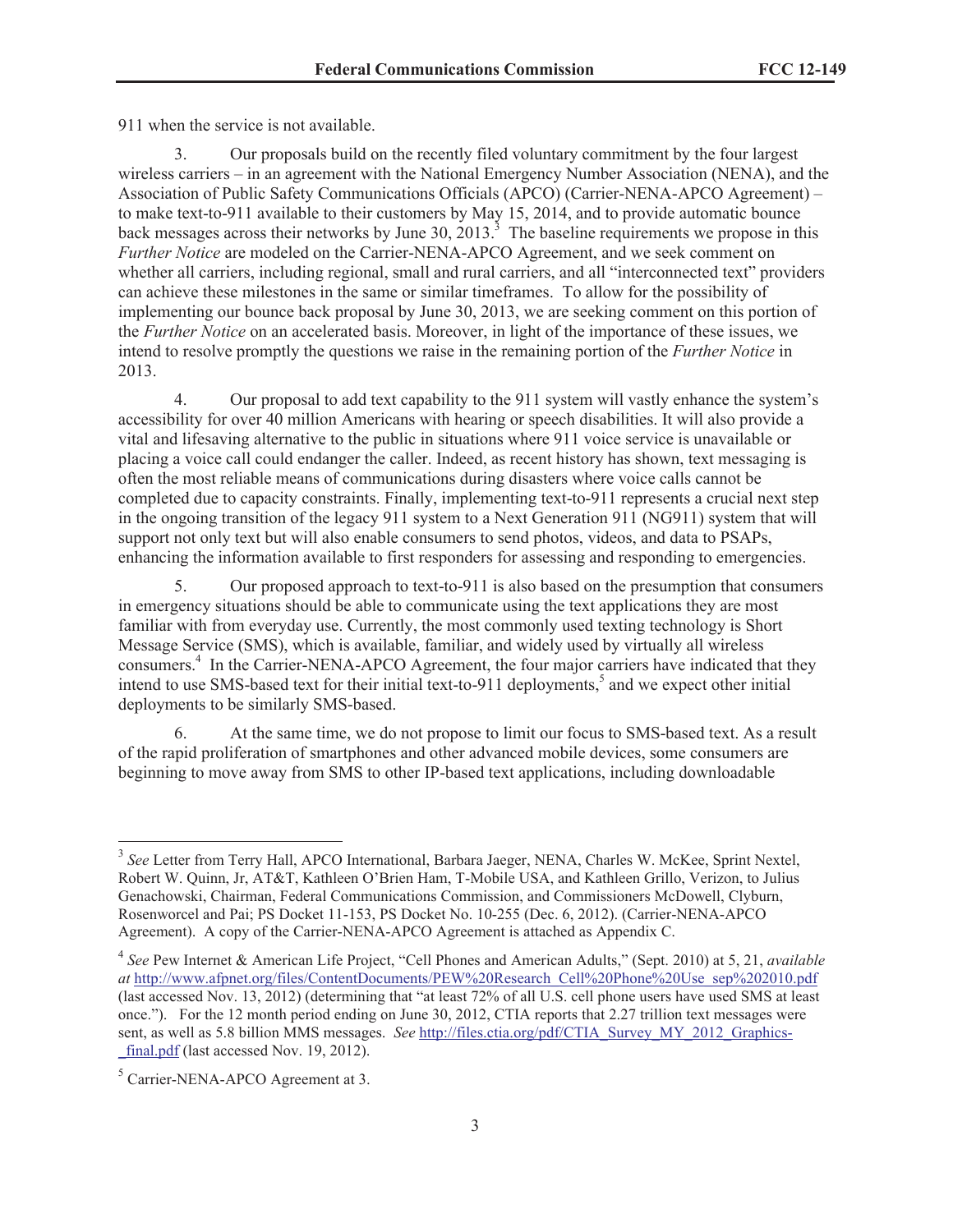911 when the service is not available.

3. Our proposals build on the recently filed voluntary commitment by the four largest wireless carriers – in an agreement with the National Emergency Number Association (NENA), and the Association of Public Safety Communications Officials (APCO) (Carrier-NENA-APCO Agreement) – to make text-to-911 available to their customers by May 15, 2014, and to provide automatic bounce back messages across their networks by June 30,  $2013<sup>3</sup>$ . The baseline requirements we propose in this *Further Notice* are modeled on the Carrier-NENA-APCO Agreement, and we seek comment on whether all carriers, including regional, small and rural carriers, and all "interconnected text" providers can achieve these milestones in the same or similar timeframes. To allow for the possibility of implementing our bounce back proposal by June 30, 2013, we are seeking comment on this portion of the *Further Notice* on an accelerated basis. Moreover, in light of the importance of these issues, we intend to resolve promptly the questions we raise in the remaining portion of the *Further Notice* in 2013.

4. Our proposal to add text capability to the 911 system will vastly enhance the system's accessibility for over 40 million Americans with hearing or speech disabilities. It will also provide a vital and lifesaving alternative to the public in situations where 911 voice service is unavailable or placing a voice call could endanger the caller. Indeed, as recent history has shown, text messaging is often the most reliable means of communications during disasters where voice calls cannot be completed due to capacity constraints. Finally, implementing text-to-911 represents a crucial next step in the ongoing transition of the legacy 911 system to a Next Generation 911 (NG911) system that will support not only text but will also enable consumers to send photos, videos, and data to PSAPs, enhancing the information available to first responders for assessing and responding to emergencies.

5. Our proposed approach to text-to-911 is also based on the presumption that consumers in emergency situations should be able to communicate using the text applications they are most familiar with from everyday use. Currently, the most commonly used texting technology is Short Message Service (SMS), which is available, familiar, and widely used by virtually all wireless consumers.<sup>4</sup> In the Carrier-NENA-APCO Agreement, the four major carriers have indicated that they intend to use SMS-based text for their initial text-to-911 deployments,<sup>5</sup> and we expect other initial deployments to be similarly SMS-based.

6. At the same time, we do not propose to limit our focus to SMS-based text. As a result of the rapid proliferation of smartphones and other advanced mobile devices, some consumers are beginning to move away from SMS to other IP-based text applications, including downloadable

<sup>&</sup>lt;sup>3</sup> See Letter from Terry Hall, APCO International, Barbara Jaeger, NENA, Charles W. McKee, Sprint Nextel, Robert W. Quinn, Jr, AT&T, Kathleen O'Brien Ham, T-Mobile USA, and Kathleen Grillo, Verizon, to Julius Genachowski, Chairman, Federal Communications Commission, and Commissioners McDowell, Clyburn, Rosenworcel and Pai; PS Docket 11-153, PS Docket No. 10-255 (Dec. 6, 2012). (Carrier-NENA-APCO Agreement). A copy of the Carrier-NENA-APCO Agreement is attached as Appendix C.

<sup>4</sup> *See* Pew Internet & American Life Project, "Cell Phones and American Adults," (Sept. 2010) at 5, 21, *available at* http://www.afpnet.org/files/ContentDocuments/PEW%20Research\_Cell%20Phone%20Use\_sep%202010.pdf (last accessed Nov. 13, 2012) (determining that "at least 72% of all U.S. cell phone users have used SMS at least once."). For the 12 month period ending on June 30, 2012, CTIA reports that 2.27 trillion text messages were sent, as well as 5.8 billion MMS messages. *See* http://files.ctia.org/pdf/CTIA\_Survey\_MY\_2012\_Graphics final.pdf (last accessed Nov. 19, 2012).

<sup>&</sup>lt;sup>5</sup> Carrier-NENA-APCO Agreement at 3.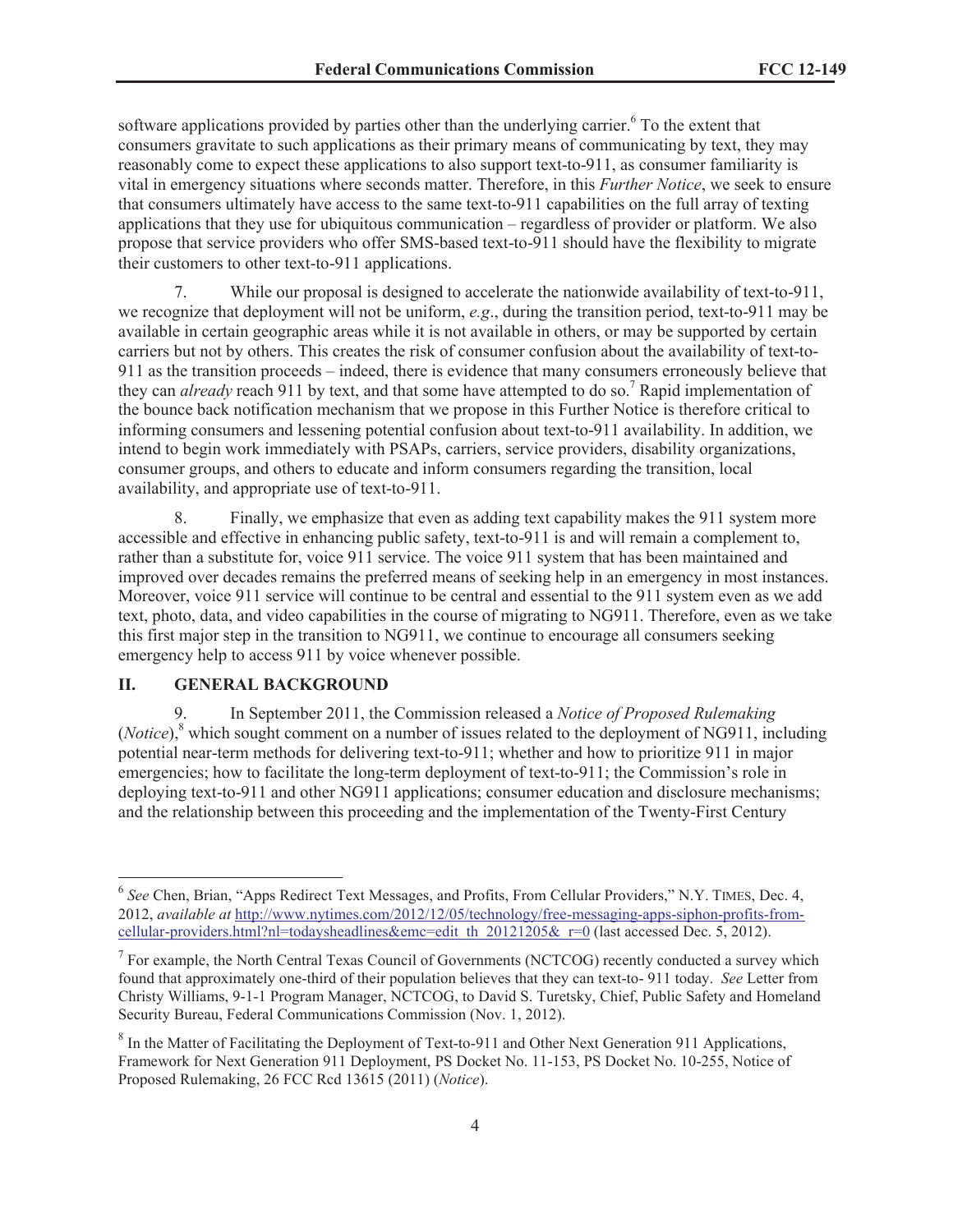software applications provided by parties other than the underlying carrier.<sup>6</sup> To the extent that consumers gravitate to such applications as their primary means of communicating by text, they may reasonably come to expect these applications to also support text-to-911, as consumer familiarity is vital in emergency situations where seconds matter. Therefore, in this *Further Notice*, we seek to ensure that consumers ultimately have access to the same text-to-911 capabilities on the full array of texting applications that they use for ubiquitous communication – regardless of provider or platform. We also propose that service providers who offer SMS-based text-to-911 should have the flexibility to migrate their customers to other text-to-911 applications.

While our proposal is designed to accelerate the nationwide availability of text-to-911, we recognize that deployment will not be uniform, *e.g*., during the transition period, text-to-911 may be available in certain geographic areas while it is not available in others, or may be supported by certain carriers but not by others. This creates the risk of consumer confusion about the availability of text-to-911 as the transition proceeds – indeed, there is evidence that many consumers erroneously believe that they can *already* reach 911 by text, and that some have attempted to do so.<sup>7</sup> Rapid implementation of the bounce back notification mechanism that we propose in this Further Notice is therefore critical to informing consumers and lessening potential confusion about text-to-911 availability. In addition, we intend to begin work immediately with PSAPs, carriers, service providers, disability organizations, consumer groups, and others to educate and inform consumers regarding the transition, local availability, and appropriate use of text-to-911.

8. Finally, we emphasize that even as adding text capability makes the 911 system more accessible and effective in enhancing public safety, text-to-911 is and will remain a complement to, rather than a substitute for, voice 911 service. The voice 911 system that has been maintained and improved over decades remains the preferred means of seeking help in an emergency in most instances. Moreover, voice 911 service will continue to be central and essential to the 911 system even as we add text, photo, data, and video capabilities in the course of migrating to NG911. Therefore, even as we take this first major step in the transition to NG911, we continue to encourage all consumers seeking emergency help to access 911 by voice whenever possible.

### **II. GENERAL BACKGROUND**

9. In September 2011, the Commission released a *Notice of Proposed Rulemaking*  (*Notice*),<sup>8</sup> which sought comment on a number of issues related to the deployment of NG911, including potential near-term methods for delivering text-to-911; whether and how to prioritize 911 in major emergencies; how to facilitate the long-term deployment of text-to-911; the Commission's role in deploying text-to-911 and other NG911 applications; consumer education and disclosure mechanisms; and the relationship between this proceeding and the implementation of the Twenty-First Century

<sup>6</sup> *See* Chen, Brian, "Apps Redirect Text Messages, and Profits, From Cellular Providers," N.Y. TIMES, Dec. 4, 2012, *available at* http://www.nytimes.com/2012/12/05/technology/free-messaging-apps-siphon-profits-fromcellular-providers.html?nl=todaysheadlines&emc=edit\_th\_20121205&\_r=0 (last accessed Dec. 5, 2012).

 $7$  For example, the North Central Texas Council of Governments (NCTCOG) recently conducted a survey which found that approximately one-third of their population believes that they can text-to- 911 today. *See* Letter from Christy Williams, 9-1-1 Program Manager, NCTCOG, to David S. Turetsky, Chief, Public Safety and Homeland Security Bureau, Federal Communications Commission (Nov. 1, 2012).

 $8$  In the Matter of Facilitating the Deployment of Text-to-911 and Other Next Generation 911 Applications, Framework for Next Generation 911 Deployment, PS Docket No. 11-153, PS Docket No. 10-255, Notice of Proposed Rulemaking, 26 FCC Rcd 13615 (2011) (*Notice*).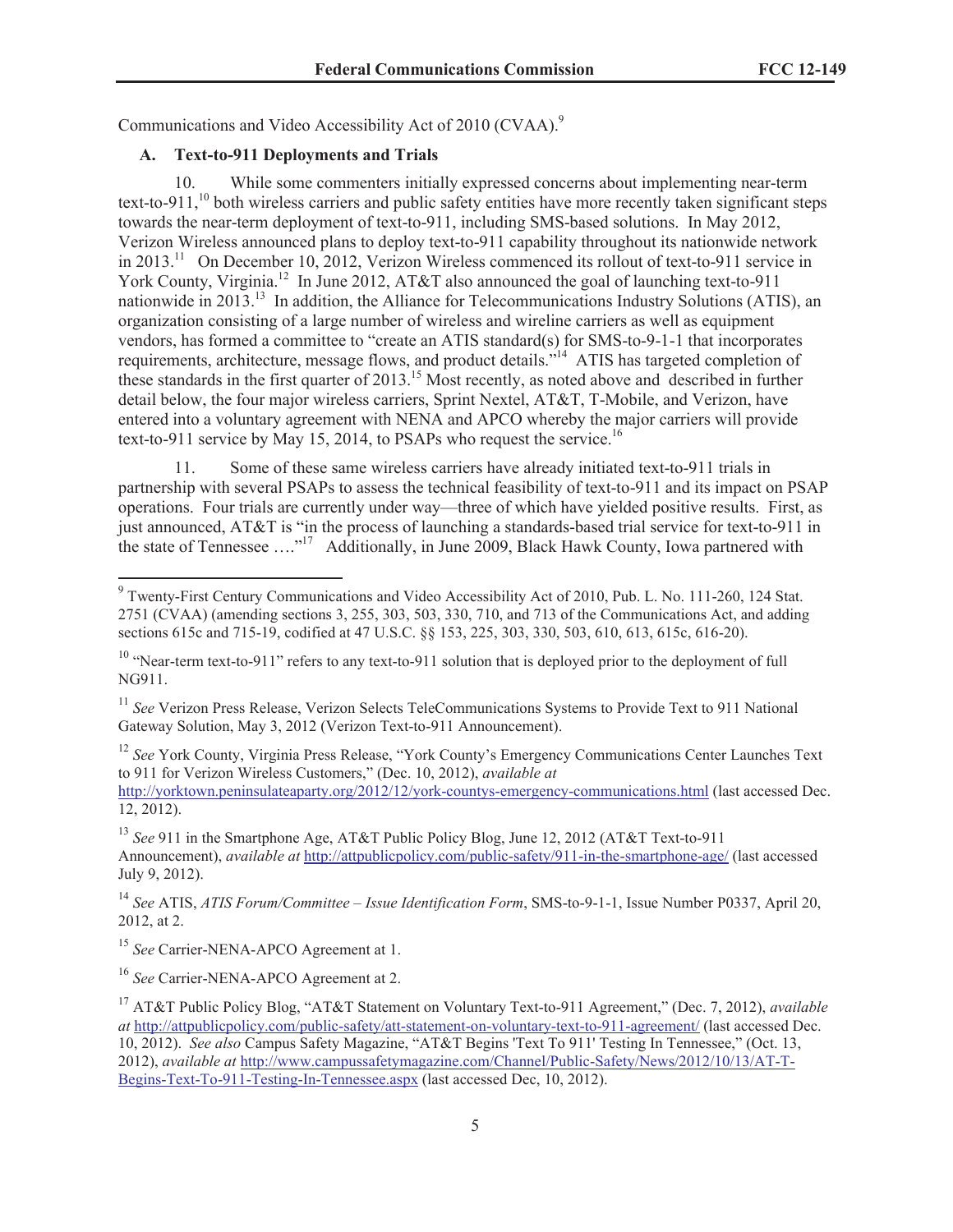Communications and Video Accessibility Act of 2010 (CVAA).<sup>9</sup>

# **A. Text-to-911 Deployments and Trials**

10. While some commenters initially expressed concerns about implementing near-term text-to-911,<sup>10</sup> both wireless carriers and public safety entities have more recently taken significant steps towards the near-term deployment of text-to-911, including SMS-based solutions. In May 2012, Verizon Wireless announced plans to deploy text-to-911 capability throughout its nationwide network in 2013.<sup>11</sup> On December 10, 2012, Verizon Wireless commenced its rollout of text-to-911 service in York County, Virginia.<sup>12</sup> In June 2012, AT&T also announced the goal of launching text-to-911 nationwide in 2013.<sup>13</sup> In addition, the Alliance for Telecommunications Industry Solutions (ATIS), an organization consisting of a large number of wireless and wireline carriers as well as equipment vendors, has formed a committee to "create an ATIS standard(s) for SMS-to-9-1-1 that incorporates requirements, architecture, message flows, and product details."<sup>14</sup> ATIS has targeted completion of these standards in the first quarter of 2013. <sup>15</sup> Most recently, as noted above and described in further detail below, the four major wireless carriers, Sprint Nextel, AT&T, T-Mobile, and Verizon, have entered into a voluntary agreement with NENA and APCO whereby the major carriers will provide text-to-911 service by May 15, 2014, to PSAPs who request the service.<sup>16</sup>

11. Some of these same wireless carriers have already initiated text-to-911 trials in partnership with several PSAPs to assess the technical feasibility of text-to-911 and its impact on PSAP operations. Four trials are currently under way—three of which have yielded positive results. First, as just announced, AT&T is "in the process of launching a standards-based trial service for text-to-911 in the state of Tennessee  $\dots$ <sup>17</sup> Additionally, in June 2009, Black Hawk County, Iowa partnered with

<sup>11</sup> *See* Verizon Press Release, Verizon Selects TeleCommunications Systems to Provide Text to 911 National Gateway Solution, May 3, 2012 (Verizon Text-to-911 Announcement).

<sup>12</sup> See York County, Virginia Press Release, "York County's Emergency Communications Center Launches Text to 911 for Verizon Wireless Customers," (Dec. 10, 2012), *available at*

http://yorktown.peninsulateaparty.org/2012/12/york-countys-emergency-communications.html (last accessed Dec. 12, 2012).

<sup>13</sup> *See* 911 in the Smartphone Age, AT&T Public Policy Blog, June 12, 2012 (AT&T Text-to-911 Announcement), *available at* http://attpublicpolicy.com/public-safety/911-in-the-smartphone-age/ (last accessed July 9, 2012).

<sup>14</sup> *See* ATIS, *ATIS Forum/Committee – Issue Identification Form*, SMS-to-9-1-1, Issue Number P0337, April 20, 2012, at 2.

<sup>15</sup> See Carrier-NENA-APCO Agreement at 1.

<sup>16</sup> *See* Carrier-NENA-APCO Agreement at 2.

<sup>&</sup>lt;sup>9</sup> Twenty-First Century Communications and Video Accessibility Act of 2010, Pub. L. No. 111-260, 124 Stat. 2751 (CVAA) (amending sections 3, 255, 303, 503, 330, 710, and 713 of the Communications Act, and adding sections 615c and 715-19, codified at 47 U.S.C. §§ 153, 225, 303, 330, 503, 610, 613, 615c, 616-20).

<sup>&</sup>lt;sup>10</sup> "Near-term text-to-911" refers to any text-to-911 solution that is deployed prior to the deployment of full NG911.

<sup>17</sup> AT&T Public Policy Blog, "AT&T Statement on Voluntary Text-to-911 Agreement," (Dec. 7, 2012), *available at* http://attpublicpolicy.com/public-safety/att-statement-on-voluntary-text-to-911-agreement/ (last accessed Dec. 10, 2012). *See also* Campus Safety Magazine, "AT&T Begins 'Text To 911' Testing In Tennessee," (Oct. 13, 2012), *available at* http://www.campussafetymagazine.com/Channel/Public-Safety/News/2012/10/13/AT-T-Begins-Text-To-911-Testing-In-Tennessee.aspx (last accessed Dec, 10, 2012).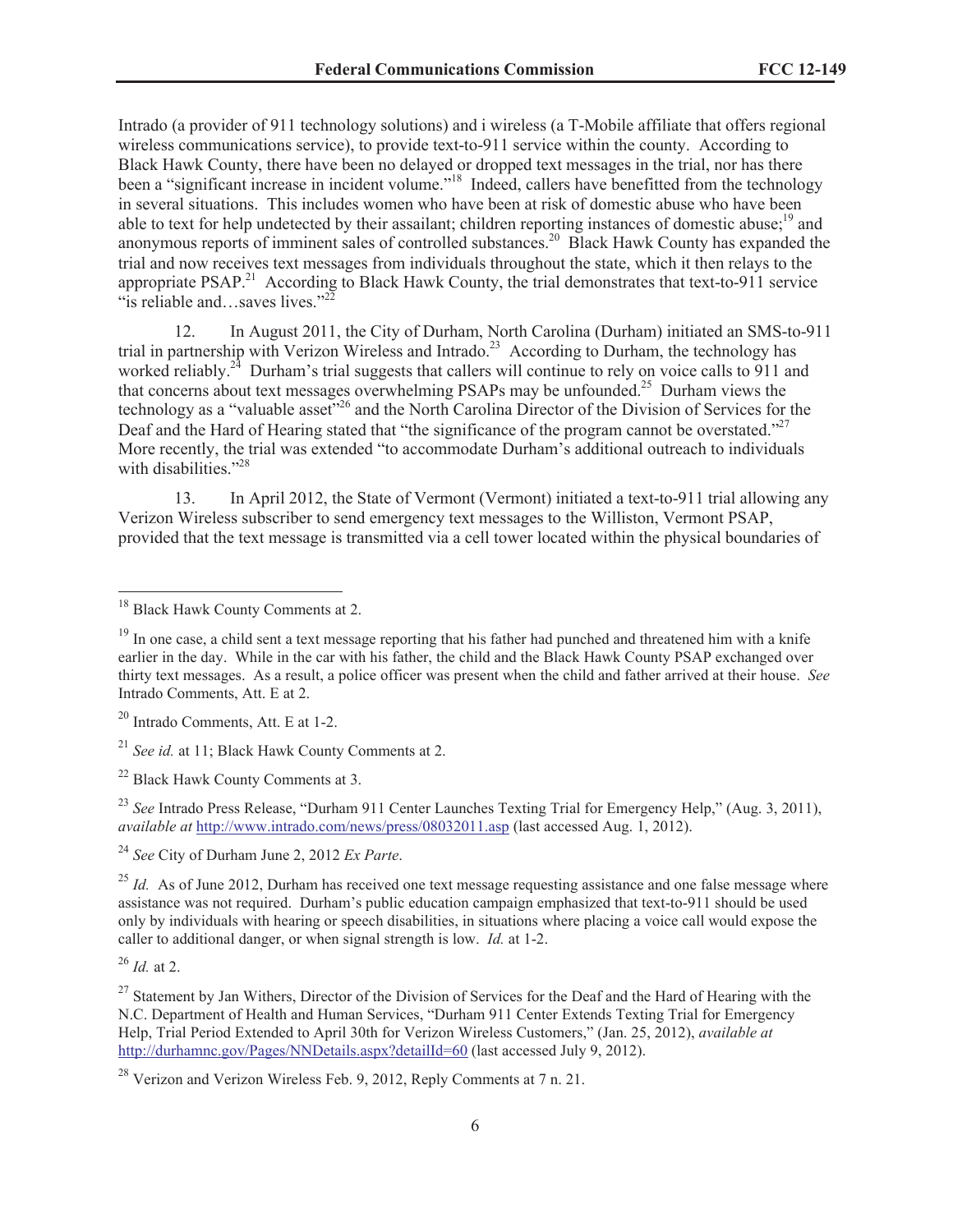Intrado (a provider of 911 technology solutions) and i wireless (a T-Mobile affiliate that offers regional wireless communications service), to provide text-to-911 service within the county. According to Black Hawk County, there have been no delayed or dropped text messages in the trial, nor has there been a "significant increase in incident volume."<sup>18</sup> Indeed, callers have benefitted from the technology in several situations. This includes women who have been at risk of domestic abuse who have been able to text for help undetected by their assailant; children reporting instances of domestic abuse;<sup>19</sup> and anonymous reports of imminent sales of controlled substances.<sup>20</sup> Black Hawk County has expanded the trial and now receives text messages from individuals throughout the state, which it then relays to the appropriate PSAP.<sup>21</sup> According to Black Hawk County, the trial demonstrates that text-to-911 service "is reliable and...saves lives."<sup>22</sup>

12. In August 2011, the City of Durham, North Carolina (Durham) initiated an SMS-to-911 trial in partnership with Verizon Wireless and Intrado.<sup>23</sup> According to Durham, the technology has worked reliably.<sup>24</sup> Durham's trial suggests that callers will continue to rely on voice calls to 911 and that concerns about text messages overwhelming PSAPs may be unfounded.<sup>25</sup> Durham views the technology as a "valuable asset"<sup>26</sup> and the North Carolina Director of the Division of Services for the Deaf and the Hard of Hearing stated that "the significance of the program cannot be overstated."<sup>27</sup> More recently, the trial was extended "to accommodate Durham's additional outreach to individuals with disabilities<sup>"28</sup>

13. In April 2012, the State of Vermont (Vermont) initiated a text-to-911 trial allowing any Verizon Wireless subscriber to send emergency text messages to the Williston, Vermont PSAP, provided that the text message is transmitted via a cell tower located within the physical boundaries of

<sup>20</sup> Intrado Comments, Att. E at 1-2.

<sup>23</sup> See Intrado Press Release, "Durham 911 Center Launches Texting Trial for Emergency Help," (Aug. 3, 2011), *available at* http://www.intrado.com/news/press/08032011.asp (last accessed Aug. 1, 2012).

<sup>24</sup> *See* City of Durham June 2, 2012 *Ex Parte*.

<sup>25</sup> *Id.* As of June 2012, Durham has received one text message requesting assistance and one false message where assistance was not required. Durham's public education campaign emphasized that text-to-911 should be used only by individuals with hearing or speech disabilities, in situations where placing a voice call would expose the caller to additional danger, or when signal strength is low. *Id.* at 1-2.

<sup>26</sup> *Id.* at 2.

<sup>27</sup> Statement by Jan Withers, Director of the Division of Services for the Deaf and the Hard of Hearing with the N.C. Department of Health and Human Services, "Durham 911 Center Extends Texting Trial for Emergency Help, Trial Period Extended to April 30th for Verizon Wireless Customers," (Jan. 25, 2012), *available at* http://durhamnc.gov/Pages/NNDetails.aspx?detailId=60 (last accessed July 9, 2012).

<sup>&</sup>lt;sup>18</sup> Black Hawk County Comments at 2.

<sup>&</sup>lt;sup>19</sup> In one case, a child sent a text message reporting that his father had punched and threatened him with a knife earlier in the day. While in the car with his father, the child and the Black Hawk County PSAP exchanged over thirty text messages. As a result, a police officer was present when the child and father arrived at their house. *See* Intrado Comments, Att. E at 2.

<sup>21</sup> *See id.* at 11; Black Hawk County Comments at 2.

<sup>22</sup> Black Hawk County Comments at 3.

 $^{28}$  Verizon and Verizon Wireless Feb. 9, 2012, Reply Comments at 7 n. 21.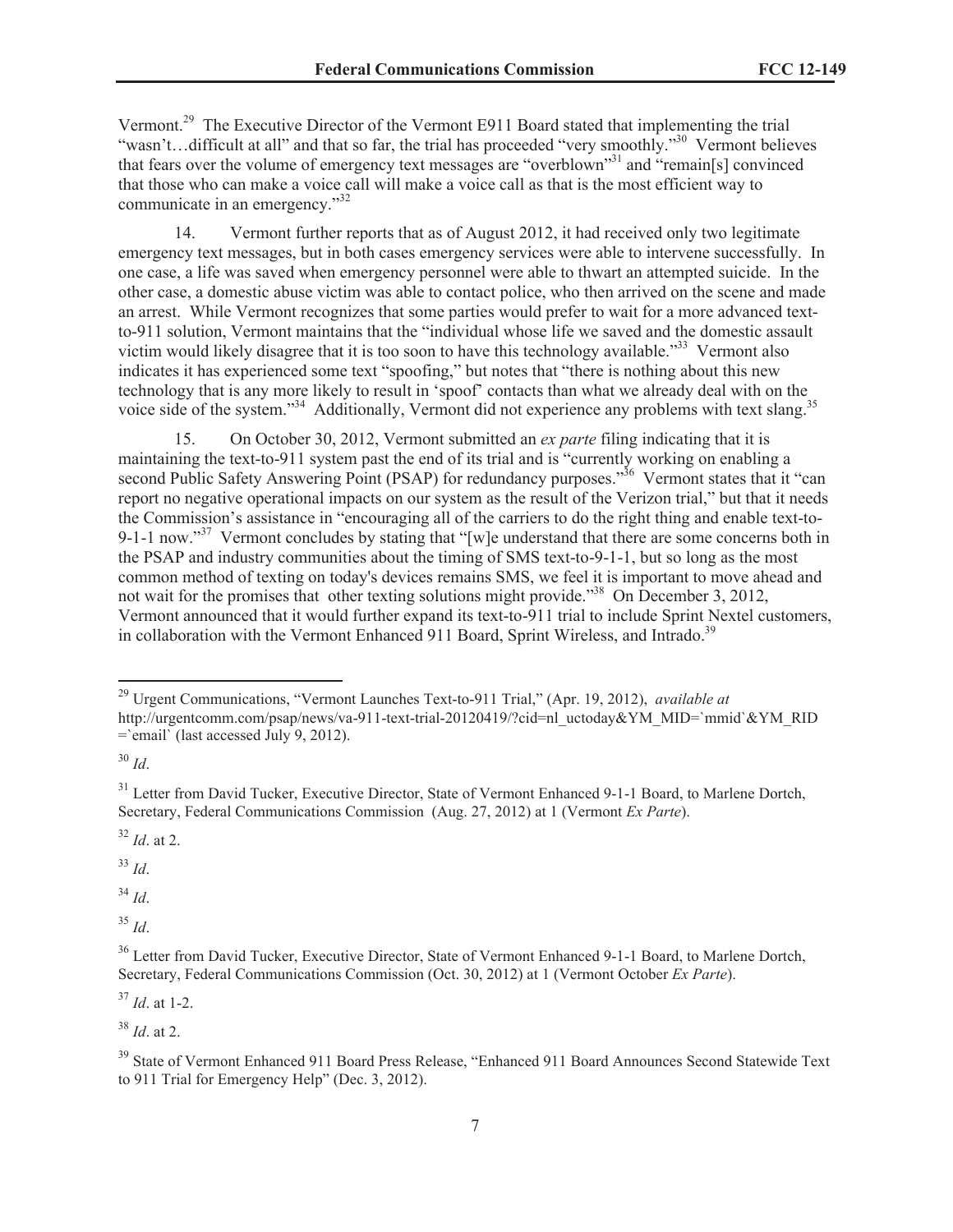Vermont.<sup>29</sup> The Executive Director of the Vermont E911 Board stated that implementing the trial "wasn't...difficult at all" and that so far, the trial has proceeded "very smoothly."<sup>30</sup> Vermont believes that fears over the volume of emergency text messages are "overblown"<sup>31</sup> and "remain[s] convinced that those who can make a voice call will make a voice call as that is the most efficient way to communicate in an emergency."<sup>32</sup>

14. Vermont further reports that as of August 2012, it had received only two legitimate emergency text messages, but in both cases emergency services were able to intervene successfully. In one case, a life was saved when emergency personnel were able to thwart an attempted suicide. In the other case, a domestic abuse victim was able to contact police, who then arrived on the scene and made an arrest. While Vermont recognizes that some parties would prefer to wait for a more advanced textto-911 solution, Vermont maintains that the "individual whose life we saved and the domestic assault victim would likely disagree that it is too soon to have this technology available.<sup>33</sup> Vermont also indicates it has experienced some text "spoofing," but notes that "there is nothing about this new technology that is any more likely to result in 'spoof' contacts than what we already deal with on the voice side of the system."<sup>34</sup> Additionally, Vermont did not experience any problems with text slang.<sup>35</sup>

15. On October 30, 2012, Vermont submitted an *ex parte* filing indicating that it is maintaining the text-to-911 system past the end of its trial and is "currently working on enabling a second Public Safety Answering Point (PSAP) for redundancy purposes.<sup>336</sup> Vermont states that it "can report no negative operational impacts on our system as the result of the Verizon trial," but that it needs the Commission's assistance in "encouraging all of the carriers to do the right thing and enable text-to-9-1-1 now."<sup>37</sup> Vermont concludes by stating that "[w]e understand that there are some concerns both in the PSAP and industry communities about the timing of SMS text-to-9-1-1, but so long as the most common method of texting on today's devices remains SMS, we feel it is important to move ahead and not wait for the promises that other texting solutions might provide."<sup>38</sup> On December 3, 2012, Vermont announced that it would further expand its text-to-911 trial to include Sprint Nextel customers, in collaboration with the Vermont Enhanced 911 Board, Sprint Wireless, and Intrado.<sup>39</sup>

 $32$  *Id.* at 2.

<sup>33</sup> *Id*.

<sup>34</sup> *Id*.

<sup>35</sup> *Id*.

<sup>37</sup> *Id*. at 1-2.

<sup>38</sup> *Id*. at 2.

<sup>29</sup> Urgent Communications, "Vermont Launches Text-to-911 Trial," (Apr. 19, 2012), *available at*

http://urgentcomm.com/psap/news/va-911-text-trial-20120419/?cid=nl\_uctoday&YM\_MID=`mmid`&YM\_RID =`email` (last accessed July 9, 2012).

<sup>30</sup> *Id*.

<sup>&</sup>lt;sup>31</sup> Letter from David Tucker, Executive Director, State of Vermont Enhanced 9-1-1 Board, to Marlene Dortch. Secretary, Federal Communications Commission (Aug. 27, 2012) at 1 (Vermont *Ex Parte*).

<sup>&</sup>lt;sup>36</sup> Letter from David Tucker, Executive Director, State of Vermont Enhanced 9-1-1 Board, to Marlene Dortch, Secretary, Federal Communications Commission (Oct. 30, 2012) at 1 (Vermont October *Ex Parte*).

<sup>&</sup>lt;sup>39</sup> State of Vermont Enhanced 911 Board Press Release, "Enhanced 911 Board Announces Second Statewide Text to 911 Trial for Emergency Help" (Dec. 3, 2012).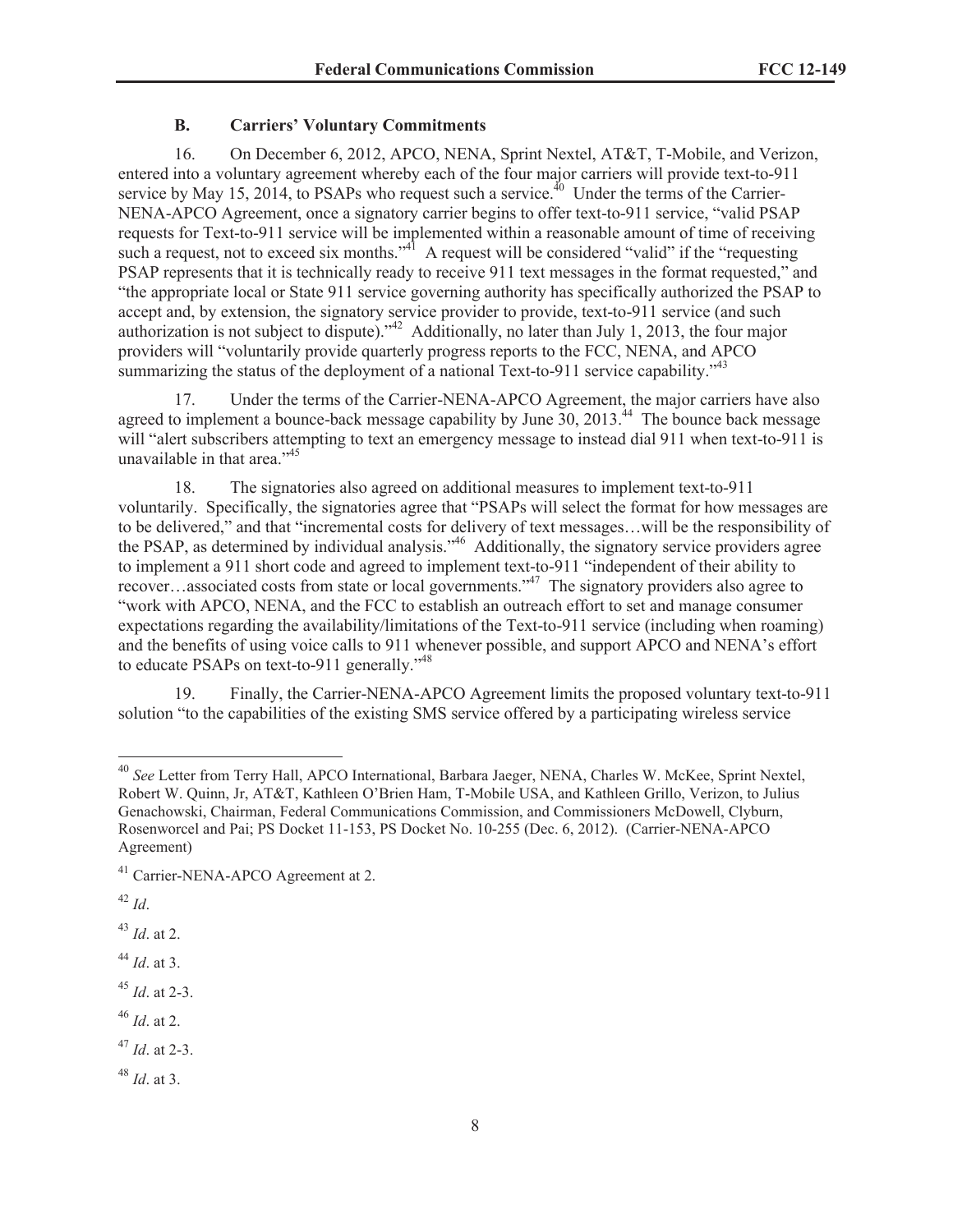#### **B. Carriers' Voluntary Commitments**

16. On December 6, 2012, APCO, NENA, Sprint Nextel, AT&T, T-Mobile, and Verizon, entered into a voluntary agreement whereby each of the four major carriers will provide text-to-911 service by May 15, 2014, to PSAPs who request such a service.<sup>40</sup> Under the terms of the Carrier-NENA-APCO Agreement, once a signatory carrier begins to offer text-to-911 service, "valid PSAP requests for Text-to-911 service will be implemented within a reasonable amount of time of receiving such a request, not to exceed six months."<sup>41</sup> A request will be considered "valid" if the "requesting" PSAP represents that it is technically ready to receive 911 text messages in the format requested," and "the appropriate local or State 911 service governing authority has specifically authorized the PSAP to accept and, by extension, the signatory service provider to provide, text-to-911 service (and such authorization is not subject to dispute)."<sup>42</sup> Additionally, no later than July 1, 2013, the four major providers will "voluntarily provide quarterly progress reports to the FCC, NENA, and APCO summarizing the status of the deployment of a national Text-to-911 service capability."<sup>43</sup>

17. Under the terms of the Carrier-NENA-APCO Agreement, the major carriers have also agreed to implement a bounce-back message capability by June  $30$ , 2013.<sup>44</sup> The bounce back message will "alert subscribers attempting to text an emergency message to instead dial 911 when text-to-911 is unavailable in that area."<sup>45</sup>

18. The signatories also agreed on additional measures to implement text-to-911 voluntarily. Specifically, the signatories agree that "PSAPs will select the format for how messages are to be delivered," and that "incremental costs for delivery of text messages…will be the responsibility of the PSAP, as determined by individual analysis."<sup>46</sup> Additionally, the signatory service providers agree to implement a 911 short code and agreed to implement text-to-911 "independent of their ability to recover…associated costs from state or local governments."<sup>47</sup> The signatory providers also agree to "work with APCO, NENA, and the FCC to establish an outreach effort to set and manage consumer expectations regarding the availability/limitations of the Text-to-911 service (including when roaming) and the benefits of using voice calls to 911 whenever possible, and support APCO and NENA's effort to educate PSAPs on text-to-911 generally."<sup>48</sup>

19. Finally, the Carrier-NENA-APCO Agreement limits the proposed voluntary text-to-911 solution "to the capabilities of the existing SMS service offered by a participating wireless service

<sup>40</sup> *See* Letter from Terry Hall, APCO International, Barbara Jaeger, NENA, Charles W. McKee, Sprint Nextel, Robert W. Quinn, Jr, AT&T, Kathleen O'Brien Ham, T-Mobile USA, and Kathleen Grillo, Verizon, to Julius Genachowski, Chairman, Federal Communications Commission, and Commissioners McDowell, Clyburn, Rosenworcel and Pai; PS Docket 11-153, PS Docket No. 10-255 (Dec. 6, 2012). (Carrier-NENA-APCO Agreement)

<sup>&</sup>lt;sup>41</sup> Carrier-NENA-APCO Agreement at 2.

<sup>42</sup> *Id*.

<sup>43</sup> *Id*. at 2.

<sup>44</sup> *Id*. at 3.

<sup>45</sup> *Id*. at 2-3.

<sup>46</sup> *Id*. at 2.

<sup>47</sup> *Id*. at 2-3.

<sup>48</sup> *Id*. at 3.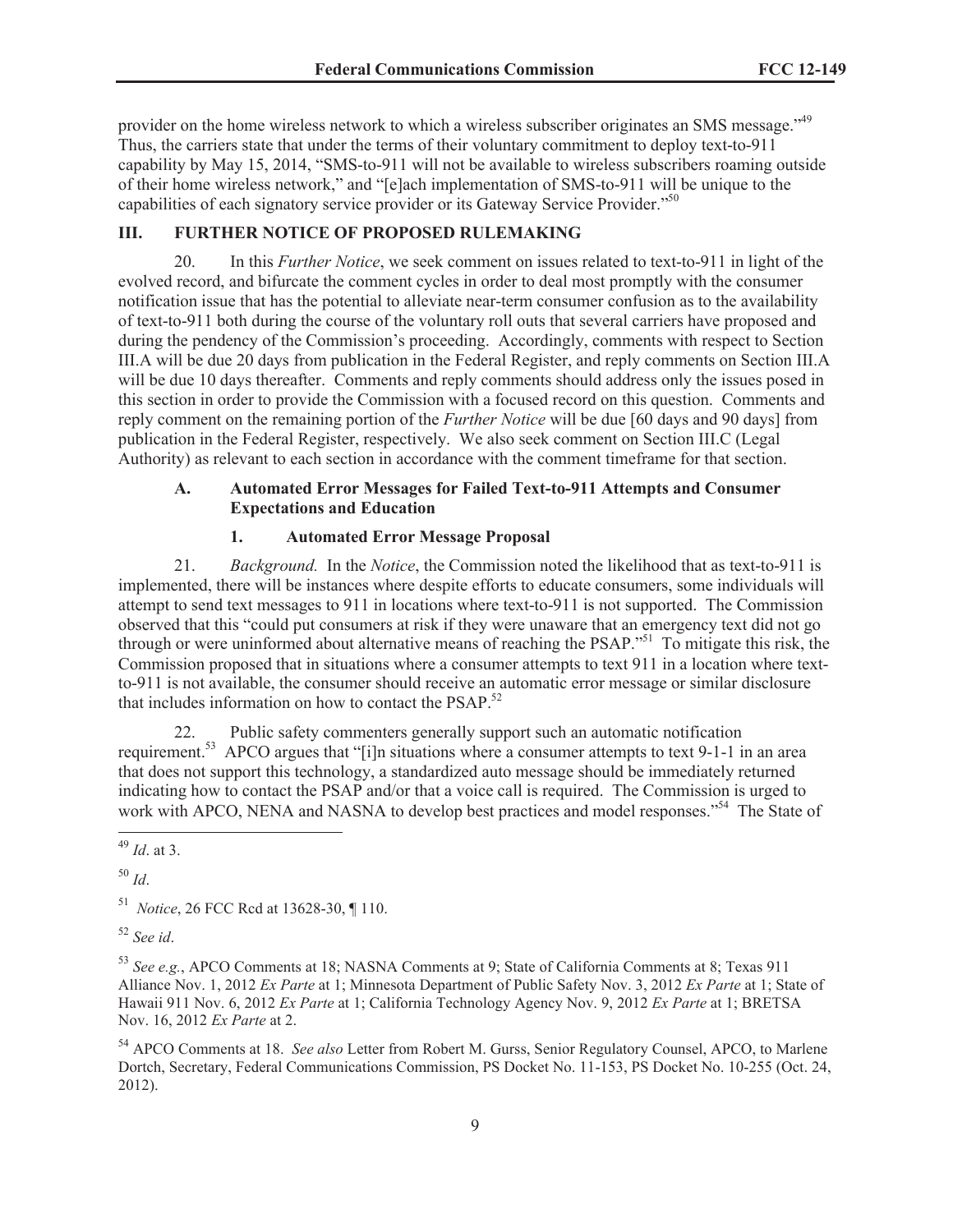provider on the home wireless network to which a wireless subscriber originates an SMS message."<sup>49</sup> Thus, the carriers state that under the terms of their voluntary commitment to deploy text-to-911 capability by May 15, 2014, "SMS-to-911 will not be available to wireless subscribers roaming outside of their home wireless network," and "[e]ach implementation of SMS-to-911 will be unique to the capabilities of each signatory service provider or its Gateway Service Provider.<sup>550</sup>

# **III. FURTHER NOTICE OF PROPOSED RULEMAKING**

20. In this *Further Notice*, we seek comment on issues related to text-to-911 in light of the evolved record, and bifurcate the comment cycles in order to deal most promptly with the consumer notification issue that has the potential to alleviate near-term consumer confusion as to the availability of text-to-911 both during the course of the voluntary roll outs that several carriers have proposed and during the pendency of the Commission's proceeding. Accordingly, comments with respect to Section III.A will be due 20 days from publication in the Federal Register, and reply comments on Section III.A will be due 10 days thereafter. Comments and reply comments should address only the issues posed in this section in order to provide the Commission with a focused record on this question. Comments and reply comment on the remaining portion of the *Further Notice* will be due [60 days and 90 days] from publication in the Federal Register, respectively. We also seek comment on Section III.C (Legal Authority) as relevant to each section in accordance with the comment timeframe for that section.

## **A. Automated Error Messages for Failed Text-to-911 Attempts and Consumer Expectations and Education**

#### **1. Automated Error Message Proposal**

21. *Background.* In the *Notice*, the Commission noted the likelihood that as text-to-911 is implemented, there will be instances where despite efforts to educate consumers, some individuals will attempt to send text messages to 911 in locations where text-to-911 is not supported. The Commission observed that this "could put consumers at risk if they were unaware that an emergency text did not go through or were uninformed about alternative means of reaching the PSAP."<sup>51</sup> To mitigate this risk, the Commission proposed that in situations where a consumer attempts to text 911 in a location where textto-911 is not available, the consumer should receive an automatic error message or similar disclosure that includes information on how to contact the  $PSAP$ .<sup>52</sup>

22. Public safety commenters generally support such an automatic notification requirement.<sup>53</sup> APCO argues that "[i]n situations where a consumer attempts to text 9-1-1 in an area that does not support this technology, a standardized auto message should be immediately returned indicating how to contact the PSAP and/or that a voice call is required. The Commission is urged to work with APCO, NENA and NASNA to develop best practices and model responses."<sup>54</sup> The State of

<sup>50</sup> *Id*.

<sup>52</sup> *See id*.

<sup>53</sup> *See e.g.*, APCO Comments at 18; NASNA Comments at 9; State of California Comments at 8; Texas 911 Alliance Nov. 1, 2012 *Ex Parte* at 1; Minnesota Department of Public Safety Nov. 3, 2012 *Ex Parte* at 1; State of Hawaii 911 Nov. 6, 2012 *Ex Parte* at 1; California Technology Agency Nov. 9, 2012 *Ex Parte* at 1; BRETSA Nov. 16, 2012 *Ex Parte* at 2.

<sup>54</sup> APCO Comments at 18. *See also* Letter from Robert M. Gurss, Senior Regulatory Counsel, APCO, to Marlene Dortch, Secretary, Federal Communications Commission, PS Docket No. 11-153, PS Docket No. 10-255 (Oct. 24, 2012).

<sup>49</sup> *Id*. at 3.

<sup>51</sup> *Notice*, 26 FCC Rcd at 13628-30, ¶ 110.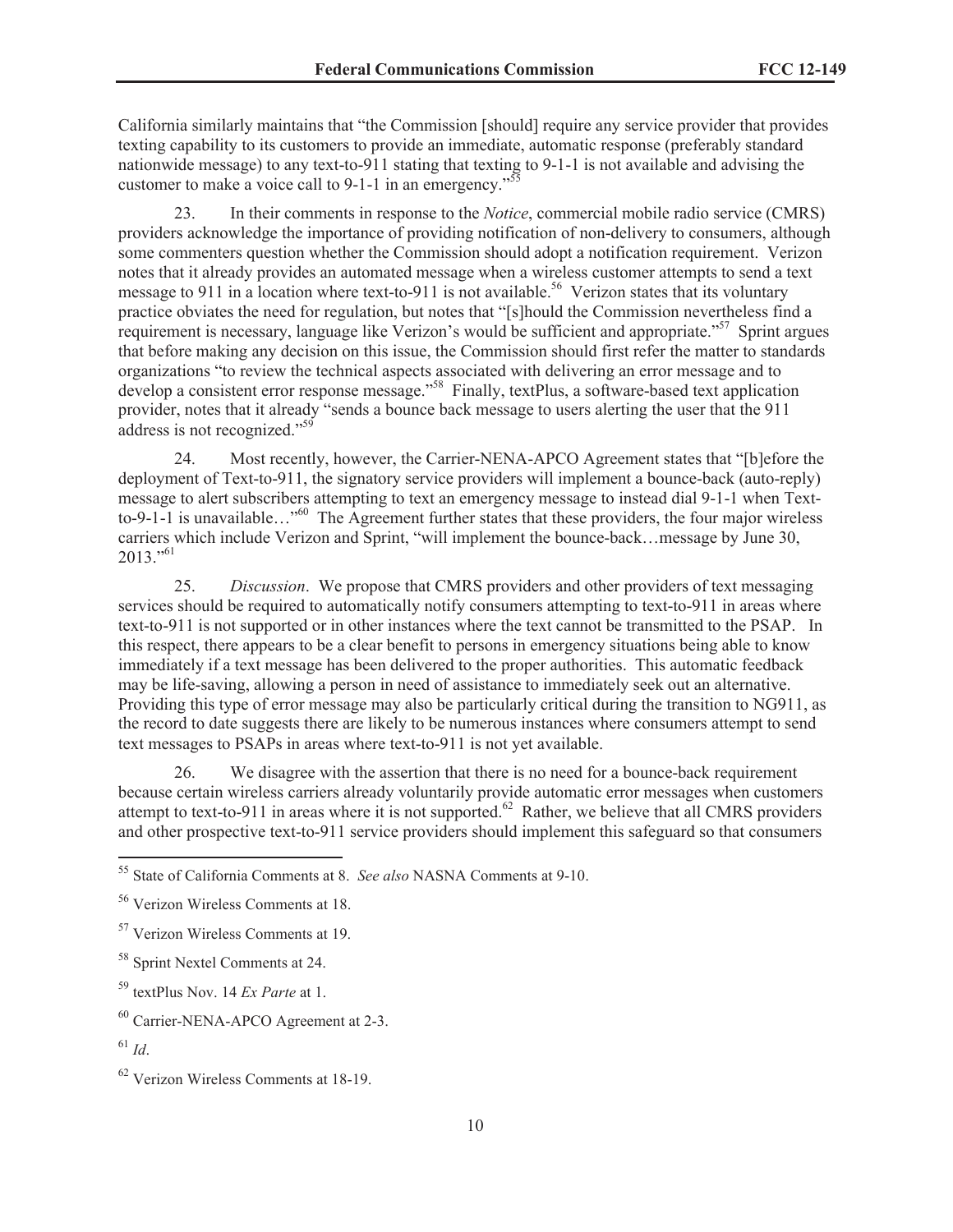California similarly maintains that "the Commission [should] require any service provider that provides texting capability to its customers to provide an immediate, automatic response (preferably standard nationwide message) to any text-to-911 stating that texting to 9-1-1 is not available and advising the customer to make a voice call to 9-1-1 in an emergency."<sup>5</sup>

23. In their comments in response to the *Notice*, commercial mobile radio service (CMRS) providers acknowledge the importance of providing notification of non-delivery to consumers, although some commenters question whether the Commission should adopt a notification requirement. Verizon notes that it already provides an automated message when a wireless customer attempts to send a text message to 911 in a location where text-to-911 is not available.<sup>56</sup> Verizon states that its voluntary practice obviates the need for regulation, but notes that "[s]hould the Commission nevertheless find a requirement is necessary, language like Verizon's would be sufficient and appropriate."<sup>57</sup> Sprint argues that before making any decision on this issue, the Commission should first refer the matter to standards organizations "to review the technical aspects associated with delivering an error message and to develop a consistent error response message.<sup>558</sup> Finally, textPlus, a software-based text application provider, notes that it already "sends a bounce back message to users alerting the user that the 911 address is not recognized."<sup>59</sup>

24. Most recently, however, the Carrier-NENA-APCO Agreement states that "[b]efore the deployment of Text-to-911, the signatory service providers will implement a bounce-back (auto-reply) message to alert subscribers attempting to text an emergency message to instead dial 9-1-1 when Textto-9-1-1 is unavailable…"<sup>60</sup> The Agreement further states that these providers, the four major wireless carriers which include Verizon and Sprint, "will implement the bounce-back…message by June 30,  $2013.^{961}$ 

25. *Discussion*. We propose that CMRS providers and other providers of text messaging services should be required to automatically notify consumers attempting to text-to-911 in areas where text-to-911 is not supported or in other instances where the text cannot be transmitted to the PSAP. In this respect, there appears to be a clear benefit to persons in emergency situations being able to know immediately if a text message has been delivered to the proper authorities. This automatic feedback may be life-saving, allowing a person in need of assistance to immediately seek out an alternative. Providing this type of error message may also be particularly critical during the transition to NG911, as the record to date suggests there are likely to be numerous instances where consumers attempt to send text messages to PSAPs in areas where text-to-911 is not yet available.

26. We disagree with the assertion that there is no need for a bounce-back requirement because certain wireless carriers already voluntarily provide automatic error messages when customers attempt to text-to-911 in areas where it is not supported.<sup>62</sup> Rather, we believe that all CMRS providers and other prospective text-to-911 service providers should implement this safeguard so that consumers

<sup>55</sup> State of California Comments at 8. *See also* NASNA Comments at 9-10.

<sup>56</sup> Verizon Wireless Comments at 18.

<sup>57</sup> Verizon Wireless Comments at 19.

<sup>58</sup> Sprint Nextel Comments at 24.

<sup>59</sup> textPlus Nov. 14 *Ex Parte* at 1.

<sup>60</sup> Carrier-NENA-APCO Agreement at 2-3.

 $^{61}$  *Id*.

<sup>62</sup> Verizon Wireless Comments at 18-19.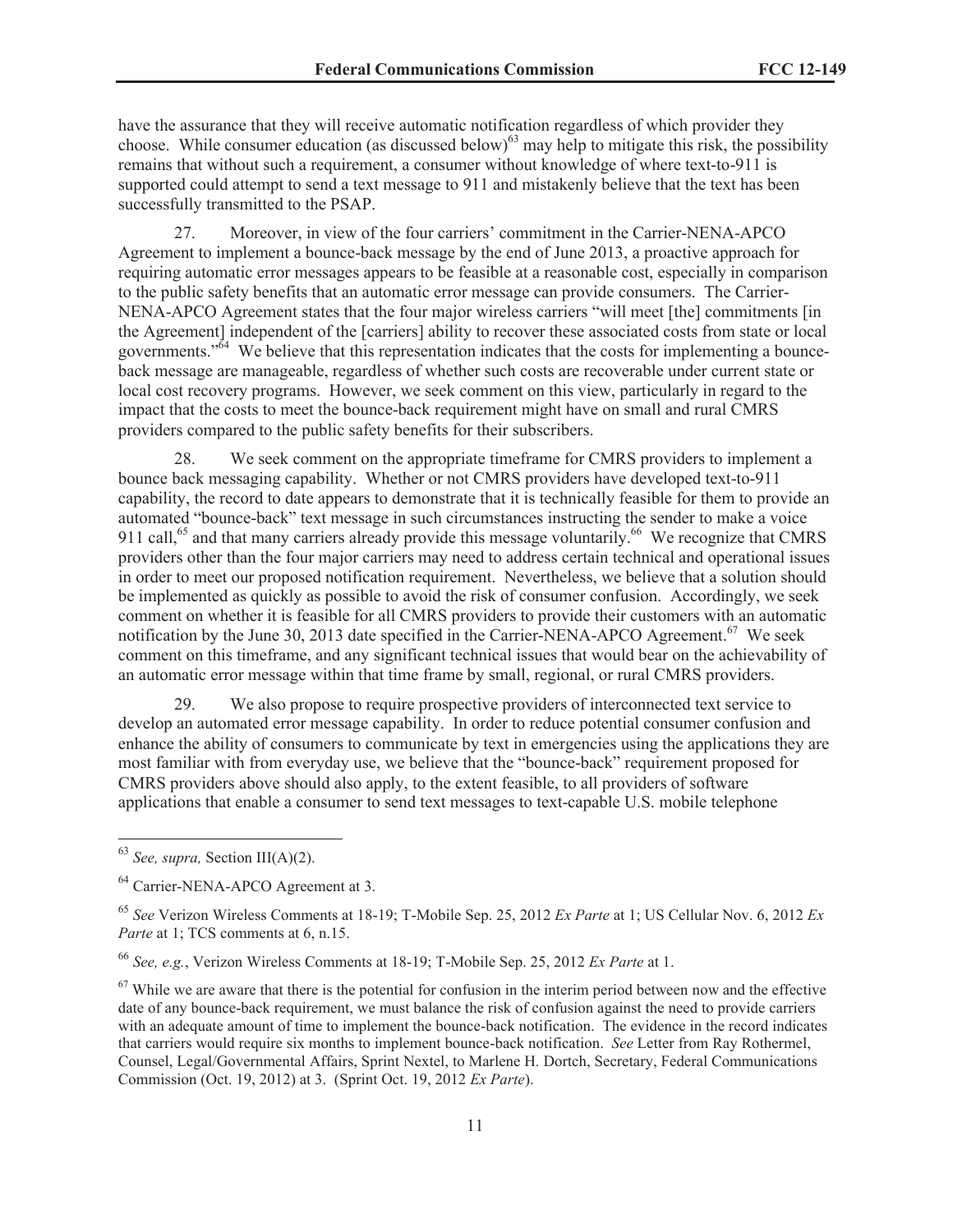have the assurance that they will receive automatic notification regardless of which provider they choose. While consumer education (as discussed below)<sup>63</sup> may help to mitigate this risk, the possibility remains that without such a requirement, a consumer without knowledge of where text-to-911 is supported could attempt to send a text message to 911 and mistakenly believe that the text has been successfully transmitted to the PSAP.

27. Moreover, in view of the four carriers' commitment in the Carrier-NENA-APCO Agreement to implement a bounce-back message by the end of June 2013, a proactive approach for requiring automatic error messages appears to be feasible at a reasonable cost, especially in comparison to the public safety benefits that an automatic error message can provide consumers. The Carrier-NENA-APCO Agreement states that the four major wireless carriers "will meet [the] commitments [in the Agreement] independent of the [carriers] ability to recover these associated costs from state or local governments."<sup>64</sup> We believe that this representation indicates that the costs for implementing a bounceback message are manageable, regardless of whether such costs are recoverable under current state or local cost recovery programs. However, we seek comment on this view, particularly in regard to the impact that the costs to meet the bounce-back requirement might have on small and rural CMRS providers compared to the public safety benefits for their subscribers.

28. We seek comment on the appropriate timeframe for CMRS providers to implement a bounce back messaging capability. Whether or not CMRS providers have developed text-to-911 capability, the record to date appears to demonstrate that it is technically feasible for them to provide an automated "bounce-back" text message in such circumstances instructing the sender to make a voice 911 call,<sup>65</sup> and that many carriers already provide this message voluntarily.<sup>66</sup> We recognize that CMRS providers other than the four major carriers may need to address certain technical and operational issues in order to meet our proposed notification requirement. Nevertheless, we believe that a solution should be implemented as quickly as possible to avoid the risk of consumer confusion. Accordingly, we seek comment on whether it is feasible for all CMRS providers to provide their customers with an automatic notification by the June 30, 2013 date specified in the Carrier-NENA-APCO Agreement.<sup>67</sup> We seek comment on this timeframe, and any significant technical issues that would bear on the achievability of an automatic error message within that time frame by small, regional, or rural CMRS providers.

29. We also propose to require prospective providers of interconnected text service to develop an automated error message capability. In order to reduce potential consumer confusion and enhance the ability of consumers to communicate by text in emergencies using the applications they are most familiar with from everyday use, we believe that the "bounce-back" requirement proposed for CMRS providers above should also apply, to the extent feasible, to all providers of software applications that enable a consumer to send text messages to text-capable U.S. mobile telephone

<sup>63</sup> *See, supra,* Section III(A)(2).

<sup>64</sup> Carrier-NENA-APCO Agreement at 3.

<sup>65</sup> *See* Verizon Wireless Comments at 18-19; T-Mobile Sep. 25, 2012 *Ex Parte* at 1; US Cellular Nov. 6, 2012 *Ex Parte* at 1; TCS comments at 6, n.15.

<sup>66</sup> *See, e.g.*, Verizon Wireless Comments at 18-19; T-Mobile Sep. 25, 2012 *Ex Parte* at 1.

 $67$  While we are aware that there is the potential for confusion in the interim period between now and the effective date of any bounce-back requirement, we must balance the risk of confusion against the need to provide carriers with an adequate amount of time to implement the bounce-back notification. The evidence in the record indicates that carriers would require six months to implement bounce-back notification. *See* Letter from Ray Rothermel, Counsel, Legal/Governmental Affairs, Sprint Nextel, to Marlene H. Dortch, Secretary, Federal Communications Commission (Oct. 19, 2012) at 3. (Sprint Oct. 19, 2012 *Ex Parte*).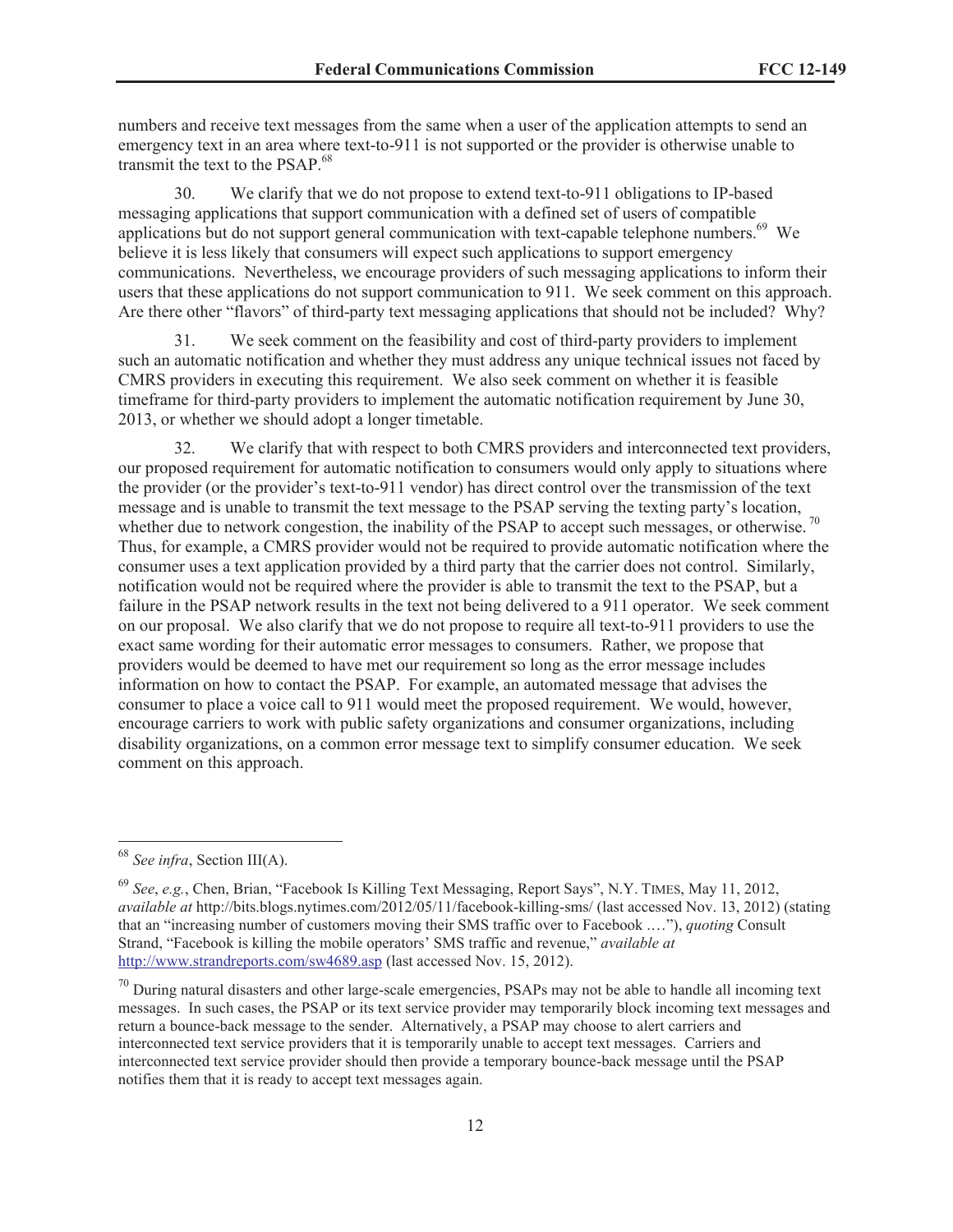numbers and receive text messages from the same when a user of the application attempts to send an emergency text in an area where text-to-911 is not supported or the provider is otherwise unable to transmit the text to the PSAP.<sup>68</sup>

30. We clarify that we do not propose to extend text-to-911 obligations to IP-based messaging applications that support communication with a defined set of users of compatible applications but do not support general communication with text-capable telephone numbers. $69$  We believe it is less likely that consumers will expect such applications to support emergency communications. Nevertheless, we encourage providers of such messaging applications to inform their users that these applications do not support communication to 911. We seek comment on this approach. Are there other "flavors" of third-party text messaging applications that should not be included? Why?

31. We seek comment on the feasibility and cost of third-party providers to implement such an automatic notification and whether they must address any unique technical issues not faced by CMRS providers in executing this requirement. We also seek comment on whether it is feasible timeframe for third-party providers to implement the automatic notification requirement by June 30, 2013, or whether we should adopt a longer timetable.

32. We clarify that with respect to both CMRS providers and interconnected text providers, our proposed requirement for automatic notification to consumers would only apply to situations where the provider (or the provider's text-to-911 vendor) has direct control over the transmission of the text message and is unable to transmit the text message to the PSAP serving the texting party's location, whether due to network congestion, the inability of the PSAP to accept such messages, or otherwise.<sup>70</sup> Thus, for example, a CMRS provider would not be required to provide automatic notification where the consumer uses a text application provided by a third party that the carrier does not control. Similarly, notification would not be required where the provider is able to transmit the text to the PSAP, but a failure in the PSAP network results in the text not being delivered to a 911 operator. We seek comment on our proposal. We also clarify that we do not propose to require all text-to-911 providers to use the exact same wording for their automatic error messages to consumers. Rather, we propose that providers would be deemed to have met our requirement so long as the error message includes information on how to contact the PSAP. For example, an automated message that advises the consumer to place a voice call to 911 would meet the proposed requirement. We would, however, encourage carriers to work with public safety organizations and consumer organizations, including disability organizations, on a common error message text to simplify consumer education. We seek comment on this approach.

<sup>68</sup> *See infra*, Section III(A).

<sup>69</sup> *See*, *e.g.*, Chen, Brian, "Facebook Is Killing Text Messaging, Report Says", N.Y. TIMES, May 11, 2012, *available at* http://bits.blogs.nytimes.com/2012/05/11/facebook-killing-sms/ (last accessed Nov. 13, 2012) (stating that an "increasing number of customers moving their SMS traffic over to Facebook .…"), *quoting* Consult Strand, "Facebook is killing the mobile operators' SMS traffic and revenue," *available at* http://www.strandreports.com/sw4689.asp (last accessed Nov. 15, 2012).

 $70$  During natural disasters and other large-scale emergencies, PSAPs may not be able to handle all incoming text messages. In such cases, the PSAP or its text service provider may temporarily block incoming text messages and return a bounce-back message to the sender. Alternatively, a PSAP may choose to alert carriers and interconnected text service providers that it is temporarily unable to accept text messages. Carriers and interconnected text service provider should then provide a temporary bounce-back message until the PSAP notifies them that it is ready to accept text messages again.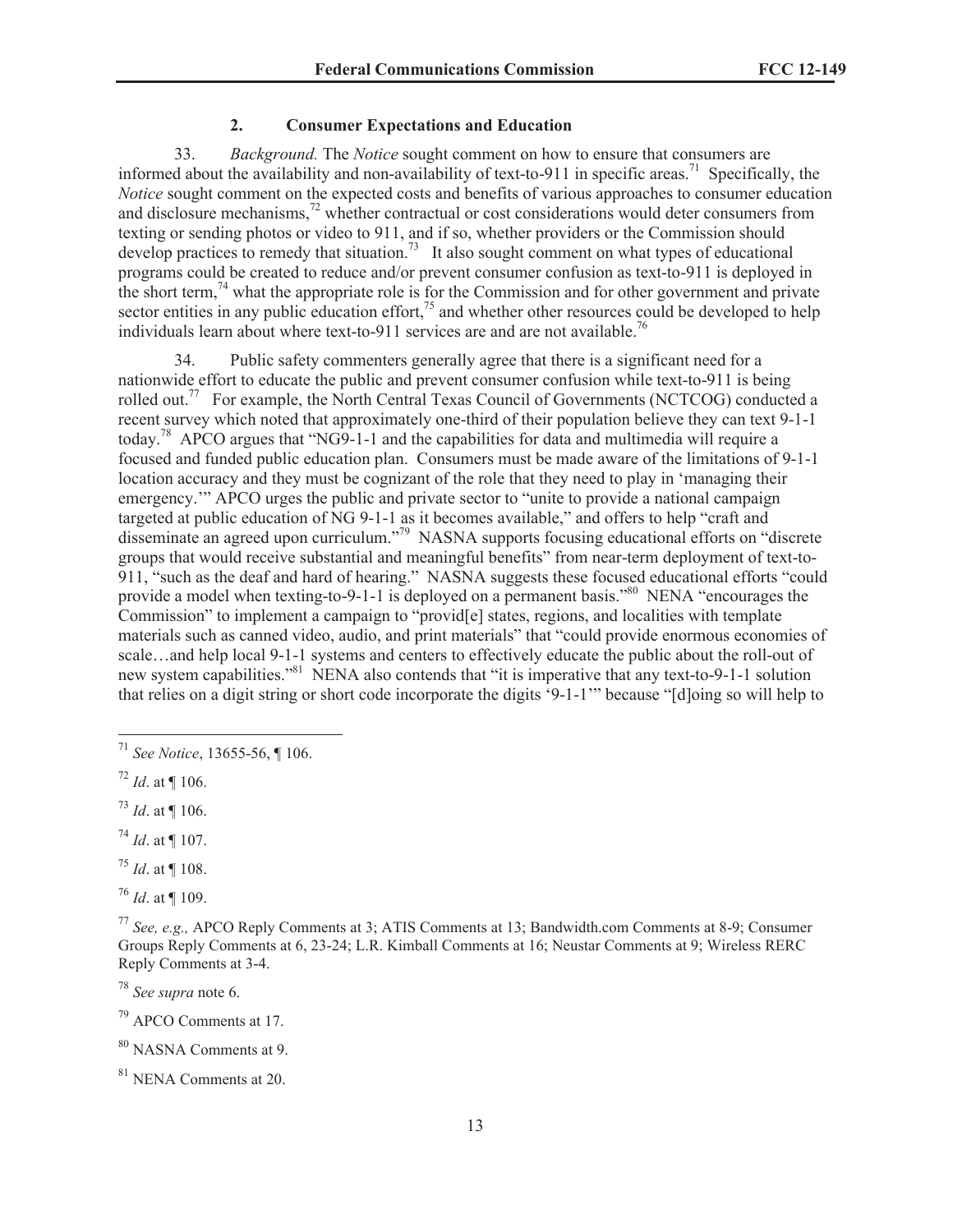### **2. Consumer Expectations and Education**

33. *Background.* The *Notice* sought comment on how to ensure that consumers are informed about the availability and non-availability of text-to-911 in specific areas.<sup>71</sup> Specifically, the *Notice* sought comment on the expected costs and benefits of various approaches to consumer education and disclosure mechanisms,<sup>72</sup> whether contractual or cost considerations would deter consumers from texting or sending photos or video to 911, and if so, whether providers or the Commission should develop practices to remedy that situation.<sup>73</sup> It also sought comment on what types of educational programs could be created to reduce and/or prevent consumer confusion as text-to-911 is deployed in the short term,<sup>74</sup> what the appropriate role is for the Commission and for other government and private sector entities in any public education effort, $^{75}$  and whether other resources could be developed to help individuals learn about where text-to-911 services are and are not available.<sup>76</sup>

34. Public safety commenters generally agree that there is a significant need for a nationwide effort to educate the public and prevent consumer confusion while text-to-911 is being rolled out.<sup>77</sup> For example, the North Central Texas Council of Governments (NCTCOG) conducted a recent survey which noted that approximately one-third of their population believe they can text 9-1-1 today.<sup>78</sup> APCO argues that "NG9-1-1 and the capabilities for data and multimedia will require a focused and funded public education plan. Consumers must be made aware of the limitations of 9-1-1 location accuracy and they must be cognizant of the role that they need to play in 'managing their emergency." APCO urges the public and private sector to "unite to provide a national campaign targeted at public education of NG 9-1-1 as it becomes available," and offers to help "craft and disseminate an agreed upon curriculum."<sup>79</sup> NASNA supports focusing educational efforts on "discrete groups that would receive substantial and meaningful benefits" from near-term deployment of text-to-911, "such as the deaf and hard of hearing." NASNA suggests these focused educational efforts "could provide a model when texting-to-9-1-1 is deployed on a permanent basis."<sup>80</sup> NENA "encourages the Commission" to implement a campaign to "provid[e] states, regions, and localities with template materials such as canned video, audio, and print materials" that "could provide enormous economies of scale…and help local 9-1-1 systems and centers to effectively educate the public about the roll-out of new system capabilities."<sup>81</sup> NENA also contends that "it is imperative that any text-to-9-1-1 solution that relies on a digit string or short code incorporate the digits '9-1-1'" because "[d]oing so will help to

<sup>79</sup> APCO Comments at 17.

<sup>80</sup> NASNA Comments at 9.

<sup>71</sup> *See Notice*, 13655-56, ¶ 106.

<sup>72</sup> *Id*. at ¶ 106.

<sup>73</sup> *Id*. at ¶ 106.

<sup>74</sup> *Id*. at ¶ 107.

<sup>75</sup> *Id*. at ¶ 108.

<sup>76</sup> *Id*. at ¶ 109.

<sup>77</sup> *See, e.g.,* APCO Reply Comments at 3; ATIS Comments at 13; Bandwidth.com Comments at 8-9; Consumer Groups Reply Comments at 6, 23-24; L.R. Kimball Comments at 16; Neustar Comments at 9; Wireless RERC Reply Comments at 3-4.

<sup>78</sup> *See supra* note 6.

<sup>81</sup> NENA Comments at 20.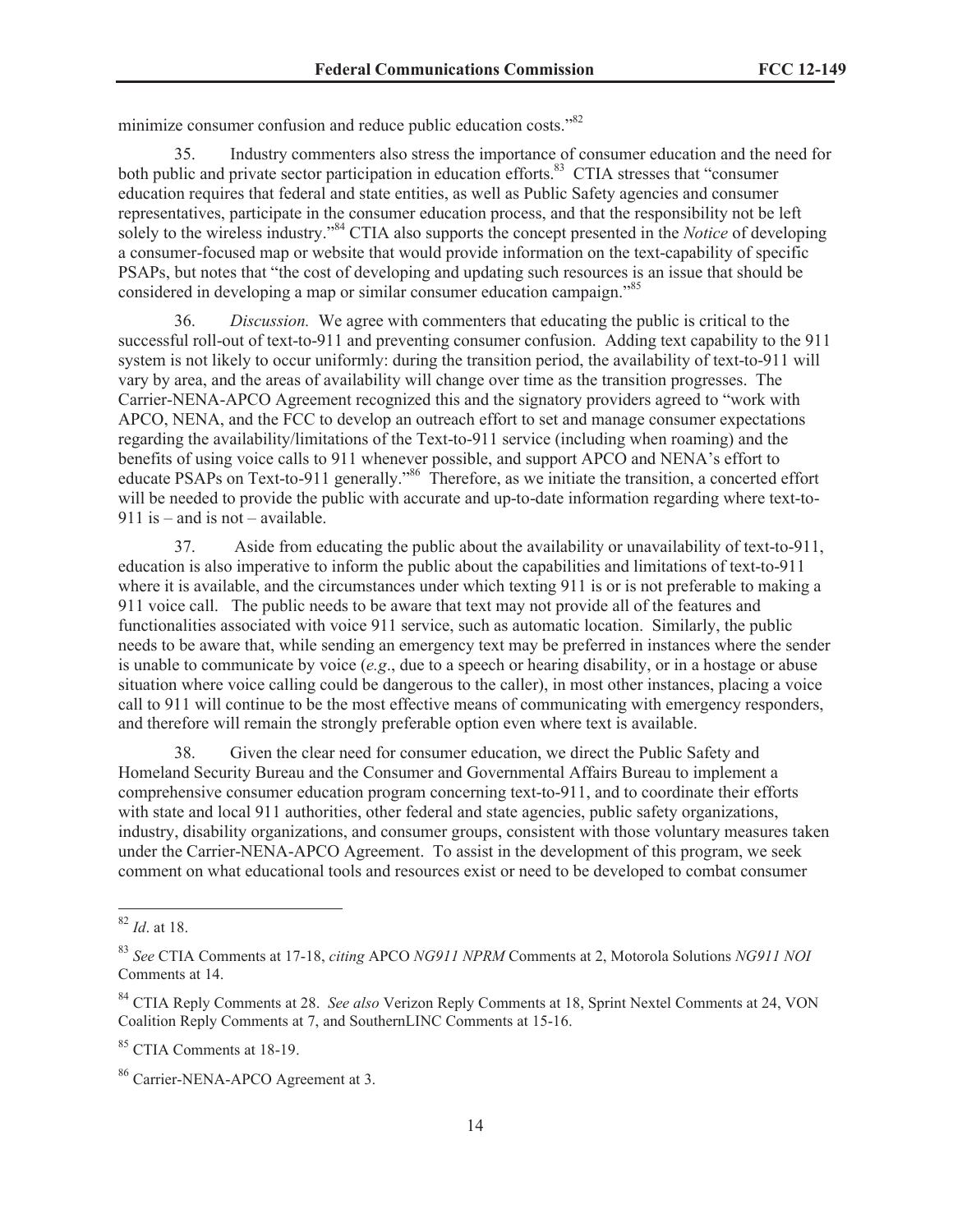minimize consumer confusion and reduce public education costs."<sup>82</sup>

35. Industry commenters also stress the importance of consumer education and the need for both public and private sector participation in education efforts.<sup>83</sup> CTIA stresses that "consumer" education requires that federal and state entities, as well as Public Safety agencies and consumer representatives, participate in the consumer education process, and that the responsibility not be left solely to the wireless industry."<sup>84</sup> CTIA also supports the concept presented in the *Notice* of developing a consumer-focused map or website that would provide information on the text-capability of specific PSAPs, but notes that "the cost of developing and updating such resources is an issue that should be considered in developing a map or similar consumer education campaign."<sup>85</sup>

36. *Discussion.* We agree with commenters that educating the public is critical to the successful roll-out of text-to-911 and preventing consumer confusion. Adding text capability to the 911 system is not likely to occur uniformly: during the transition period, the availability of text-to-911 will vary by area, and the areas of availability will change over time as the transition progresses. The Carrier-NENA-APCO Agreement recognized this and the signatory providers agreed to "work with APCO, NENA, and the FCC to develop an outreach effort to set and manage consumer expectations regarding the availability/limitations of the Text-to-911 service (including when roaming) and the benefits of using voice calls to 911 whenever possible, and support APCO and NENA's effort to educate PSAPs on Text-to-911 generally."<sup>86</sup> Therefore, as we initiate the transition, a concerted effort will be needed to provide the public with accurate and up-to-date information regarding where text-to-911 is – and is not – available.

37. Aside from educating the public about the availability or unavailability of text-to-911, education is also imperative to inform the public about the capabilities and limitations of text-to-911 where it is available, and the circumstances under which texting 911 is or is not preferable to making a 911 voice call. The public needs to be aware that text may not provide all of the features and functionalities associated with voice 911 service, such as automatic location. Similarly, the public needs to be aware that, while sending an emergency text may be preferred in instances where the sender is unable to communicate by voice (*e.g*., due to a speech or hearing disability, or in a hostage or abuse situation where voice calling could be dangerous to the caller), in most other instances, placing a voice call to 911 will continue to be the most effective means of communicating with emergency responders, and therefore will remain the strongly preferable option even where text is available.

38. Given the clear need for consumer education, we direct the Public Safety and Homeland Security Bureau and the Consumer and Governmental Affairs Bureau to implement a comprehensive consumer education program concerning text-to-911, and to coordinate their efforts with state and local 911 authorities, other federal and state agencies, public safety organizations, industry, disability organizations, and consumer groups, consistent with those voluntary measures taken under the Carrier-NENA-APCO Agreement. To assist in the development of this program, we seek comment on what educational tools and resources exist or need to be developed to combat consumer

<sup>85</sup> CTIA Comments at 18-19.

<sup>82</sup> *Id*. at 18.

<sup>83</sup> *See* CTIA Comments at 17-18, *citing* APCO *NG911 NPRM* Comments at 2, Motorola Solutions *NG911 NOI* Comments at 14.

<sup>84</sup> CTIA Reply Comments at 28. *See also* Verizon Reply Comments at 18, Sprint Nextel Comments at 24, VON Coalition Reply Comments at 7, and SouthernLINC Comments at 15-16.

<sup>86</sup> Carrier-NENA-APCO Agreement at 3.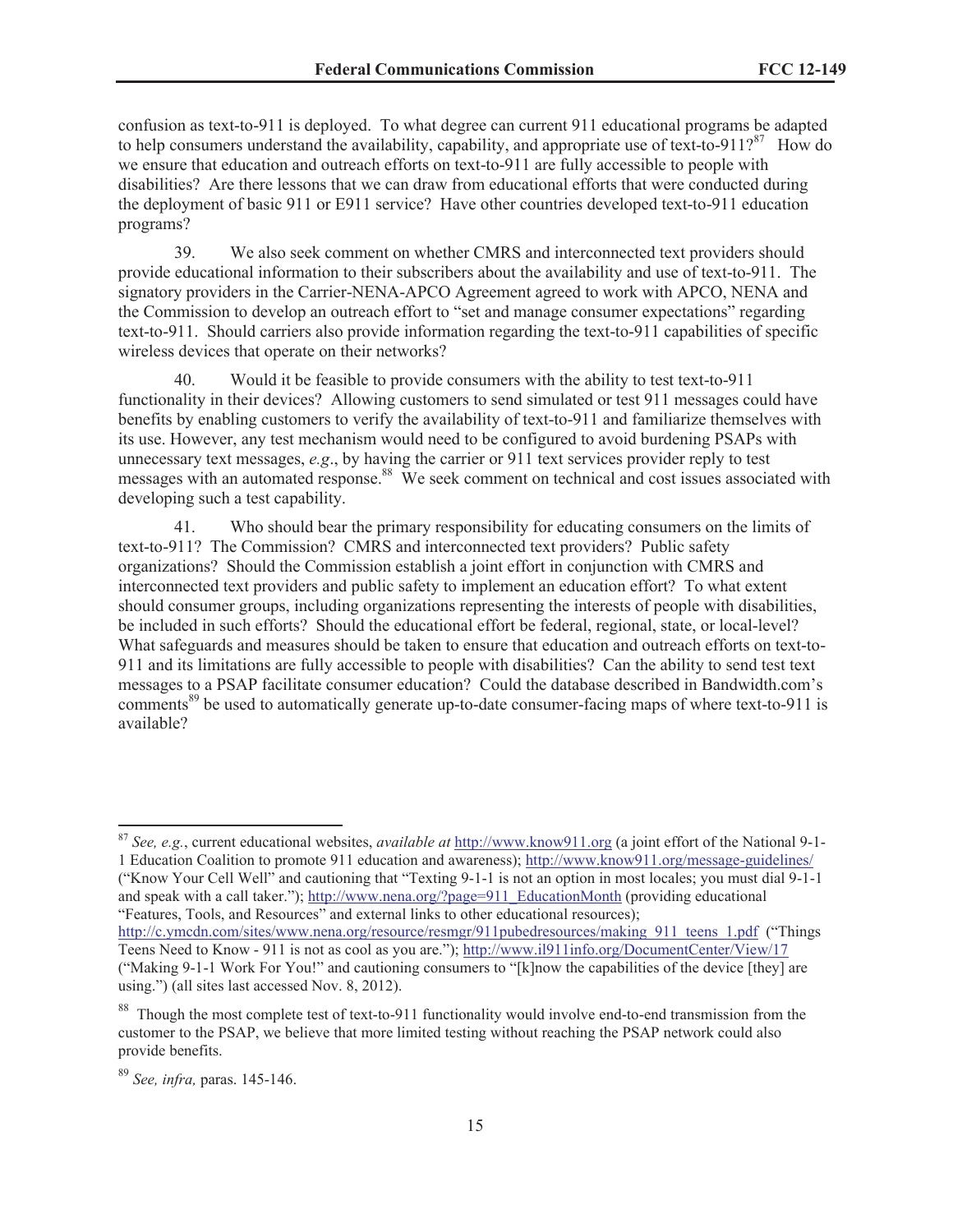confusion as text-to-911 is deployed. To what degree can current 911 educational programs be adapted to help consumers understand the availability, capability, and appropriate use of text-to-911?<sup>87</sup> How do we ensure that education and outreach efforts on text-to-911 are fully accessible to people with disabilities? Are there lessons that we can draw from educational efforts that were conducted during the deployment of basic 911 or E911 service? Have other countries developed text-to-911 education programs?

39. We also seek comment on whether CMRS and interconnected text providers should provide educational information to their subscribers about the availability and use of text-to-911. The signatory providers in the Carrier-NENA-APCO Agreement agreed to work with APCO, NENA and the Commission to develop an outreach effort to "set and manage consumer expectations" regarding text-to-911. Should carriers also provide information regarding the text-to-911 capabilities of specific wireless devices that operate on their networks?

40. Would it be feasible to provide consumers with the ability to test text-to-911 functionality in their devices? Allowing customers to send simulated or test 911 messages could have benefits by enabling customers to verify the availability of text-to-911 and familiarize themselves with its use. However, any test mechanism would need to be configured to avoid burdening PSAPs with unnecessary text messages, *e.g*., by having the carrier or 911 text services provider reply to test messages with an automated response.<sup>88</sup> We seek comment on technical and cost issues associated with developing such a test capability.

41. Who should bear the primary responsibility for educating consumers on the limits of text-to-911? The Commission? CMRS and interconnected text providers? Public safety organizations? Should the Commission establish a joint effort in conjunction with CMRS and interconnected text providers and public safety to implement an education effort? To what extent should consumer groups, including organizations representing the interests of people with disabilities, be included in such efforts? Should the educational effort be federal, regional, state, or local-level? What safeguards and measures should be taken to ensure that education and outreach efforts on text-to-911 and its limitations are fully accessible to people with disabilities? Can the ability to send test text messages to a PSAP facilitate consumer education? Could the database described in Bandwidth.com's comments<sup>89</sup> be used to automatically generate up-to-date consumer-facing maps of where text-to-911 is available?

and speak with a call taker."); http://www.nena.org/?page=911\_EducationMonth (providing educational "Features, Tools, and Resources" and external links to other educational resources);

<sup>87</sup> *See, e.g.*, current educational websites, *available at* http://www.know911.org (a joint effort of the National 9-1- 1 Education Coalition to promote 911 education and awareness); http://www.know911.org/message-guidelines/ ("Know Your Cell Well" and cautioning that "Texting 9-1-1 is not an option in most locales; you must dial 9-1-1

http://c.ymcdn.com/sites/www.nena.org/resource/resmgr/911pubedresources/making\_911\_teens\_1.pdf ("Things Teens Need to Know - 911 is not as cool as you are."); http://www.il911info.org/DocumentCenter/View/17 ("Making 9-1-1 Work For You!" and cautioning consumers to "[k]now the capabilities of the device [they] are using.") (all sites last accessed Nov. 8, 2012).

<sup>&</sup>lt;sup>88</sup> Though the most complete test of text-to-911 functionality would involve end-to-end transmission from the customer to the PSAP, we believe that more limited testing without reaching the PSAP network could also provide benefits.

<sup>89</sup> *See, infra,* paras. 145-146.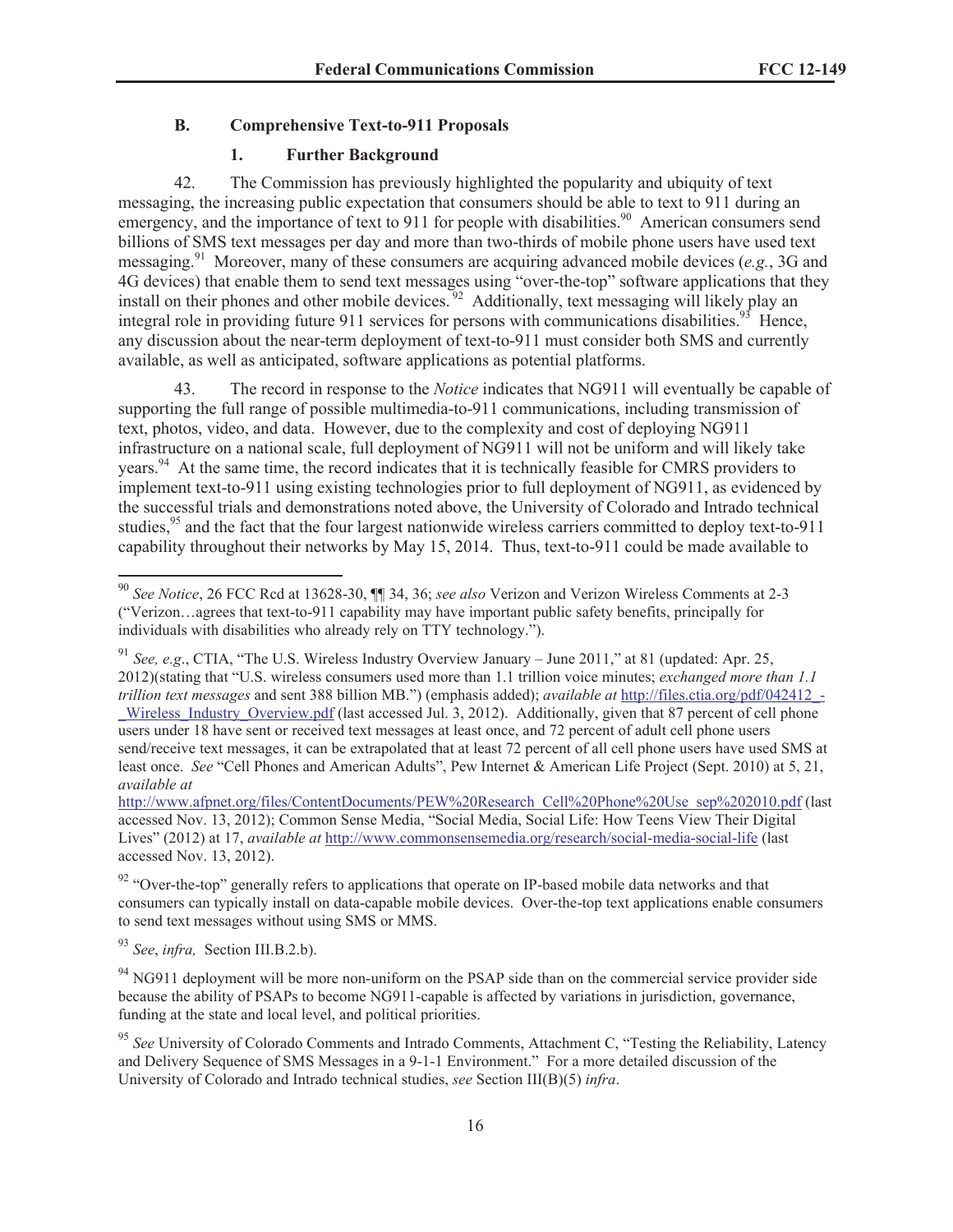## **B. Comprehensive Text-to-911 Proposals**

# **1. Further Background**

42. The Commission has previously highlighted the popularity and ubiquity of text messaging, the increasing public expectation that consumers should be able to text to 911 during an emergency, and the importance of text to 911 for people with disabilities.<sup>90</sup> American consumers send billions of SMS text messages per day and more than two-thirds of mobile phone users have used text messaging.<sup>91</sup> Moreover, many of these consumers are acquiring advanced mobile devices (*e.g.*, 3G and 4G devices) that enable them to send text messages using "over-the-top" software applications that they install on their phones and other mobile devices.<sup>92</sup> Additionally, text messaging will likely play an integral role in providing future 911 services for persons with communications disabilities.<sup>93</sup> Hence, any discussion about the near-term deployment of text-to-911 must consider both SMS and currently available, as well as anticipated, software applications as potential platforms.

43. The record in response to the *Notice* indicates that NG911 will eventually be capable of supporting the full range of possible multimedia-to-911 communications, including transmission of text, photos, video, and data. However, due to the complexity and cost of deploying NG911 infrastructure on a national scale, full deployment of NG911 will not be uniform and will likely take years.<sup>94</sup> At the same time, the record indicates that it is technically feasible for CMRS providers to implement text-to-911 using existing technologies prior to full deployment of NG911, as evidenced by the successful trials and demonstrations noted above, the University of Colorado and Intrado technical studies,<sup>95</sup> and the fact that the four largest nationwide wireless carriers committed to deploy text-to-911 capability throughout their networks by May 15, 2014. Thus, text-to-911 could be made available to

<sup>90</sup> *See Notice*, 26 FCC Rcd at 13628-30, ¶¶ 34, 36; *see also* Verizon and Verizon Wireless Comments at 2-3 ("Verizon…agrees that text-to-911 capability may have important public safety benefits, principally for individuals with disabilities who already rely on TTY technology.").

<sup>91</sup> *See, e.g*., CTIA, "The U.S. Wireless Industry Overview January – June 2011," at 81 (updated: Apr. 25, 2012)(stating that "U.S. wireless consumers used more than 1.1 trillion voice minutes; *exchanged more than 1.1 trillion text messages* and sent 388 billion MB.") (emphasis added); *available at* http://files.ctia.org/pdf/042412\_-

Wireless Industry Overview.pdf (last accessed Jul. 3, 2012). Additionally, given that 87 percent of cell phone users under 18 have sent or received text messages at least once, and 72 percent of adult cell phone users send/receive text messages, it can be extrapolated that at least 72 percent of all cell phone users have used SMS at least once. *See* "Cell Phones and American Adults", Pew Internet & American Life Project (Sept. 2010) at 5, 21, *available at*

http://www.afpnet.org/files/ContentDocuments/PEW%20Research\_Cell%20Phone%20Use\_sep%202010.pdf (last accessed Nov. 13, 2012); Common Sense Media, "Social Media, Social Life: How Teens View Their Digital Lives" (2012) at 17, *available at* http://www.commonsensemedia.org/research/social-media-social-life (last accessed Nov. 13, 2012).

<sup>&</sup>lt;sup>92</sup> "Over-the-top" generally refers to applications that operate on IP-based mobile data networks and that consumers can typically install on data-capable mobile devices. Over-the-top text applications enable consumers to send text messages without using SMS or MMS.

<sup>93</sup> *See*, *infra,* Section III.B.2.b).

<sup>&</sup>lt;sup>94</sup> NG911 deployment will be more non-uniform on the PSAP side than on the commercial service provider side because the ability of PSAPs to become NG911-capable is affected by variations in jurisdiction, governance, funding at the state and local level, and political priorities.

<sup>&</sup>lt;sup>95</sup> See University of Colorado Comments and Intrado Comments, Attachment C, "Testing the Reliability, Latency and Delivery Sequence of SMS Messages in a 9-1-1 Environment." For a more detailed discussion of the University of Colorado and Intrado technical studies, *see* Section III(B)(5) *infra*.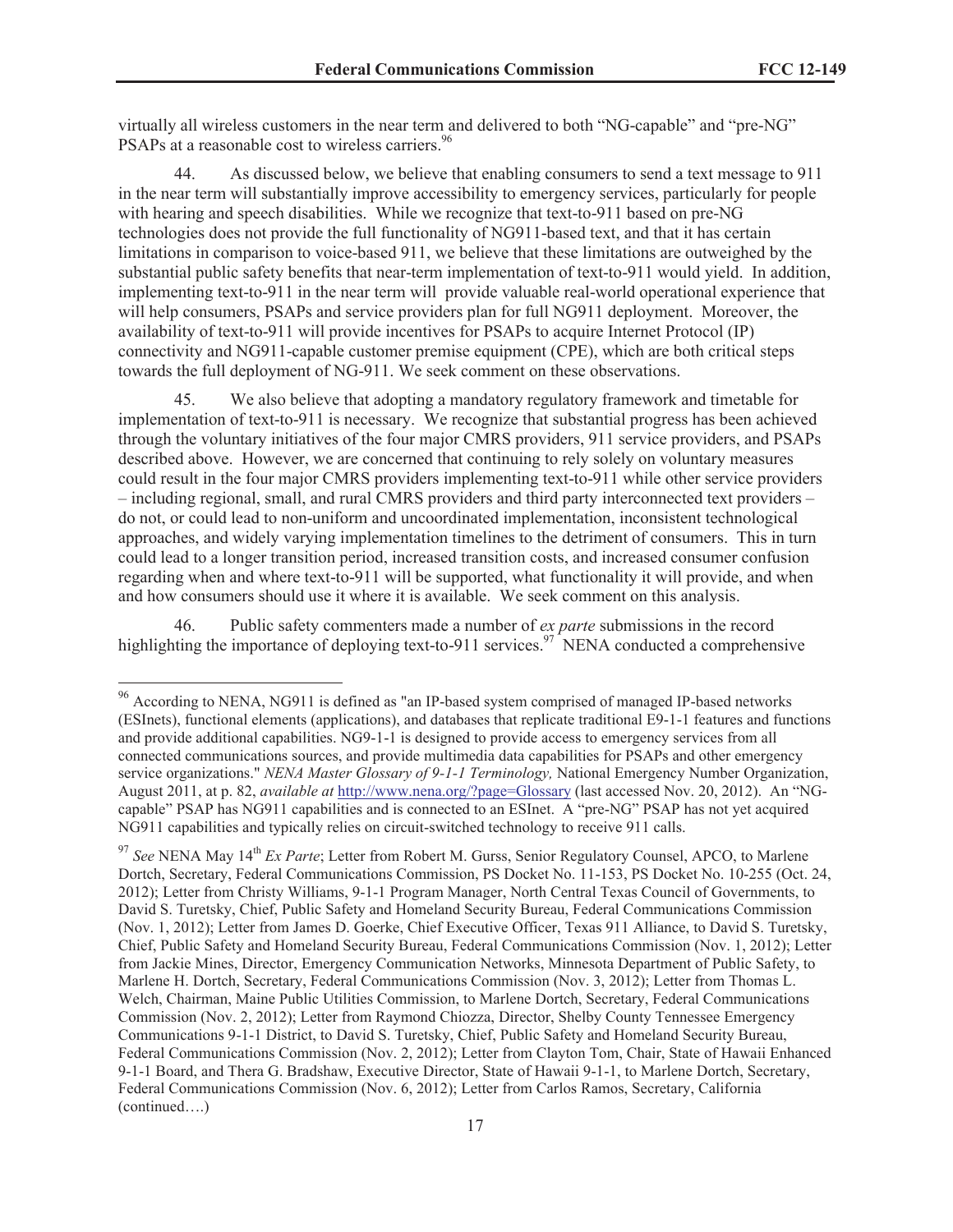virtually all wireless customers in the near term and delivered to both "NG-capable" and "pre-NG" PSAPs at a reasonable cost to wireless carriers.<sup>96</sup>

44. As discussed below, we believe that enabling consumers to send a text message to 911 in the near term will substantially improve accessibility to emergency services, particularly for people with hearing and speech disabilities. While we recognize that text-to-911 based on pre-NG technologies does not provide the full functionality of NG911-based text, and that it has certain limitations in comparison to voice-based 911, we believe that these limitations are outweighed by the substantial public safety benefits that near-term implementation of text-to-911 would yield. In addition, implementing text-to-911 in the near term will provide valuable real-world operational experience that will help consumers, PSAPs and service providers plan for full NG911 deployment. Moreover, the availability of text-to-911 will provide incentives for PSAPs to acquire Internet Protocol (IP) connectivity and NG911-capable customer premise equipment (CPE), which are both critical steps towards the full deployment of NG-911. We seek comment on these observations.

45. We also believe that adopting a mandatory regulatory framework and timetable for implementation of text-to-911 is necessary. We recognize that substantial progress has been achieved through the voluntary initiatives of the four major CMRS providers, 911 service providers, and PSAPs described above. However, we are concerned that continuing to rely solely on voluntary measures could result in the four major CMRS providers implementing text-to-911 while other service providers – including regional, small, and rural CMRS providers and third party interconnected text providers – do not, or could lead to non-uniform and uncoordinated implementation, inconsistent technological approaches, and widely varying implementation timelines to the detriment of consumers. This in turn could lead to a longer transition period, increased transition costs, and increased consumer confusion regarding when and where text-to-911 will be supported, what functionality it will provide, and when and how consumers should use it where it is available. We seek comment on this analysis.

46. Public safety commenters made a number of *ex parte* submissions in the record highlighting the importance of deploying text-to-911 services.<sup>97</sup> NENA conducted a comprehensive

<sup>&</sup>lt;sup>96</sup> According to NENA, NG911 is defined as "an IP-based system comprised of managed IP-based networks (ESInets), functional elements (applications), and databases that replicate traditional E9-1-1 features and functions and provide additional capabilities. NG9-1-1 is designed to provide access to emergency services from all connected communications sources, and provide multimedia data capabilities for PSAPs and other emergency service organizations." *NENA Master Glossary of 9-1-1 Terminology,* National Emergency Number Organization, August 2011, at p. 82, *available at* http://www.nena.org/?page=Glossary (last accessed Nov. 20, 2012). An "NGcapable" PSAP has NG911 capabilities and is connected to an ESInet. A "pre-NG" PSAP has not yet acquired NG911 capabilities and typically relies on circuit-switched technology to receive 911 calls.

<sup>&</sup>lt;sup>97</sup> See NENA May 14<sup>th</sup> *Ex Parte*; Letter from Robert M. Gurss, Senior Regulatory Counsel, APCO, to Marlene Dortch, Secretary, Federal Communications Commission, PS Docket No. 11-153, PS Docket No. 10-255 (Oct. 24, 2012); Letter from Christy Williams, 9-1-1 Program Manager, North Central Texas Council of Governments, to David S. Turetsky, Chief, Public Safety and Homeland Security Bureau, Federal Communications Commission (Nov. 1, 2012); Letter from James D. Goerke, Chief Executive Officer, Texas 911 Alliance, to David S. Turetsky, Chief, Public Safety and Homeland Security Bureau, Federal Communications Commission (Nov. 1, 2012); Letter from Jackie Mines, Director, Emergency Communication Networks, Minnesota Department of Public Safety, to Marlene H. Dortch, Secretary, Federal Communications Commission (Nov. 3, 2012); Letter from Thomas L. Welch, Chairman, Maine Public Utilities Commission, to Marlene Dortch, Secretary, Federal Communications Commission (Nov. 2, 2012); Letter from Raymond Chiozza, Director, Shelby County Tennessee Emergency Communications 9-1-1 District, to David S. Turetsky, Chief, Public Safety and Homeland Security Bureau, Federal Communications Commission (Nov. 2, 2012); Letter from Clayton Tom, Chair, State of Hawaii Enhanced 9-1-1 Board, and Thera G. Bradshaw, Executive Director, State of Hawaii 9-1-1, to Marlene Dortch, Secretary, Federal Communications Commission (Nov. 6, 2012); Letter from Carlos Ramos, Secretary, California (continued….)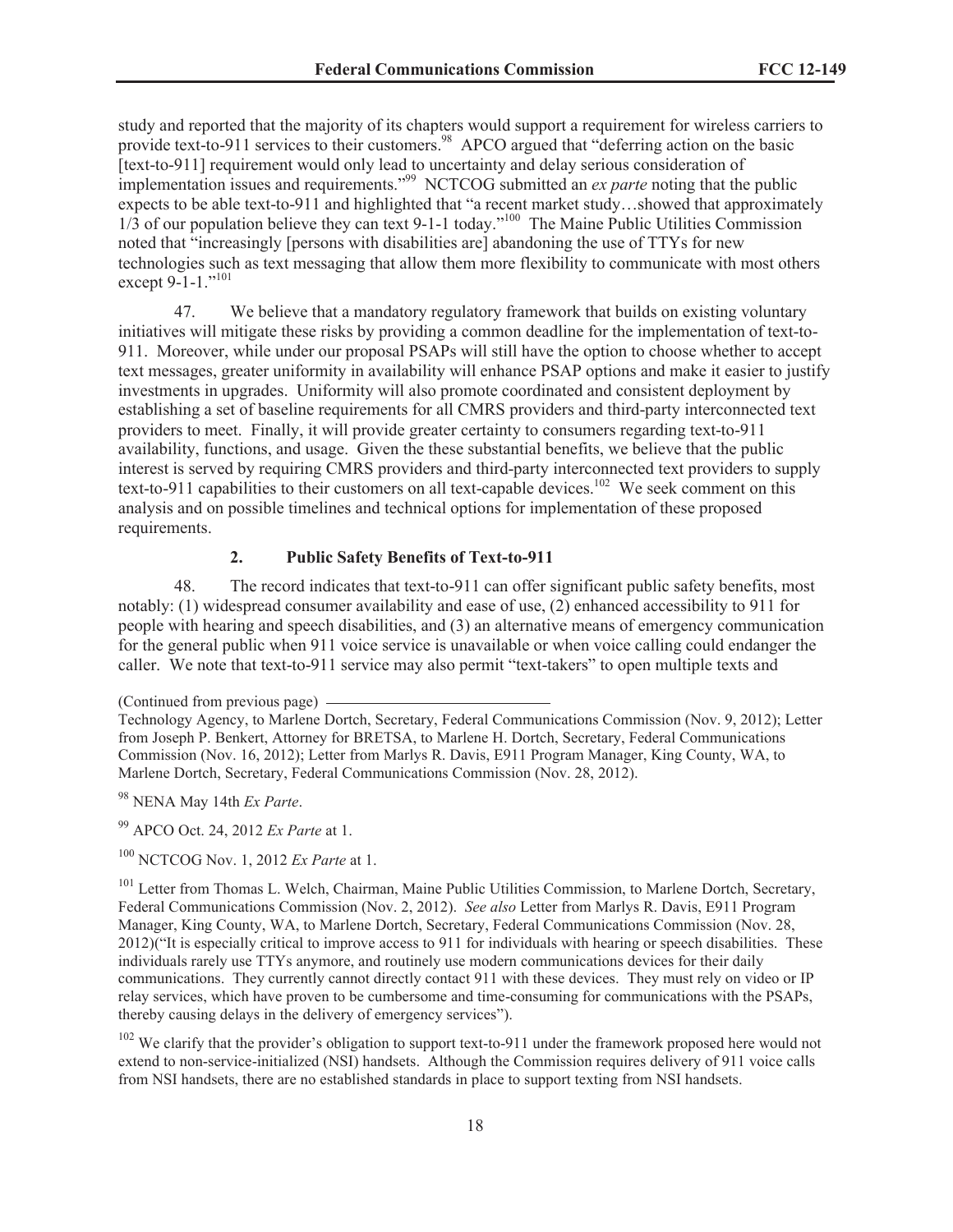study and reported that the majority of its chapters would support a requirement for wireless carriers to provide text-to-911 services to their customers.<sup>98</sup> APCO argued that "deferring action on the basic [text-to-911] requirement would only lead to uncertainty and delay serious consideration of implementation issues and requirements."<sup>99</sup> NCTCOG submitted an *ex parte* noting that the public expects to be able text-to-911 and highlighted that "a recent market study…showed that approximately 1/3 of our population believe they can text 9-1-1 today.<sup>"100</sup> The Maine Public Utilities Commission noted that "increasingly [persons with disabilities are] abandoning the use of TTYs for new technologies such as text messaging that allow them more flexibility to communicate with most others except 9-1-1."<sup>101</sup>

47. We believe that a mandatory regulatory framework that builds on existing voluntary initiatives will mitigate these risks by providing a common deadline for the implementation of text-to-911. Moreover, while under our proposal PSAPs will still have the option to choose whether to accept text messages, greater uniformity in availability will enhance PSAP options and make it easier to justify investments in upgrades. Uniformity will also promote coordinated and consistent deployment by establishing a set of baseline requirements for all CMRS providers and third-party interconnected text providers to meet. Finally, it will provide greater certainty to consumers regarding text-to-911 availability, functions, and usage. Given the these substantial benefits, we believe that the public interest is served by requiring CMRS providers and third-party interconnected text providers to supply text-to-911 capabilities to their customers on all text-capable devices.<sup>102</sup> We seek comment on this analysis and on possible timelines and technical options for implementation of these proposed requirements.

### **2. Public Safety Benefits of Text-to-911**

48. The record indicates that text-to-911 can offer significant public safety benefits, most notably: (1) widespread consumer availability and ease of use, (2) enhanced accessibility to 911 for people with hearing and speech disabilities, and (3) an alternative means of emergency communication for the general public when 911 voice service is unavailable or when voice calling could endanger the caller. We note that text-to-911 service may also permit "text-takers" to open multiple texts and

<sup>99</sup> APCO Oct. 24, 2012 *Ex Parte* at 1.

<sup>(</sup>Continued from previous page)

Technology Agency, to Marlene Dortch, Secretary, Federal Communications Commission (Nov. 9, 2012); Letter from Joseph P. Benkert, Attorney for BRETSA, to Marlene H. Dortch, Secretary, Federal Communications Commission (Nov. 16, 2012); Letter from Marlys R. Davis, E911 Program Manager, King County, WA, to Marlene Dortch, Secretary, Federal Communications Commission (Nov. 28, 2012).

<sup>98</sup> NENA May 14th *Ex Parte*.

<sup>100</sup> NCTCOG Nov. 1, 2012 *Ex Parte* at 1.

<sup>&</sup>lt;sup>101</sup> Letter from Thomas L. Welch, Chairman, Maine Public Utilities Commission, to Marlene Dortch, Secretary, Federal Communications Commission (Nov. 2, 2012). *See also* Letter from Marlys R. Davis, E911 Program Manager, King County, WA, to Marlene Dortch, Secretary, Federal Communications Commission (Nov. 28, 2012)("It is especially critical to improve access to 911 for individuals with hearing or speech disabilities. These individuals rarely use TTYs anymore, and routinely use modern communications devices for their daily communications. They currently cannot directly contact 911 with these devices. They must rely on video or IP relay services, which have proven to be cumbersome and time-consuming for communications with the PSAPs, thereby causing delays in the delivery of emergency services").

<sup>&</sup>lt;sup>102</sup> We clarify that the provider's obligation to support text-to-911 under the framework proposed here would not extend to non-service-initialized (NSI) handsets. Although the Commission requires delivery of 911 voice calls from NSI handsets, there are no established standards in place to support texting from NSI handsets.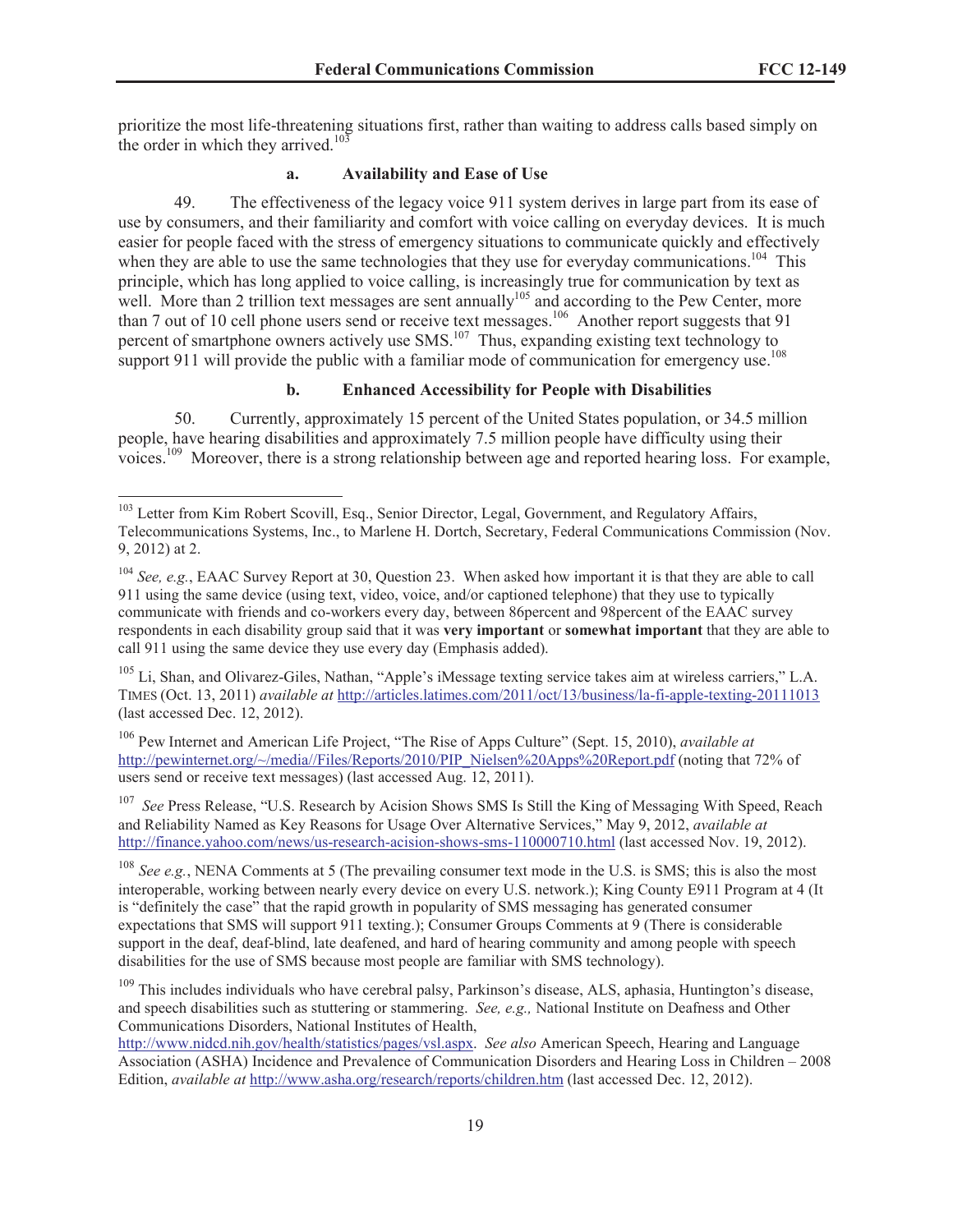prioritize the most life-threatening situations first, rather than waiting to address calls based simply on the order in which they arrived.<sup>103</sup>

#### **a. Availability and Ease of Use**

49. The effectiveness of the legacy voice 911 system derives in large part from its ease of use by consumers, and their familiarity and comfort with voice calling on everyday devices. It is much easier for people faced with the stress of emergency situations to communicate quickly and effectively when they are able to use the same technologies that they use for everyday communications.<sup>104</sup> This principle, which has long applied to voice calling, is increasingly true for communication by text as well. More than 2 trillion text messages are sent annually<sup>105</sup> and according to the Pew Center, more than 7 out of 10 cell phone users send or receive text messages.<sup>106</sup> Another report suggests that 91 percent of smartphone owners actively use SMS.<sup>107</sup> Thus, expanding existing text technology to support 911 will provide the public with a familiar mode of communication for emergency use.<sup>108</sup>

#### **b. Enhanced Accessibility for People with Disabilities**

50. Currently, approximately 15 percent of the United States population, or 34.5 million people, have hearing disabilities and approximately 7.5 million people have difficulty using their voices.<sup>109</sup> Moreover, there is a strong relationship between age and reported hearing loss. For example,

<sup>107</sup> *See Press Release, "U.S. Research by Acision Shows SMS Is Still the King of Messaging With Speed, Reach* and Reliability Named as Key Reasons for Usage Over Alternative Services," May 9, 2012, *available at*  http://finance.yahoo.com/news/us-research-acision-shows-sms-110000710.html (last accessed Nov. 19, 2012).

<sup>&</sup>lt;sup>103</sup> Letter from Kim Robert Scovill, Esq., Senior Director, Legal, Government, and Regulatory Affairs, Telecommunications Systems, Inc., to Marlene H. Dortch, Secretary, Federal Communications Commission (Nov. 9, 2012) at 2.

<sup>104</sup> *See, e.g.*, EAAC Survey Report at 30, Question 23. When asked how important it is that they are able to call 911 using the same device (using text, video, voice, and/or captioned telephone) that they use to typically communicate with friends and co-workers every day, between 86percent and 98percent of the EAAC survey respondents in each disability group said that it was **very important** or **somewhat important** that they are able to call 911 using the same device they use every day (Emphasis added).

<sup>&</sup>lt;sup>105</sup> Li, Shan, and Olivarez-Giles, Nathan, "Apple's iMessage texting service takes aim at wireless carriers," L.A. TIMES (Oct. 13, 2011) *available at* http://articles.latimes.com/2011/oct/13/business/la-fi-apple-texting-20111013 (last accessed Dec. 12, 2012).

<sup>106</sup> Pew Internet and American Life Project, "The Rise of Apps Culture" (Sept. 15, 2010), *available at* http://pewinternet.org/~/media//Files/Reports/2010/PIP\_Nielsen%20Apps%20Report.pdf (noting that 72% of users send or receive text messages) (last accessed Aug. 12, 2011).

<sup>&</sup>lt;sup>108</sup> *See e.g.*, NENA Comments at 5 (The prevailing consumer text mode in the U.S. is SMS; this is also the most interoperable, working between nearly every device on every U.S. network.); King County E911 Program at 4 (It is "definitely the case" that the rapid growth in popularity of SMS messaging has generated consumer expectations that SMS will support 911 texting.); Consumer Groups Comments at 9 (There is considerable support in the deaf, deaf-blind, late deafened, and hard of hearing community and among people with speech disabilities for the use of SMS because most people are familiar with SMS technology).

<sup>&</sup>lt;sup>109</sup> This includes individuals who have cerebral palsy, Parkinson's disease, ALS, aphasia, Huntington's disease, and speech disabilities such as stuttering or stammering. *See, e.g.,* National Institute on Deafness and Other Communications Disorders, National Institutes of Health,

http://www.nidcd.nih.gov/health/statistics/pages/vsl.aspx. *See also* American Speech, Hearing and Language Association (ASHA) Incidence and Prevalence of Communication Disorders and Hearing Loss in Children – 2008 Edition, *available at* http://www.asha.org/research/reports/children.htm (last accessed Dec. 12, 2012).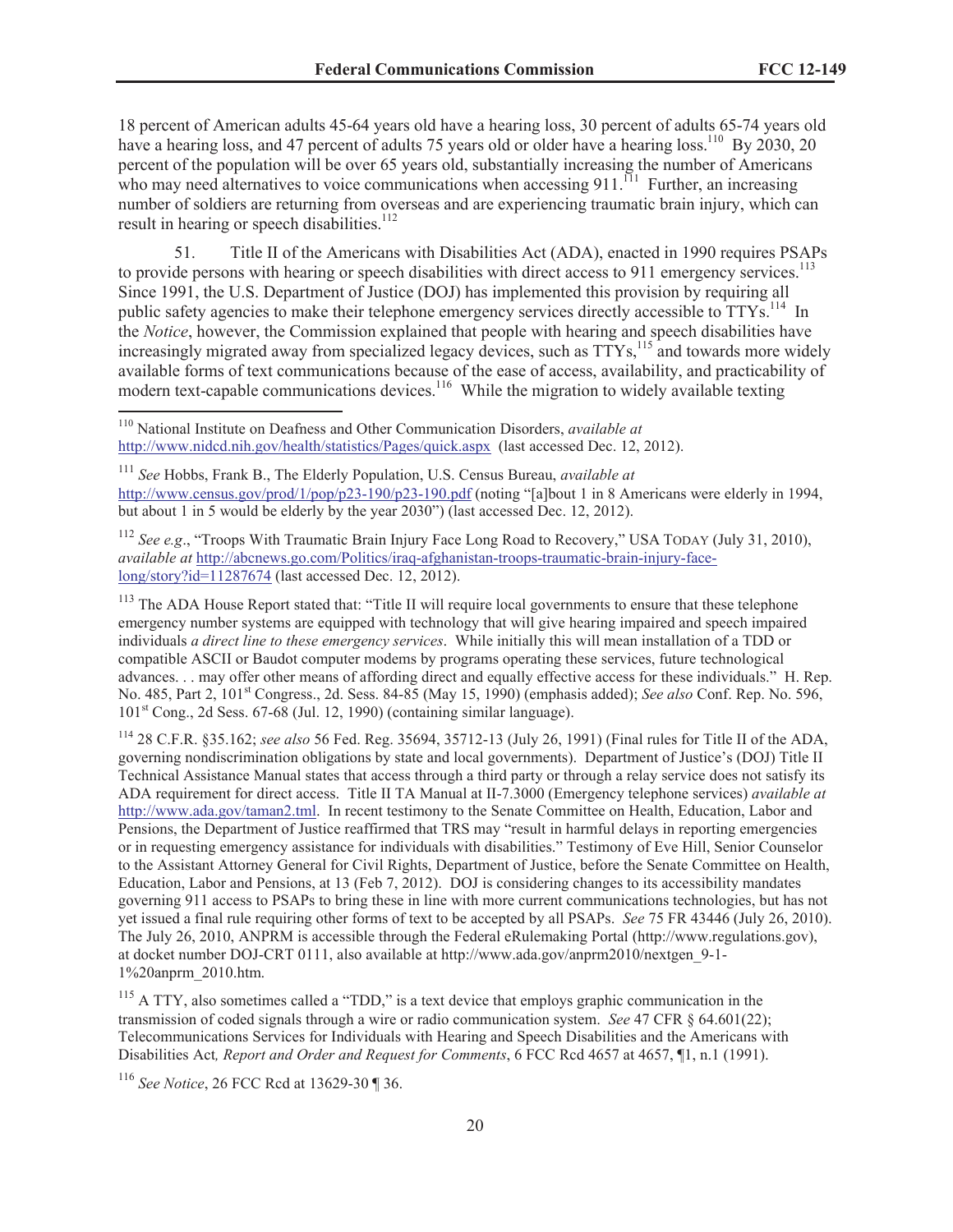18 percent of American adults 45-64 years old have a hearing loss, 30 percent of adults 65-74 years old have a hearing loss, and 47 percent of adults 75 years old or older have a hearing loss.<sup>110</sup> By 2030, 20 percent of the population will be over 65 years old, substantially increasing the number of Americans who may need alternatives to voice communications when accessing 911. $^{111}$  Further, an increasing number of soldiers are returning from overseas and are experiencing traumatic brain injury, which can result in hearing or speech disabilities.<sup>112</sup>

51. Title II of the Americans with Disabilities Act (ADA), enacted in 1990 requires PSAPs to provide persons with hearing or speech disabilities with direct access to 911 emergency services.<sup>113</sup> Since 1991, the U.S. Department of Justice (DOJ) has implemented this provision by requiring all public safety agencies to make their telephone emergency services directly accessible to TTYs.<sup>114</sup> In the *Notice*, however, the Commission explained that people with hearing and speech disabilities have increasingly migrated away from specialized legacy devices, such as TTYs,<sup>115</sup> and towards more widely available forms of text communications because of the ease of access, availability, and practicability of modern text-capable communications devices.<sup>116</sup> While the migration to widely available texting

<sup>110</sup> National Institute on Deafness and Other Communication Disorders, *available at* http://www.nidcd.nih.gov/health/statistics/Pages/quick.aspx (last accessed Dec. 12, 2012).

<sup>111</sup> *See* Hobbs, Frank B., The Elderly Population, U.S. Census Bureau, *available at* http://www.census.gov/prod/1/pop/p23-190/p23-190.pdf (noting "[a]bout 1 in 8 Americans were elderly in 1994, but about 1 in 5 would be elderly by the year 2030") (last accessed Dec. 12, 2012).

<sup>112</sup> *See e.g*., "Troops With Traumatic Brain Injury Face Long Road to Recovery," USA TODAY (July 31, 2010), *available at* http://abcnews.go.com/Politics/iraq-afghanistan-troops-traumatic-brain-injury-facelong/story?id=11287674 (last accessed Dec. 12, 2012).

<sup>113</sup> The ADA House Report stated that: "Title II will require local governments to ensure that these telephone emergency number systems are equipped with technology that will give hearing impaired and speech impaired individuals *a direct line to these emergency services*. While initially this will mean installation of a TDD or compatible ASCII or Baudot computer modems by programs operating these services, future technological advances. . . may offer other means of affording direct and equally effective access for these individuals." H. Rep. No. 485, Part 2, 101st Congress., 2d. Sess. 84-85 (May 15, 1990) (emphasis added); *See also* Conf. Rep. No. 596,  $101<sup>st</sup>$  Cong., 2d Sess. 67-68 (Jul. 12, 1990) (containing similar language).

<sup>114</sup> 28 C.F.R. §35.162; *see also* 56 Fed. Reg. 35694, 35712-13 (July 26, 1991) (Final rules for Title II of the ADA, governing nondiscrimination obligations by state and local governments). Department of Justice's (DOJ) Title II Technical Assistance Manual states that access through a third party or through a relay service does not satisfy its ADA requirement for direct access. Title II TA Manual at II-7.3000 (Emergency telephone services) *available at* http://www.ada.gov/taman2.tml. In recent testimony to the Senate Committee on Health, Education, Labor and Pensions, the Department of Justice reaffirmed that TRS may "result in harmful delays in reporting emergencies or in requesting emergency assistance for individuals with disabilities." Testimony of Eve Hill, Senior Counselor to the Assistant Attorney General for Civil Rights, Department of Justice, before the Senate Committee on Health, Education, Labor and Pensions, at 13 (Feb 7, 2012). DOJ is considering changes to its accessibility mandates governing 911 access to PSAPs to bring these in line with more current communications technologies, but has not yet issued a final rule requiring other forms of text to be accepted by all PSAPs. *See* 75 FR 43446 (July 26, 2010). The July 26, 2010, ANPRM is accessible through the Federal eRulemaking Portal (http://www.regulations.gov), at docket number DOJ-CRT 0111, also available at http://www.ada.gov/anprm2010/nextgen\_9-1- 1%20anprm\_2010.htm.

<sup>115</sup> A TTY, also sometimes called a "TDD," is a text device that employs graphic communication in the transmission of coded signals through a wire or radio communication system. *See* 47 CFR § 64.601(22); Telecommunications Services for Individuals with Hearing and Speech Disabilities and the Americans with Disabilities Act*, Report and Order and Request for Comments*, 6 FCC Rcd 4657 at 4657, ¶1, n.1 (1991).

<sup>116</sup> *See Notice*, 26 FCC Rcd at 13629-30 ¶ 36.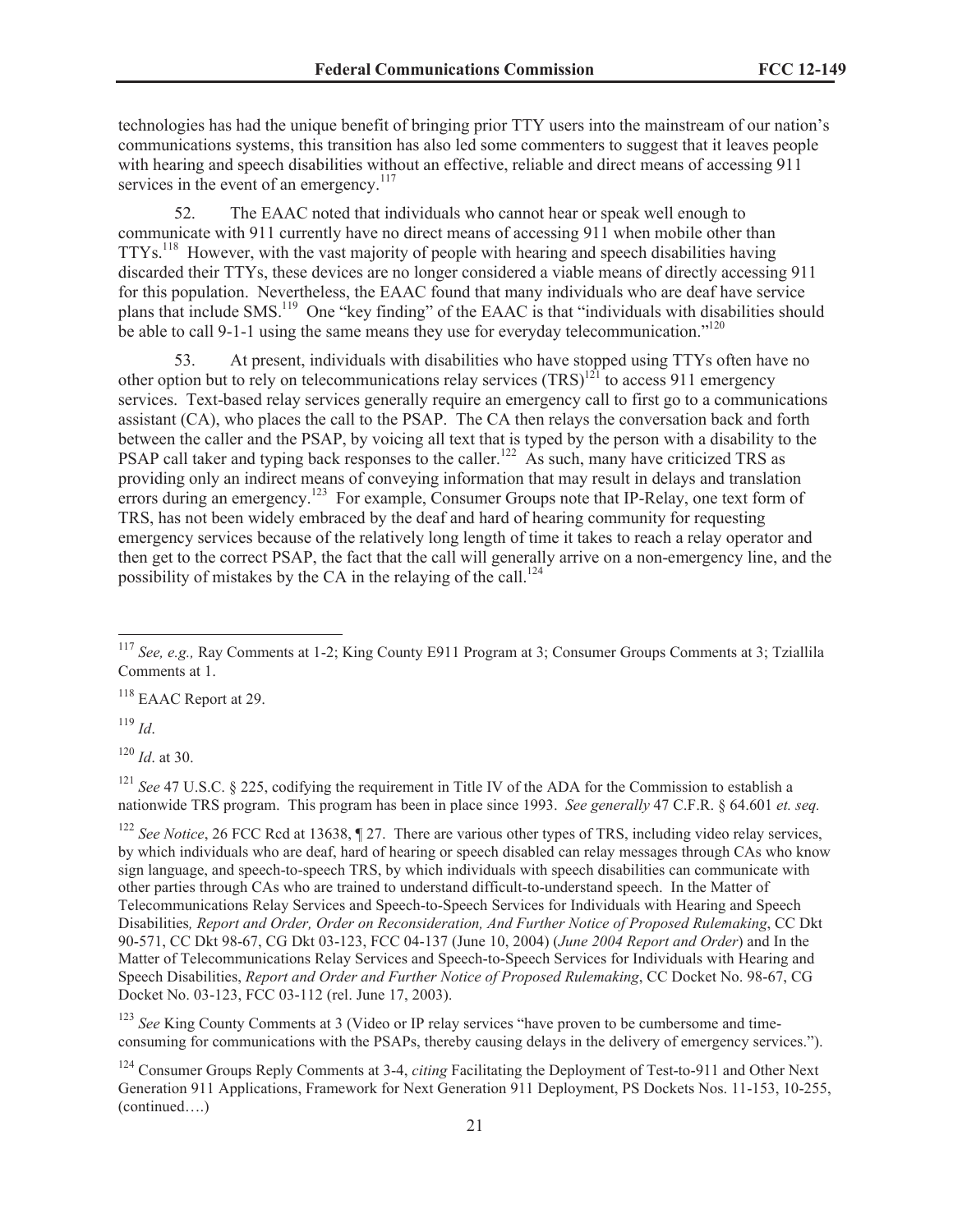technologies has had the unique benefit of bringing prior TTY users into the mainstream of our nation's communications systems, this transition has also led some commenters to suggest that it leaves people with hearing and speech disabilities without an effective, reliable and direct means of accessing 911 services in the event of an emergency. $117$ 

52. The EAAC noted that individuals who cannot hear or speak well enough to communicate with 911 currently have no direct means of accessing 911 when mobile other than TTYs.<sup>118</sup> However, with the vast majority of people with hearing and speech disabilities having discarded their TTYs, these devices are no longer considered a viable means of directly accessing 911 for this population. Nevertheless, the EAAC found that many individuals who are deaf have service plans that include SMS.<sup>119</sup> One "key finding" of the EAAC is that "individuals with disabilities should be able to call 9-1-1 using the same means they use for everyday telecommunication."<sup>120</sup>

53. At present, individuals with disabilities who have stopped using TTYs often have no other option but to rely on telecommunications relay services  $(TRS)^{121}$  to access 911 emergency services. Text-based relay services generally require an emergency call to first go to a communications assistant (CA), who places the call to the PSAP. The CA then relays the conversation back and forth between the caller and the PSAP, by voicing all text that is typed by the person with a disability to the PSAP call taker and typing back responses to the caller.<sup>122</sup> As such, many have criticized TRS as providing only an indirect means of conveying information that may result in delays and translation errors during an emergency.<sup>123</sup> For example, Consumer Groups note that IP-Relay, one text form of TRS, has not been widely embraced by the deaf and hard of hearing community for requesting emergency services because of the relatively long length of time it takes to reach a relay operator and then get to the correct PSAP, the fact that the call will generally arrive on a non-emergency line, and the possibility of mistakes by the CA in the relaying of the call.<sup>124</sup>

<sup>118</sup> EAAC Report at 29.

<sup>119</sup> *Id*.

<sup>120</sup> *Id*. at 30.

<sup>121</sup> *See* 47 U.S.C. § 225, codifying the requirement in Title IV of the ADA for the Commission to establish a nationwide TRS program. This program has been in place since 1993. *See generally* 47 C.F.R. § 64.601 *et. seq.*

<sup>122</sup> *See Notice*, 26 FCC Rcd at 13638, ¶ 27. There are various other types of TRS, including video relay services, by which individuals who are deaf, hard of hearing or speech disabled can relay messages through CAs who know sign language, and speech-to-speech TRS, by which individuals with speech disabilities can communicate with other parties through CAs who are trained to understand difficult-to-understand speech. In the Matter of Telecommunications Relay Services and Speech-to-Speech Services for Individuals with Hearing and Speech Disabilities*, Report and Order, Order on Reconsideration, And Further Notice of Proposed Rulemaking*, CC Dkt 90-571, CC Dkt 98-67, CG Dkt 03-123, FCC 04-137 (June 10, 2004) (*June 2004 Report and Order*) and In the Matter of Telecommunications Relay Services and Speech-to-Speech Services for Individuals with Hearing and Speech Disabilities, *Report and Order and Further Notice of Proposed Rulemaking*, CC Docket No. 98-67, CG Docket No. 03-123, FCC 03-112 (rel. June 17, 2003).

<sup>123</sup> See King County Comments at 3 (Video or IP relay services "have proven to be cumbersome and timeconsuming for communications with the PSAPs, thereby causing delays in the delivery of emergency services.").

<sup>124</sup> Consumer Groups Reply Comments at 3-4, *citing* Facilitating the Deployment of Test-to-911 and Other Next Generation 911 Applications, Framework for Next Generation 911 Deployment, PS Dockets Nos. 11-153, 10-255, (continued….)

<sup>117</sup> *See, e.g.,* Ray Comments at 1-2; King County E911 Program at 3; Consumer Groups Comments at 3; Tziallila Comments at 1.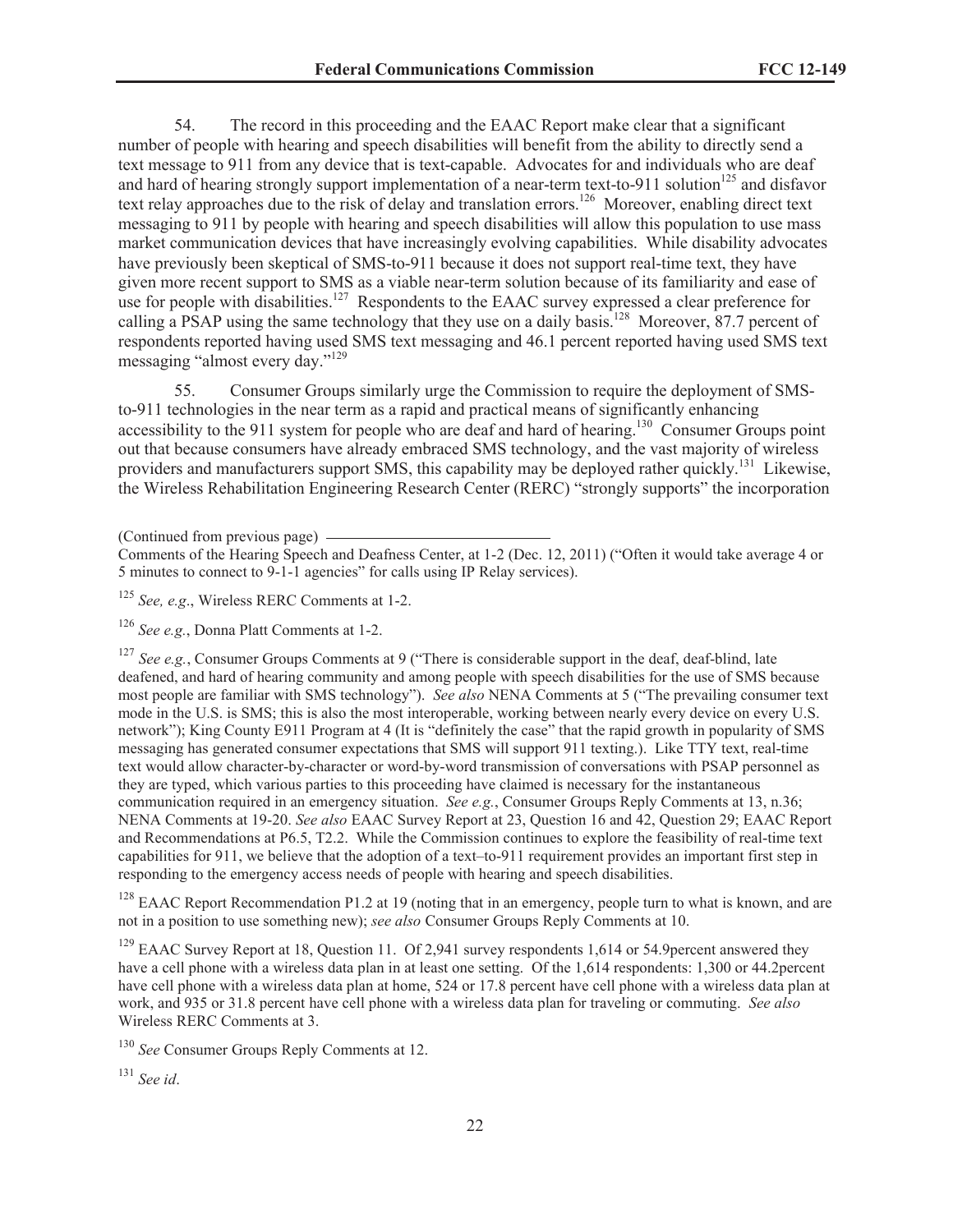54. The record in this proceeding and the EAAC Report make clear that a significant number of people with hearing and speech disabilities will benefit from the ability to directly send a text message to 911 from any device that is text-capable. Advocates for and individuals who are deaf and hard of hearing strongly support implementation of a near-term text-to-911 solution<sup>125</sup> and disfavor text relay approaches due to the risk of delay and translation errors.<sup>126</sup> Moreover, enabling direct text messaging to 911 by people with hearing and speech disabilities will allow this population to use mass market communication devices that have increasingly evolving capabilities. While disability advocates have previously been skeptical of SMS-to-911 because it does not support real-time text, they have given more recent support to SMS as a viable near-term solution because of its familiarity and ease of use for people with disabilities.<sup>127</sup> Respondents to the EAAC survey expressed a clear preference for calling a PSAP using the same technology that they use on a daily basis.<sup>128</sup> Moreover, 87.7 percent of respondents reported having used SMS text messaging and 46.1 percent reported having used SMS text messaging "almost every day."<sup>129</sup>

55. Consumer Groups similarly urge the Commission to require the deployment of SMSto-911 technologies in the near term as a rapid and practical means of significantly enhancing accessibility to the 911 system for people who are deaf and hard of hearing.<sup>130</sup> Consumer Groups point out that because consumers have already embraced SMS technology, and the vast majority of wireless providers and manufacturers support SMS, this capability may be deployed rather quickly.<sup>131</sup> Likewise, the Wireless Rehabilitation Engineering Research Center (RERC) "strongly supports" the incorporation

<sup>127</sup> *See e.g.*, Consumer Groups Comments at 9 ("There is considerable support in the deaf, deaf-blind, late deafened, and hard of hearing community and among people with speech disabilities for the use of SMS because most people are familiar with SMS technology"). *See also* NENA Comments at 5 ("The prevailing consumer text mode in the U.S. is SMS; this is also the most interoperable, working between nearly every device on every U.S. network"); King County E911 Program at 4 (It is "definitely the case" that the rapid growth in popularity of SMS messaging has generated consumer expectations that SMS will support 911 texting.). Like TTY text, real-time text would allow character-by-character or word-by-word transmission of conversations with PSAP personnel as they are typed, which various parties to this proceeding have claimed is necessary for the instantaneous communication required in an emergency situation. *See e.g.*, Consumer Groups Reply Comments at 13, n.36; NENA Comments at 19-20. *See also* EAAC Survey Report at 23, Question 16 and 42, Question 29; EAAC Report and Recommendations at P6.5, T2.2. While the Commission continues to explore the feasibility of real-time text capabilities for 911, we believe that the adoption of a text–to-911 requirement provides an important first step in responding to the emergency access needs of people with hearing and speech disabilities.

<sup>128</sup> EAAC Report Recommendation P1.2 at 19 (noting that in an emergency, people turn to what is known, and are not in a position to use something new); *see also* Consumer Groups Reply Comments at 10.

 $129$  EAAC Survey Report at 18, Question 11. Of 2,941 survey respondents 1,614 or 54.9 percent answered they have a cell phone with a wireless data plan in at least one setting. Of the 1,614 respondents: 1,300 or 44.2percent have cell phone with a wireless data plan at home, 524 or 17.8 percent have cell phone with a wireless data plan at work, and 935 or 31.8 percent have cell phone with a wireless data plan for traveling or commuting. *See also* Wireless RERC Comments at 3.

<sup>130</sup> *See* Consumer Groups Reply Comments at 12.

<sup>131</sup> *See id*.

<sup>(</sup>Continued from previous page)

Comments of the Hearing Speech and Deafness Center, at 1-2 (Dec. 12, 2011) ("Often it would take average 4 or 5 minutes to connect to 9-1-1 agencies" for calls using IP Relay services).

<sup>125</sup> *See, e.g*., Wireless RERC Comments at 1-2.

<sup>126</sup> *See e.g.*, Donna Platt Comments at 1-2.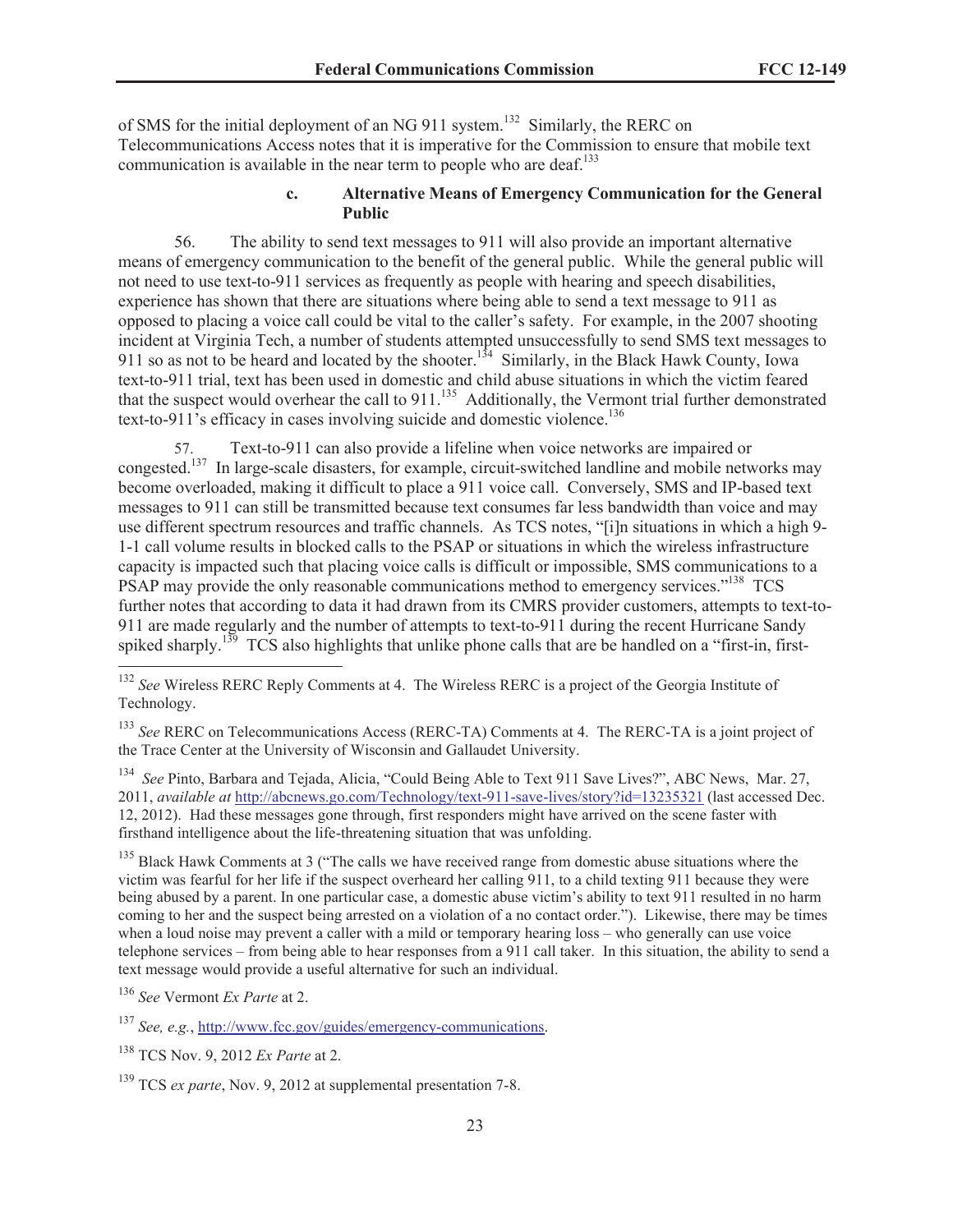of SMS for the initial deployment of an NG 911 system.<sup>132</sup> Similarly, the RERC on Telecommunications Access notes that it is imperative for the Commission to ensure that mobile text communication is available in the near term to people who are deaf.<sup>133</sup>

### **c. Alternative Means of Emergency Communication for the General Public**

56. The ability to send text messages to 911 will also provide an important alternative means of emergency communication to the benefit of the general public. While the general public will not need to use text-to-911 services as frequently as people with hearing and speech disabilities, experience has shown that there are situations where being able to send a text message to 911 as opposed to placing a voice call could be vital to the caller's safety. For example, in the 2007 shooting incident at Virginia Tech, a number of students attempted unsuccessfully to send SMS text messages to 911 so as not to be heard and located by the shooter.<sup>134</sup> Similarly, in the Black Hawk County, Iowa text-to-911 trial, text has been used in domestic and child abuse situations in which the victim feared that the suspect would overhear the call to  $911$ <sup>135</sup> Additionally, the Vermont trial further demonstrated text-to-911's efficacy in cases involving suicide and domestic violence.<sup>136</sup>

57. Text-to-911 can also provide a lifeline when voice networks are impaired or congested.<sup>137</sup> In large-scale disasters, for example, circuit-switched landline and mobile networks may become overloaded, making it difficult to place a 911 voice call. Conversely, SMS and IP-based text messages to 911 can still be transmitted because text consumes far less bandwidth than voice and may use different spectrum resources and traffic channels. As TCS notes, "[i]n situations in which a high 9- 1-1 call volume results in blocked calls to the PSAP or situations in which the wireless infrastructure capacity is impacted such that placing voice calls is difficult or impossible, SMS communications to a PSAP may provide the only reasonable communications method to emergency services."<sup>138</sup> TCS further notes that according to data it had drawn from its CMRS provider customers, attempts to text-to-911 are made regularly and the number of attempts to text-to-911 during the recent Hurricane Sandy spiked sharply.<sup>139</sup> TCS also highlights that unlike phone calls that are be handled on a "first-in, first-

<sup>133</sup> *See* RERC on Telecommunications Access (RERC-TA) Comments at 4. The RERC-TA is a joint project of the Trace Center at the University of Wisconsin and Gallaudet University.

<sup>134</sup> *See* Pinto, Barbara and Tejada, Alicia, "Could Being Able to Text 911 Save Lives?", ABC News, Mar. 27, 2011, *available at* http://abcnews.go.com/Technology/text-911-save-lives/story?id=13235321 (last accessed Dec. 12, 2012). Had these messages gone through, first responders might have arrived on the scene faster with firsthand intelligence about the life-threatening situation that was unfolding.

<sup>135</sup> Black Hawk Comments at 3 ("The calls we have received range from domestic abuse situations where the victim was fearful for her life if the suspect overheard her calling 911, to a child texting 911 because they were being abused by a parent. In one particular case, a domestic abuse victim's ability to text 911 resulted in no harm coming to her and the suspect being arrested on a violation of a no contact order."). Likewise, there may be times when a loud noise may prevent a caller with a mild or temporary hearing loss – who generally can use voice telephone services – from being able to hear responses from a 911 call taker. In this situation, the ability to send a text message would provide a useful alternative for such an individual.

<sup>136</sup> *See* Vermont *Ex Parte* at 2.

<sup>137</sup> *See, e.g.*, http://www.fcc.gov/guides/emergency-communications.

<sup>&</sup>lt;sup>132</sup> *See* Wireless RERC Reply Comments at 4. The Wireless RERC is a project of the Georgia Institute of Technology.

<sup>138</sup> TCS Nov. 9, 2012 *Ex Parte* at 2.

<sup>&</sup>lt;sup>139</sup> TCS *ex parte*, Nov. 9, 2012 at supplemental presentation 7-8.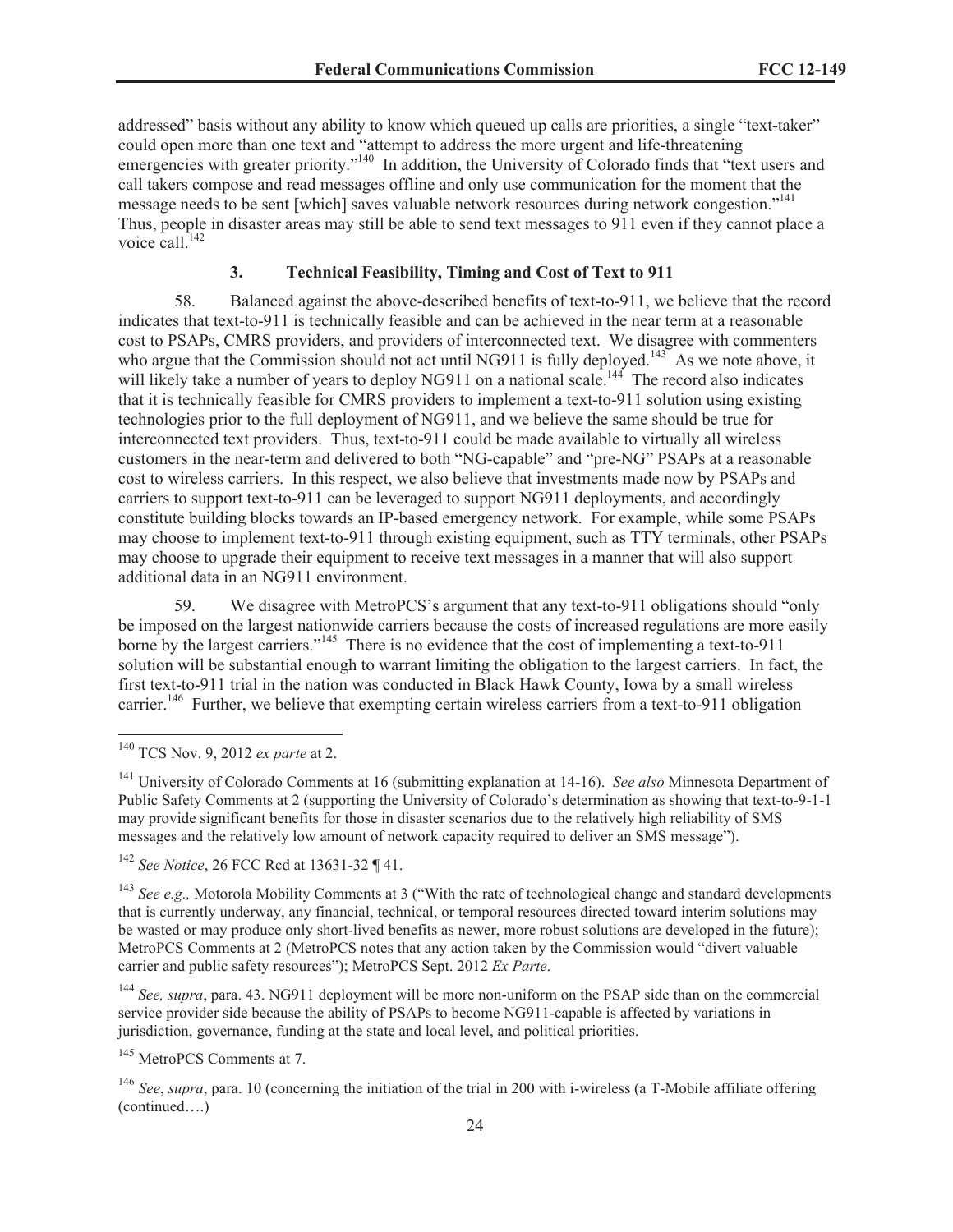addressed" basis without any ability to know which queued up calls are priorities, a single "text-taker" could open more than one text and "attempt to address the more urgent and life-threatening emergencies with greater priority."<sup>140</sup> In addition, the University of Colorado finds that "text users and call takers compose and read messages offline and only use communication for the moment that the message needs to be sent [which] saves valuable network resources during network congestion."<sup>141</sup> Thus, people in disaster areas may still be able to send text messages to 911 even if they cannot place a voice call <sup>142</sup>

# **3. Technical Feasibility, Timing and Cost of Text to 911**

58. Balanced against the above-described benefits of text-to-911, we believe that the record indicates that text-to-911 is technically feasible and can be achieved in the near term at a reasonable cost to PSAPs, CMRS providers, and providers of interconnected text. We disagree with commenters who argue that the Commission should not act until NG911 is fully deployed.<sup>143</sup> As we note above, it will likely take a number of years to deploy NG911 on a national scale.<sup>144</sup> The record also indicates that it is technically feasible for CMRS providers to implement a text-to-911 solution using existing technologies prior to the full deployment of NG911, and we believe the same should be true for interconnected text providers. Thus, text-to-911 could be made available to virtually all wireless customers in the near-term and delivered to both "NG-capable" and "pre-NG" PSAPs at a reasonable cost to wireless carriers. In this respect, we also believe that investments made now by PSAPs and carriers to support text-to-911 can be leveraged to support NG911 deployments, and accordingly constitute building blocks towards an IP-based emergency network. For example, while some PSAPs may choose to implement text-to-911 through existing equipment, such as TTY terminals, other PSAPs may choose to upgrade their equipment to receive text messages in a manner that will also support additional data in an NG911 environment.

59. We disagree with MetroPCS's argument that any text-to-911 obligations should "only be imposed on the largest nationwide carriers because the costs of increased regulations are more easily borne by the largest carriers."<sup>145</sup> There is no evidence that the cost of implementing a text-to-911 solution will be substantial enough to warrant limiting the obligation to the largest carriers. In fact, the first text-to-911 trial in the nation was conducted in Black Hawk County, Iowa by a small wireless carrier.<sup>146</sup> Further, we believe that exempting certain wireless carriers from a text-to-911 obligation

<sup>140</sup> TCS Nov. 9, 2012 *ex parte* at 2.

<sup>141</sup> University of Colorado Comments at 16 (submitting explanation at 14-16). *See also* Minnesota Department of Public Safety Comments at 2 (supporting the University of Colorado's determination as showing that text-to-9-1-1 may provide significant benefits for those in disaster scenarios due to the relatively high reliability of SMS messages and the relatively low amount of network capacity required to deliver an SMS message").

<sup>142</sup> *See Notice*, 26 FCC Rcd at 13631-32 ¶ 41.

<sup>&</sup>lt;sup>143</sup> *See e.g.*, Motorola Mobility Comments at 3 ("With the rate of technological change and standard developments that is currently underway, any financial, technical, or temporal resources directed toward interim solutions may be wasted or may produce only short-lived benefits as newer, more robust solutions are developed in the future); MetroPCS Comments at 2 (MetroPCS notes that any action taken by the Commission would "divert valuable carrier and public safety resources"); MetroPCS Sept. 2012 *Ex Parte*.

<sup>144</sup> *See, supra*, para. 43. NG911 deployment will be more non-uniform on the PSAP side than on the commercial service provider side because the ability of PSAPs to become NG911-capable is affected by variations in jurisdiction, governance, funding at the state and local level, and political priorities.

<sup>145</sup> MetroPCS Comments at 7.

<sup>146</sup> *See*, *supra*, para. 10 (concerning the initiation of the trial in 200 with i-wireless (a T-Mobile affiliate offering (continued….)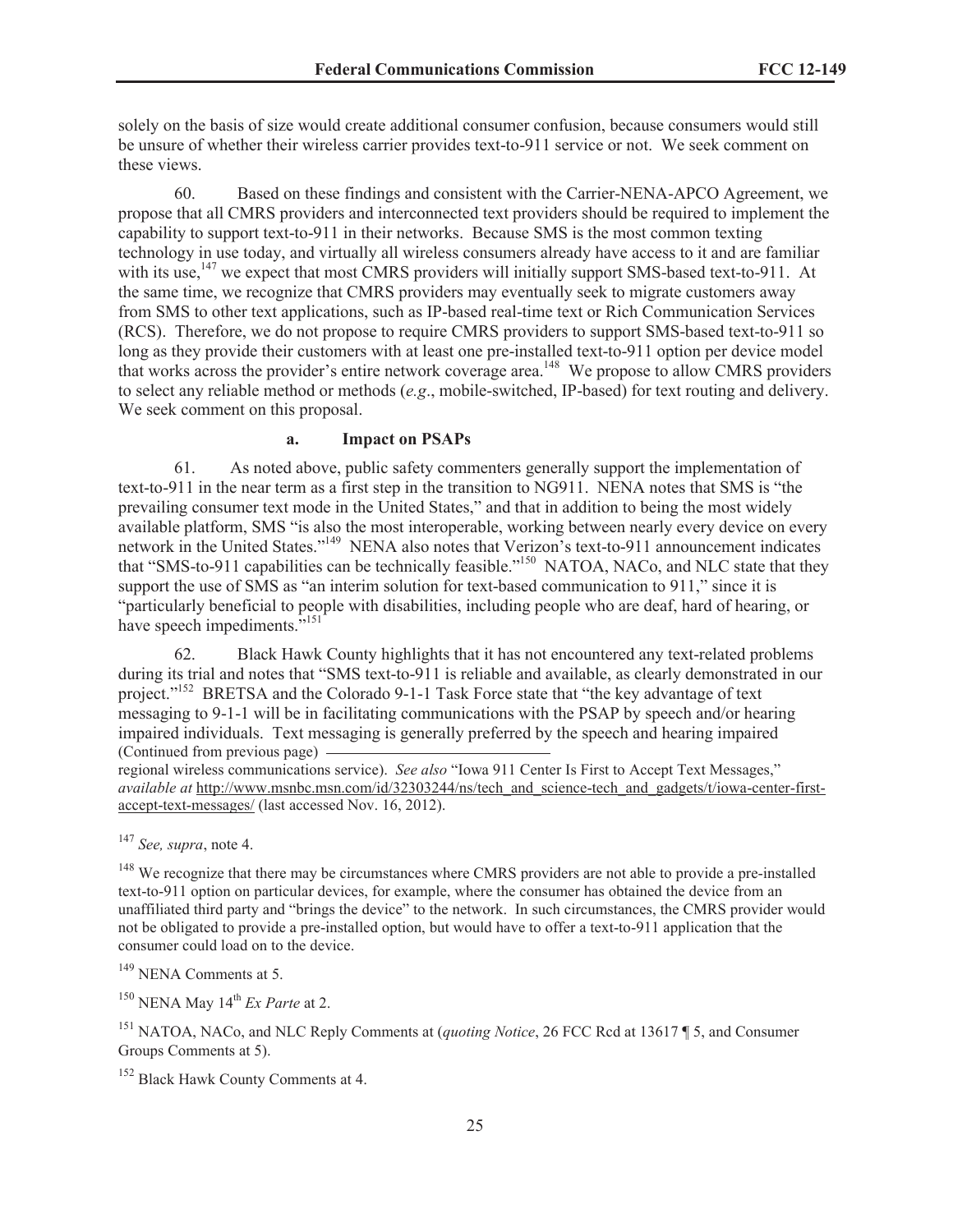solely on the basis of size would create additional consumer confusion, because consumers would still be unsure of whether their wireless carrier provides text-to-911 service or not. We seek comment on these views.

60. Based on these findings and consistent with the Carrier-NENA-APCO Agreement, we propose that all CMRS providers and interconnected text providers should be required to implement the capability to support text-to-911 in their networks. Because SMS is the most common texting technology in use today, and virtually all wireless consumers already have access to it and are familiar with its use,<sup>147</sup> we expect that most CMRS providers will initially support SMS-based text-to-911. At the same time, we recognize that CMRS providers may eventually seek to migrate customers away from SMS to other text applications, such as IP-based real-time text or Rich Communication Services (RCS). Therefore, we do not propose to require CMRS providers to support SMS-based text-to-911 so long as they provide their customers with at least one pre-installed text-to-911 option per device model that works across the provider's entire network coverage area.<sup>148</sup> We propose to allow CMRS providers to select any reliable method or methods (*e.g*., mobile-switched, IP-based) for text routing and delivery. We seek comment on this proposal.

#### **a. Impact on PSAPs**

61. As noted above, public safety commenters generally support the implementation of text-to-911 in the near term as a first step in the transition to NG911. NENA notes that SMS is "the prevailing consumer text mode in the United States," and that in addition to being the most widely available platform, SMS "is also the most interoperable, working between nearly every device on every network in the United States."<sup>149</sup> NENA also notes that Verizon's text-to-911 announcement indicates that "SMS-to-911 capabilities can be technically feasible."<sup>150</sup> NATOA, NACo, and NLC state that they support the use of SMS as "an interim solution for text-based communication to 911," since it is "particularly beneficial to people with disabilities, including people who are deaf, hard of hearing, or have speech impediments."<sup>151</sup>

62. Black Hawk County highlights that it has not encountered any text-related problems during its trial and notes that "SMS text-to-911 is reliable and available, as clearly demonstrated in our project."<sup>152</sup> BRETSA and the Colorado 9-1-1 Task Force state that "the key advantage of text messaging to 9-1-1 will be in facilitating communications with the PSAP by speech and/or hearing impaired individuals. Text messaging is generally preferred by the speech and hearing impaired (Continued from previous page)

regional wireless communications service). *See also* "Iowa 911 Center Is First to Accept Text Messages," *available at* http://www.msnbc.msn.com/id/32303244/ns/tech\_and\_science-tech\_and\_gadgets/t/iowa-center-firstaccept-text-messages/ (last accessed Nov. 16, 2012).

<sup>147</sup> *See, supra*, note 4.

<sup>148</sup> We recognize that there may be circumstances where CMRS providers are not able to provide a pre-installed text-to-911 option on particular devices, for example, where the consumer has obtained the device from an unaffiliated third party and "brings the device" to the network. In such circumstances, the CMRS provider would not be obligated to provide a pre-installed option, but would have to offer a text-to-911 application that the consumer could load on to the device.

 $149$  NENA Comments at 5.

<sup>150</sup> NENA May 14<sup>th</sup> *Ex Parte* at 2.

<sup>151</sup> NATOA, NACo, and NLC Reply Comments at (*quoting Notice*, 26 FCC Rcd at 13617 ¶ 5, and Consumer Groups Comments at 5).

<sup>152</sup> Black Hawk County Comments at 4.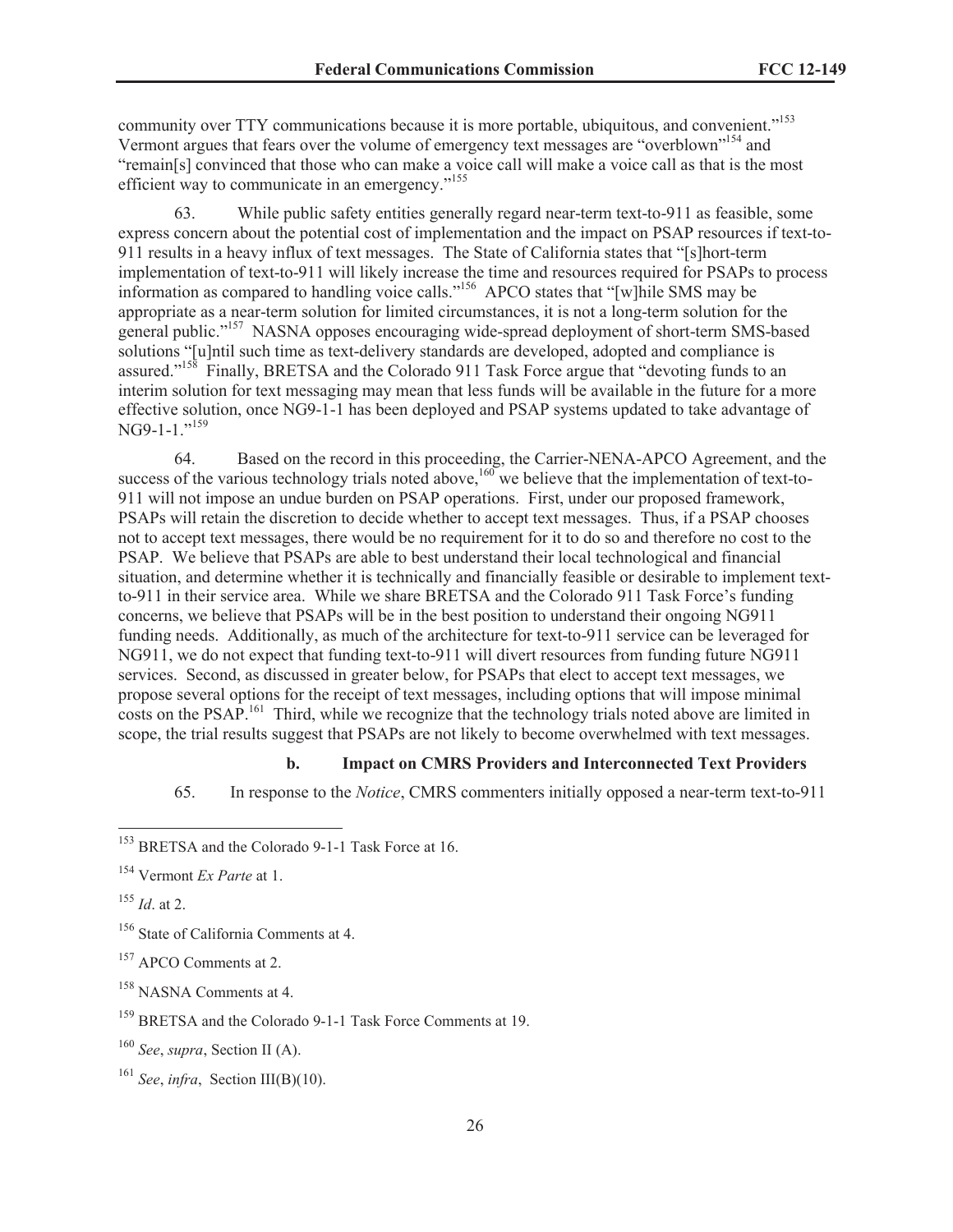community over TTY communications because it is more portable, ubiquitous, and convenient."<sup>153</sup> Vermont argues that fears over the volume of emergency text messages are "overblown"<sup>154</sup> and "remain[s] convinced that those who can make a voice call will make a voice call as that is the most efficient way to communicate in an emergency."<sup>155</sup>

63. While public safety entities generally regard near-term text-to-911 as feasible, some express concern about the potential cost of implementation and the impact on PSAP resources if text-to-911 results in a heavy influx of text messages. The State of California states that "[s]hort-term implementation of text-to-911 will likely increase the time and resources required for PSAPs to process information as compared to handling voice calls."<sup>156</sup> APCO states that "[w]hile SMS may be appropriate as a near-term solution for limited circumstances, it is not a long-term solution for the general public."<sup>157</sup> NASNA opposes encouraging wide-spread deployment of short-term SMS-based solutions "[u]ntil such time as text-delivery standards are developed, adopted and compliance is assured."<sup>158</sup> Finally, BRETSA and the Colorado 911 Task Force argue that "devoting funds to an interim solution for text messaging may mean that less funds will be available in the future for a more effective solution, once NG9-1-1 has been deployed and PSAP systems updated to take advantage of NG9-1-1."<sup>159</sup>

64. Based on the record in this proceeding, the Carrier-NENA-APCO Agreement, and the success of the various technology trials noted above,<sup>160</sup> we believe that the implementation of text-to-911 will not impose an undue burden on PSAP operations. First, under our proposed framework, PSAPs will retain the discretion to decide whether to accept text messages. Thus, if a PSAP chooses not to accept text messages, there would be no requirement for it to do so and therefore no cost to the PSAP. We believe that PSAPs are able to best understand their local technological and financial situation, and determine whether it is technically and financially feasible or desirable to implement textto-911 in their service area. While we share BRETSA and the Colorado 911 Task Force's funding concerns, we believe that PSAPs will be in the best position to understand their ongoing NG911 funding needs. Additionally, as much of the architecture for text-to-911 service can be leveraged for NG911, we do not expect that funding text-to-911 will divert resources from funding future NG911 services. Second, as discussed in greater below, for PSAPs that elect to accept text messages, we propose several options for the receipt of text messages, including options that will impose minimal costs on the PSAP<sup>161</sup> Third, while we recognize that the technology trials noted above are limited in scope, the trial results suggest that PSAPs are not likely to become overwhelmed with text messages.

# **b. Impact on CMRS Providers and Interconnected Text Providers**

65. In response to the *Notice*, CMRS commenters initially opposed a near-term text-to-911

<sup>155</sup> *Id*. at 2.

<sup>158</sup> NASNA Comments at 4.

<sup>153</sup> BRETSA and the Colorado 9-1-1 Task Force at 16.

<sup>154</sup> Vermont *Ex Parte* at 1.

<sup>&</sup>lt;sup>156</sup> State of California Comments at 4.

<sup>&</sup>lt;sup>157</sup> APCO Comments at 2.

<sup>159</sup> BRETSA and the Colorado 9-1-1 Task Force Comments at 19.

<sup>160</sup> *See*, *supra*, Section II (A).

<sup>161</sup> *See*, *infra*, Section III(B)(10).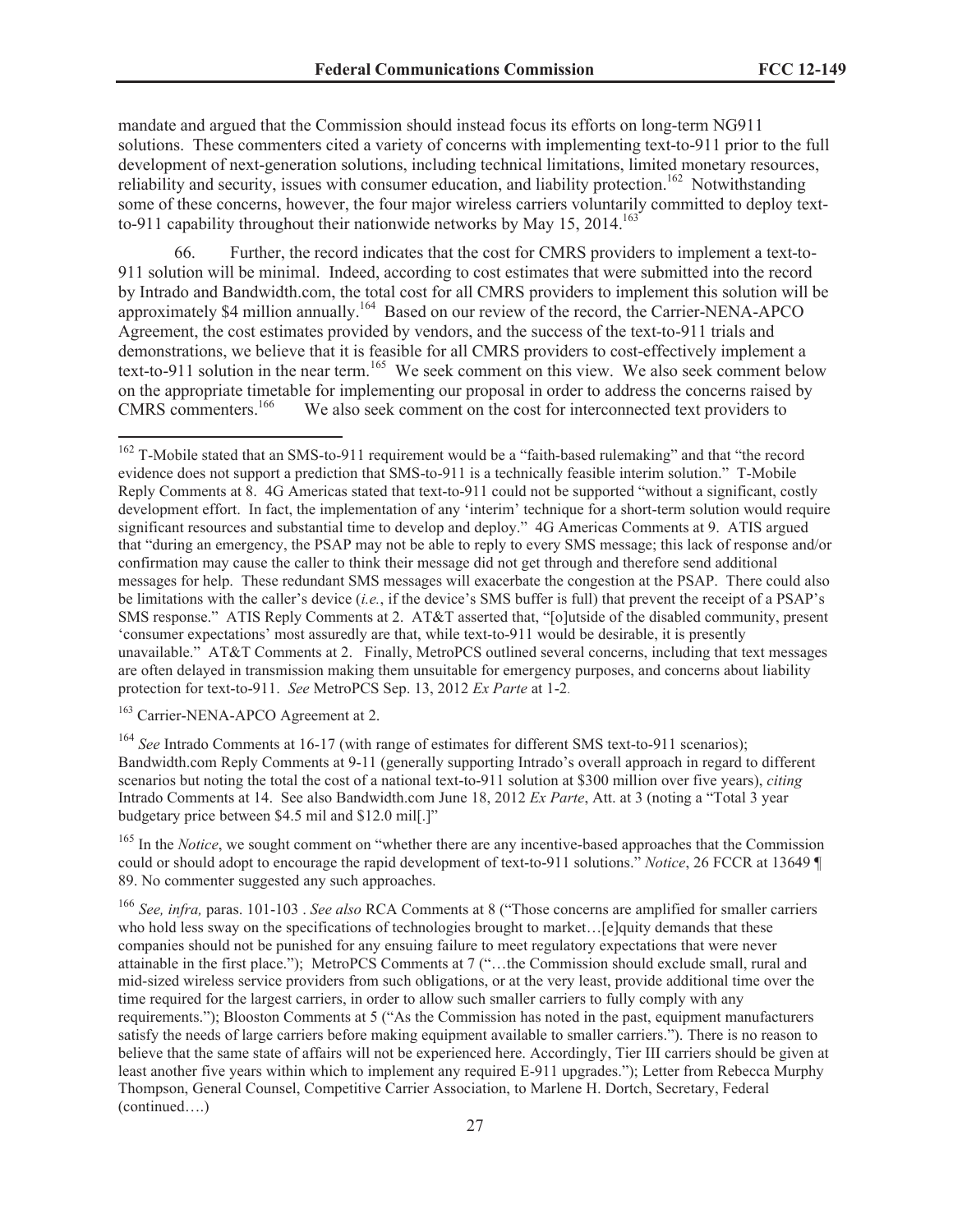mandate and argued that the Commission should instead focus its efforts on long-term NG911 solutions. These commenters cited a variety of concerns with implementing text-to-911 prior to the full development of next-generation solutions, including technical limitations, limited monetary resources, reliability and security, issues with consumer education, and liability protection.<sup>162</sup> Notwithstanding some of these concerns, however, the four major wireless carriers voluntarily committed to deploy textto-911 capability throughout their nationwide networks by May  $15$ ,  $2014$ .<sup>163</sup>

66. Further, the record indicates that the cost for CMRS providers to implement a text-to-911 solution will be minimal. Indeed, according to cost estimates that were submitted into the record by Intrado and Bandwidth.com, the total cost for all CMRS providers to implement this solution will be approximately \$4 million annually.<sup>164</sup> Based on our review of the record, the Carrier-NENA-APCO Agreement, the cost estimates provided by vendors, and the success of the text-to-911 trials and demonstrations, we believe that it is feasible for all CMRS providers to cost-effectively implement a text-to-911 solution in the near term.<sup>165</sup> We seek comment on this view. We also seek comment below on the appropriate timetable for implementing our proposal in order to address the concerns raised by CMRS commenters.<sup>166</sup> We also seek comment on the cost for interconnected text providers to We also seek comment on the cost for interconnected text providers to

<sup>163</sup> Carrier-NENA-APCO Agreement at 2.

<sup>164</sup> *See* Intrado Comments at 16-17 (with range of estimates for different SMS text-to-911 scenarios); Bandwidth.com Reply Comments at 9-11 (generally supporting Intrado's overall approach in regard to different scenarios but noting the total the cost of a national text-to-911 solution at \$300 million over five years), *citing* Intrado Comments at 14. See also Bandwidth.com June 18, 2012 *Ex Parte*, Att. at 3 (noting a "Total 3 year budgetary price between \$4.5 mil and \$12.0 mil[.]"

<sup>165</sup> In the *Notice*, we sought comment on "whether there are any incentive-based approaches that the Commission could or should adopt to encourage the rapid development of text-to-911 solutions." *Notice*, 26 FCCR at 13649 ¶ 89. No commenter suggested any such approaches.

<sup>166</sup> *See, infra,* paras. 101-103 . *See also* RCA Comments at 8 ("Those concerns are amplified for smaller carriers who hold less sway on the specifications of technologies brought to market... [e]quity demands that these companies should not be punished for any ensuing failure to meet regulatory expectations that were never attainable in the first place."); MetroPCS Comments at 7 ("…the Commission should exclude small, rural and mid-sized wireless service providers from such obligations, or at the very least, provide additional time over the time required for the largest carriers, in order to allow such smaller carriers to fully comply with any requirements."); Blooston Comments at 5 ("As the Commission has noted in the past, equipment manufacturers satisfy the needs of large carriers before making equipment available to smaller carriers."). There is no reason to believe that the same state of affairs will not be experienced here. Accordingly, Tier III carriers should be given at least another five years within which to implement any required E-911 upgrades."); Letter from Rebecca Murphy Thompson, General Counsel, Competitive Carrier Association, to Marlene H. Dortch, Secretary, Federal (continued….)

<sup>&</sup>lt;sup>162</sup> T-Mobile stated that an SMS-to-911 requirement would be a "faith-based rulemaking" and that "the record evidence does not support a prediction that SMS-to-911 is a technically feasible interim solution." T-Mobile Reply Comments at 8. 4G Americas stated that text-to-911 could not be supported "without a significant, costly development effort. In fact, the implementation of any 'interim' technique for a short-term solution would require significant resources and substantial time to develop and deploy." 4G Americas Comments at 9. ATIS argued that "during an emergency, the PSAP may not be able to reply to every SMS message; this lack of response and/or confirmation may cause the caller to think their message did not get through and therefore send additional messages for help. These redundant SMS messages will exacerbate the congestion at the PSAP. There could also be limitations with the caller's device (*i.e.*, if the device's SMS buffer is full) that prevent the receipt of a PSAP's SMS response." ATIS Reply Comments at 2. AT&T asserted that, "[o]utside of the disabled community, present 'consumer expectations' most assuredly are that, while text-to-911 would be desirable, it is presently unavailable." AT&T Comments at 2. Finally, MetroPCS outlined several concerns, including that text messages are often delayed in transmission making them unsuitable for emergency purposes, and concerns about liability protection for text-to-911. *See* MetroPCS Sep. 13, 2012 *Ex Parte* at 1-2.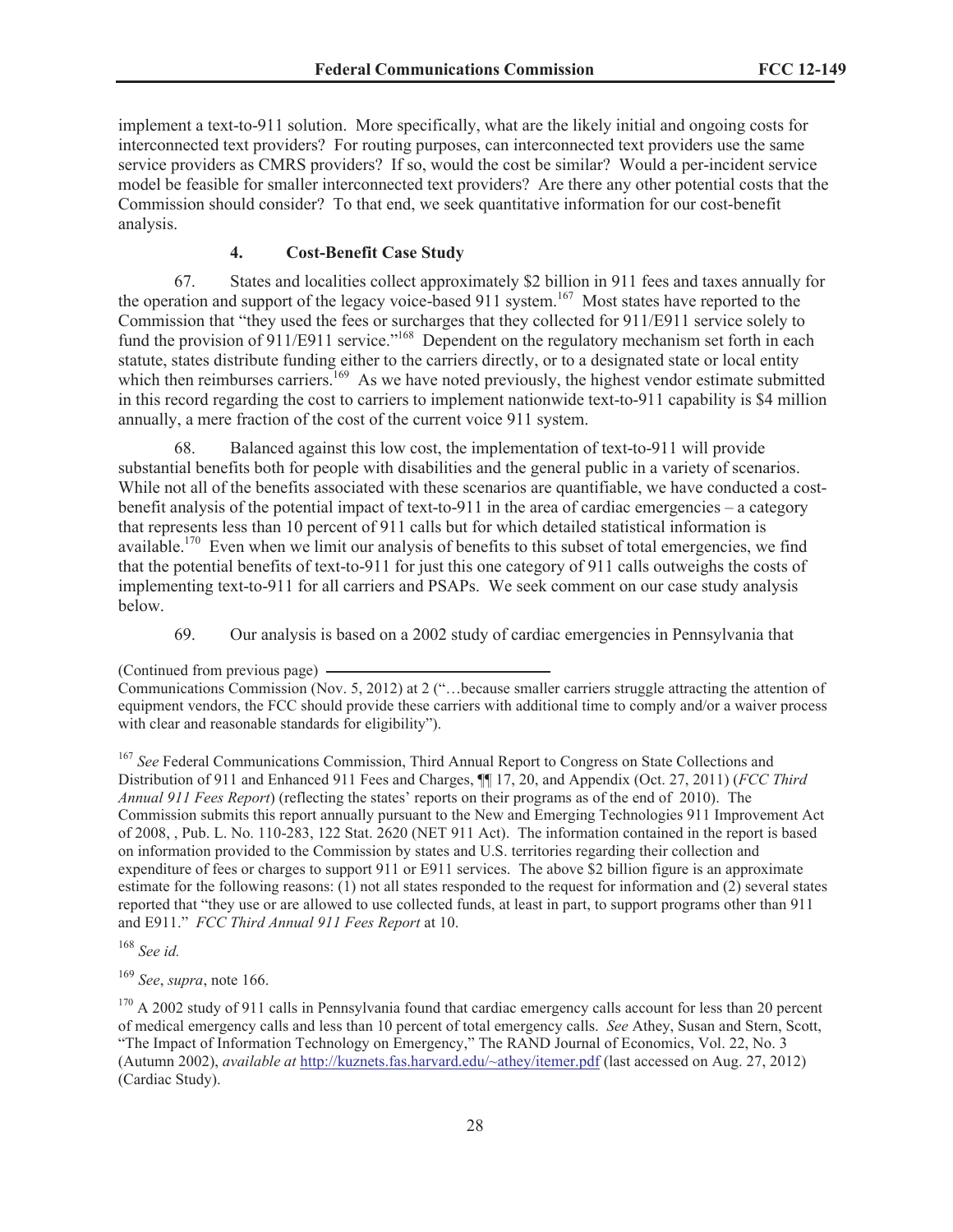implement a text-to-911 solution. More specifically, what are the likely initial and ongoing costs for interconnected text providers? For routing purposes, can interconnected text providers use the same service providers as CMRS providers? If so, would the cost be similar? Would a per-incident service model be feasible for smaller interconnected text providers? Are there any other potential costs that the Commission should consider? To that end, we seek quantitative information for our cost-benefit analysis.

# **4. Cost-Benefit Case Study**

67. States and localities collect approximately \$2 billion in 911 fees and taxes annually for the operation and support of the legacy voice-based 911 system.<sup>167</sup> Most states have reported to the Commission that "they used the fees or surcharges that they collected for 911/E911 service solely to fund the provision of 911/E911 service."<sup>168</sup> Dependent on the regulatory mechanism set forth in each statute, states distribute funding either to the carriers directly, or to a designated state or local entity which then reimburses carriers.<sup>169</sup> As we have noted previously, the highest vendor estimate submitted in this record regarding the cost to carriers to implement nationwide text-to-911 capability is \$4 million annually, a mere fraction of the cost of the current voice 911 system.

68. Balanced against this low cost, the implementation of text-to-911 will provide substantial benefits both for people with disabilities and the general public in a variety of scenarios. While not all of the benefits associated with these scenarios are quantifiable, we have conducted a costbenefit analysis of the potential impact of text-to-911 in the area of cardiac emergencies – a category that represents less than 10 percent of 911 calls but for which detailed statistical information is available.<sup>170</sup> Even when we limit our analysis of benefits to this subset of total emergencies, we find that the potential benefits of text-to-911 for just this one category of 911 calls outweighs the costs of implementing text-to-911 for all carriers and PSAPs. We seek comment on our case study analysis below.

69. Our analysis is based on a 2002 study of cardiac emergencies in Pennsylvania that

<sup>167</sup> See Federal Communications Commission, Third Annual Report to Congress on State Collections and Distribution of 911 and Enhanced 911 Fees and Charges, ¶¶ 17, 20, and Appendix (Oct. 27, 2011) (*FCC Third Annual 911 Fees Report*) (reflecting the states' reports on their programs as of the end of 2010). The Commission submits this report annually pursuant to the New and Emerging Technologies 911 Improvement Act of 2008, , Pub. L. No. 110-283, 122 Stat. 2620 (NET 911 Act). The information contained in the report is based on information provided to the Commission by states and U.S. territories regarding their collection and expenditure of fees or charges to support 911 or E911 services. The above \$2 billion figure is an approximate estimate for the following reasons: (1) not all states responded to the request for information and (2) several states reported that "they use or are allowed to use collected funds, at least in part, to support programs other than 911 and E911." *FCC Third Annual 911 Fees Report* at 10.

<sup>168</sup> *See id.*

<sup>169</sup> *See*, *supra*, note 166.

<sup>(</sup>Continued from previous page)

Communications Commission (Nov. 5, 2012) at 2 ("…because smaller carriers struggle attracting the attention of equipment vendors, the FCC should provide these carriers with additional time to comply and/or a waiver process with clear and reasonable standards for eligibility").

<sup>&</sup>lt;sup>170</sup> A 2002 study of 911 calls in Pennsylvania found that cardiac emergency calls account for less than 20 percent of medical emergency calls and less than 10 percent of total emergency calls. *See* Athey, Susan and Stern, Scott, "The Impact of Information Technology on Emergency," The RAND Journal of Economics, Vol. 22, No. 3 (Autumn 2002), *available at* http://kuznets.fas.harvard.edu/~athey/itemer.pdf (last accessed on Aug. 27, 2012) (Cardiac Study).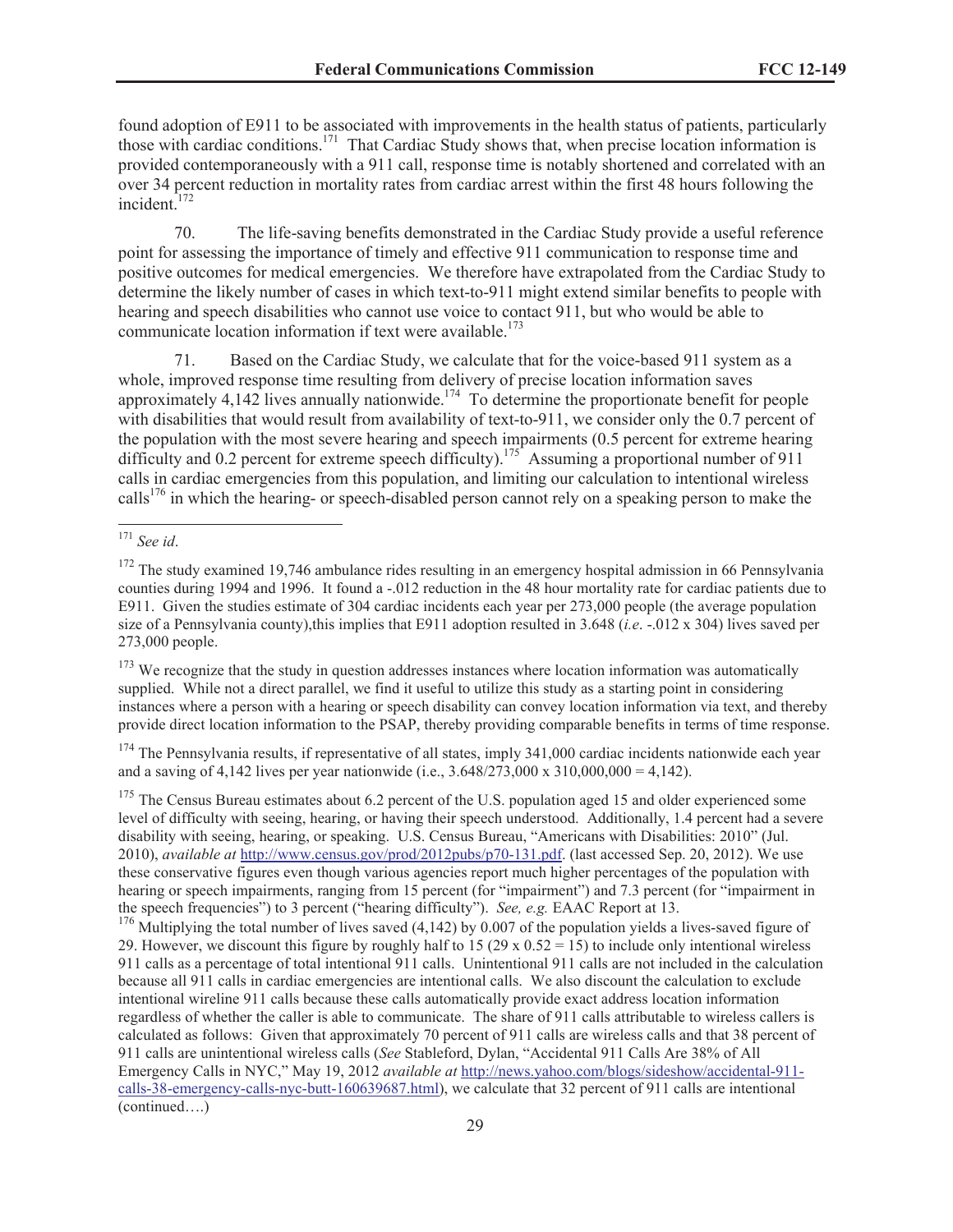found adoption of E911 to be associated with improvements in the health status of patients, particularly those with cardiac conditions.<sup>171</sup> That Cardiac Study shows that, when precise location information is provided contemporaneously with a 911 call, response time is notably shortened and correlated with an over 34 percent reduction in mortality rates from cardiac arrest within the first 48 hours following the incident.<sup>172</sup>

70. The life-saving benefits demonstrated in the Cardiac Study provide a useful reference point for assessing the importance of timely and effective 911 communication to response time and positive outcomes for medical emergencies. We therefore have extrapolated from the Cardiac Study to determine the likely number of cases in which text-to-911 might extend similar benefits to people with hearing and speech disabilities who cannot use voice to contact 911, but who would be able to communicate location information if text were available.<sup>173</sup>

71. Based on the Cardiac Study, we calculate that for the voice-based 911 system as a whole, improved response time resulting from delivery of precise location information saves approximately 4,142 lives annually nationwide.<sup>174</sup> To determine the proportionate benefit for people with disabilities that would result from availability of text-to-911, we consider only the 0.7 percent of the population with the most severe hearing and speech impairments (0.5 percent for extreme hearing difficulty and 0.2 percent for extreme speech difficulty).<sup>175</sup> Assuming a proportional number of 911 calls in cardiac emergencies from this population, and limiting our calculation to intentional wireless calls<sup>176</sup> in which the hearing- or speech-disabled person cannot rely on a speaking person to make the

 $173$  We recognize that the study in question addresses instances where location information was automatically supplied. While not a direct parallel, we find it useful to utilize this study as a starting point in considering instances where a person with a hearing or speech disability can convey location information via text, and thereby provide direct location information to the PSAP, thereby providing comparable benefits in terms of time response.

 $174$  The Pennsylvania results, if representative of all states, imply 341,000 cardiac incidents nationwide each year and a saving of 4,142 lives per year nationwide (i.e.,  $3.648/273,000 \times 310,000,000 = 4,142$ ).

<sup>175</sup> The Census Bureau estimates about 6.2 percent of the U.S. population aged 15 and older experienced some level of difficulty with seeing, hearing, or having their speech understood. Additionally, 1.4 percent had a severe disability with seeing, hearing, or speaking. U.S. Census Bureau, "Americans with Disabilities: 2010" (Jul. 2010), *available at* http://www.census.gov/prod/2012pubs/p70-131.pdf. (last accessed Sep. 20, 2012). We use these conservative figures even though various agencies report much higher percentages of the population with hearing or speech impairments, ranging from 15 percent (for "impairment") and 7.3 percent (for "impairment in the speech frequencies") to 3 percent ("hearing difficulty"). *See, e.g.* EAAC Report at 13.

<sup>176</sup> Multiplying the total number of lives saved (4,142) by 0.007 of the population yields a lives-saved figure of 29. However, we discount this figure by roughly half to 15 (29 x  $0.52 = 15$ ) to include only intentional wireless 911 calls as a percentage of total intentional 911 calls. Unintentional 911 calls are not included in the calculation because all 911 calls in cardiac emergencies are intentional calls. We also discount the calculation to exclude intentional wireline 911 calls because these calls automatically provide exact address location information regardless of whether the caller is able to communicate. The share of 911 calls attributable to wireless callers is calculated as follows: Given that approximately 70 percent of 911 calls are wireless calls and that 38 percent of 911 calls are unintentional wireless calls (*See* Stableford, Dylan, "Accidental 911 Calls Are 38% of All Emergency Calls in NYC," May 19, 2012 *available at* http://news.yahoo.com/blogs/sideshow/accidental-911 calls-38-emergency-calls-nyc-butt-160639687.html), we calculate that 32 percent of 911 calls are intentional (continued….)

<sup>171</sup> *See id*.

<sup>&</sup>lt;sup>172</sup> The study examined 19,746 ambulance rides resulting in an emergency hospital admission in 66 Pennsylvania counties during 1994 and 1996. It found a -.012 reduction in the 48 hour mortality rate for cardiac patients due to E911. Given the studies estimate of 304 cardiac incidents each year per 273,000 people (the average population size of a Pennsylvania county),this implies that E911 adoption resulted in 3.648 (*i.e.* -0.012 x 304) lives saved per 273,000 people.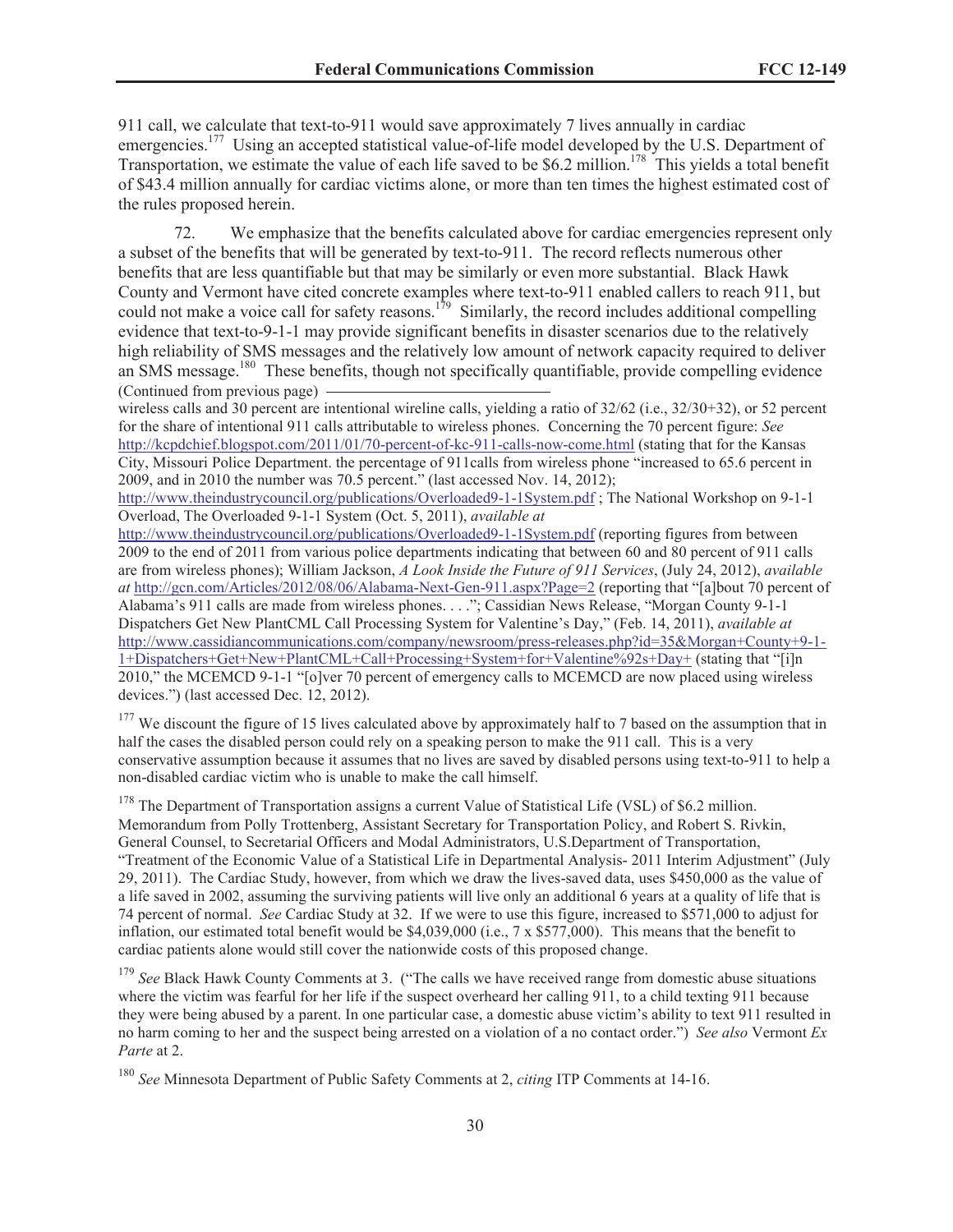911 call, we calculate that text-to-911 would save approximately 7 lives annually in cardiac emergencies.<sup>177</sup> Using an accepted statistical value-of-life model developed by the U.S. Department of Transportation, we estimate the value of each life saved to be \$6.2 million.<sup>178</sup> This yields a total benefit of \$43.4 million annually for cardiac victims alone, or more than ten times the highest estimated cost of the rules proposed herein.

72. We emphasize that the benefits calculated above for cardiac emergencies represent only a subset of the benefits that will be generated by text-to-911. The record reflects numerous other benefits that are less quantifiable but that may be similarly or even more substantial. Black Hawk County and Vermont have cited concrete examples where text-to-911 enabled callers to reach 911, but could not make a voice call for safety reasons.<sup>179</sup> Similarly, the record includes additional compelling evidence that text-to-9-1-1 may provide significant benefits in disaster scenarios due to the relatively high reliability of SMS messages and the relatively low amount of network capacity required to deliver an SMS message.<sup>180</sup> These benefits, though not specifically quantifiable, provide compelling evidence (Continued from previous page)

wireless calls and 30 percent are intentional wireline calls, yielding a ratio of  $32/62$  (i.e.,  $32/30+32$ ), or 52 percent for the share of intentional 911 calls attributable to wireless phones. Concerning the 70 percent figure: *See* http://kcpdchief.blogspot.com/2011/01/70-percent-of-kc-911-calls-now-come.html (stating that for the Kansas City, Missouri Police Department. the percentage of 911calls from wireless phone "increased to 65.6 percent in 2009, and in 2010 the number was 70.5 percent." (last accessed Nov. 14, 2012);

http://www.theindustrycouncil.org/publications/Overloaded9-1-1System.pdf ; The National Workshop on 9-1-1 Overload, The Overloaded 9-1-1 System (Oct. 5, 2011), *available at*

http://www.theindustrycouncil.org/publications/Overloaded9-1-1System.pdf (reporting figures from between 2009 to the end of 2011 from various police departments indicating that between 60 and 80 percent of 911 calls are from wireless phones); William Jackson, *A Look Inside the Future of 911 Services*, (July 24, 2012), *available at* http://gcn.com/Articles/2012/08/06/Alabama-Next-Gen-911.aspx?Page=2 (reporting that "[a]bout 70 percent of Alabama's 911 calls are made from wireless phones. . . ."; Cassidian News Release, "Morgan County 9-1-1 Dispatchers Get New PlantCML Call Processing System for Valentine's Day," (Feb. 14, 2011), *available at* http://www.cassidiancommunications.com/company/newsroom/press-releases.php?id=35&Morgan+County+9-1- 1+Dispatchers+Get+New+PlantCML+Call+Processing+System+for+Valentine%92s+Day+ (stating that "[i]n 2010," the MCEMCD 9-1-1 "[o]ver 70 percent of emergency calls to MCEMCD are now placed using wireless devices.") (last accessed Dec. 12, 2012).

<sup>177</sup> We discount the figure of 15 lives calculated above by approximately half to 7 based on the assumption that in half the cases the disabled person could rely on a speaking person to make the 911 call. This is a very conservative assumption because it assumes that no lives are saved by disabled persons using text-to-911 to help a non-disabled cardiac victim who is unable to make the call himself.

<sup>178</sup> The Department of Transportation assigns a current Value of Statistical Life (VSL) of \$6.2 million. Memorandum from Polly Trottenberg, Assistant Secretary for Transportation Policy, and Robert S. Rivkin, General Counsel, to Secretarial Officers and Modal Administrators, U.S.Department of Transportation, "Treatment of the Economic Value of a Statistical Life in Departmental Analysis- 2011 Interim Adjustment" (July 29, 2011). The Cardiac Study, however, from which we draw the lives-saved data, uses \$450,000 as the value of a life saved in 2002, assuming the surviving patients will live only an additional 6 years at a quality of life that is 74 percent of normal. *See* Cardiac Study at 32. If we were to use this figure, increased to \$571,000 to adjust for inflation, our estimated total benefit would be \$4,039,000 (i.e., 7 x \$577,000). This means that the benefit to cardiac patients alone would still cover the nationwide costs of this proposed change.

<sup>179</sup> See Black Hawk County Comments at 3. ("The calls we have received range from domestic abuse situations where the victim was fearful for her life if the suspect overheard her calling 911, to a child texting 911 because they were being abused by a parent. In one particular case, a domestic abuse victim's ability to text 911 resulted in no harm coming to her and the suspect being arrested on a violation of a no contact order.") *See also* Vermont *Ex Parte* at 2.

<sup>180</sup> *See* Minnesota Department of Public Safety Comments at 2, *citing* ITP Comments at 14-16.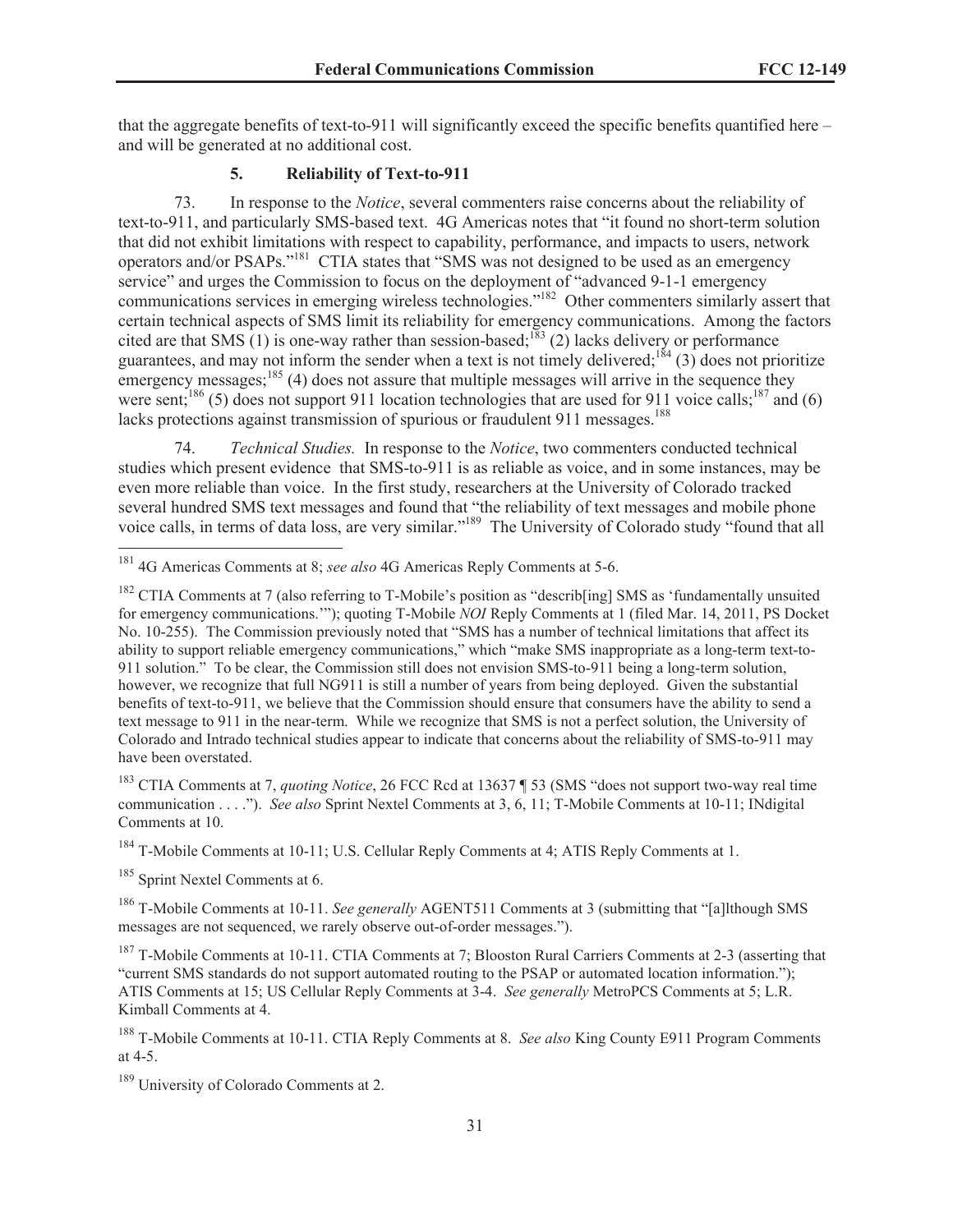that the aggregate benefits of text-to-911 will significantly exceed the specific benefits quantified here – and will be generated at no additional cost.

#### **5. Reliability of Text-to-911**

73. In response to the *Notice*, several commenters raise concerns about the reliability of text-to-911, and particularly SMS-based text. 4G Americas notes that "it found no short-term solution that did not exhibit limitations with respect to capability, performance, and impacts to users, network operators and/or PSAPs."<sup>181</sup> CTIA states that "SMS was not designed to be used as an emergency service" and urges the Commission to focus on the deployment of "advanced 9-1-1 emergency communications services in emerging wireless technologies."<sup>182</sup> Other commenters similarly assert that certain technical aspects of SMS limit its reliability for emergency communications. Among the factors cited are that SMS (1) is one-way rather than session-based;<sup>183</sup> (2) lacks delivery or performance guarantees, and may not inform the sender when a text is not timely delivered;<sup>184</sup> (3) does not prioritize emergency messages; $185$  (4) does not assure that multiple messages will arrive in the sequence they were sent;<sup>186</sup> (5) does not support 911 location technologies that are used for 911 voice calls;<sup>187</sup> and (6) lacks protections against transmission of spurious or fraudulent 911 messages.<sup>188</sup>

74. *Technical Studies.* In response to the *Notice*, two commenters conducted technical studies which present evidence that SMS-to-911 is as reliable as voice, and in some instances, may be even more reliable than voice. In the first study, researchers at the University of Colorado tracked several hundred SMS text messages and found that "the reliability of text messages and mobile phone voice calls, in terms of data loss, are very similar."<sup>189</sup> The University of Colorado study "found that all

<sup>183</sup> CTIA Comments at 7, *quoting Notice*, 26 FCC Rcd at 13637 ¶ 53 (SMS "does not support two-way real time communication . . . ."). *See also* Sprint Nextel Comments at 3, 6, 11; T-Mobile Comments at 10-11; INdigital Comments at 10.

<sup>184</sup> T-Mobile Comments at 10-11; U.S. Cellular Reply Comments at 4; ATIS Reply Comments at 1.

<sup>185</sup> Sprint Nextel Comments at 6.

<sup>186</sup> T-Mobile Comments at 10-11. *See generally* AGENT511 Comments at 3 (submitting that "[a]lthough SMS messages are not sequenced, we rarely observe out-of-order messages.").

<sup>187</sup> T-Mobile Comments at 10-11. CTIA Comments at 7; Blooston Rural Carriers Comments at 2-3 (asserting that "current SMS standards do not support automated routing to the PSAP or automated location information."); ATIS Comments at 15; US Cellular Reply Comments at 3-4. *See generally* MetroPCS Comments at 5; L.R. Kimball Comments at 4.

<sup>188</sup> T-Mobile Comments at 10-11. CTIA Reply Comments at 8. *See also* King County E911 Program Comments at 4-5.

<sup>189</sup> University of Colorado Comments at 2.

<sup>181</sup> 4G Americas Comments at 8; *see also* 4G Americas Reply Comments at 5-6.

<sup>&</sup>lt;sup>182</sup> CTIA Comments at 7 (also referring to T-Mobile's position as "describ[ing] SMS as 'fundamentally unsuited for emergency communications.'"); quoting T-Mobile *NOI* Reply Comments at 1 (filed Mar. 14, 2011, PS Docket No. 10-255). The Commission previously noted that "SMS has a number of technical limitations that affect its ability to support reliable emergency communications," which "make SMS inappropriate as a long-term text-to-911 solution." To be clear, the Commission still does not envision SMS-to-911 being a long-term solution, however, we recognize that full NG911 is still a number of years from being deployed. Given the substantial benefits of text-to-911, we believe that the Commission should ensure that consumers have the ability to send a text message to 911 in the near-term. While we recognize that SMS is not a perfect solution, the University of Colorado and Intrado technical studies appear to indicate that concerns about the reliability of SMS-to-911 may have been overstated.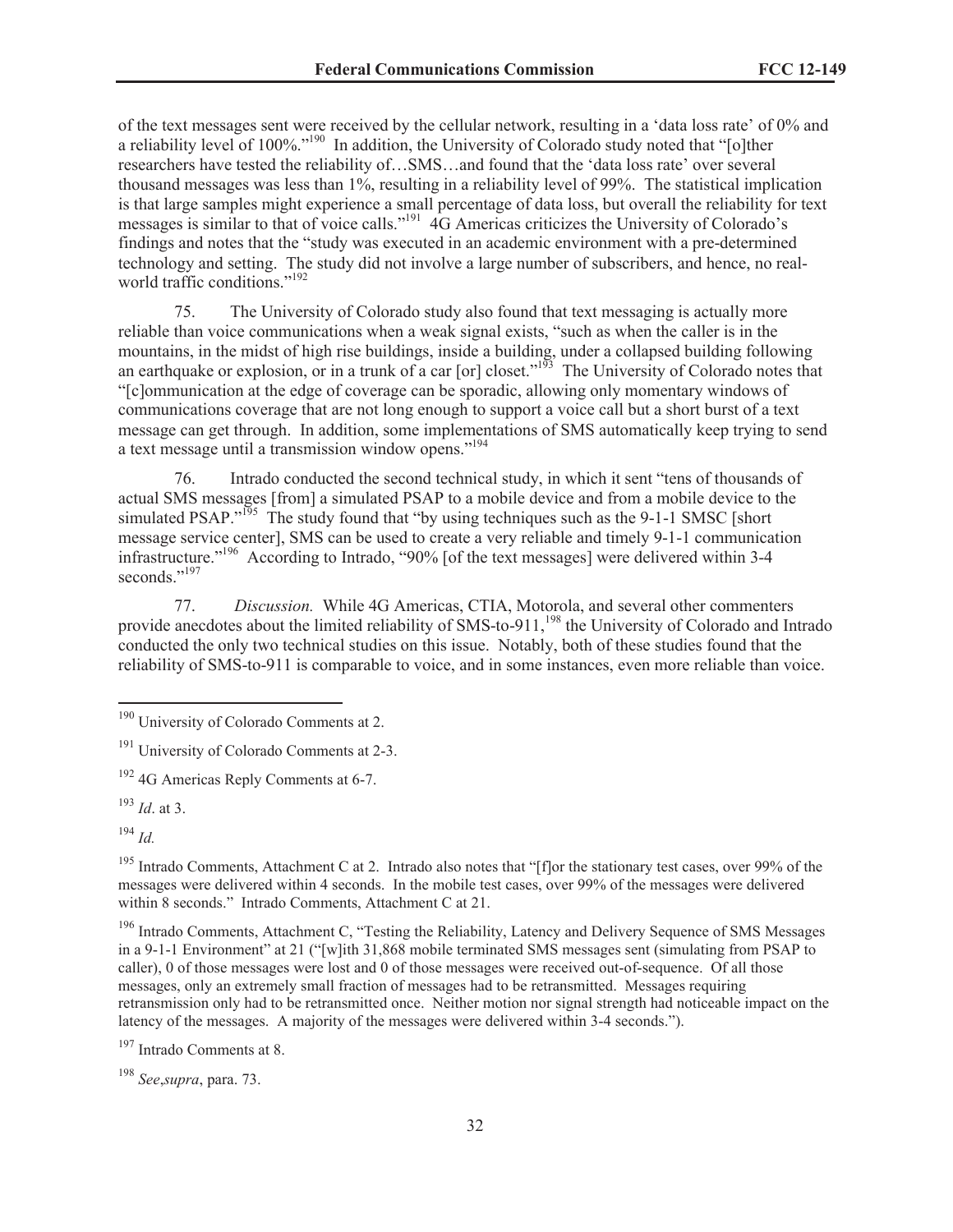of the text messages sent were received by the cellular network, resulting in a 'data loss rate' of 0% and a reliability level of 100%."<sup>190</sup> In addition, the University of Colorado study noted that "[o]ther researchers have tested the reliability of…SMS…and found that the 'data loss rate' over several thousand messages was less than 1%, resulting in a reliability level of 99%. The statistical implication is that large samples might experience a small percentage of data loss, but overall the reliability for text messages is similar to that of voice calls."<sup>191</sup> 4G Americas criticizes the University of Colorado's findings and notes that the "study was executed in an academic environment with a pre-determined technology and setting. The study did not involve a large number of subscribers, and hence, no realworld traffic conditions."<sup>192</sup>

75. The University of Colorado study also found that text messaging is actually more reliable than voice communications when a weak signal exists, "such as when the caller is in the mountains, in the midst of high rise buildings, inside a building, under a collapsed building following an earthquake or explosion, or in a trunk of a car [or] closet."<sup>193</sup> The University of Colorado notes that "[c]ommunication at the edge of coverage can be sporadic, allowing only momentary windows of communications coverage that are not long enough to support a voice call but a short burst of a text message can get through. In addition, some implementations of SMS automatically keep trying to send a text message until a transmission window opens."<sup>194</sup>

76. Intrado conducted the second technical study, in which it sent "tens of thousands of actual SMS messages [from] a simulated PSAP to a mobile device and from a mobile device to the simulated PSAP."<sup>195</sup> The study found that "by using techniques such as the 9-1-1 SMSC [short message service center], SMS can be used to create a very reliable and timely 9-1-1 communication infrastructure."<sup>196</sup> According to Intrado, "90% [of the text messages] were delivered within 3-4 seconds<sup>",197</sup>

77. *Discussion.* While 4G Americas, CTIA, Motorola, and several other commenters provide anecdotes about the limited reliability of SMS-to-911,<sup>198</sup> the University of Colorado and Intrado conducted the only two technical studies on this issue. Notably, both of these studies found that the reliability of SMS-to-911 is comparable to voice, and in some instances, even more reliable than voice.

<sup>194</sup> *Id.*

<sup>195</sup> Intrado Comments, Attachment C at 2. Intrado also notes that "[f]or the stationary test cases, over 99% of the messages were delivered within 4 seconds. In the mobile test cases, over 99% of the messages were delivered within 8 seconds." Intrado Comments, Attachment C at 21.

<sup>196</sup> Intrado Comments, Attachment C, "Testing the Reliability, Latency and Delivery Sequence of SMS Messages in a 9-1-1 Environment" at 21 ("[w]ith 31,868 mobile terminated SMS messages sent (simulating from PSAP to caller), 0 of those messages were lost and 0 of those messages were received out-of-sequence. Of all those messages, only an extremely small fraction of messages had to be retransmitted. Messages requiring retransmission only had to be retransmitted once. Neither motion nor signal strength had noticeable impact on the latency of the messages. A majority of the messages were delivered within 3-4 seconds.").

<sup>197</sup> Intrado Comments at 8.

<sup>198</sup> *See*,*supra*, para. 73.

<sup>&</sup>lt;sup>190</sup> University of Colorado Comments at 2.

<sup>&</sup>lt;sup>191</sup> University of Colorado Comments at 2-3.

 $192$  4G Americas Reply Comments at 6-7.

<sup>193</sup> *Id*. at 3.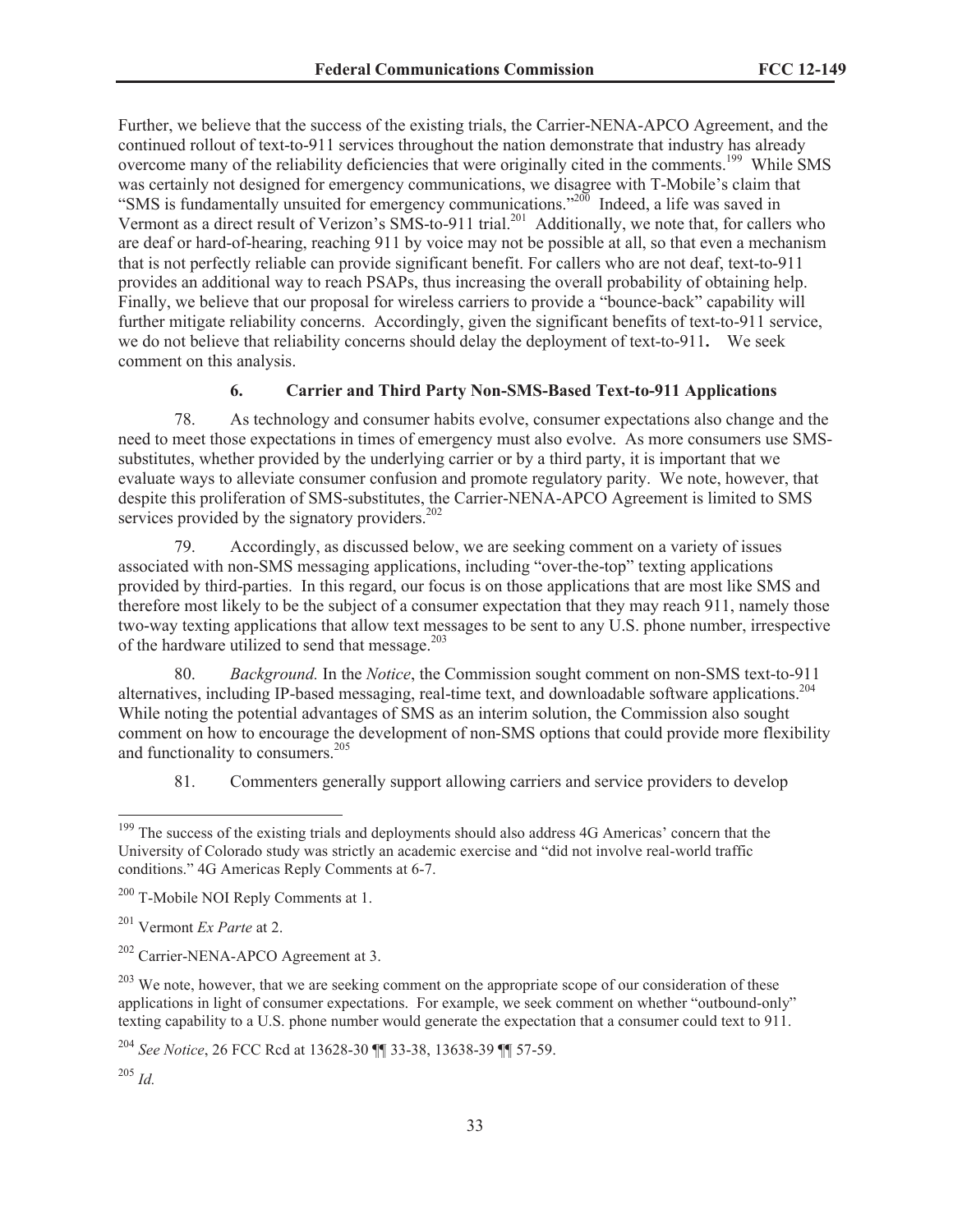Further, we believe that the success of the existing trials, the Carrier-NENA-APCO Agreement, and the continued rollout of text-to-911 services throughout the nation demonstrate that industry has already overcome many of the reliability deficiencies that were originally cited in the comments.<sup>199</sup> While SMS was certainly not designed for emergency communications, we disagree with T-Mobile's claim that "SMS is fundamentally unsuited for emergency communications."<sup>200</sup> Indeed, a life was saved in Vermont as a direct result of Verizon's SMS-to-911 trial.<sup>201</sup> Additionally, we note that, for callers who are deaf or hard-of-hearing, reaching 911 by voice may not be possible at all, so that even a mechanism that is not perfectly reliable can provide significant benefit. For callers who are not deaf, text-to-911 provides an additional way to reach PSAPs, thus increasing the overall probability of obtaining help. Finally, we believe that our proposal for wireless carriers to provide a "bounce-back" capability will further mitigate reliability concerns. Accordingly, given the significant benefits of text-to-911 service, we do not believe that reliability concerns should delay the deployment of text-to-911**.** We seek comment on this analysis.

# **6. Carrier and Third Party Non-SMS-Based Text-to-911 Applications**

78. As technology and consumer habits evolve, consumer expectations also change and the need to meet those expectations in times of emergency must also evolve. As more consumers use SMSsubstitutes, whether provided by the underlying carrier or by a third party, it is important that we evaluate ways to alleviate consumer confusion and promote regulatory parity. We note, however, that despite this proliferation of SMS-substitutes, the Carrier-NENA-APCO Agreement is limited to SMS services provided by the signatory providers.<sup>202</sup>

79. Accordingly, as discussed below, we are seeking comment on a variety of issues associated with non-SMS messaging applications, including "over-the-top" texting applications provided by third-parties. In this regard, our focus is on those applications that are most like SMS and therefore most likely to be the subject of a consumer expectation that they may reach 911, namely those two-way texting applications that allow text messages to be sent to any U.S. phone number, irrespective of the hardware utilized to send that message.<sup>203</sup>

80. *Background.* In the *Notice*, the Commission sought comment on non-SMS text-to-911 alternatives, including IP-based messaging, real-time text, and downloadable software applications.<sup>204</sup> While noting the potential advantages of SMS as an interim solution, the Commission also sought comment on how to encourage the development of non-SMS options that could provide more flexibility and functionality to consumers.<sup>205</sup>

81. Commenters generally support allowing carriers and service providers to develop

<sup>&</sup>lt;sup>199</sup> The success of the existing trials and deployments should also address 4G Americas' concern that the University of Colorado study was strictly an academic exercise and "did not involve real-world traffic conditions." 4G Americas Reply Comments at 6-7.

<sup>&</sup>lt;sup>200</sup> T-Mobile NOI Reply Comments at 1.

<sup>201</sup> Vermont *Ex Parte* at 2.

<sup>202</sup> Carrier-NENA-APCO Agreement at 3.

 $203$  We note, however, that we are seeking comment on the appropriate scope of our consideration of these applications in light of consumer expectations. For example, we seek comment on whether "outbound-only" texting capability to a U.S. phone number would generate the expectation that a consumer could text to 911.

<sup>204</sup> *See Notice*, 26 FCC Rcd at 13628-30 ¶¶ 33-38, 13638-39 ¶¶ 57-59.

<sup>205</sup> *Id.*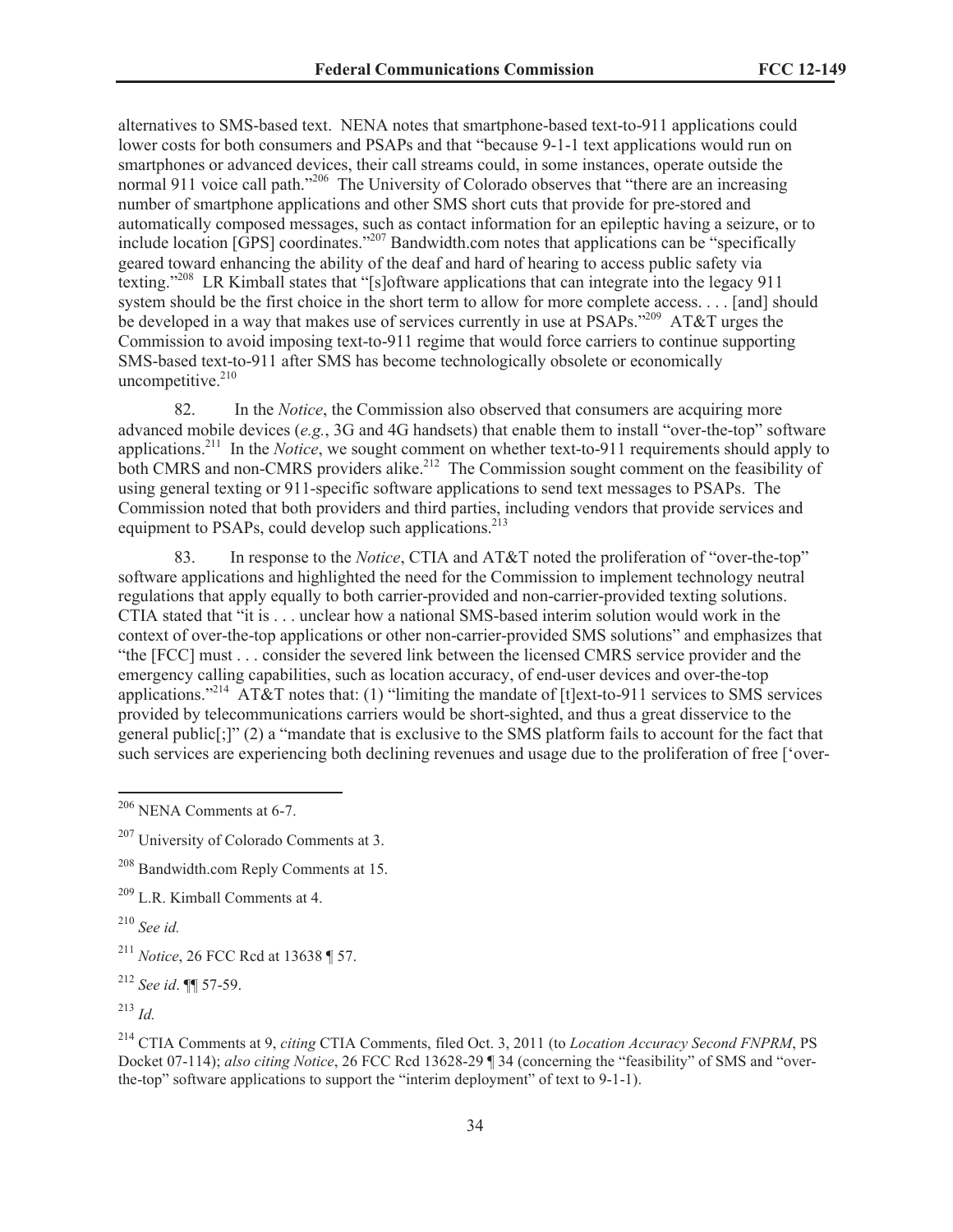alternatives to SMS-based text. NENA notes that smartphone-based text-to-911 applications could lower costs for both consumers and PSAPs and that "because 9-1-1 text applications would run on smartphones or advanced devices, their call streams could, in some instances, operate outside the normal 911 voice call path."<sup>206</sup> The University of Colorado observes that "there are an increasing number of smartphone applications and other SMS short cuts that provide for pre-stored and automatically composed messages, such as contact information for an epileptic having a seizure, or to include location [GPS] coordinates."<sup>207</sup> Bandwidth.com notes that applications can be "specifically geared toward enhancing the ability of the deaf and hard of hearing to access public safety via texting."<sup>208</sup> LR Kimball states that "[s]oftware applications that can integrate into the legacy 911 system should be the first choice in the short term to allow for more complete access. . . . [and] should be developed in a way that makes use of services currently in use at PSAPs."<sup>209</sup> AT&T urges the Commission to avoid imposing text-to-911 regime that would force carriers to continue supporting SMS-based text-to-911 after SMS has become technologically obsolete or economically uncompetitive. $210$ 

82. In the *Notice*, the Commission also observed that consumers are acquiring more advanced mobile devices (*e.g.*, 3G and 4G handsets) that enable them to install "over-the-top" software applications.<sup>211</sup> In the *Notice*, we sought comment on whether text-to-911 requirements should apply to both CMRS and non-CMRS providers alike.<sup>212</sup> The Commission sought comment on the feasibility of using general texting or 911-specific software applications to send text messages to PSAPs. The Commission noted that both providers and third parties, including vendors that provide services and equipment to PSAPs, could develop such applications. $^{213}$ 

83. In response to the *Notice*, CTIA and AT&T noted the proliferation of "over-the-top" software applications and highlighted the need for the Commission to implement technology neutral regulations that apply equally to both carrier-provided and non-carrier-provided texting solutions. CTIA stated that "it is . . . unclear how a national SMS-based interim solution would work in the context of over-the-top applications or other non-carrier-provided SMS solutions" and emphasizes that "the [FCC] must . . . consider the severed link between the licensed CMRS service provider and the emergency calling capabilities, such as location accuracy, of end-user devices and over-the-top applications."<sup>214</sup> AT&T notes that: (1) "limiting the mandate of [t]ext-to-911 services to SMS services provided by telecommunications carriers would be short-sighted, and thus a great disservice to the general public[;]" (2) a "mandate that is exclusive to the SMS platform fails to account for the fact that such services are experiencing both declining revenues and usage due to the proliferation of free ['over-

<sup>208</sup> Bandwidth.com Reply Comments at 15.

<sup>209</sup> L.R. Kimball Comments at 4.

<sup>210</sup> *See id.*

<sup>211</sup> *Notice*, 26 FCC Rcd at 13638 ¶ 57.

<sup>212</sup> *See id*. ¶¶ 57-59.

<sup>213</sup> *Id.*

<sup>214</sup> CTIA Comments at 9, *citing* CTIA Comments, filed Oct. 3, 2011 (to *Location Accuracy Second FNPRM*, PS Docket 07-114); *also citing Notice*, 26 FCC Rcd 13628-29 ¶ 34 (concerning the "feasibility" of SMS and "overthe-top" software applications to support the "interim deployment" of text to 9-1-1).

<sup>206</sup> NENA Comments at 6-7.

<sup>&</sup>lt;sup>207</sup> University of Colorado Comments at 3.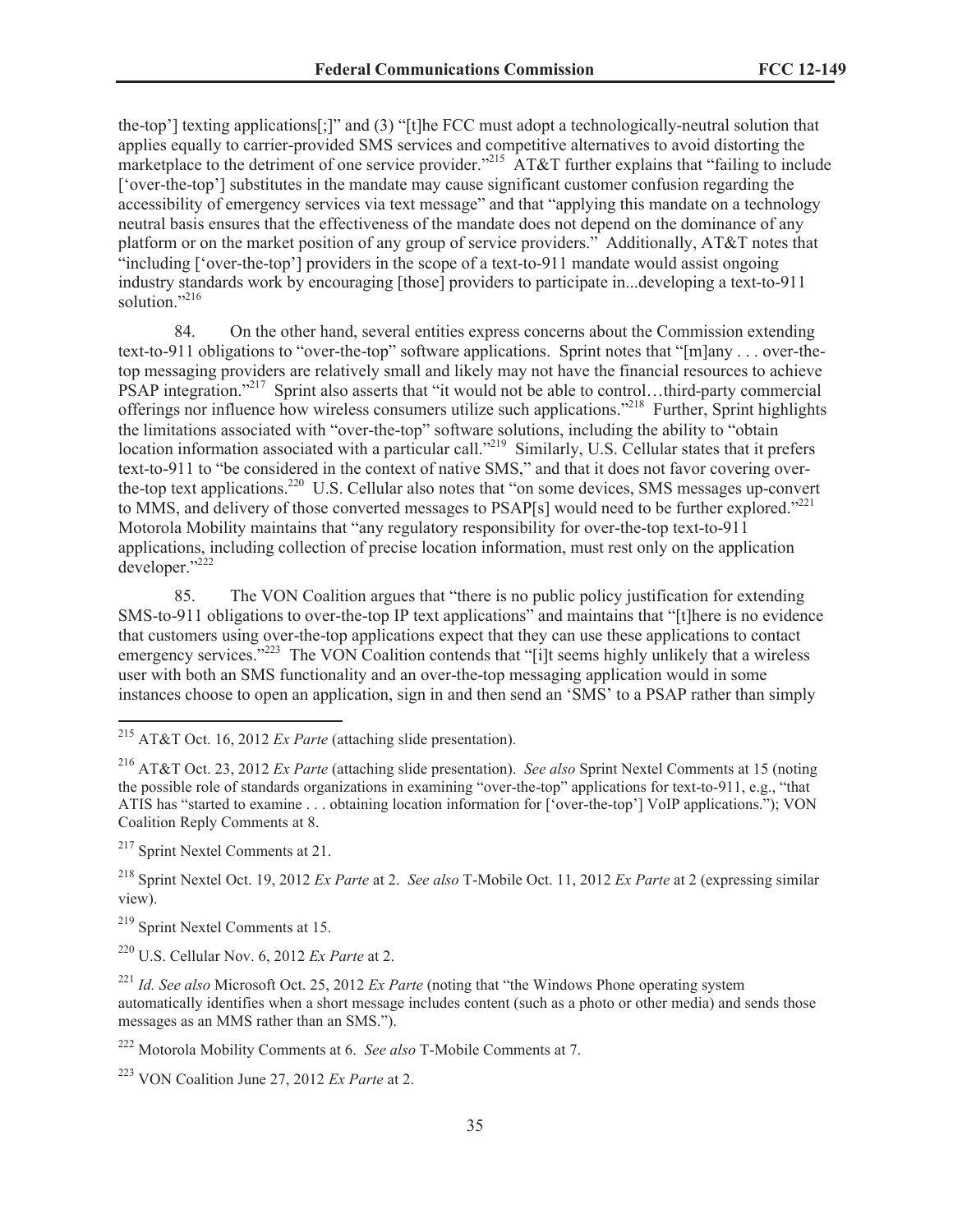the-top'] texting applications[;]" and (3) "[t]he FCC must adopt a technologically-neutral solution that applies equally to carrier-provided SMS services and competitive alternatives to avoid distorting the marketplace to the detriment of one service provider."<sup>215</sup> AT&T further explains that "failing to include" ['over-the-top'] substitutes in the mandate may cause significant customer confusion regarding the accessibility of emergency services via text message" and that "applying this mandate on a technology neutral basis ensures that the effectiveness of the mandate does not depend on the dominance of any platform or on the market position of any group of service providers." Additionally, AT&T notes that  $\cdot$ including  $\cdot$  over-the-top'] providers in the scope of a text-to-911 mandate would assist ongoing industry standards work by encouraging [those] providers to participate in...developing a text-to-911 solution."<sup>216</sup>

84. On the other hand, several entities express concerns about the Commission extending text-to-911 obligations to "over-the-top" software applications. Sprint notes that "[m]any . . . over-thetop messaging providers are relatively small and likely may not have the financial resources to achieve PSAP integration."<sup>217</sup> Sprint also asserts that "it would not be able to control...third-party commercial offerings nor influence how wireless consumers utilize such applications."<sup>218</sup> Further, Sprint highlights the limitations associated with "over-the-top" software solutions, including the ability to "obtain location information associated with a particular call."<sup>219</sup> Similarly, U.S. Cellular states that it prefers text-to-911 to "be considered in the context of native SMS," and that it does not favor covering overthe-top text applications.<sup>220</sup> U.S. Cellular also notes that "on some devices, SMS messages up-convert to MMS, and delivery of those converted messages to PSAP[s] would need to be further explored."<sup>221</sup> Motorola Mobility maintains that "any regulatory responsibility for over-the-top text-to-911 applications, including collection of precise location information, must rest only on the application developer."<sup>222</sup>

85. The VON Coalition argues that "there is no public policy justification for extending SMS-to-911 obligations to over-the-top IP text applications" and maintains that "[t]here is no evidence that customers using over-the-top applications expect that they can use these applications to contact emergency services."<sup>223</sup> The VON Coalition contends that "[i]t seems highly unlikely that a wireless user with both an SMS functionality and an over-the-top messaging application would in some instances choose to open an application, sign in and then send an 'SMS' to a PSAP rather than simply

<sup>215</sup> AT&T Oct. 16, 2012 *Ex Parte* (attaching slide presentation).

<sup>216</sup> AT&T Oct. 23, 2012 *Ex Parte* (attaching slide presentation). *See also* Sprint Nextel Comments at 15 (noting the possible role of standards organizations in examining "over-the-top" applications for text-to-911, e.g., "that ATIS has "started to examine . . . obtaining location information for ['over-the-top'] VoIP applications."); VON Coalition Reply Comments at 8.

<sup>217</sup> Sprint Nextel Comments at 21.

<sup>218</sup> Sprint Nextel Oct. 19, 2012 *Ex Parte* at 2. *See also* T-Mobile Oct. 11, 2012 *Ex Parte* at 2 (expressing similar view).

<sup>219</sup> Sprint Nextel Comments at 15.

<sup>220</sup> U.S. Cellular Nov. 6, 2012 *Ex Parte* at 2.

<sup>221</sup> *Id. See also* Microsoft Oct. 25, 2012 *Ex Parte* (noting that "the Windows Phone operating system automatically identifies when a short message includes content (such as a photo or other media) and sends those messages as an MMS rather than an SMS.").

<sup>222</sup> Motorola Mobility Comments at 6. *See also* T-Mobile Comments at 7.

<sup>223</sup> VON Coalition June 27, 2012 *Ex Parte* at 2.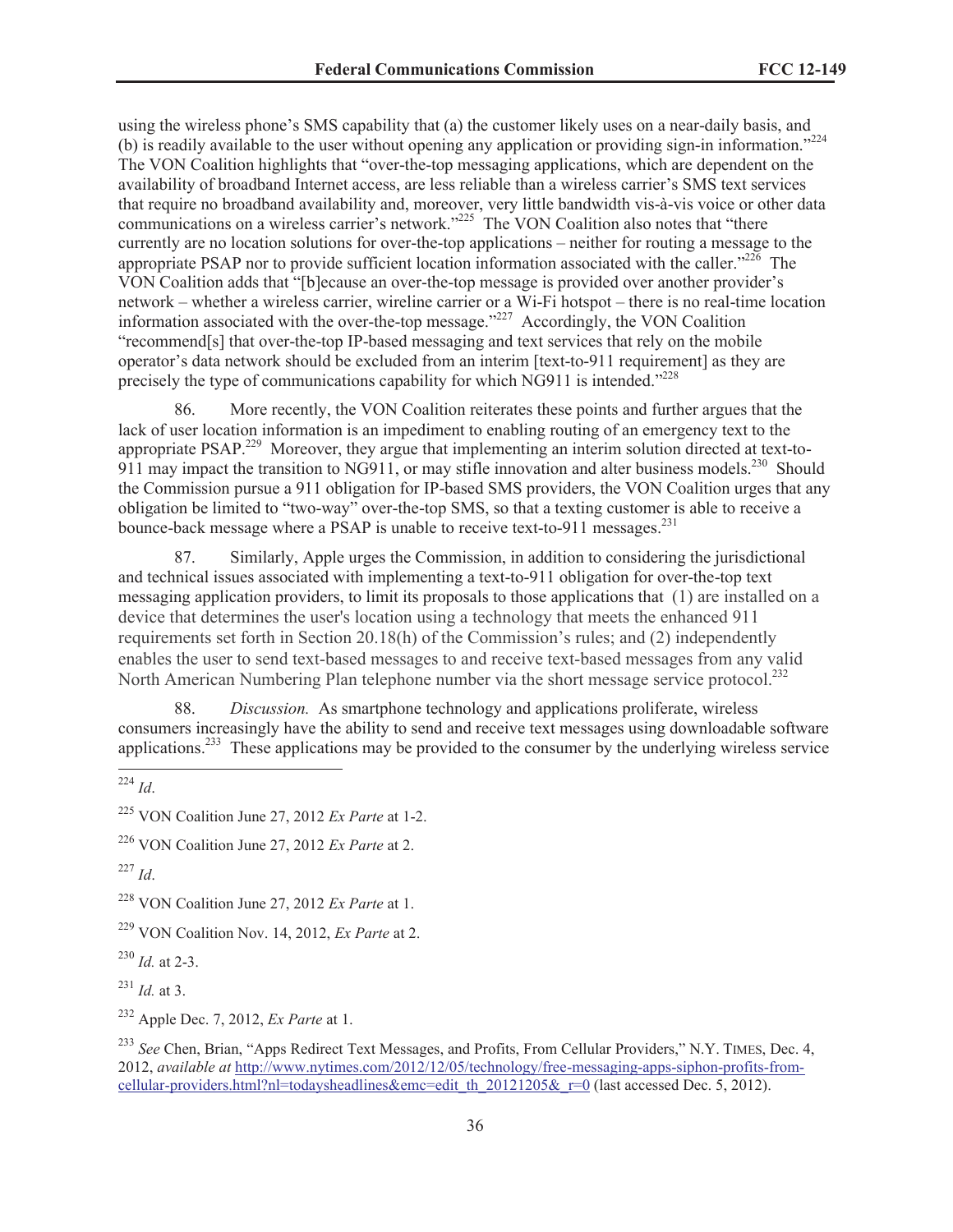using the wireless phone's SMS capability that (a) the customer likely uses on a near-daily basis, and (b) is readily available to the user without opening any application or providing sign-in information."<sup>224</sup> The VON Coalition highlights that "over-the-top messaging applications, which are dependent on the availability of broadband Internet access, are less reliable than a wireless carrier's SMS text services that require no broadband availability and, moreover, very little bandwidth vis-à-vis voice or other data communications on a wireless carrier's network."<sup>225</sup> The VON Coalition also notes that "there currently are no location solutions for over-the-top applications – neither for routing a message to the appropriate PSAP nor to provide sufficient location information associated with the caller."<sup>226</sup> The VON Coalition adds that "[b]ecause an over-the-top message is provided over another provider's network – whether a wireless carrier, wireline carrier or a Wi-Fi hotspot – there is no real-time location information associated with the over-the-top message."<sup>227</sup> Accordingly, the VON Coalition "recommend[s] that over-the-top IP-based messaging and text services that rely on the mobile operator's data network should be excluded from an interim [text-to-911 requirement] as they are precisely the type of communications capability for which NG911 is intended." $^{228}$ 

86. More recently, the VON Coalition reiterates these points and further argues that the lack of user location information is an impediment to enabling routing of an emergency text to the appropriate PSAP.<sup>229</sup> Moreover, they argue that implementing an interim solution directed at text-to-911 may impact the transition to NG911, or may stifle innovation and alter business models.<sup>230</sup> Should the Commission pursue a 911 obligation for IP-based SMS providers, the VON Coalition urges that any obligation be limited to "two-way" over-the-top SMS, so that a texting customer is able to receive a bounce-back message where a PSAP is unable to receive text-to-911 messages.<sup>231</sup>

87. Similarly, Apple urges the Commission, in addition to considering the jurisdictional and technical issues associated with implementing a text-to-911 obligation for over-the-top text messaging application providers, to limit its proposals to those applications that (1) are installed on a device that determines the user's location using a technology that meets the enhanced 911 requirements set forth in Section 20.18(h) of the Commission's rules; and (2) independently enables the user to send text-based messages to and receive text-based messages from any valid North American Numbering Plan telephone number via the short message service protocol.<sup>232</sup>

88. *Discussion.* As smartphone technology and applications proliferate, wireless consumers increasingly have the ability to send and receive text messages using downloadable software applications.<sup>233</sup> These applications may be provided to the consumer by the underlying wireless service

<sup>226</sup> VON Coalition June 27, 2012 *Ex Parte* at 2.

<sup>227</sup> *Id*.

<sup>228</sup> VON Coalition June 27, 2012 *Ex Parte* at 1.

<sup>229</sup> VON Coalition Nov. 14, 2012, *Ex Parte* at 2.

<sup>230</sup> *Id.* at 2-3.

<sup>231</sup> *Id.* at 3.

<sup>232</sup> Apple Dec. 7, 2012, *Ex Parte* at 1.

 $\frac{1}{224}$  *Id.* 

<sup>225</sup> VON Coalition June 27, 2012 *Ex Parte* at 1-2.

<sup>&</sup>lt;sup>233</sup> See Chen, Brian, "Apps Redirect Text Messages, and Profits, From Cellular Providers," N.Y. TIMES, Dec. 4, 2012, *available at* http://www.nytimes.com/2012/12/05/technology/free-messaging-apps-siphon-profits-fromcellular-providers.html?nl=todaysheadlines&emc=edit\_th\_20121205&\_r=0 (last accessed Dec. 5, 2012).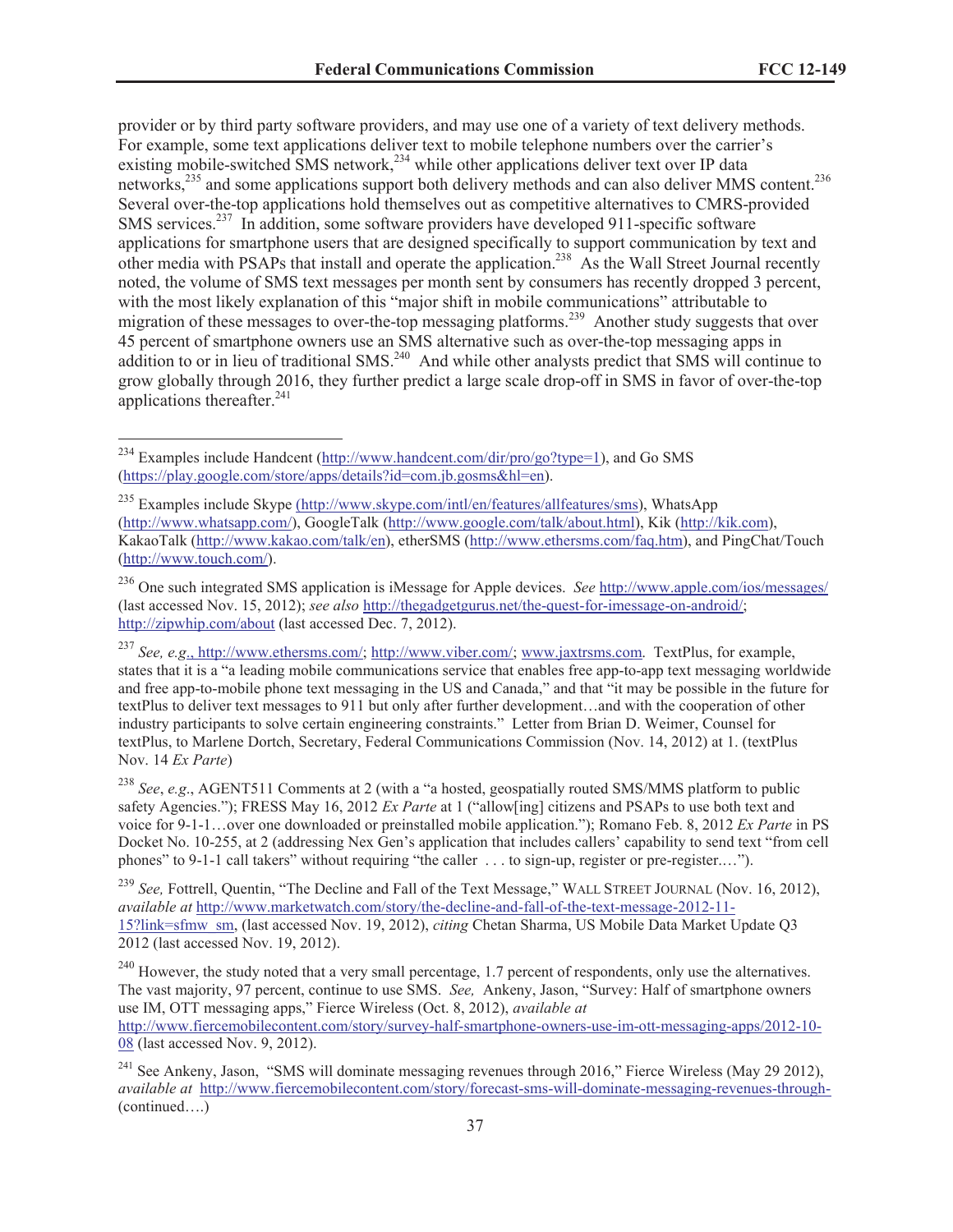provider or by third party software providers, and may use one of a variety of text delivery methods. For example, some text applications deliver text to mobile telephone numbers over the carrier's existing mobile-switched SMS network,<sup>234</sup> while other applications deliver text over IP data networks,<sup>235</sup> and some applications support both delivery methods and can also deliver MMS content.<sup>236</sup> Several over-the-top applications hold themselves out as competitive alternatives to CMRS-provided SMS services.<sup>237</sup> In addition, some software providers have developed 911-specific software applications for smartphone users that are designed specifically to support communication by text and other media with PSAPs that install and operate the application.<sup>238</sup> As the Wall Street Journal recently noted, the volume of SMS text messages per month sent by consumers has recently dropped 3 percent, with the most likely explanation of this "major shift in mobile communications" attributable to migration of these messages to over-the-top messaging platforms.<sup>239</sup> Another study suggests that over 45 percent of smartphone owners use an SMS alternative such as over-the-top messaging apps in addition to or in lieu of traditional SMS.<sup>240</sup> And while other analysts predict that SMS will continue to grow globally through 2016, they further predict a large scale drop-off in SMS in favor of over-the-top applications thereafter. $^{241}$ 

<sup>&</sup>lt;sup>234</sup> Examples include Handcent (http://www.handcent.com/dir/pro/go?type=1), and Go SMS (https://play.google.com/store/apps/details?id=com.jb.gosms&hl=en).

<sup>235</sup> Examples include Skype (http://www.skype.com/intl/en/features/allfeatures/sms), WhatsApp (http://www.whatsapp.com/), GoogleTalk (http://www.google.com/talk/about.html), Kik (http://kik.com), KakaoTalk (http://www.kakao.com/talk/en), etherSMS (http://www.ethersms.com/faq.htm), and PingChat/Touch (http://www.touch.com/).

<sup>236</sup> One such integrated SMS application is iMessage for Apple devices. *See* http://www.apple.com/ios/messages/ (last accessed Nov. 15, 2012); *see also* http://thegadgetgurus.net/the-quest-for-imessage-on-android/; http://zipwhip.com/about (last accessed Dec. 7, 2012).

<sup>237</sup> *See, e.g*., http://www.ethersms.com/; http://www.viber.com/; www.jaxtrsms.com. TextPlus, for example, states that it is a "a leading mobile communications service that enables free app-to-app text messaging worldwide and free app-to-mobile phone text messaging in the US and Canada," and that "it may be possible in the future for textPlus to deliver text messages to 911 but only after further development…and with the cooperation of other industry participants to solve certain engineering constraints." Letter from Brian D. Weimer, Counsel for textPlus, to Marlene Dortch, Secretary, Federal Communications Commission (Nov. 14, 2012) at 1. (textPlus Nov. 14 *Ex Parte*)

<sup>238</sup> *See*, *e.g*., AGENT511 Comments at 2 (with a "a hosted, geospatially routed SMS/MMS platform to public safety Agencies."); FRESS May 16, 2012 *Ex Parte* at 1 ("allow[ing] citizens and PSAPs to use both text and voice for 9-1-1…over one downloaded or preinstalled mobile application."); Romano Feb. 8, 2012 *Ex Parte* in PS Docket No. 10-255, at 2 (addressing Nex Gen's application that includes callers' capability to send text "from cell phones" to 9-1-1 call takers" without requiring "the caller . . . to sign-up, register or pre-register.…").

<sup>239</sup> *See,* Fottrell, Quentin, "The Decline and Fall of the Text Message," WALL STREET JOURNAL (Nov. 16, 2012), *available at* http://www.marketwatch.com/story/the-decline-and-fall-of-the-text-message-2012-11- 15?link=sfmw\_sm, (last accessed Nov. 19, 2012), *citing* Chetan Sharma, US Mobile Data Market Update Q3 2012 (last accessed Nov. 19, 2012).

 $^{240}$  However, the study noted that a very small percentage, 1.7 percent of respondents, only use the alternatives. The vast majority, 97 percent, continue to use SMS. *See,* Ankeny, Jason, "Survey: Half of smartphone owners use IM, OTT messaging apps," Fierce Wireless (Oct. 8, 2012), *available at*

http://www.fiercemobilecontent.com/story/survey-half-smartphone-owners-use-im-ott-messaging-apps/2012-10- 08 (last accessed Nov. 9, 2012).

<sup>&</sup>lt;sup>241</sup> See Ankeny, Jason, "SMS will dominate messaging revenues through 2016," Fierce Wireless (May 29 2012), *available at* http://www.fiercemobilecontent.com/story/forecast-sms-will-dominate-messaging-revenues-through- (continued….)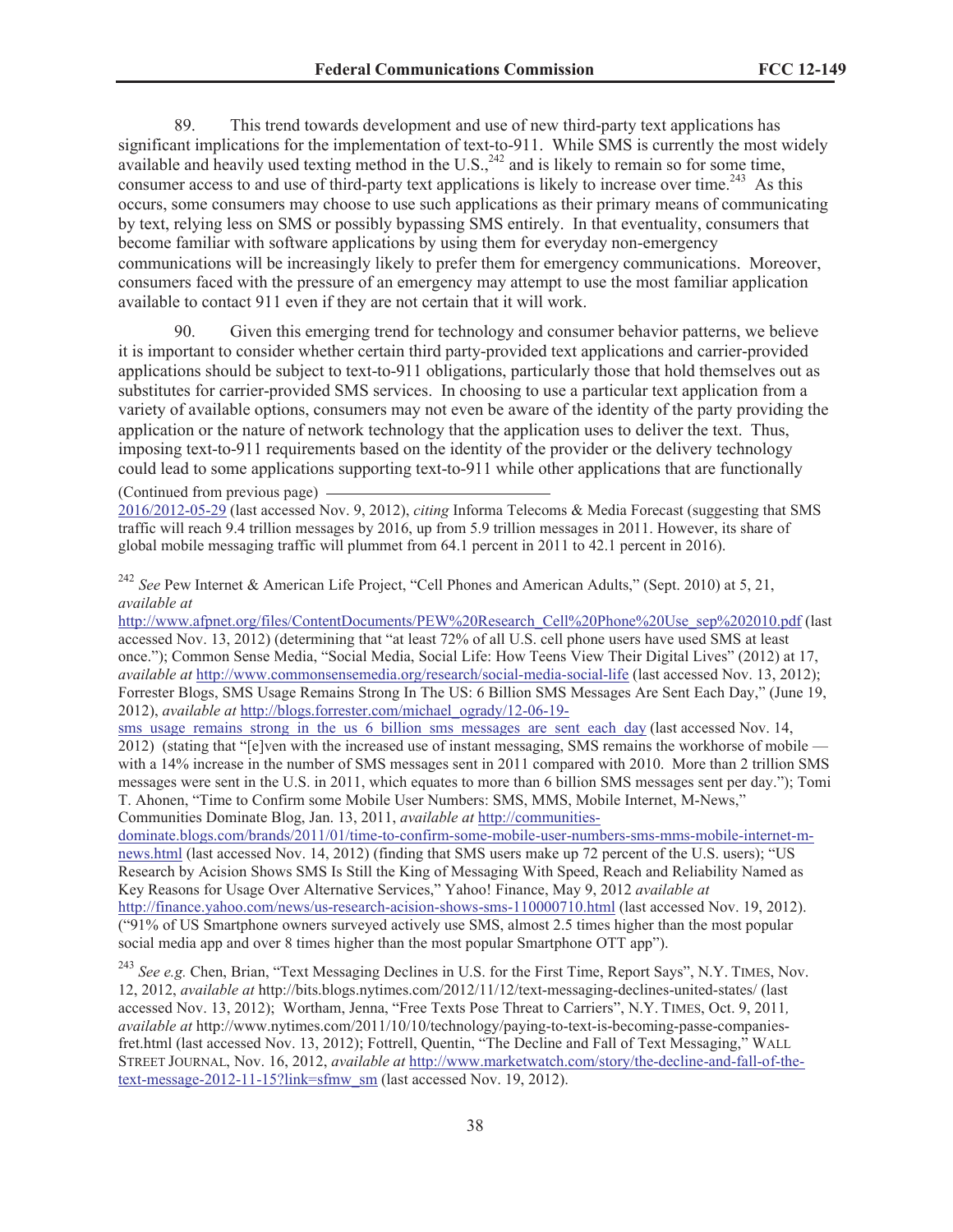89. This trend towards development and use of new third-party text applications has significant implications for the implementation of text-to-911. While SMS is currently the most widely available and heavily used texting method in the U.S., $^{242}$  and is likely to remain so for some time, consumer access to and use of third-party text applications is likely to increase over time.<sup>243</sup> As this occurs, some consumers may choose to use such applications as their primary means of communicating by text, relying less on SMS or possibly bypassing SMS entirely. In that eventuality, consumers that become familiar with software applications by using them for everyday non-emergency communications will be increasingly likely to prefer them for emergency communications. Moreover, consumers faced with the pressure of an emergency may attempt to use the most familiar application available to contact 911 even if they are not certain that it will work.

90. Given this emerging trend for technology and consumer behavior patterns, we believe it is important to consider whether certain third party-provided text applications and carrier-provided applications should be subject to text-to-911 obligations, particularly those that hold themselves out as substitutes for carrier-provided SMS services. In choosing to use a particular text application from a variety of available options, consumers may not even be aware of the identity of the party providing the application or the nature of network technology that the application uses to deliver the text. Thus, imposing text-to-911 requirements based on the identity of the provider or the delivery technology could lead to some applications supporting text-to-911 while other applications that are functionally (Continued from previous page)

2016/2012-05-29 (last accessed Nov. 9, 2012), *citing* Informa Telecoms & Media Forecast (suggesting that SMS traffic will reach 9.4 trillion messages by 2016, up from 5.9 trillion messages in 2011. However, its share of global mobile messaging traffic will plummet from 64.1 percent in 2011 to 42.1 percent in 2016).

<sup>242</sup> *See* Pew Internet & American Life Project, "Cell Phones and American Adults," (Sept. 2010) at 5, 21, *available at*

http://www.afpnet.org/files/ContentDocuments/PEW%20Research\_Cell%20Phone%20Use\_sep%202010.pdf (last accessed Nov. 13, 2012) (determining that "at least 72% of all U.S. cell phone users have used SMS at least once."); Common Sense Media, "Social Media, Social Life: How Teens View Their Digital Lives" (2012) at 17, *available at* http://www.commonsensemedia.org/research/social-media-social-life (last accessed Nov. 13, 2012); Forrester Blogs, SMS Usage Remains Strong In The US: 6 Billion SMS Messages Are Sent Each Day," (June 19, 2012), *available at* http://blogs.forrester.com/michael\_ogrady/12-06-19-

sms\_usage\_remains\_strong\_in\_the\_us\_6\_billion\_sms\_messages\_are\_sent\_each\_day (last accessed Nov. 14, 2012) (stating that "[e]ven with the increased use of instant messaging, SMS remains the workhorse of mobile with a 14% increase in the number of SMS messages sent in 2011 compared with 2010. More than 2 trillion SMS messages were sent in the U.S. in 2011, which equates to more than 6 billion SMS messages sent per day."); Tomi T. Ahonen, "Time to Confirm some Mobile User Numbers: SMS, MMS, Mobile Internet, M-News," Communities Dominate Blog, Jan. 13, 2011, *available at* http://communities-

dominate.blogs.com/brands/2011/01/time-to-confirm-some-mobile-user-numbers-sms-mms-mobile-internet-mnews.html (last accessed Nov. 14, 2012) (finding that SMS users make up 72 percent of the U.S. users); "US Research by Acision Shows SMS Is Still the King of Messaging With Speed, Reach and Reliability Named as Key Reasons for Usage Over Alternative Services," Yahoo! Finance, May 9, 2012 *available at*  http://finance.yahoo.com/news/us-research-acision-shows-sms-110000710.html (last accessed Nov. 19, 2012). ("91% of US Smartphone owners surveyed actively use SMS, almost 2.5 times higher than the most popular social media app and over 8 times higher than the most popular Smartphone OTT app").

<sup>243</sup> *See e.g.* Chen, Brian, "Text Messaging Declines in U.S. for the First Time, Report Says", N.Y. TIMES, Nov. 12, 2012, *available at* http://bits.blogs.nytimes.com/2012/11/12/text-messaging-declines-united-states/ (last accessed Nov. 13, 2012); Wortham, Jenna, "Free Texts Pose Threat to Carriers", N.Y. TIMES, Oct. 9, 2011*, available at* http://www.nytimes.com/2011/10/10/technology/paying-to-text-is-becoming-passe-companiesfret.html (last accessed Nov. 13, 2012); Fottrell, Quentin, "The Decline and Fall of Text Messaging," WALL STREET JOURNAL, Nov. 16, 2012, *available at* http://www.marketwatch.com/story/the-decline-and-fall-of-thetext-message-2012-11-15?link=sfmw\_sm (last accessed Nov. 19, 2012).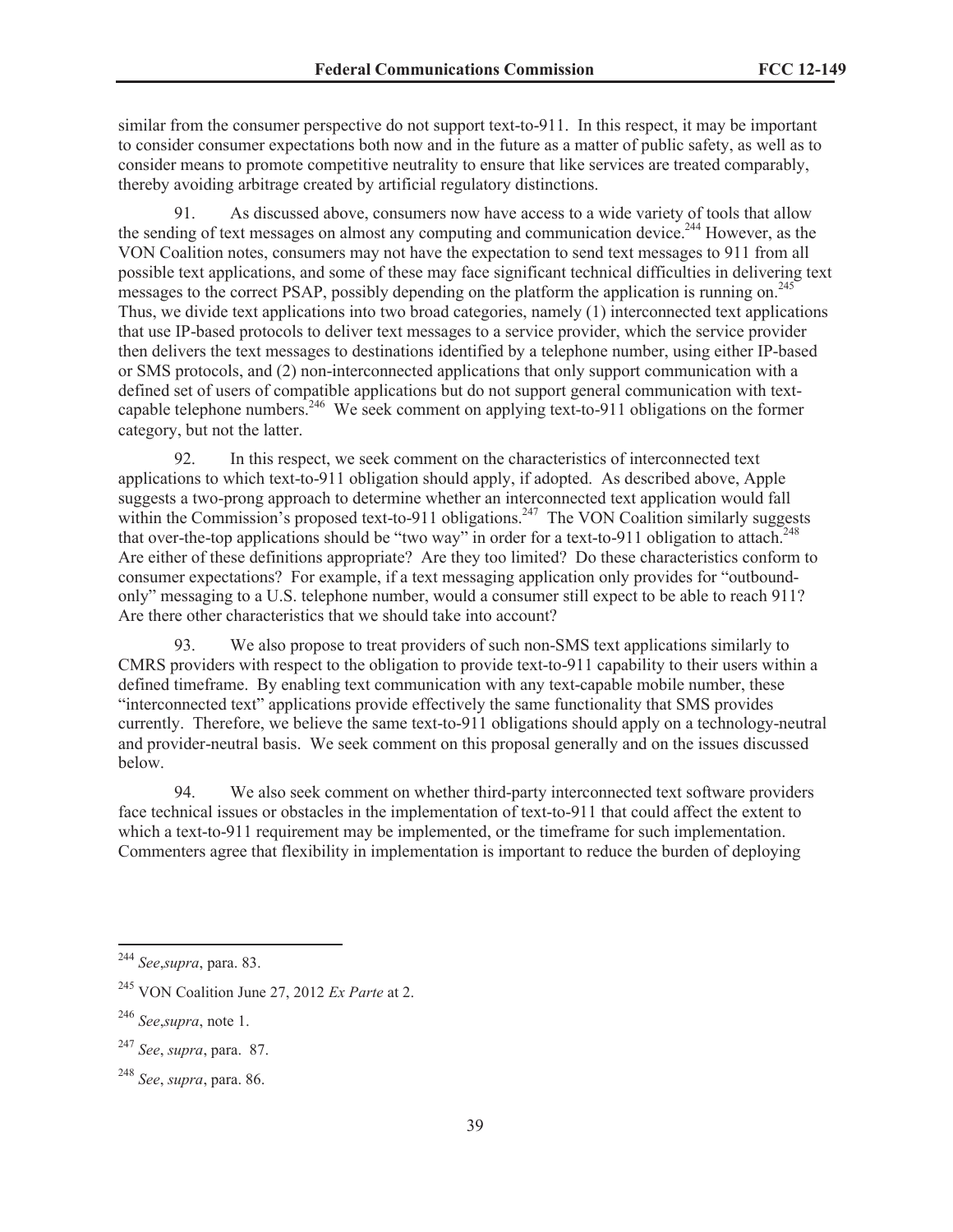similar from the consumer perspective do not support text-to-911. In this respect, it may be important to consider consumer expectations both now and in the future as a matter of public safety, as well as to consider means to promote competitive neutrality to ensure that like services are treated comparably, thereby avoiding arbitrage created by artificial regulatory distinctions.

91. As discussed above, consumers now have access to a wide variety of tools that allow the sending of text messages on almost any computing and communication device.<sup>244</sup> However, as the VON Coalition notes, consumers may not have the expectation to send text messages to 911 from all possible text applications, and some of these may face significant technical difficulties in delivering text messages to the correct PSAP, possibly depending on the platform the application is running on.<sup>245</sup> Thus, we divide text applications into two broad categories, namely (1) interconnected text applications that use IP-based protocols to deliver text messages to a service provider, which the service provider then delivers the text messages to destinations identified by a telephone number, using either IP-based or SMS protocols, and (2) non-interconnected applications that only support communication with a defined set of users of compatible applications but do not support general communication with textcapable telephone numbers.<sup>246</sup> We seek comment on applying text-to-911 obligations on the former category, but not the latter.

92. In this respect, we seek comment on the characteristics of interconnected text applications to which text-to-911 obligation should apply, if adopted. As described above, Apple suggests a two-prong approach to determine whether an interconnected text application would fall within the Commission's proposed text-to-911 obligations.<sup>247</sup> The VON Coalition similarly suggests that over-the-top applications should be "two way" in order for a text-to-911 obligation to attach.<sup>248</sup> Are either of these definitions appropriate? Are they too limited? Do these characteristics conform to consumer expectations? For example, if a text messaging application only provides for "outboundonly" messaging to a U.S. telephone number, would a consumer still expect to be able to reach 911? Are there other characteristics that we should take into account?

93. We also propose to treat providers of such non-SMS text applications similarly to CMRS providers with respect to the obligation to provide text-to-911 capability to their users within a defined timeframe. By enabling text communication with any text-capable mobile number, these "interconnected text" applications provide effectively the same functionality that SMS provides currently. Therefore, we believe the same text-to-911 obligations should apply on a technology-neutral and provider-neutral basis. We seek comment on this proposal generally and on the issues discussed below.

94. We also seek comment on whether third-party interconnected text software providers face technical issues or obstacles in the implementation of text-to-911 that could affect the extent to which a text-to-911 requirement may be implemented, or the timeframe for such implementation. Commenters agree that flexibility in implementation is important to reduce the burden of deploying

<sup>244</sup> *See*,*supra*, para. 83.

<sup>245</sup> VON Coalition June 27, 2012 *Ex Parte* at 2.

<sup>246</sup> *See*,*supra*, note 1.

<sup>247</sup> *See*, *supra*, para. 87.

<sup>248</sup> *See*, *supra*, para. 86.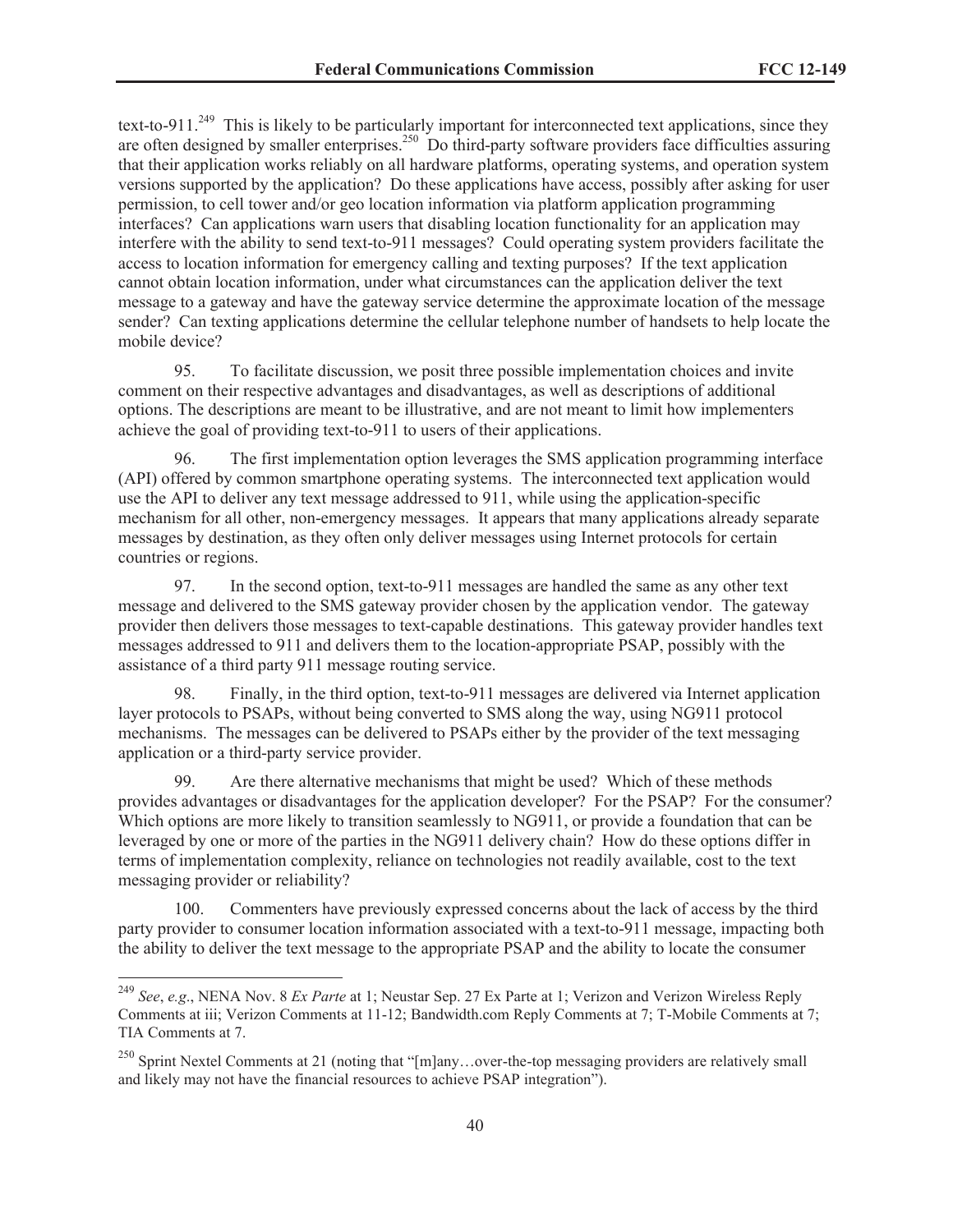text-to-911.<sup>249</sup> This is likely to be particularly important for interconnected text applications, since they are often designed by smaller enterprises.<sup>250</sup> Do third-party software providers face difficulties assuring that their application works reliably on all hardware platforms, operating systems, and operation system versions supported by the application? Do these applications have access, possibly after asking for user permission, to cell tower and/or geo location information via platform application programming interfaces? Can applications warn users that disabling location functionality for an application may interfere with the ability to send text-to-911 messages? Could operating system providers facilitate the access to location information for emergency calling and texting purposes? If the text application cannot obtain location information, under what circumstances can the application deliver the text message to a gateway and have the gateway service determine the approximate location of the message sender? Can texting applications determine the cellular telephone number of handsets to help locate the mobile device?

95. To facilitate discussion, we posit three possible implementation choices and invite comment on their respective advantages and disadvantages, as well as descriptions of additional options. The descriptions are meant to be illustrative, and are not meant to limit how implementers achieve the goal of providing text-to-911 to users of their applications.

96. The first implementation option leverages the SMS application programming interface (API) offered by common smartphone operating systems. The interconnected text application would use the API to deliver any text message addressed to 911, while using the application-specific mechanism for all other, non-emergency messages. It appears that many applications already separate messages by destination, as they often only deliver messages using Internet protocols for certain countries or regions.

97. In the second option, text-to-911 messages are handled the same as any other text message and delivered to the SMS gateway provider chosen by the application vendor. The gateway provider then delivers those messages to text-capable destinations. This gateway provider handles text messages addressed to 911 and delivers them to the location-appropriate PSAP, possibly with the assistance of a third party 911 message routing service.

98. Finally, in the third option, text-to-911 messages are delivered via Internet application layer protocols to PSAPs, without being converted to SMS along the way, using NG911 protocol mechanisms. The messages can be delivered to PSAPs either by the provider of the text messaging application or a third-party service provider.

99. Are there alternative mechanisms that might be used? Which of these methods provides advantages or disadvantages for the application developer? For the PSAP? For the consumer? Which options are more likely to transition seamlessly to NG911, or provide a foundation that can be leveraged by one or more of the parties in the NG911 delivery chain? How do these options differ in terms of implementation complexity, reliance on technologies not readily available, cost to the text messaging provider or reliability?

100. Commenters have previously expressed concerns about the lack of access by the third party provider to consumer location information associated with a text-to-911 message, impacting both the ability to deliver the text message to the appropriate PSAP and the ability to locate the consumer

<sup>249</sup> *See*, *e.g*., NENA Nov. 8 *Ex Parte* at 1; Neustar Sep. 27 Ex Parte at 1; Verizon and Verizon Wireless Reply Comments at iii; Verizon Comments at 11-12; Bandwidth.com Reply Comments at 7; T-Mobile Comments at 7; TIA Comments at 7.

<sup>&</sup>lt;sup>250</sup> Sprint Nextel Comments at 21 (noting that "[m]any...over-the-top messaging providers are relatively small and likely may not have the financial resources to achieve PSAP integration").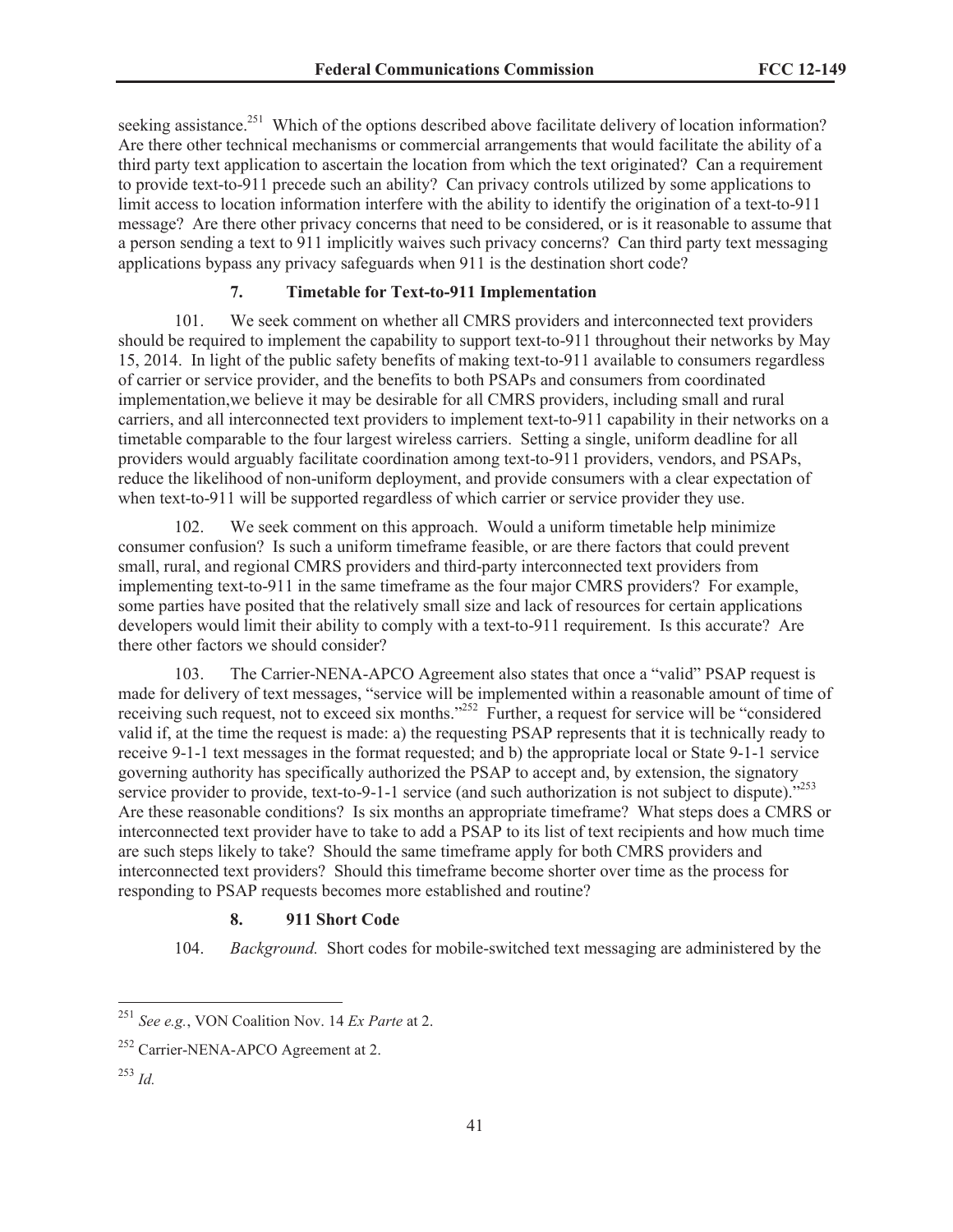seeking assistance.<sup>251</sup> Which of the options described above facilitate delivery of location information? Are there other technical mechanisms or commercial arrangements that would facilitate the ability of a third party text application to ascertain the location from which the text originated? Can a requirement to provide text-to-911 precede such an ability? Can privacy controls utilized by some applications to limit access to location information interfere with the ability to identify the origination of a text-to-911 message? Are there other privacy concerns that need to be considered, or is it reasonable to assume that a person sending a text to 911 implicitly waives such privacy concerns? Can third party text messaging applications bypass any privacy safeguards when 911 is the destination short code?

# **7. Timetable for Text-to-911 Implementation**

101. We seek comment on whether all CMRS providers and interconnected text providers should be required to implement the capability to support text-to-911 throughout their networks by May 15, 2014. In light of the public safety benefits of making text-to-911 available to consumers regardless of carrier or service provider, and the benefits to both PSAPs and consumers from coordinated implementation,we believe it may be desirable for all CMRS providers, including small and rural carriers, and all interconnected text providers to implement text-to-911 capability in their networks on a timetable comparable to the four largest wireless carriers. Setting a single, uniform deadline for all providers would arguably facilitate coordination among text-to-911 providers, vendors, and PSAPs, reduce the likelihood of non-uniform deployment, and provide consumers with a clear expectation of when text-to-911 will be supported regardless of which carrier or service provider they use.

102. We seek comment on this approach. Would a uniform timetable help minimize consumer confusion? Is such a uniform timeframe feasible, or are there factors that could prevent small, rural, and regional CMRS providers and third-party interconnected text providers from implementing text-to-911 in the same timeframe as the four major CMRS providers? For example, some parties have posited that the relatively small size and lack of resources for certain applications developers would limit their ability to comply with a text-to-911 requirement. Is this accurate? Are there other factors we should consider?

103. The Carrier-NENA-APCO Agreement also states that once a "valid" PSAP request is made for delivery of text messages, "service will be implemented within a reasonable amount of time of receiving such request, not to exceed six months."<sup>252</sup> Further, a request for service will be "considered valid if, at the time the request is made: a) the requesting PSAP represents that it is technically ready to receive 9-1-1 text messages in the format requested; and b) the appropriate local or State 9-1-1 service governing authority has specifically authorized the PSAP to accept and, by extension, the signatory service provider to provide, text-to-9-1-1 service (and such authorization is not subject to dispute)."<sup>253</sup> Are these reasonable conditions? Is six months an appropriate timeframe? What steps does a CMRS or interconnected text provider have to take to add a PSAP to its list of text recipients and how much time are such steps likely to take? Should the same timeframe apply for both CMRS providers and interconnected text providers? Should this timeframe become shorter over time as the process for responding to PSAP requests becomes more established and routine?

## **8. 911 Short Code**

104. *Background.* Short codes for mobile-switched text messaging are administered by the

<sup>251</sup> *See e.g.*, VON Coalition Nov. 14 *Ex Parte* at 2.

<sup>&</sup>lt;sup>252</sup> Carrier-NENA-APCO Agreement at 2.

<sup>253</sup> *Id.*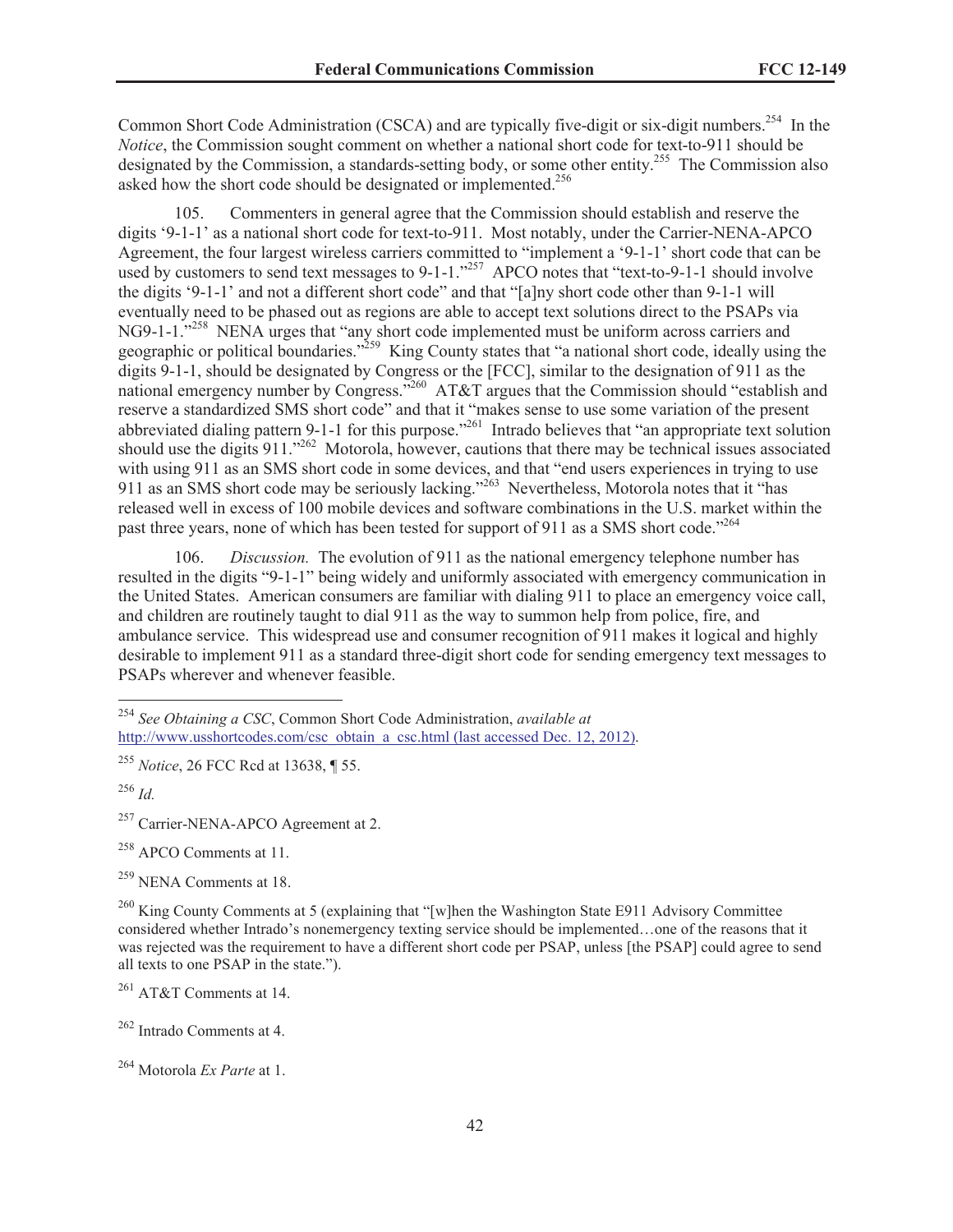Common Short Code Administration (CSCA) and are typically five-digit or six-digit numbers.<sup>254</sup> In the *Notice*, the Commission sought comment on whether a national short code for text-to-911 should be designated by the Commission, a standards-setting body, or some other entity.<sup>255</sup> The Commission also asked how the short code should be designated or implemented.<sup>256</sup>

105. Commenters in general agree that the Commission should establish and reserve the digits '9-1-1' as a national short code for text-to-911. Most notably, under the Carrier-NENA-APCO Agreement, the four largest wireless carriers committed to "implement a '9-1-1' short code that can be used by customers to send text messages to 9-1-1."<sup>257</sup> APCO notes that "text-to-9-1-1 should involve the digits '9-1-1' and not a different short code" and that "[a]ny short code other than 9-1-1 will eventually need to be phased out as regions are able to accept text solutions direct to the PSAPs via NG9-1-1."<sup>258</sup> NENA urges that "any short code implemented must be uniform across carriers and geographic or political boundaries."<sup>259</sup> King County states that "a national short code, ideally using the digits 9-1-1, should be designated by Congress or the [FCC], similar to the designation of 911 as the national emergency number by Congress."<sup>260</sup> AT&T argues that the Commission should "establish and reserve a standardized SMS short code" and that it "makes sense to use some variation of the present abbreviated dialing pattern 9-1-1 for this purpose."<sup>261</sup> Intrado believes that "an appropriate text solution should use the digits  $911.^{^{1262}}$  Motorola, however, cautions that there may be technical issues associated with using 911 as an SMS short code in some devices, and that "end users experiences in trying to use 911 as an SMS short code may be seriously lacking."<sup>263</sup> Nevertheless, Motorola notes that it "has released well in excess of 100 mobile devices and software combinations in the U.S. market within the past three years, none of which has been tested for support of 911 as a SMS short code.<sup>7264</sup>

106. *Discussion.* The evolution of 911 as the national emergency telephone number has resulted in the digits "9-1-1" being widely and uniformly associated with emergency communication in the United States. American consumers are familiar with dialing 911 to place an emergency voice call, and children are routinely taught to dial 911 as the way to summon help from police, fire, and ambulance service. This widespread use and consumer recognition of 911 makes it logical and highly desirable to implement 911 as a standard three-digit short code for sending emergency text messages to PSAPs wherever and whenever feasible.

<sup>258</sup> APCO Comments at 11.

<sup>259</sup> NENA Comments at 18.

<sup>261</sup> AT&T Comments at 14.

<sup>262</sup> Intrado Comments at 4.

<sup>254</sup> *See Obtaining a CSC*, Common Short Code Administration, *available at*  http://www.usshortcodes.com/csc\_obtain\_a\_csc.html (last accessed Dec. 12, 2012).

<sup>255</sup> *Notice*, 26 FCC Rcd at 13638, ¶ 55.

<sup>256</sup> *Id.*

<sup>&</sup>lt;sup>257</sup> Carrier-NENA-APCO Agreement at 2.

<sup>&</sup>lt;sup>260</sup> King County Comments at 5 (explaining that "[w]hen the Washington State E911 Advisory Committee considered whether Intrado's nonemergency texting service should be implemented…one of the reasons that it was rejected was the requirement to have a different short code per PSAP, unless [the PSAP] could agree to send all texts to one PSAP in the state.").

<sup>264</sup> Motorola *Ex Parte* at 1.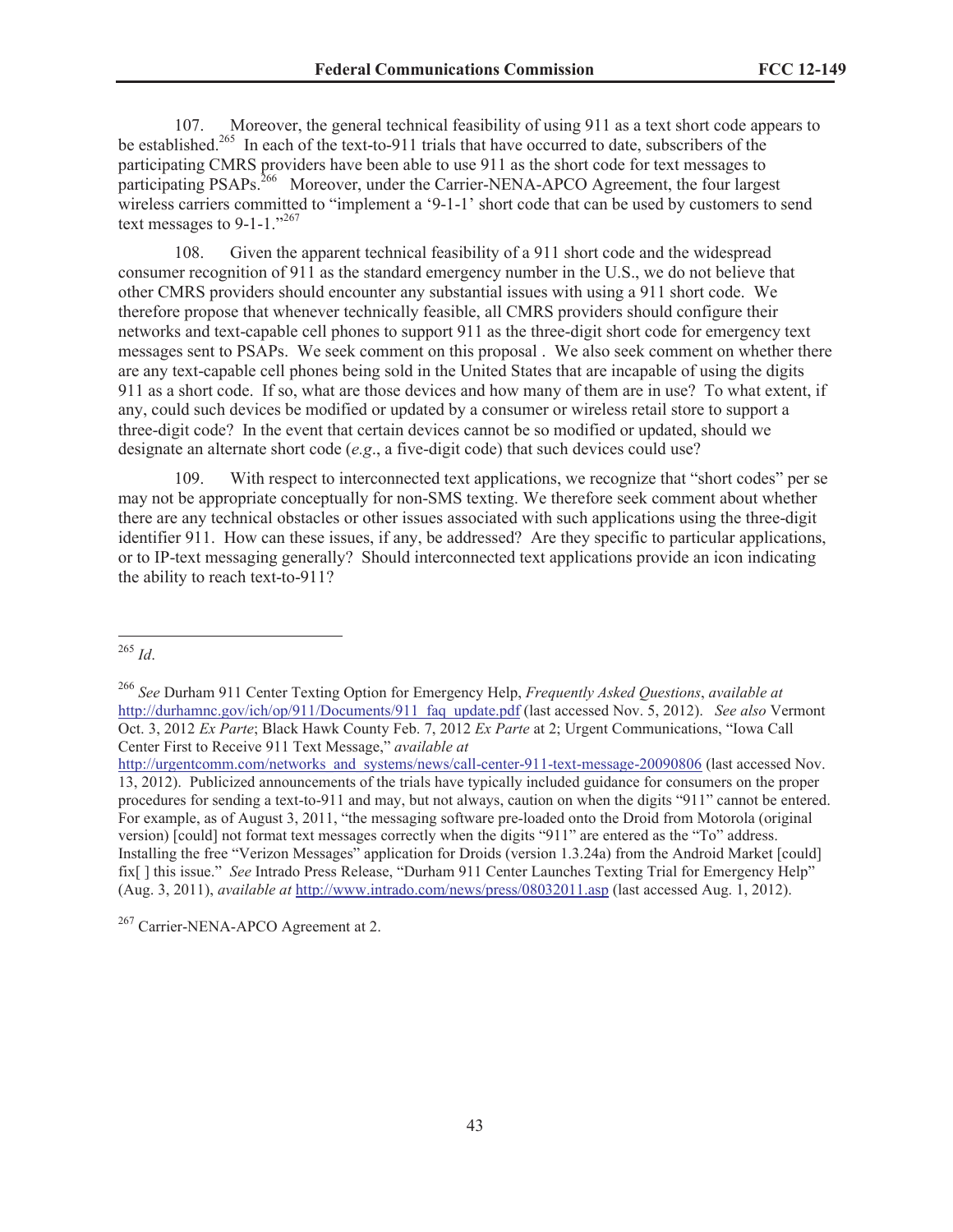107. Moreover, the general technical feasibility of using 911 as a text short code appears to be established.<sup>265</sup> In each of the text-to-911 trials that have occurred to date, subscribers of the participating CMRS providers have been able to use 911 as the short code for text messages to participating PSAPs.<sup>266</sup> Moreover, under the Carrier-NENA-APCO Agreement, the four largest wireless carriers committed to "implement a '9-1-1' short code that can be used by customers to send text messages to 9-1-1."267

108. Given the apparent technical feasibility of a 911 short code and the widespread consumer recognition of 911 as the standard emergency number in the U.S., we do not believe that other CMRS providers should encounter any substantial issues with using a 911 short code. We therefore propose that whenever technically feasible, all CMRS providers should configure their networks and text-capable cell phones to support 911 as the three-digit short code for emergency text messages sent to PSAPs. We seek comment on this proposal . We also seek comment on whether there are any text-capable cell phones being sold in the United States that are incapable of using the digits 911 as a short code. If so, what are those devices and how many of them are in use? To what extent, if any, could such devices be modified or updated by a consumer or wireless retail store to support a three-digit code? In the event that certain devices cannot be so modified or updated, should we designate an alternate short code (*e.g*., a five-digit code) that such devices could use?

109. With respect to interconnected text applications, we recognize that "short codes" per se may not be appropriate conceptually for non-SMS texting. We therefore seek comment about whether there are any technical obstacles or other issues associated with such applications using the three-digit identifier 911. How can these issues, if any, be addressed? Are they specific to particular applications, or to IP-text messaging generally? Should interconnected text applications provide an icon indicating the ability to reach text-to-911?

<sup>265</sup> *Id*.

<sup>266</sup> *See* Durham 911 Center Texting Option for Emergency Help, *Frequently Asked Questions*, *available at* http://durhamnc.gov/ich/op/911/Documents/911\_faq\_update.pdf (last accessed Nov. 5, 2012). *See also* Vermont Oct. 3, 2012 *Ex Parte*; Black Hawk County Feb. 7, 2012 *Ex Parte* at 2; Urgent Communications, "Iowa Call Center First to Receive 911 Text Message," *available at*

http://urgentcomm.com/networks\_and\_systems/news/call-center-911-text-message-20090806 (last accessed Nov. 13, 2012). Publicized announcements of the trials have typically included guidance for consumers on the proper procedures for sending a text-to-911 and may, but not always, caution on when the digits "911" cannot be entered. For example, as of August 3, 2011, "the messaging software pre-loaded onto the Droid from Motorola (original version) [could] not format text messages correctly when the digits "911" are entered as the "To" address. Installing the free "Verizon Messages" application for Droids (version 1.3.24a) from the Android Market [could] fix[ ] this issue." *See* Intrado Press Release, "Durham 911 Center Launches Texting Trial for Emergency Help" (Aug. 3, 2011), *available at* http://www.intrado.com/news/press/08032011.asp (last accessed Aug. 1, 2012).

<sup>&</sup>lt;sup>267</sup> Carrier-NENA-APCO Agreement at 2.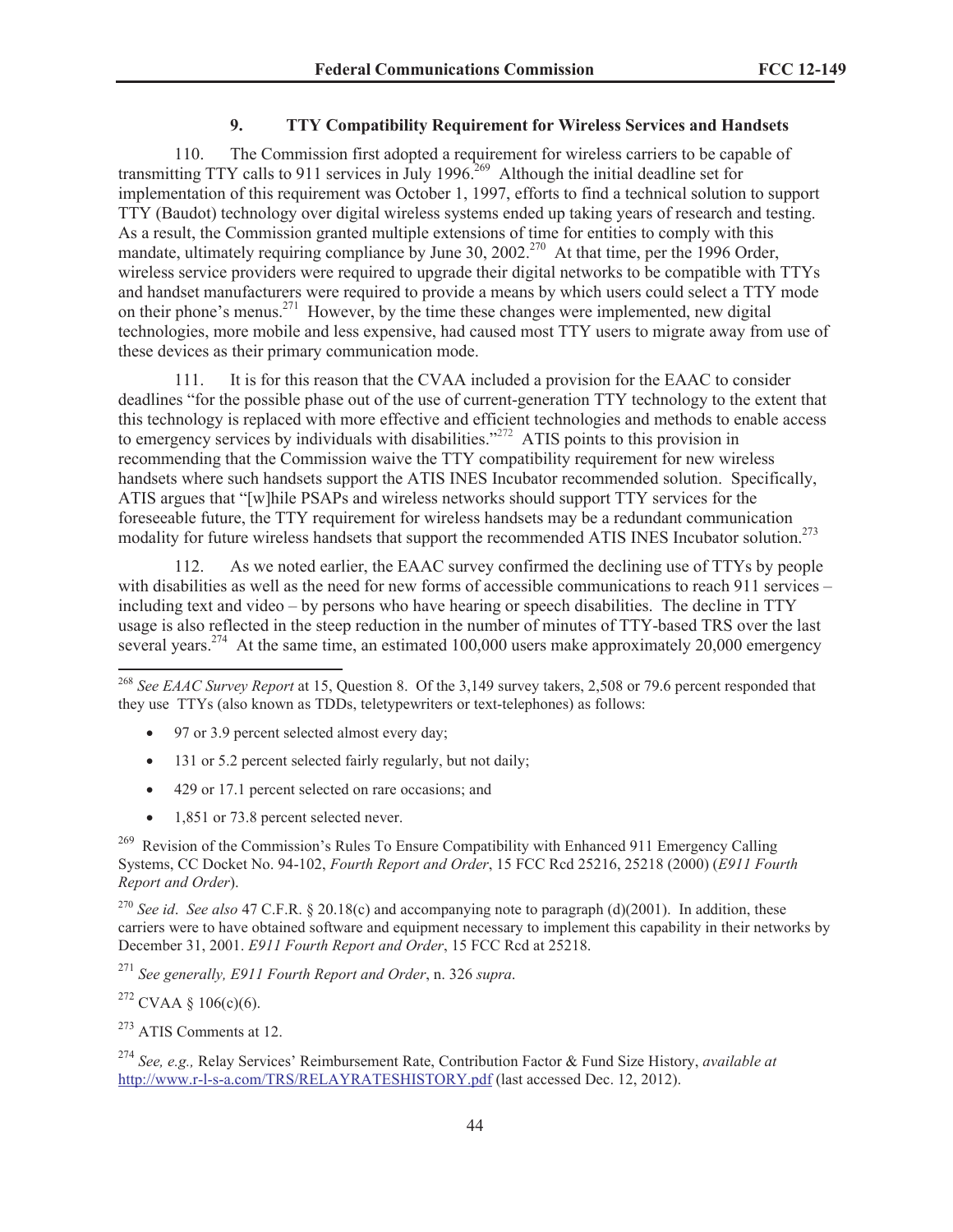## **9. TTY Compatibility Requirement for Wireless Services and Handsets**

110. The Commission first adopted a requirement for wireless carriers to be capable of transmitting TTY calls to 911 services in July 1996.<sup>269</sup> Although the initial deadline set for implementation of this requirement was October 1, 1997, efforts to find a technical solution to support TTY (Baudot) technology over digital wireless systems ended up taking years of research and testing. As a result, the Commission granted multiple extensions of time for entities to comply with this mandate, ultimately requiring compliance by June 30, 2002.<sup>270</sup> At that time, per the 1996 Order, wireless service providers were required to upgrade their digital networks to be compatible with TTYs and handset manufacturers were required to provide a means by which users could select a TTY mode on their phone's menus.<sup>271</sup> However, by the time these changes were implemented, new digital technologies, more mobile and less expensive, had caused most TTY users to migrate away from use of these devices as their primary communication mode.

111. It is for this reason that the CVAA included a provision for the EAAC to consider deadlines "for the possible phase out of the use of current-generation TTY technology to the extent that this technology is replaced with more effective and efficient technologies and methods to enable access to emergency services by individuals with disabilities."<sup>272</sup> ATIS points to this provision in recommending that the Commission waive the TTY compatibility requirement for new wireless handsets where such handsets support the ATIS INES Incubator recommended solution. Specifically, ATIS argues that "[w]hile PSAPs and wireless networks should support TTY services for the foreseeable future, the TTY requirement for wireless handsets may be a redundant communication modality for future wireless handsets that support the recommended ATIS INES Incubator solution.<sup>273</sup>

112. As we noted earlier, the EAAC survey confirmed the declining use of TTYs by people with disabilities as well as the need for new forms of accessible communications to reach 911 services – including text and video – by persons who have hearing or speech disabilities. The decline in TTY usage is also reflected in the steep reduction in the number of minutes of TTY-based TRS over the last several years.<sup>274</sup> At the same time, an estimated 100,000 users make approximately 20,000 emergency

- 97 or 3.9 percent selected almost every day;
- · 131 or 5.2 percent selected fairly regularly, but not daily;
- · 429 or 17.1 percent selected on rare occasions; and
- 1,851 or 73.8 percent selected never.

 $269$  Revision of the Commission's Rules To Ensure Compatibility with Enhanced 911 Emergency Calling Systems, CC Docket No. 94-102, *Fourth Report and Order*, 15 FCC Rcd 25216, 25218 (2000) (*E911 Fourth Report and Order*).

<sup>270</sup> *See id*. *See also* 47 C.F.R. § 20.18(c) and accompanying note to paragraph (d)(2001). In addition, these carriers were to have obtained software and equipment necessary to implement this capability in their networks by December 31, 2001. *E911 Fourth Report and Order*, 15 FCC Rcd at 25218.

<sup>271</sup> *See generally, E911 Fourth Report and Order*, n. 326 *supra*.

<sup>272</sup> CVAA § 106(c)(6).

<sup>268</sup> *See EAAC Survey Report* at 15, Question 8. Of the 3,149 survey takers, 2,508 or 79.6 percent responded that they use TTYs (also known as TDDs, teletypewriters or text-telephones) as follows:

<sup>273</sup> ATIS Comments at 12.

<sup>274</sup> *See, e.g.,* Relay Services' Reimbursement Rate, Contribution Factor & Fund Size History, *available at* http://www.r-l-s-a.com/TRS/RELAYRATESHISTORY.pdf (last accessed Dec. 12, 2012).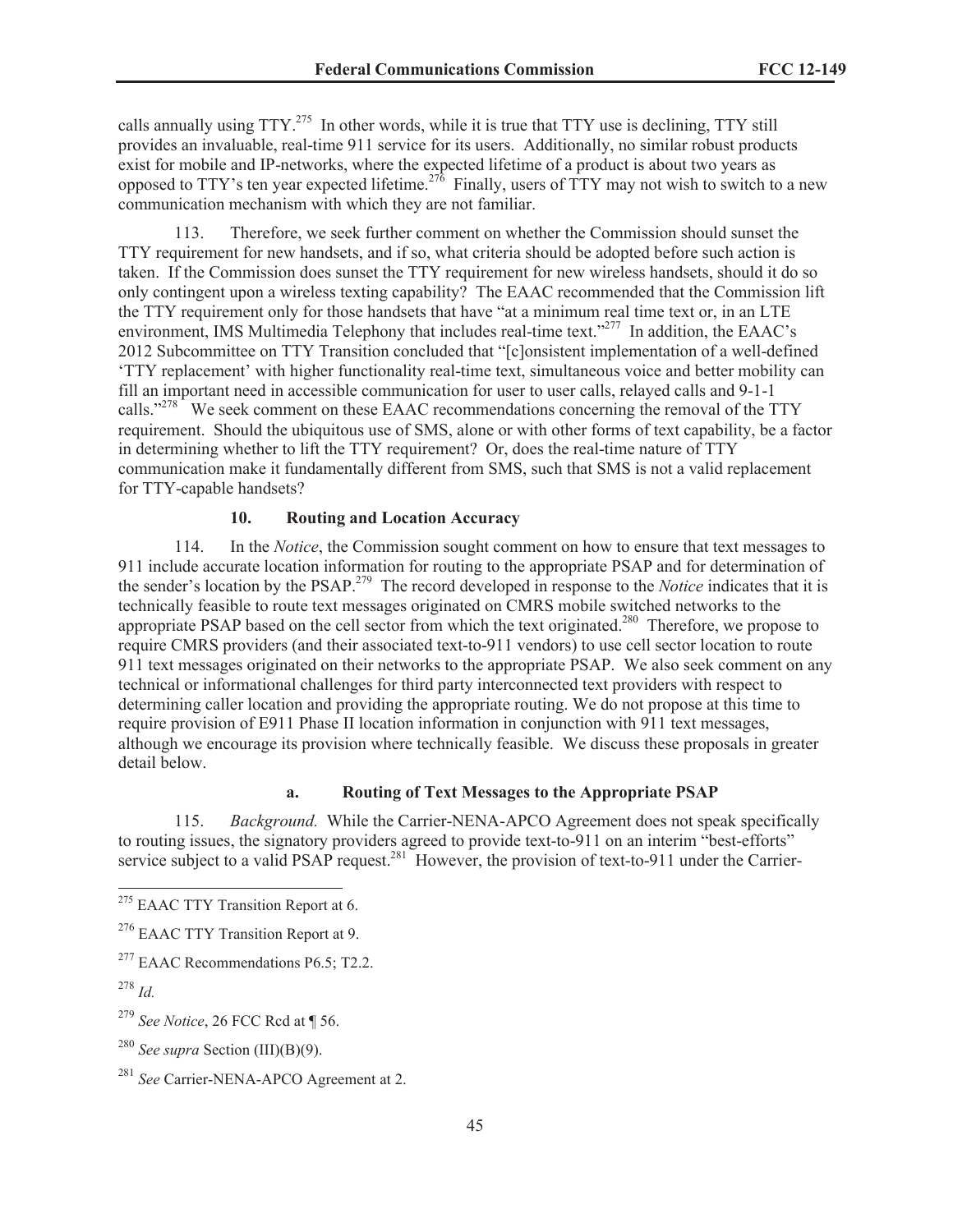calls annually using  $TTY^{275}$  In other words, while it is true that TTY use is declining, TTY still provides an invaluable, real-time 911 service for its users. Additionally, no similar robust products exist for mobile and IP-networks, where the expected lifetime of a product is about two years as opposed to TTY's ten year expected lifetime.<sup>276</sup> Finally, users of TTY may not wish to switch to a new communication mechanism with which they are not familiar.

113. Therefore, we seek further comment on whether the Commission should sunset the TTY requirement for new handsets, and if so, what criteria should be adopted before such action is taken. If the Commission does sunset the TTY requirement for new wireless handsets, should it do so only contingent upon a wireless texting capability? The EAAC recommended that the Commission lift the TTY requirement only for those handsets that have "at a minimum real time text or, in an LTE environment, IMS Multimedia Telephony that includes real-time text."<sup>277</sup> In addition, the EAAC's 2012 Subcommittee on TTY Transition concluded that "[c]onsistent implementation of a well-defined 'TTY replacement' with higher functionality real-time text, simultaneous voice and better mobility can fill an important need in accessible communication for user to user calls, relayed calls and 9-1-1 calls."<sup>278</sup> We seek comment on these EAAC recommendations concerning the removal of the TTY requirement. Should the ubiquitous use of SMS, alone or with other forms of text capability, be a factor in determining whether to lift the TTY requirement? Or, does the real-time nature of TTY communication make it fundamentally different from SMS, such that SMS is not a valid replacement for TTY-capable handsets?

### **10. Routing and Location Accuracy**

114. In the *Notice*, the Commission sought comment on how to ensure that text messages to 911 include accurate location information for routing to the appropriate PSAP and for determination of the sender's location by the PSAP.<sup>279</sup> The record developed in response to the *Notice* indicates that it is technically feasible to route text messages originated on CMRS mobile switched networks to the appropriate PSAP based on the cell sector from which the text originated.<sup>280</sup> Therefore, we propose to require CMRS providers (and their associated text-to-911 vendors) to use cell sector location to route 911 text messages originated on their networks to the appropriate PSAP. We also seek comment on any technical or informational challenges for third party interconnected text providers with respect to determining caller location and providing the appropriate routing. We do not propose at this time to require provision of E911 Phase II location information in conjunction with 911 text messages, although we encourage its provision where technically feasible. We discuss these proposals in greater detail below.

## **a. Routing of Text Messages to the Appropriate PSAP**

115. *Background.* While the Carrier-NENA-APCO Agreement does not speak specifically to routing issues, the signatory providers agreed to provide text-to-911 on an interim "best-efforts" service subject to a valid PSAP request.<sup>281</sup> However, the provision of text-to-911 under the Carrier-

<sup>&</sup>lt;sup>275</sup> EAAC TTY Transition Report at 6.

<sup>&</sup>lt;sup>276</sup> EAAC TTY Transition Report at 9.

 $277$  EAAC Recommendations P6.5; T2.2.

<sup>278</sup> *Id.* 

<sup>279</sup> *See Notice*, 26 FCC Rcd at ¶ 56.

<sup>280</sup> *See supra* Section (III)(B)(9).

<sup>281</sup> *See* Carrier-NENA-APCO Agreement at 2.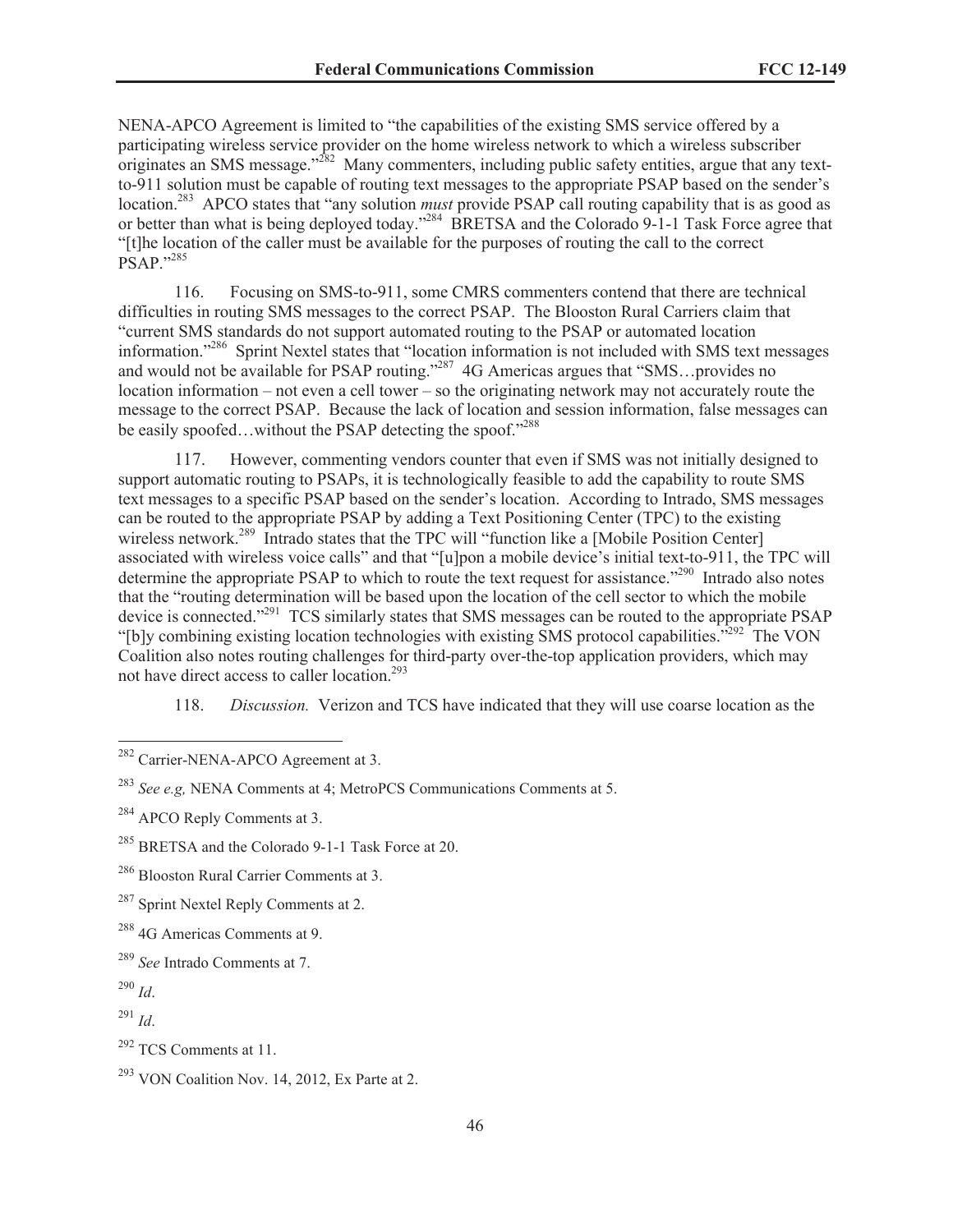NENA-APCO Agreement is limited to "the capabilities of the existing SMS service offered by a participating wireless service provider on the home wireless network to which a wireless subscriber originates an SMS message."<sup>282</sup> Many commenters, including public safety entities, argue that any textto-911 solution must be capable of routing text messages to the appropriate PSAP based on the sender's location.<sup>283</sup> APCO states that "any solution *must* provide PSAP call routing capability that is as good as or better than what is being deployed today."<sup>284</sup> BRETSA and the Colorado 9-1-1 Task Force agree that "[t]he location of the caller must be available for the purposes of routing the call to the correct PSAP."<sup>285</sup>

116. Focusing on SMS-to-911, some CMRS commenters contend that there are technical difficulties in routing SMS messages to the correct PSAP. The Blooston Rural Carriers claim that "current SMS standards do not support automated routing to the PSAP or automated location information."<sup>286</sup> Sprint Nextel states that "location information is not included with SMS text messages and would not be available for PSAP routing."<sup>287</sup> 4G Americas argues that "SMS...provides no location information – not even a cell tower – so the originating network may not accurately route the message to the correct PSAP. Because the lack of location and session information, false messages can be easily spoofed...without the PSAP detecting the spoof."288

117. However, commenting vendors counter that even if SMS was not initially designed to support automatic routing to PSAPs, it is technologically feasible to add the capability to route SMS text messages to a specific PSAP based on the sender's location. According to Intrado, SMS messages can be routed to the appropriate PSAP by adding a Text Positioning Center (TPC) to the existing wireless network.<sup>289</sup> Intrado states that the TPC will "function like a [Mobile Position Center] associated with wireless voice calls" and that "[u]pon a mobile device's initial text-to-911, the TPC will determine the appropriate PSAP to which to route the text request for assistance."<sup>290</sup> Intrado also notes that the "routing determination will be based upon the location of the cell sector to which the mobile device is connected."<sup>291</sup> TCS similarly states that SMS messages can be routed to the appropriate PSAP "[b]y combining existing location technologies with existing SMS protocol capabilities."<sup>292</sup> The VON Coalition also notes routing challenges for third-party over-the-top application providers, which may not have direct access to caller location.<sup>293</sup>

118. *Discussion.* Verizon and TCS have indicated that they will use coarse location as the

<sup>&</sup>lt;sup>282</sup> Carrier-NENA-APCO Agreement at 3.

<sup>283</sup> *See e.g,* NENA Comments at 4; MetroPCS Communications Comments at 5.

<sup>&</sup>lt;sup>284</sup> APCO Reply Comments at 3.

<sup>&</sup>lt;sup>285</sup> BRETSA and the Colorado 9-1-1 Task Force at 20.

<sup>286</sup> Blooston Rural Carrier Comments at 3.

<sup>&</sup>lt;sup>287</sup> Sprint Nextel Reply Comments at 2.

<sup>288</sup> 4G Americas Comments at 9.

<sup>289</sup> *See* Intrado Comments at 7.

<sup>290</sup> *Id*.

<sup>291</sup> *Id*.

 $292$  TCS Comments at 11.

 $293$  VON Coalition Nov. 14, 2012, Ex Parte at 2.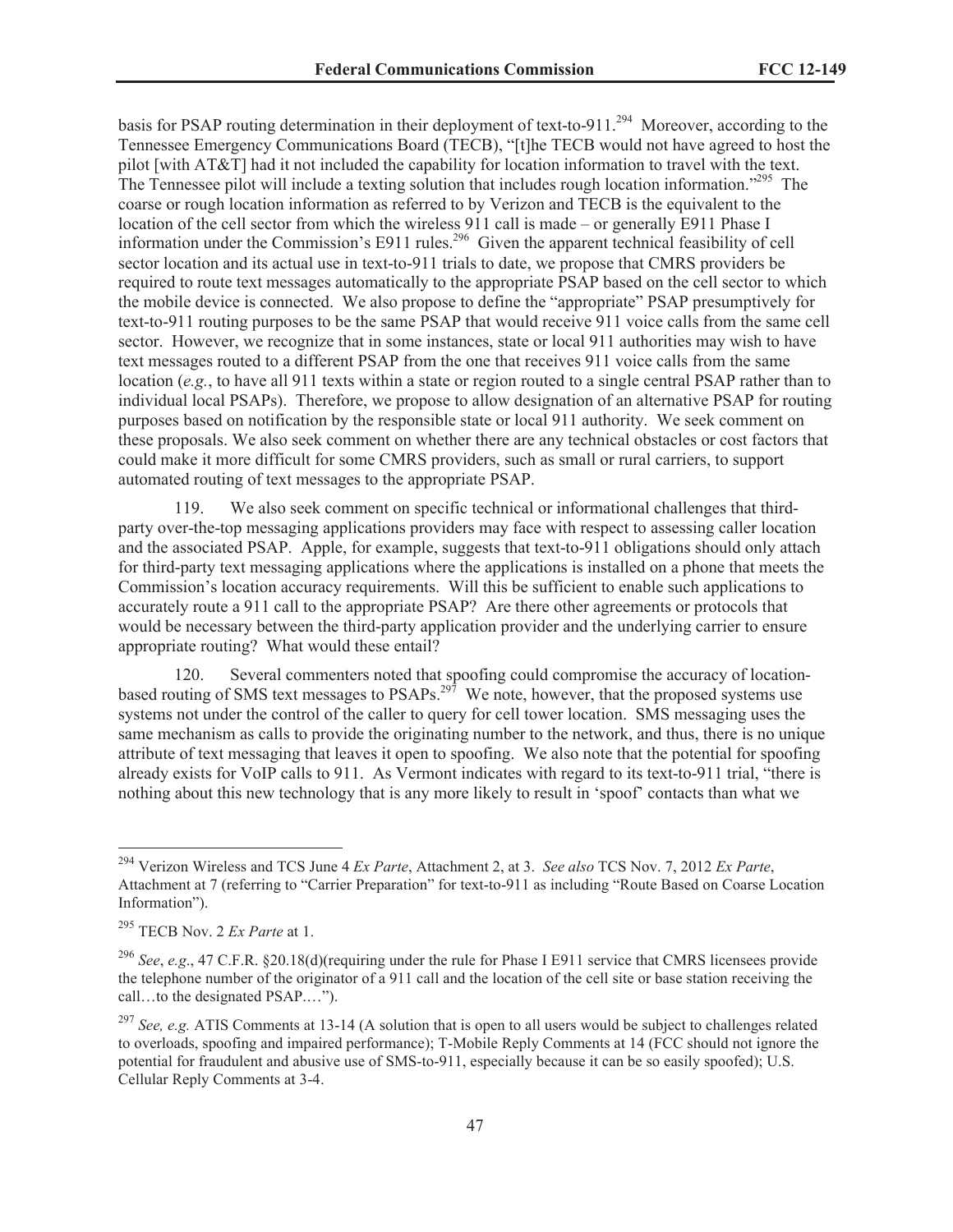basis for PSAP routing determination in their deployment of text-to-911.<sup>294</sup> Moreover, according to the Tennessee Emergency Communications Board (TECB), "[t]he TECB would not have agreed to host the pilot [with AT&T] had it not included the capability for location information to travel with the text. The Tennessee pilot will include a texting solution that includes rough location information."<sup>295</sup> The coarse or rough location information as referred to by Verizon and TECB is the equivalent to the location of the cell sector from which the wireless 911 call is made – or generally E911 Phase I information under the Commission's E911 rules.<sup>296</sup> Given the apparent technical feasibility of cell sector location and its actual use in text-to-911 trials to date, we propose that CMRS providers be required to route text messages automatically to the appropriate PSAP based on the cell sector to which the mobile device is connected. We also propose to define the "appropriate" PSAP presumptively for text-to-911 routing purposes to be the same PSAP that would receive 911 voice calls from the same cell sector. However, we recognize that in some instances, state or local 911 authorities may wish to have text messages routed to a different PSAP from the one that receives 911 voice calls from the same location (*e.g.*, to have all 911 texts within a state or region routed to a single central PSAP rather than to individual local PSAPs). Therefore, we propose to allow designation of an alternative PSAP for routing purposes based on notification by the responsible state or local 911 authority. We seek comment on these proposals. We also seek comment on whether there are any technical obstacles or cost factors that could make it more difficult for some CMRS providers, such as small or rural carriers, to support automated routing of text messages to the appropriate PSAP.

119. We also seek comment on specific technical or informational challenges that thirdparty over-the-top messaging applications providers may face with respect to assessing caller location and the associated PSAP. Apple, for example, suggests that text-to-911 obligations should only attach for third-party text messaging applications where the applications is installed on a phone that meets the Commission's location accuracy requirements. Will this be sufficient to enable such applications to accurately route a 911 call to the appropriate PSAP? Are there other agreements or protocols that would be necessary between the third-party application provider and the underlying carrier to ensure appropriate routing? What would these entail?

120. Several commenters noted that spoofing could compromise the accuracy of locationbased routing of SMS text messages to PSAPs.<sup>297</sup> We note, however, that the proposed systems use systems not under the control of the caller to query for cell tower location. SMS messaging uses the same mechanism as calls to provide the originating number to the network, and thus, there is no unique attribute of text messaging that leaves it open to spoofing. We also note that the potential for spoofing already exists for VoIP calls to 911. As Vermont indicates with regard to its text-to-911 trial, "there is nothing about this new technology that is any more likely to result in 'spoof' contacts than what we

<sup>294</sup> Verizon Wireless and TCS June 4 *Ex Parte*, Attachment 2, at 3. *See also* TCS Nov. 7, 2012 *Ex Parte*, Attachment at 7 (referring to "Carrier Preparation" for text-to-911 as including "Route Based on Coarse Location Information").

<sup>295</sup> TECB Nov. 2 *Ex Parte* at 1.

<sup>296</sup> *See*, *e.g*., 47 C.F.R. §20.18(d)(requiring under the rule for Phase I E911 service that CMRS licensees provide the telephone number of the originator of a 911 call and the location of the cell site or base station receiving the call…to the designated PSAP.…").

<sup>297</sup> *See, e.g.* ATIS Comments at 13-14 (A solution that is open to all users would be subject to challenges related to overloads, spoofing and impaired performance); T-Mobile Reply Comments at 14 (FCC should not ignore the potential for fraudulent and abusive use of SMS-to-911, especially because it can be so easily spoofed); U.S. Cellular Reply Comments at 3-4.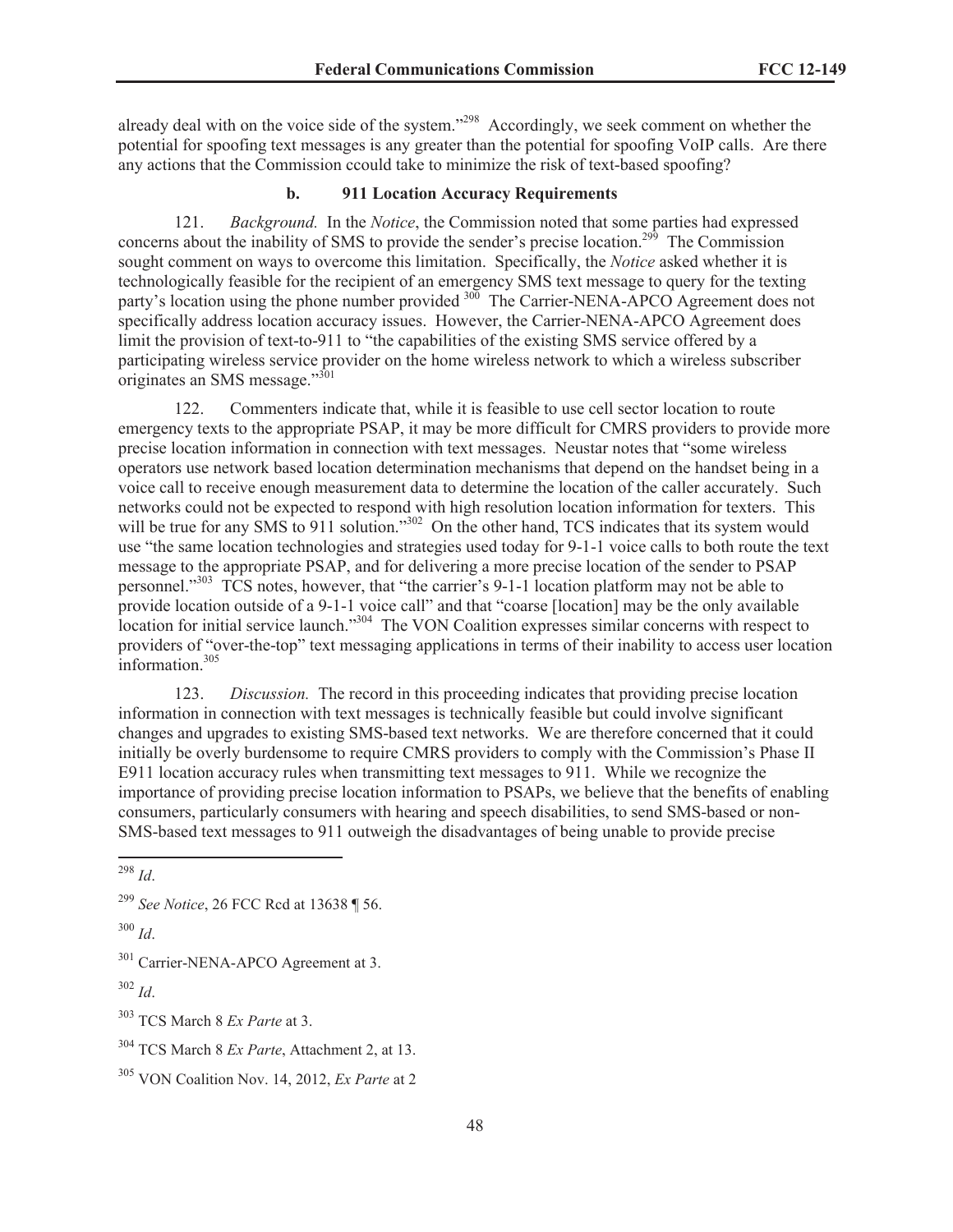already deal with on the voice side of the system."<sup>298</sup> Accordingly, we seek comment on whether the potential for spoofing text messages is any greater than the potential for spoofing VoIP calls. Are there any actions that the Commission ccould take to minimize the risk of text-based spoofing?

# **b. 911 Location Accuracy Requirements**

121. *Background.* In the *Notice*, the Commission noted that some parties had expressed concerns about the inability of SMS to provide the sender's precise location.<sup>299</sup> The Commission sought comment on ways to overcome this limitation. Specifically, the *Notice* asked whether it is technologically feasible for the recipient of an emergency SMS text message to query for the texting party's location using the phone number provided <sup>300</sup> The Carrier-NENA-APCO Agreement does not specifically address location accuracy issues. However, the Carrier-NENA-APCO Agreement does limit the provision of text-to-911 to "the capabilities of the existing SMS service offered by a participating wireless service provider on the home wireless network to which a wireless subscriber originates an SMS message."<sup>301</sup>

122. Commenters indicate that, while it is feasible to use cell sector location to route emergency texts to the appropriate PSAP, it may be more difficult for CMRS providers to provide more precise location information in connection with text messages. Neustar notes that "some wireless operators use network based location determination mechanisms that depend on the handset being in a voice call to receive enough measurement data to determine the location of the caller accurately. Such networks could not be expected to respond with high resolution location information for texters. This will be true for any SMS to 911 solution."<sup>302</sup> On the other hand, TCS indicates that its system would use "the same location technologies and strategies used today for 9-1-1 voice calls to both route the text message to the appropriate PSAP, and for delivering a more precise location of the sender to PSAP personnel."<sup>303</sup> TCS notes, however, that "the carrier's 9-1-1 location platform may not be able to provide location outside of a 9-1-1 voice call" and that "coarse [location] may be the only available location for initial service launch."<sup>304</sup> The VON Coalition expresses similar concerns with respect to providers of "over-the-top" text messaging applications in terms of their inability to access user location information.<sup>305</sup>

123. *Discussion.* The record in this proceeding indicates that providing precise location information in connection with text messages is technically feasible but could involve significant changes and upgrades to existing SMS-based text networks. We are therefore concerned that it could initially be overly burdensome to require CMRS providers to comply with the Commission's Phase II E911 location accuracy rules when transmitting text messages to 911. While we recognize the importance of providing precise location information to PSAPs, we believe that the benefits of enabling consumers, particularly consumers with hearing and speech disabilities, to send SMS-based or non-SMS-based text messages to 911 outweigh the disadvantages of being unable to provide precise

<sup>303</sup> TCS March 8 *Ex Parte* at 3.

<sup>298</sup> *Id*.

<sup>299</sup> *See Notice*, 26 FCC Rcd at 13638 ¶ 56.

<sup>300</sup> *Id*.

<sup>&</sup>lt;sup>301</sup> Carrier-NENA-APCO Agreement at 3.

<sup>302</sup> *Id*.

<sup>304</sup> TCS March 8 *Ex Parte*, Attachment 2, at 13.

<sup>305</sup> VON Coalition Nov. 14, 2012, *Ex Parte* at 2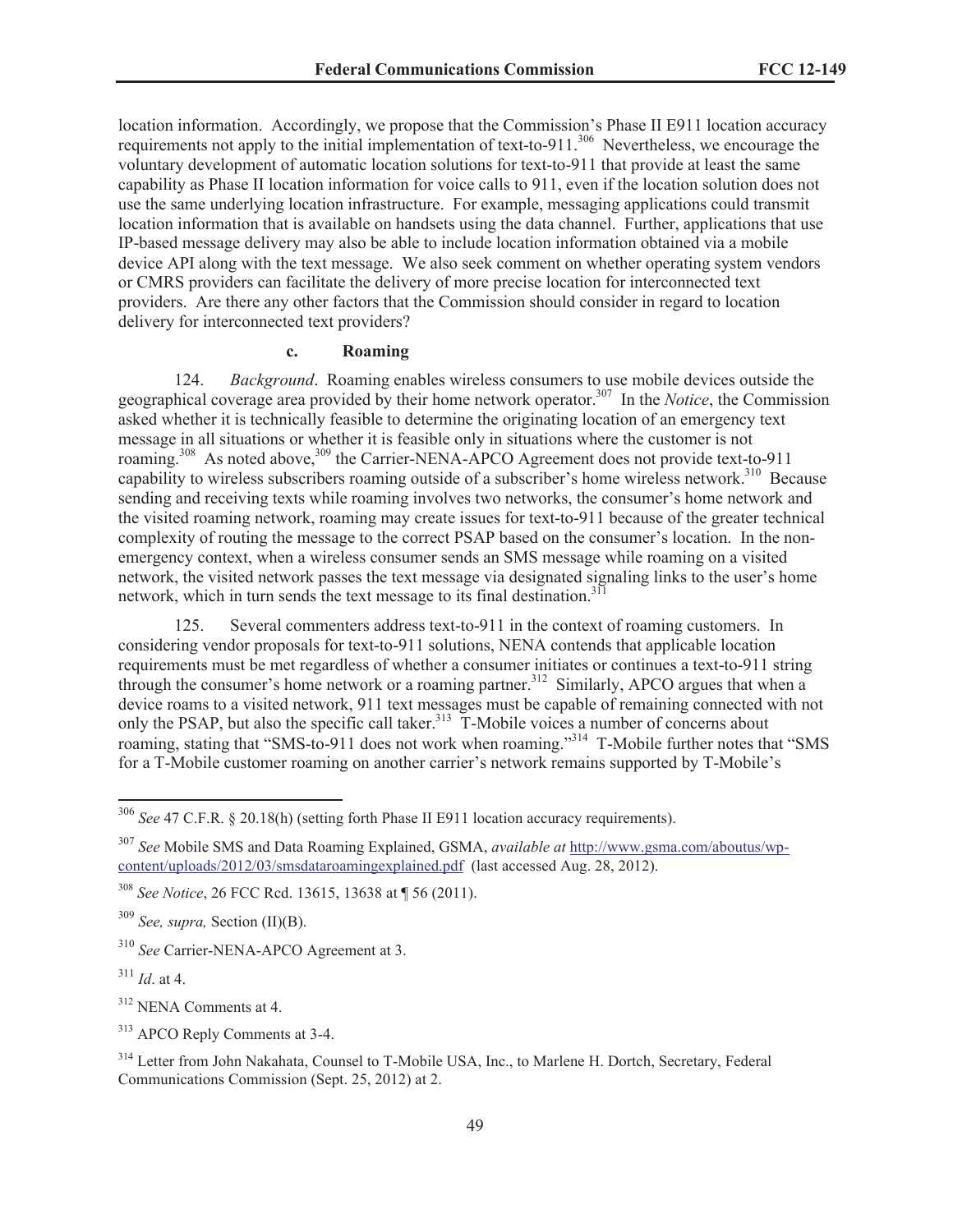location information. Accordingly, we propose that the Commission's Phase II E911 location accuracy requirements not apply to the initial implementation of text-to-911.<sup>306</sup> Nevertheless, we encourage the voluntary development of automatic location solutions for text-to-911 that provide at least the same capability as Phase II location information for voice calls to 911, even if the location solution does not use the same underlying location infrastructure. For example, messaging applications could transmit location information that is available on handsets using the data channel. Further, applications that use IP-based message delivery may also be able to include location information obtained via a mobile device API along with the text message. We also seek comment on whether operating system vendors or CMRS providers can facilitate the delivery of more precise location for interconnected text providers. Are there any other factors that the Commission should consider in regard to location delivery for interconnected text providers?

### **c. Roaming**

124. *Background*. Roaming enables wireless consumers to use mobile devices outside the geographical coverage area provided by their home network operator.<sup>307</sup> In the *Notice*, the Commission asked whether it is technically feasible to determine the originating location of an emergency text message in all situations or whether it is feasible only in situations where the customer is not roaming.<sup>308</sup> As noted above,<sup>309</sup> the Carrier-NENA-APCO Agreement does not provide text-to-911 capability to wireless subscribers roaming outside of a subscriber's home wireless network.<sup>310</sup> Because sending and receiving texts while roaming involves two networks, the consumer's home network and the visited roaming network, roaming may create issues for text-to-911 because of the greater technical complexity of routing the message to the correct PSAP based on the consumer's location. In the nonemergency context, when a wireless consumer sends an SMS message while roaming on a visited network, the visited network passes the text message via designated signaling links to the user's home network, which in turn sends the text message to its final destination.<sup>311</sup>

125. Several commenters address text-to-911 in the context of roaming customers. In considering vendor proposals for text-to-911 solutions, NENA contends that applicable location requirements must be met regardless of whether a consumer initiates or continues a text-to-911 string through the consumer's home network or a roaming partner.<sup>312</sup> Similarly, APCO argues that when a device roams to a visited network, 911 text messages must be capable of remaining connected with not only the PSAP, but also the specific call taker.<sup>313</sup> T-Mobile voices a number of concerns about roaming, stating that "SMS-to-911 does not work when roaming."<sup>314</sup> T-Mobile further notes that "SMS for a T-Mobile customer roaming on another carrier's network remains supported by T-Mobile's

<sup>309</sup> *See, supra,* Section (II)(B).

<sup>310</sup> *See* Carrier-NENA-APCO Agreement at 3.

<sup>311</sup> *Id*. at 4.

<sup>312</sup> NENA Comments at 4.

<sup>313</sup> APCO Reply Comments at 3-4.

<sup>314</sup> Letter from John Nakahata, Counsel to T-Mobile USA, Inc., to Marlene H. Dortch, Secretary, Federal Communications Commission (Sept. 25, 2012) at 2.

<sup>306</sup> *See* 47 C.F.R. § 20.18(h) (setting forth Phase II E911 location accuracy requirements).

<sup>307</sup> *See* Mobile SMS and Data Roaming Explained, GSMA, *available at* http://www.gsma.com/aboutus/wpcontent/uploads/2012/03/smsdataroamingexplained.pdf (last accessed Aug. 28, 2012).

<sup>308</sup> *See Notice*, 26 FCC Rcd. 13615, 13638 at ¶ 56 (2011).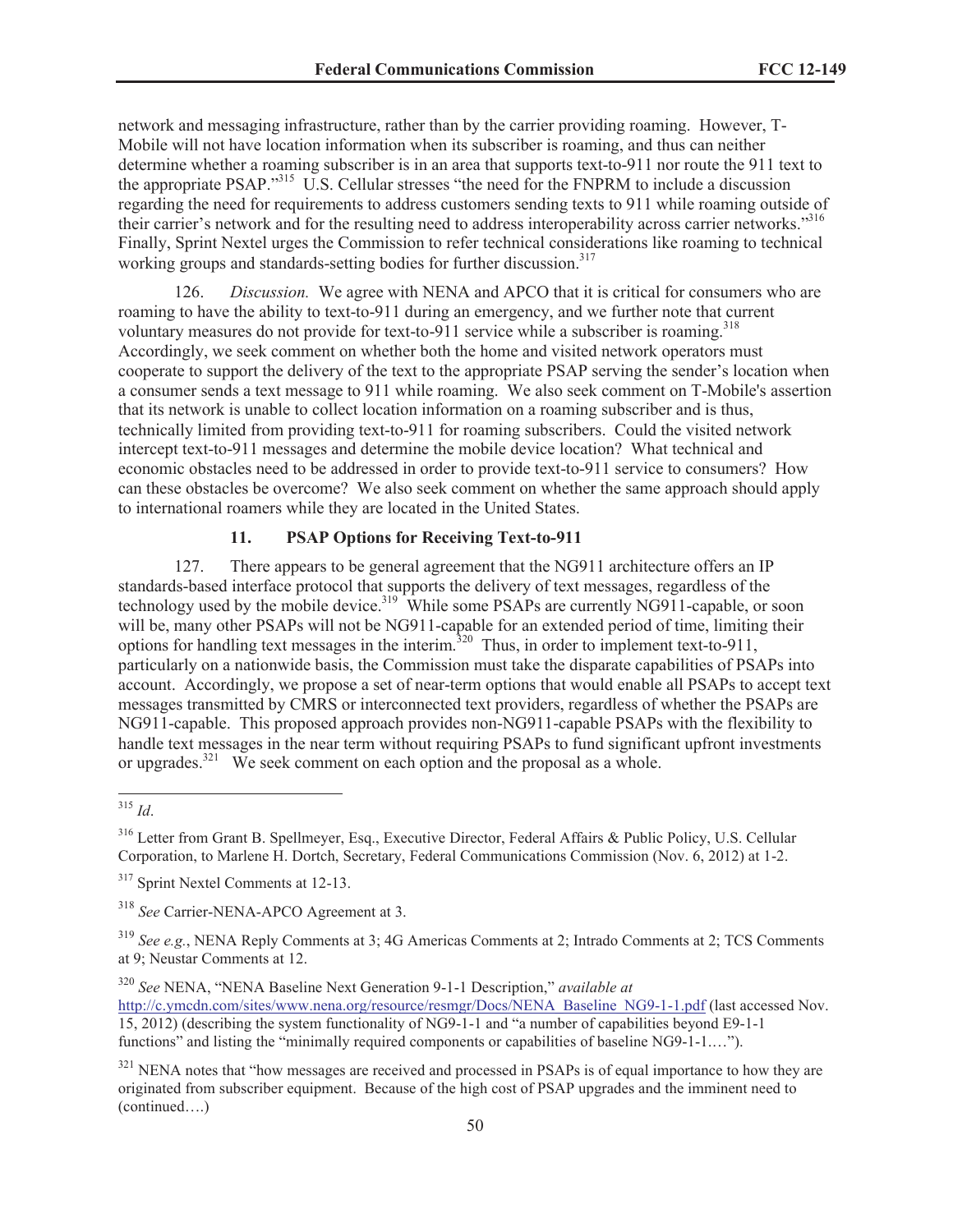network and messaging infrastructure, rather than by the carrier providing roaming. However, T-Mobile will not have location information when its subscriber is roaming, and thus can neither determine whether a roaming subscriber is in an area that supports text-to-911 nor route the 911 text to the appropriate PSAP."<sup>315</sup> U.S. Cellular stresses "the need for the FNPRM to include a discussion regarding the need for requirements to address customers sending texts to 911 while roaming outside of their carrier's network and for the resulting need to address interoperability across carrier networks."<sup>316</sup> Finally, Sprint Nextel urges the Commission to refer technical considerations like roaming to technical working groups and standards-setting bodies for further discussion.<sup>317</sup>

Discussion. We agree with NENA and APCO that it is critical for consumers who are roaming to have the ability to text-to-911 during an emergency, and we further note that current voluntary measures do not provide for text-to-911 service while a subscriber is roaming.<sup>318</sup> Accordingly, we seek comment on whether both the home and visited network operators must cooperate to support the delivery of the text to the appropriate PSAP serving the sender's location when a consumer sends a text message to 911 while roaming. We also seek comment on T-Mobile's assertion that its network is unable to collect location information on a roaming subscriber and is thus, technically limited from providing text-to-911 for roaming subscribers. Could the visited network intercept text-to-911 messages and determine the mobile device location? What technical and economic obstacles need to be addressed in order to provide text-to-911 service to consumers? How can these obstacles be overcome? We also seek comment on whether the same approach should apply to international roamers while they are located in the United States.

# **11. PSAP Options for Receiving Text-to-911**

127. There appears to be general agreement that the NG911 architecture offers an IP standards-based interface protocol that supports the delivery of text messages, regardless of the technology used by the mobile device.<sup>319</sup> While some PSAPs are currently NG911-capable, or soon will be, many other PSAPs will not be NG911-capable for an extended period of time, limiting their options for handling text messages in the interim.<sup>320</sup> Thus, in order to implement text-to-911, particularly on a nationwide basis, the Commission must take the disparate capabilities of PSAPs into account. Accordingly, we propose a set of near-term options that would enable all PSAPs to accept text messages transmitted by CMRS or interconnected text providers, regardless of whether the PSAPs are NG911-capable. This proposed approach provides non-NG911-capable PSAPs with the flexibility to handle text messages in the near term without requiring PSAPs to fund significant upfront investments or upgrades.<sup>321</sup> We seek comment on each option and the proposal as a whole.

<sup>315</sup> *Id*.

<sup>316</sup> Letter from Grant B. Spellmeyer, Esq., Executive Director, Federal Affairs & Public Policy, U.S. Cellular Corporation, to Marlene H. Dortch, Secretary, Federal Communications Commission (Nov. 6, 2012) at 1-2.

<sup>&</sup>lt;sup>317</sup> Sprint Nextel Comments at 12-13.

<sup>318</sup> *See* Carrier-NENA-APCO Agreement at 3.

<sup>319</sup> *See e.g.*, NENA Reply Comments at 3; 4G Americas Comments at 2; Intrado Comments at 2; TCS Comments at 9; Neustar Comments at 12.

<sup>320</sup> *See* NENA, "NENA Baseline Next Generation 9-1-1 Description," *available at*

http://c.ymcdn.com/sites/www.nena.org/resource/resmgr/Docs/NENA\_Baseline\_NG9-1-1.pdf (last accessed Nov. 15, 2012) (describing the system functionality of NG9-1-1 and "a number of capabilities beyond E9-1-1 functions" and listing the "minimally required components or capabilities of baseline NG9-1-1.…").

<sup>&</sup>lt;sup>321</sup> NENA notes that "how messages are received and processed in PSAPs is of equal importance to how they are originated from subscriber equipment. Because of the high cost of PSAP upgrades and the imminent need to (continued….)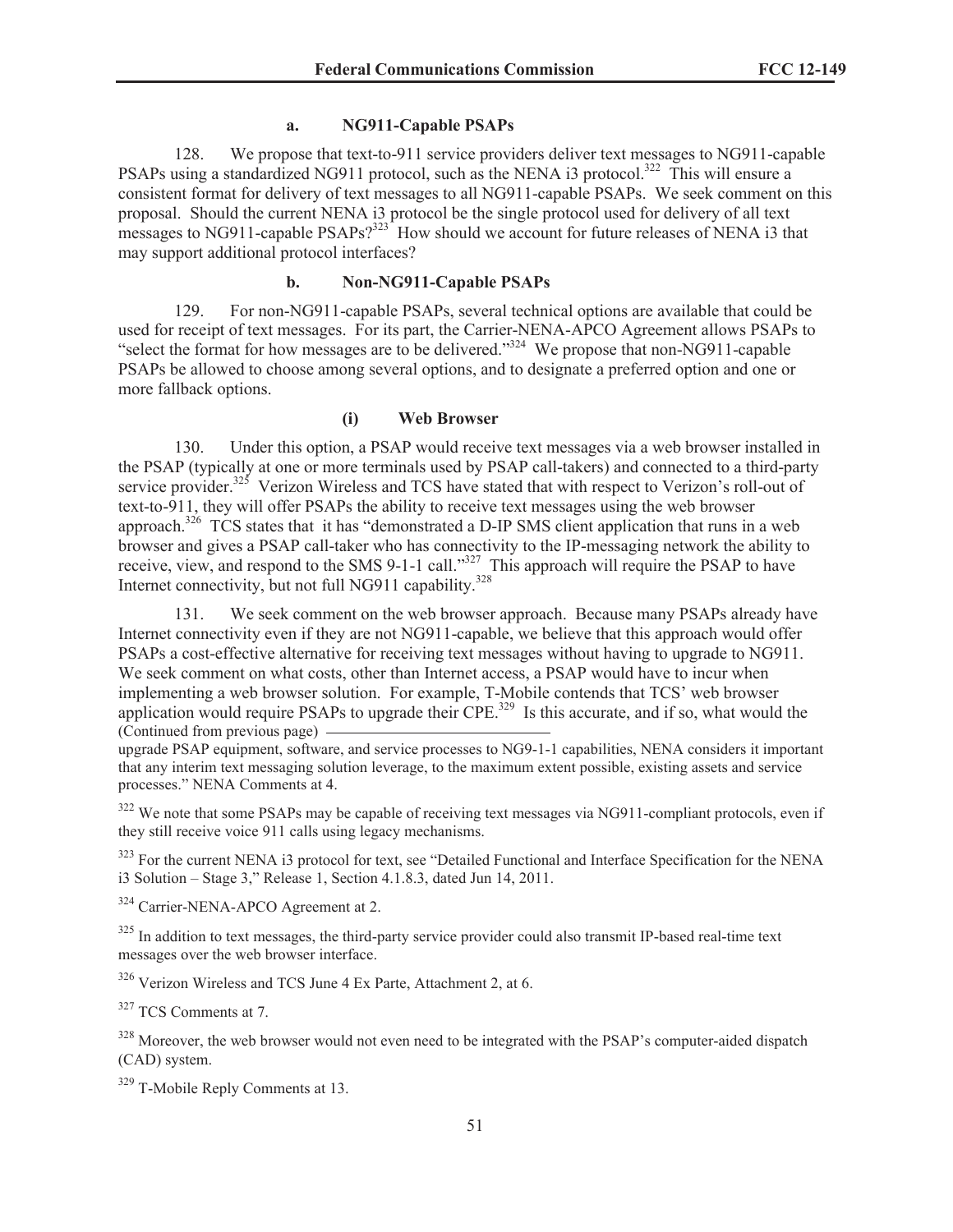### **a. NG911-Capable PSAPs**

128. We propose that text-to-911 service providers deliver text messages to NG911-capable PSAPs using a standardized NG911 protocol, such as the NENA i3 protocol.<sup>322</sup> This will ensure a consistent format for delivery of text messages to all NG911-capable PSAPs. We seek comment on this proposal. Should the current NENA i3 protocol be the single protocol used for delivery of all text messages to NG911-capable  $PSAPs?^{323}$  How should we account for future releases of NENA i3 that may support additional protocol interfaces?

## **b. Non-NG911-Capable PSAPs**

129. For non-NG911-capable PSAPs, several technical options are available that could be used for receipt of text messages. For its part, the Carrier-NENA-APCO Agreement allows PSAPs to "select the format for how messages are to be delivered."<sup>324</sup> We propose that non-NG911-capable PSAPs be allowed to choose among several options, and to designate a preferred option and one or more fallback options.

### **(i) Web Browser**

130. Under this option, a PSAP would receive text messages via a web browser installed in the PSAP (typically at one or more terminals used by PSAP call-takers) and connected to a third-party service provider.<sup>325</sup> Verizon Wireless and TCS have stated that with respect to Verizon's roll-out of text-to-911, they will offer PSAPs the ability to receive text messages using the web browser approach.<sup>326</sup> TCS states that it has "demonstrated a D-IP SMS client application that runs in a web browser and gives a PSAP call-taker who has connectivity to the IP-messaging network the ability to receive, view, and respond to the SMS 9-1-1 call."<sup>327</sup> This approach will require the PSAP to have Internet connectivity, but not full NG911 capability. 328

131. We seek comment on the web browser approach. Because many PSAPs already have Internet connectivity even if they are not NG911-capable, we believe that this approach would offer PSAPs a cost-effective alternative for receiving text messages without having to upgrade to NG911. We seek comment on what costs, other than Internet access, a PSAP would have to incur when implementing a web browser solution. For example, T-Mobile contends that TCS' web browser application would require PSAPs to upgrade their CPE.<sup>329</sup> Is this accurate, and if so, what would the (Continued from previous page)

upgrade PSAP equipment, software, and service processes to NG9-1-1 capabilities, NENA considers it important that any interim text messaging solution leverage, to the maximum extent possible, existing assets and service processes." NENA Comments at 4.

<sup>322</sup> We note that some PSAPs may be capable of receiving text messages via NG911-compliant protocols, even if they still receive voice 911 calls using legacy mechanisms.

<sup>323</sup> For the current NENA i3 protocol for text, see "Detailed Functional and Interface Specification for the NENA i3 Solution – Stage 3," Release 1, Section 4.1.8.3, dated Jun 14, 2011.

<sup>324</sup> Carrier-NENA-APCO Agreement at 2.

<sup>325</sup> In addition to text messages, the third-party service provider could also transmit IP-based real-time text messages over the web browser interface.

<sup>326</sup> Verizon Wireless and TCS June 4 Ex Parte, Attachment 2, at 6.

<sup>327</sup> TCS Comments at 7.

<sup>328</sup> Moreover, the web browser would not even need to be integrated with the PSAP's computer-aided dispatch (CAD) system.

<sup>329</sup> T-Mobile Reply Comments at 13.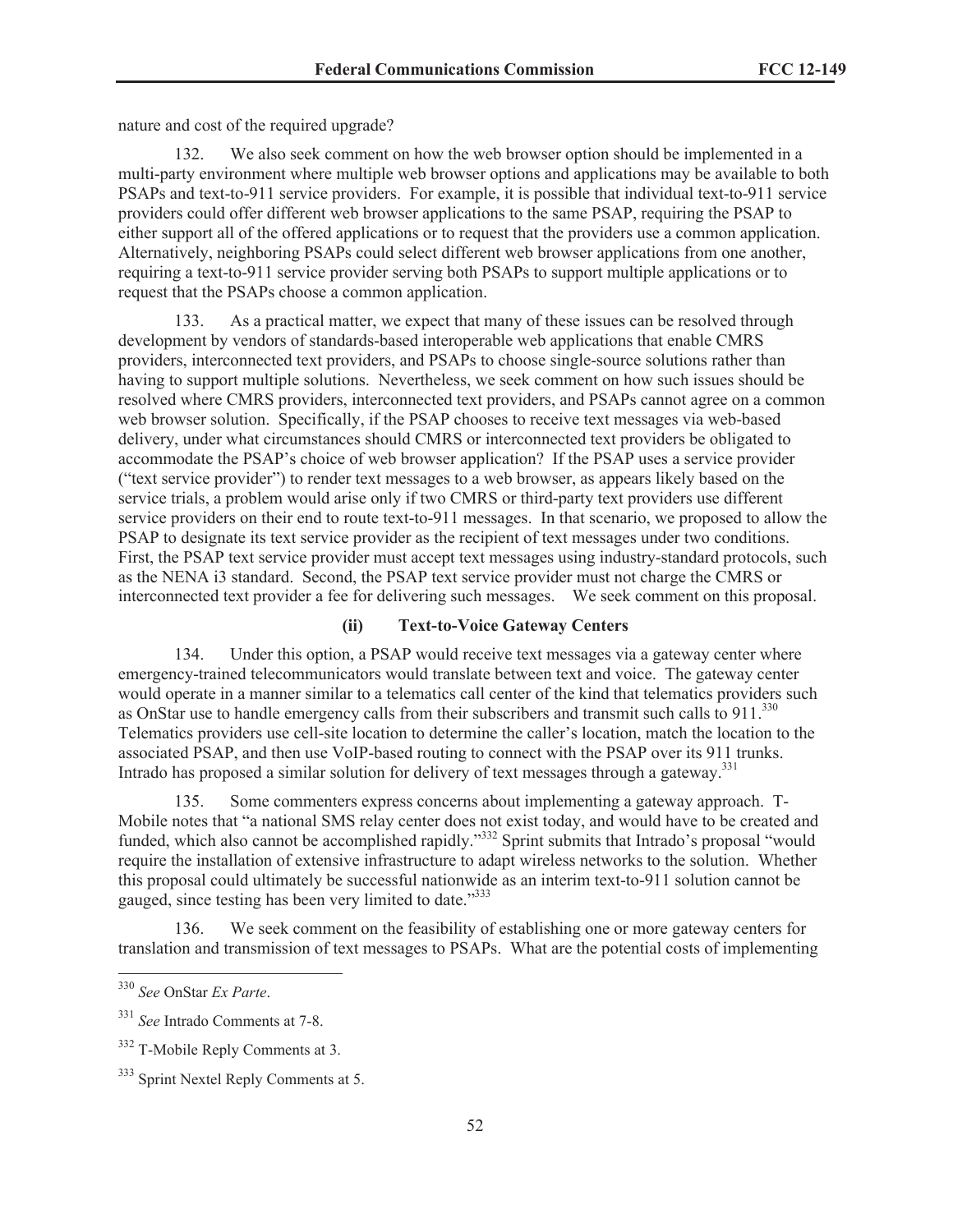nature and cost of the required upgrade?

132. We also seek comment on how the web browser option should be implemented in a multi-party environment where multiple web browser options and applications may be available to both PSAPs and text-to-911 service providers. For example, it is possible that individual text-to-911 service providers could offer different web browser applications to the same PSAP, requiring the PSAP to either support all of the offered applications or to request that the providers use a common application. Alternatively, neighboring PSAPs could select different web browser applications from one another, requiring a text-to-911 service provider serving both PSAPs to support multiple applications or to request that the PSAPs choose a common application.

133. As a practical matter, we expect that many of these issues can be resolved through development by vendors of standards-based interoperable web applications that enable CMRS providers, interconnected text providers, and PSAPs to choose single-source solutions rather than having to support multiple solutions. Nevertheless, we seek comment on how such issues should be resolved where CMRS providers, interconnected text providers, and PSAPs cannot agree on a common web browser solution. Specifically, if the PSAP chooses to receive text messages via web-based delivery, under what circumstances should CMRS or interconnected text providers be obligated to accommodate the PSAP's choice of web browser application? If the PSAP uses a service provider ("text service provider") to render text messages to a web browser, as appears likely based on the service trials, a problem would arise only if two CMRS or third-party text providers use different service providers on their end to route text-to-911 messages. In that scenario, we proposed to allow the PSAP to designate its text service provider as the recipient of text messages under two conditions. First, the PSAP text service provider must accept text messages using industry-standard protocols, such as the NENA i3 standard. Second, the PSAP text service provider must not charge the CMRS or interconnected text provider a fee for delivering such messages. We seek comment on this proposal.

## **(ii) Text-to-Voice Gateway Centers**

134. Under this option, a PSAP would receive text messages via a gateway center where emergency-trained telecommunicators would translate between text and voice. The gateway center would operate in a manner similar to a telematics call center of the kind that telematics providers such as OnStar use to handle emergency calls from their subscribers and transmit such calls to 911.<sup>330</sup> Telematics providers use cell-site location to determine the caller's location, match the location to the associated PSAP, and then use VoIP-based routing to connect with the PSAP over its 911 trunks. Intrado has proposed a similar solution for delivery of text messages through a gateway.<sup>331</sup>

135. Some commenters express concerns about implementing a gateway approach. T-Mobile notes that "a national SMS relay center does not exist today, and would have to be created and funded, which also cannot be accomplished rapidly."<sup>332</sup> Sprint submits that Intrado's proposal "would require the installation of extensive infrastructure to adapt wireless networks to the solution. Whether this proposal could ultimately be successful nationwide as an interim text-to-911 solution cannot be gauged, since testing has been very limited to date."<sup>333</sup>

136. We seek comment on the feasibility of establishing one or more gateway centers for translation and transmission of text messages to PSAPs. What are the potential costs of implementing

<sup>330</sup> *See* OnStar *Ex Parte*.

<sup>331</sup> *See* Intrado Comments at 7-8.

<sup>332</sup> T-Mobile Reply Comments at 3.

<sup>&</sup>lt;sup>333</sup> Sprint Nextel Reply Comments at 5.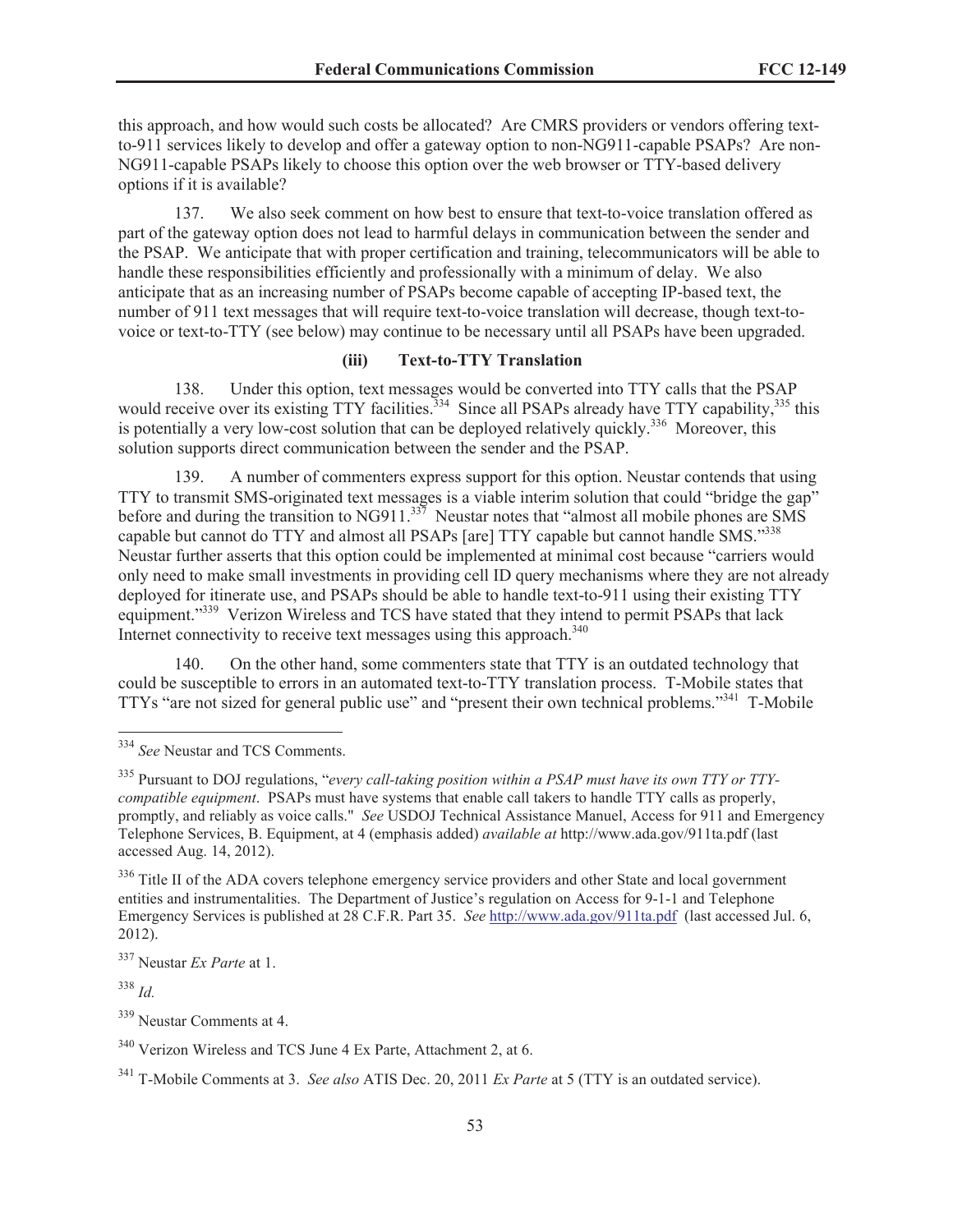this approach, and how would such costs be allocated? Are CMRS providers or vendors offering textto-911 services likely to develop and offer a gateway option to non-NG911-capable PSAPs? Are non-NG911-capable PSAPs likely to choose this option over the web browser or TTY-based delivery options if it is available?

137. We also seek comment on how best to ensure that text-to-voice translation offered as part of the gateway option does not lead to harmful delays in communication between the sender and the PSAP. We anticipate that with proper certification and training, telecommunicators will be able to handle these responsibilities efficiently and professionally with a minimum of delay. We also anticipate that as an increasing number of PSAPs become capable of accepting IP-based text, the number of 911 text messages that will require text-to-voice translation will decrease, though text-tovoice or text-to-TTY (see below) may continue to be necessary until all PSAPs have been upgraded.

### **(iii) Text-to-TTY Translation**

138. Under this option, text messages would be converted into TTY calls that the PSAP would receive over its existing  $TTY$  facilities.<sup>334</sup> Since all PSAPs already have  $TTY$  capability,<sup>335</sup> this is potentially a very low-cost solution that can be deployed relatively quickly.<sup>336</sup> Moreover, this solution supports direct communication between the sender and the PSAP.

139. A number of commenters express support for this option. Neustar contends that using TTY to transmit SMS-originated text messages is a viable interim solution that could "bridge the gap" before and during the transition to NG911.<sup>337</sup> Neustar notes that "almost all mobile phones are SMS capable but cannot do TTY and almost all PSAPs [are] TTY capable but cannot handle SMS."<sup>338</sup> Neustar further asserts that this option could be implemented at minimal cost because "carriers would only need to make small investments in providing cell ID query mechanisms where they are not already deployed for itinerate use, and PSAPs should be able to handle text-to-911 using their existing TTY equipment."<sup>339</sup> Verizon Wireless and TCS have stated that they intend to permit PSAPs that lack Internet connectivity to receive text messages using this approach.<sup>340</sup>

140. On the other hand, some commenters state that TTY is an outdated technology that could be susceptible to errors in an automated text-to-TTY translation process. T-Mobile states that TTYs "are not sized for general public use" and "present their own technical problems."<sup>341</sup> T-Mobile

<sup>339</sup> Neustar Comments at 4.

<sup>334</sup> *See* Neustar and TCS Comments.

<sup>335</sup> Pursuant to DOJ regulations, "*every call-taking position within a PSAP must have its own TTY or TTYcompatible equipment*. PSAPs must have systems that enable call takers to handle TTY calls as properly, promptly, and reliably as voice calls." *See* USDOJ Technical Assistance Manuel, Access for 911 and Emergency Telephone Services, B. Equipment, at 4 (emphasis added) *available at* http://www.ada.gov/911ta.pdf (last accessed Aug. 14, 2012).

<sup>&</sup>lt;sup>336</sup> Title II of the ADA covers telephone emergency service providers and other State and local government entities and instrumentalities. The Department of Justice's regulation on Access for 9-1-1 and Telephone Emergency Services is published at 28 C.F.R. Part 35. *See* http://www.ada.gov/911ta.pdf (last accessed Jul. 6, 2012).

<sup>337</sup> Neustar *Ex Parte* at 1.

<sup>338</sup> *Id.*

<sup>340</sup> Verizon Wireless and TCS June 4 Ex Parte, Attachment 2, at 6.

<sup>341</sup> T-Mobile Comments at 3. *See also* ATIS Dec. 20, 2011 *Ex Parte* at 5 (TTY is an outdated service).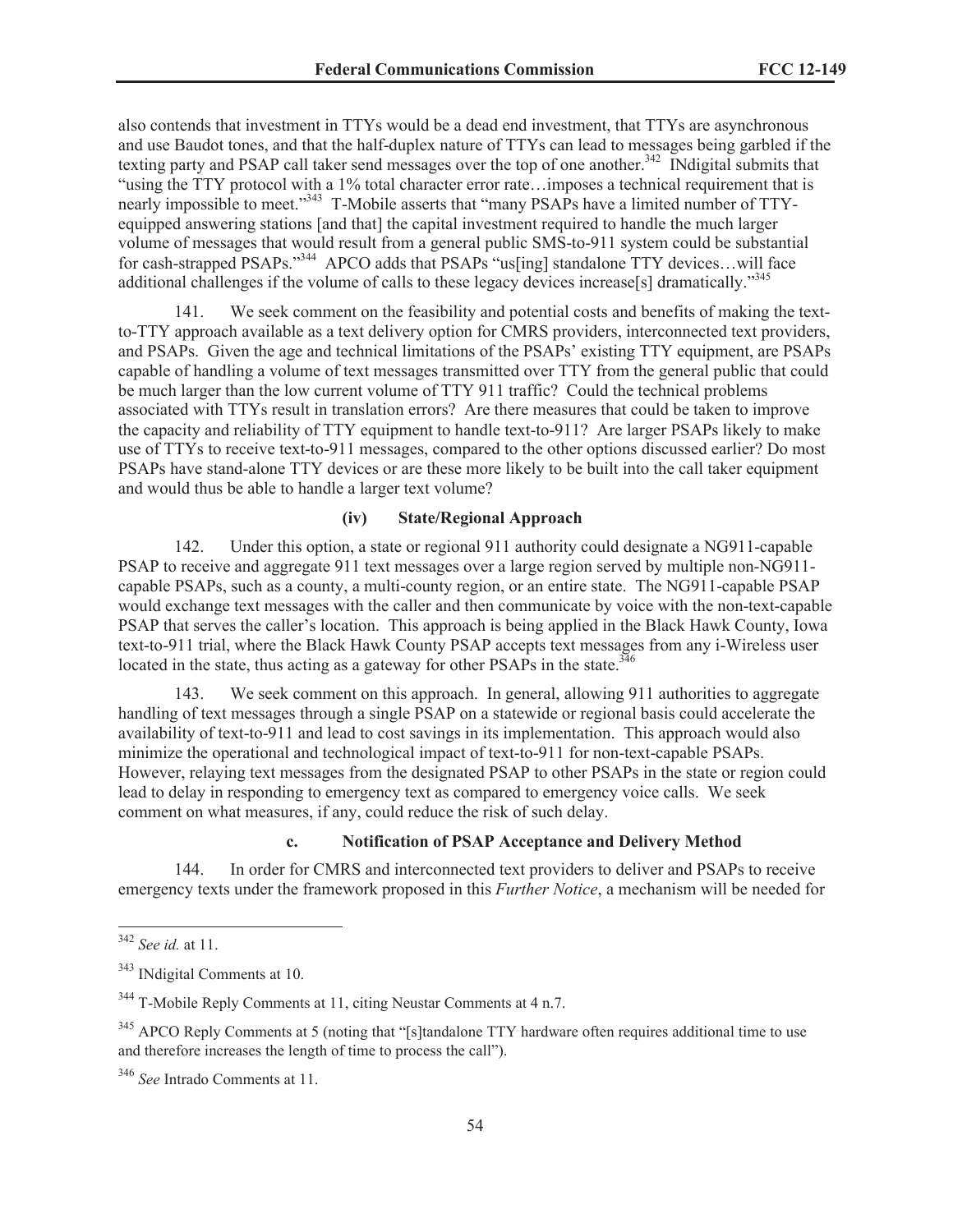also contends that investment in TTYs would be a dead end investment, that TTYs are asynchronous and use Baudot tones, and that the half-duplex nature of TTYs can lead to messages being garbled if the texting party and PSAP call taker send messages over the top of one another.<sup>342</sup> INdigital submits that "using the TTY protocol with a 1% total character error rate…imposes a technical requirement that is nearly impossible to meet."<sup>343</sup> T-Mobile asserts that "many PSAPs have a limited number of TTYequipped answering stations [and that] the capital investment required to handle the much larger volume of messages that would result from a general public SMS-to-911 system could be substantial for cash-strapped PSAPs."<sup>344</sup> APCO adds that PSAPs "us[ing] standalone TTY devices...will face additional challenges if the volume of calls to these legacy devices increase[s] dramatically."<sup>345</sup>

141. We seek comment on the feasibility and potential costs and benefits of making the textto-TTY approach available as a text delivery option for CMRS providers, interconnected text providers, and PSAPs. Given the age and technical limitations of the PSAPs' existing TTY equipment, are PSAPs capable of handling a volume of text messages transmitted over TTY from the general public that could be much larger than the low current volume of TTY 911 traffic? Could the technical problems associated with TTYs result in translation errors? Are there measures that could be taken to improve the capacity and reliability of TTY equipment to handle text-to-911? Are larger PSAPs likely to make use of TTYs to receive text-to-911 messages, compared to the other options discussed earlier? Do most PSAPs have stand-alone TTY devices or are these more likely to be built into the call taker equipment and would thus be able to handle a larger text volume?

### **(iv) State/Regional Approach**

142. Under this option, a state or regional 911 authority could designate a NG911-capable PSAP to receive and aggregate 911 text messages over a large region served by multiple non-NG911 capable PSAPs, such as a county, a multi-county region, or an entire state. The NG911-capable PSAP would exchange text messages with the caller and then communicate by voice with the non-text-capable PSAP that serves the caller's location. This approach is being applied in the Black Hawk County, Iowa text-to-911 trial, where the Black Hawk County PSAP accepts text messages from any i-Wireless user located in the state, thus acting as a gateway for other PSAPs in the state.<sup>346</sup>

143. We seek comment on this approach. In general, allowing 911 authorities to aggregate handling of text messages through a single PSAP on a statewide or regional basis could accelerate the availability of text-to-911 and lead to cost savings in its implementation. This approach would also minimize the operational and technological impact of text-to-911 for non-text-capable PSAPs. However, relaying text messages from the designated PSAP to other PSAPs in the state or region could lead to delay in responding to emergency text as compared to emergency voice calls. We seek comment on what measures, if any, could reduce the risk of such delay.

## **c. Notification of PSAP Acceptance and Delivery Method**

144. In order for CMRS and interconnected text providers to deliver and PSAPs to receive emergency texts under the framework proposed in this *Further Notice*, a mechanism will be needed for

<sup>342</sup> *See id.* at 11.

<sup>343</sup> INdigital Comments at 10.

<sup>344</sup> T-Mobile Reply Comments at 11, citing Neustar Comments at 4 n.7.

<sup>&</sup>lt;sup>345</sup> APCO Reply Comments at 5 (noting that "[s]tandalone TTY hardware often requires additional time to use and therefore increases the length of time to process the call").

<sup>346</sup> *See* Intrado Comments at 11.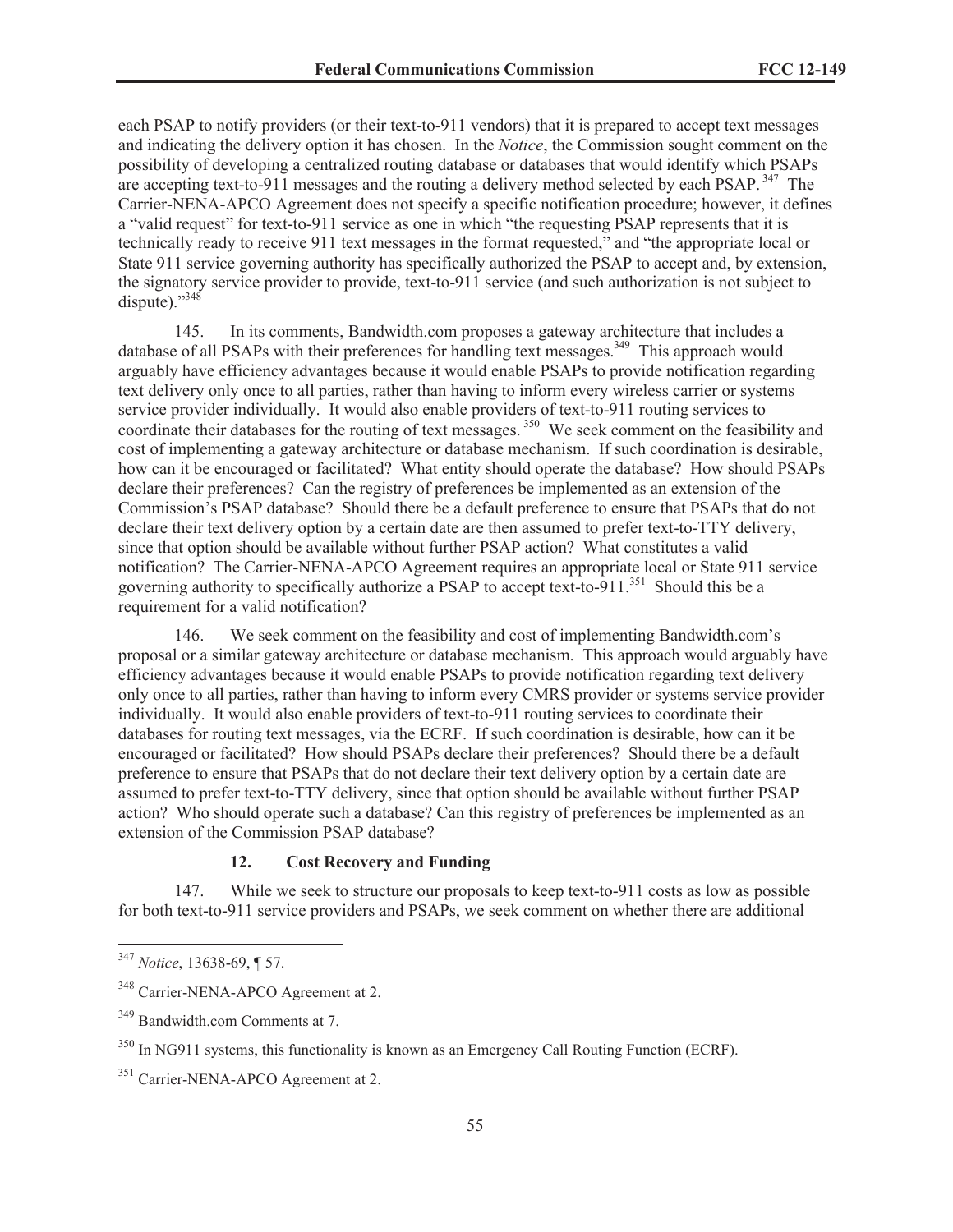each PSAP to notify providers (or their text-to-911 vendors) that it is prepared to accept text messages and indicating the delivery option it has chosen. In the *Notice*, the Commission sought comment on the possibility of developing a centralized routing database or databases that would identify which PSAPs are accepting text-to-911 messages and the routing a delivery method selected by each PSAP.<sup>347</sup> The Carrier-NENA-APCO Agreement does not specify a specific notification procedure; however, it defines a "valid request" for text-to-911 service as one in which "the requesting PSAP represents that it is technically ready to receive 911 text messages in the format requested," and "the appropriate local or State 911 service governing authority has specifically authorized the PSAP to accept and, by extension, the signatory service provider to provide, text-to-911 service (and such authorization is not subject to dispute)." $348$ 

145. In its comments, Bandwidth.com proposes a gateway architecture that includes a database of all PSAPs with their preferences for handling text messages.<sup>349</sup> This approach would arguably have efficiency advantages because it would enable PSAPs to provide notification regarding text delivery only once to all parties, rather than having to inform every wireless carrier or systems service provider individually. It would also enable providers of text-to-911 routing services to coordinate their databases for the routing of text messages.<sup>350</sup> We seek comment on the feasibility and cost of implementing a gateway architecture or database mechanism. If such coordination is desirable, how can it be encouraged or facilitated? What entity should operate the database? How should PSAPs declare their preferences? Can the registry of preferences be implemented as an extension of the Commission's PSAP database? Should there be a default preference to ensure that PSAPs that do not declare their text delivery option by a certain date are then assumed to prefer text-to-TTY delivery, since that option should be available without further PSAP action? What constitutes a valid notification? The Carrier-NENA-APCO Agreement requires an appropriate local or State 911 service governing authority to specifically authorize a PSAP to accept text-to-911.<sup>351</sup> Should this be a requirement for a valid notification?

146. We seek comment on the feasibility and cost of implementing Bandwidth.com's proposal or a similar gateway architecture or database mechanism. This approach would arguably have efficiency advantages because it would enable PSAPs to provide notification regarding text delivery only once to all parties, rather than having to inform every CMRS provider or systems service provider individually. It would also enable providers of text-to-911 routing services to coordinate their databases for routing text messages, via the ECRF. If such coordination is desirable, how can it be encouraged or facilitated? How should PSAPs declare their preferences? Should there be a default preference to ensure that PSAPs that do not declare their text delivery option by a certain date are assumed to prefer text-to-TTY delivery, since that option should be available without further PSAP action? Who should operate such a database? Can this registry of preferences be implemented as an extension of the Commission PSAP database?

### **12. Cost Recovery and Funding**

147. While we seek to structure our proposals to keep text-to-911 costs as low as possible for both text-to-911 service providers and PSAPs, we seek comment on whether there are additional

<sup>347</sup> *Notice*, 13638-69, ¶ 57.

<sup>&</sup>lt;sup>348</sup> Carrier-NENA-APCO Agreement at 2.

<sup>349</sup> Bandwidth.com Comments at 7.

<sup>350</sup> In NG911 systems, this functionality is known as an Emergency Call Routing Function (ECRF).

<sup>&</sup>lt;sup>351</sup> Carrier-NENA-APCO Agreement at 2.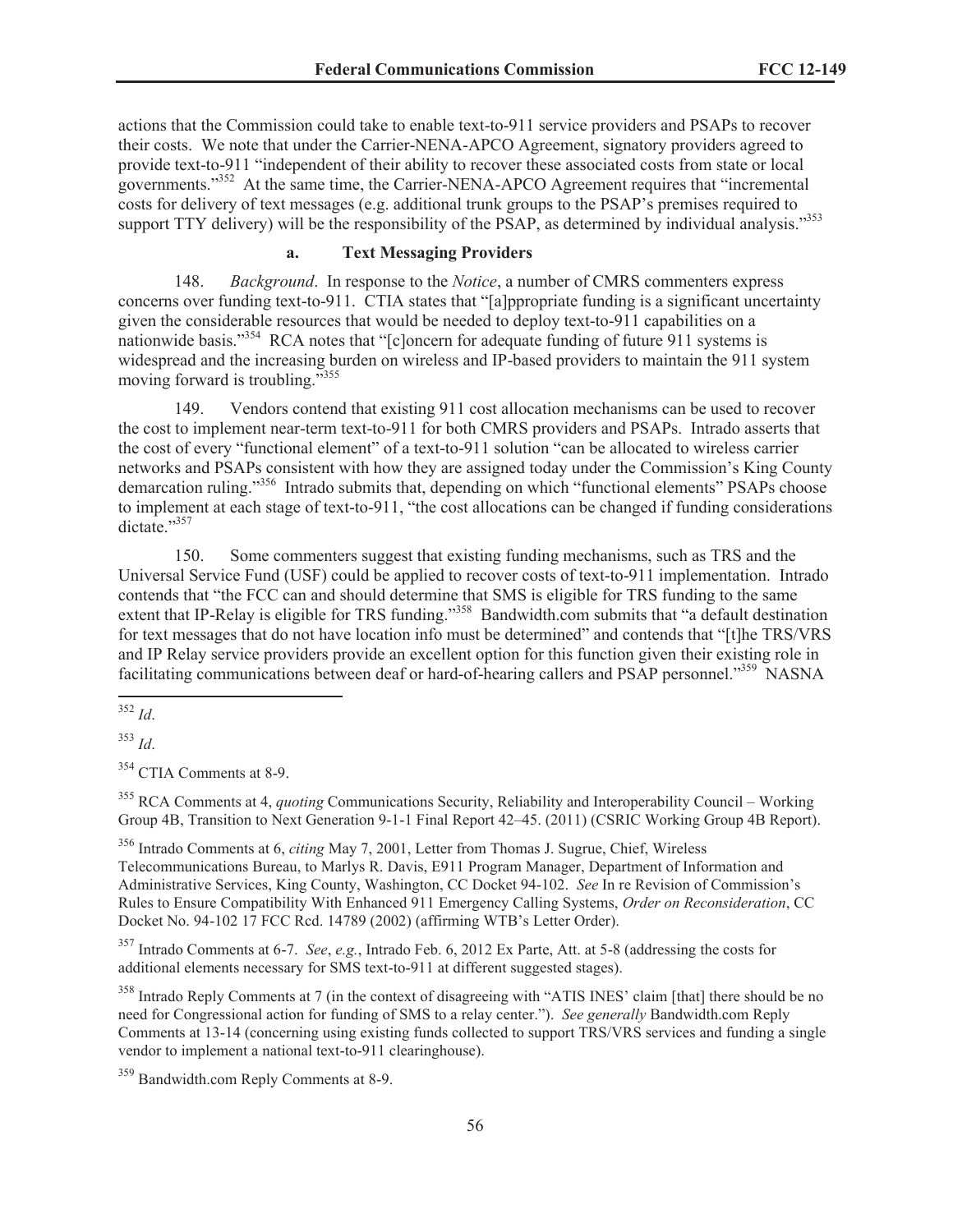actions that the Commission could take to enable text-to-911 service providers and PSAPs to recover their costs. We note that under the Carrier-NENA-APCO Agreement, signatory providers agreed to provide text-to-911 "independent of their ability to recover these associated costs from state or local governments."<sup>352</sup> At the same time, the Carrier-NENA-APCO Agreement requires that "incremental costs for delivery of text messages (e.g. additional trunk groups to the PSAP's premises required to support TTY delivery) will be the responsibility of the PSAP, as determined by individual analysis."<sup>353</sup>

# **a. Text Messaging Providers**

148. *Background*. In response to the *Notice*, a number of CMRS commenters express concerns over funding text-to-911. CTIA states that "[a]ppropriate funding is a significant uncertainty given the considerable resources that would be needed to deploy text-to-911 capabilities on a nationwide basis."<sup>354</sup> RCA notes that "[c]oncern for adequate funding of future 911 systems is widespread and the increasing burden on wireless and IP-based providers to maintain the 911 system moving forward is troubling."<sup>355</sup>

149. Vendors contend that existing 911 cost allocation mechanisms can be used to recover the cost to implement near-term text-to-911 for both CMRS providers and PSAPs. Intrado asserts that the cost of every "functional element" of a text-to-911 solution "can be allocated to wireless carrier networks and PSAPs consistent with how they are assigned today under the Commission's King County demarcation ruling."<sup>356</sup> Intrado submits that, depending on which "functional elements" PSAPs choose to implement at each stage of text-to-911, "the cost allocations can be changed if funding considerations dictate."357

150. Some commenters suggest that existing funding mechanisms, such as TRS and the Universal Service Fund (USF) could be applied to recover costs of text-to-911 implementation. Intrado contends that "the FCC can and should determine that SMS is eligible for TRS funding to the same extent that IP-Relay is eligible for TRS funding."<sup>358</sup> Bandwidth.com submits that "a default destination for text messages that do not have location info must be determined" and contends that "[t]he TRS/VRS and IP Relay service providers provide an excellent option for this function given their existing role in facilitating communications between deaf or hard-of-hearing callers and PSAP personnel."<sup>359</sup> NASNA

<sup>354</sup> CTIA Comments at 8-9.

<sup>355</sup> RCA Comments at 4, *quoting* Communications Security, Reliability and Interoperability Council – Working Group 4B, Transition to Next Generation 9-1-1 Final Report 42–45. (2011) (CSRIC Working Group 4B Report).

<sup>356</sup> Intrado Comments at 6, *citing* May 7, 2001, Letter from Thomas J. Sugrue, Chief, Wireless Telecommunications Bureau, to Marlys R. Davis, E911 Program Manager, Department of Information and Administrative Services, King County, Washington, CC Docket 94-102. *See* In re Revision of Commission's Rules to Ensure Compatibility With Enhanced 911 Emergency Calling Systems, *Order on Reconsideration*, CC Docket No. 94-102 17 FCC Rcd. 14789 (2002) (affirming WTB's Letter Order).

<sup>357</sup> Intrado Comments at 6-7. *See*, *e.g.*, Intrado Feb. 6, 2012 Ex Parte, Att. at 5-8 (addressing the costs for additional elements necessary for SMS text-to-911 at different suggested stages).

<sup>358</sup> Intrado Reply Comments at 7 (in the context of disagreeing with "ATIS INES' claim [that] there should be no need for Congressional action for funding of SMS to a relay center."). *See generally* Bandwidth.com Reply Comments at 13-14 (concerning using existing funds collected to support TRS/VRS services and funding a single vendor to implement a national text-to-911 clearinghouse).

<sup>359</sup> Bandwidth.com Reply Comments at 8-9.

<sup>352</sup> *Id*.

<sup>353</sup> *Id*.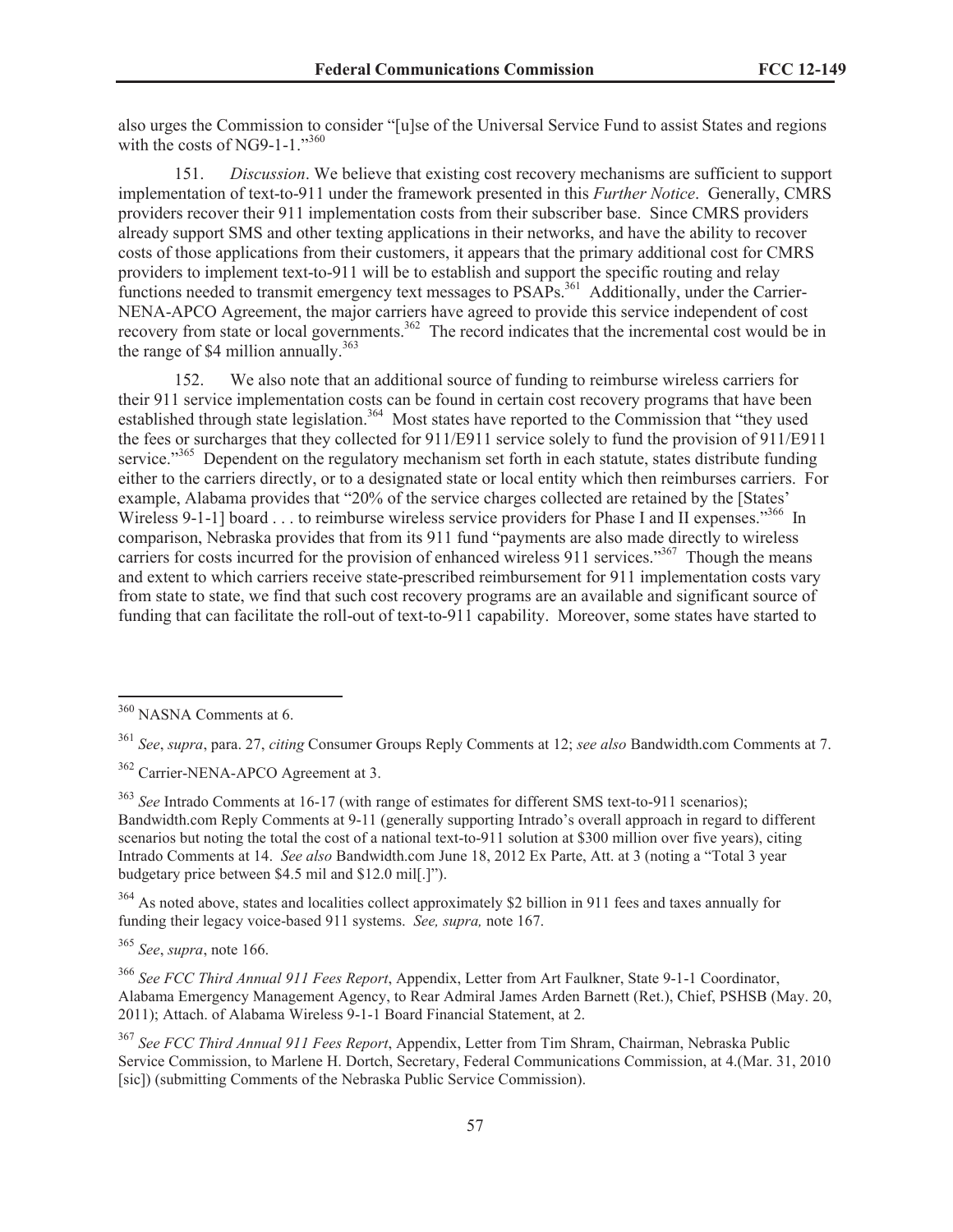also urges the Commission to consider "[u]se of the Universal Service Fund to assist States and regions with the costs of NG9-1-1." $360$ 

151. *Discussion*. We believe that existing cost recovery mechanisms are sufficient to support implementation of text-to-911 under the framework presented in this *Further Notice*. Generally, CMRS providers recover their 911 implementation costs from their subscriber base. Since CMRS providers already support SMS and other texting applications in their networks, and have the ability to recover costs of those applications from their customers, it appears that the primary additional cost for CMRS providers to implement text-to-911 will be to establish and support the specific routing and relay functions needed to transmit emergency text messages to PSAPs.<sup>361</sup> Additionally, under the Carrier-NENA-APCO Agreement, the major carriers have agreed to provide this service independent of cost recovery from state or local governments.<sup>362</sup> The record indicates that the incremental cost would be in the range of \$4 million annually.<sup>363</sup>

152. We also note that an additional source of funding to reimburse wireless carriers for their 911 service implementation costs can be found in certain cost recovery programs that have been established through state legislation.<sup>364</sup> Most states have reported to the Commission that "they used the fees or surcharges that they collected for 911/E911 service solely to fund the provision of 911/E911 service."<sup>365</sup> Dependent on the regulatory mechanism set forth in each statute, states distribute funding either to the carriers directly, or to a designated state or local entity which then reimburses carriers. For example, Alabama provides that "20% of the service charges collected are retained by the [States' Wireless 9-1-1] board . . . to reimburse wireless service providers for Phase I and II expenses."<sup>366</sup> In comparison, Nebraska provides that from its 911 fund "payments are also made directly to wireless carriers for costs incurred for the provision of enhanced wireless 911 services."<sup>367</sup> Though the means and extent to which carriers receive state-prescribed reimbursement for 911 implementation costs vary from state to state, we find that such cost recovery programs are an available and significant source of funding that can facilitate the roll-out of text-to-911 capability. Moreover, some states have started to

<sup>363</sup> *See* Intrado Comments at 16-17 (with range of estimates for different SMS text-to-911 scenarios); Bandwidth.com Reply Comments at 9-11 (generally supporting Intrado's overall approach in regard to different scenarios but noting the total the cost of a national text-to-911 solution at \$300 million over five years), citing Intrado Comments at 14. *See also* Bandwidth.com June 18, 2012 Ex Parte, Att. at 3 (noting a "Total 3 year budgetary price between \$4.5 mil and \$12.0 mil[.]").

<sup>364</sup> As noted above, states and localities collect approximately \$2 billion in 911 fees and taxes annually for funding their legacy voice-based 911 systems. *See, supra,* note 167.

<sup>365</sup> *See*, *supra*, note 166.

<sup>366</sup> *See FCC Third Annual 911 Fees Report*, Appendix, Letter from Art Faulkner, State 9-1-1 Coordinator, Alabama Emergency Management Agency, to Rear Admiral James Arden Barnett (Ret.), Chief, PSHSB (May. 20, 2011); Attach. of Alabama Wireless 9-1-1 Board Financial Statement, at 2.

<sup>367</sup> *See FCC Third Annual 911 Fees Report*, Appendix, Letter from Tim Shram, Chairman, Nebraska Public Service Commission, to Marlene H. Dortch, Secretary, Federal Communications Commission, at 4.(Mar. 31, 2010 [sic]) (submitting Comments of the Nebraska Public Service Commission).

<sup>360</sup> NASNA Comments at 6.

<sup>361</sup> *See*, *supra*, para. 27, *citing* Consumer Groups Reply Comments at 12; *see also* Bandwidth.com Comments at 7.

<sup>362</sup> Carrier-NENA-APCO Agreement at 3.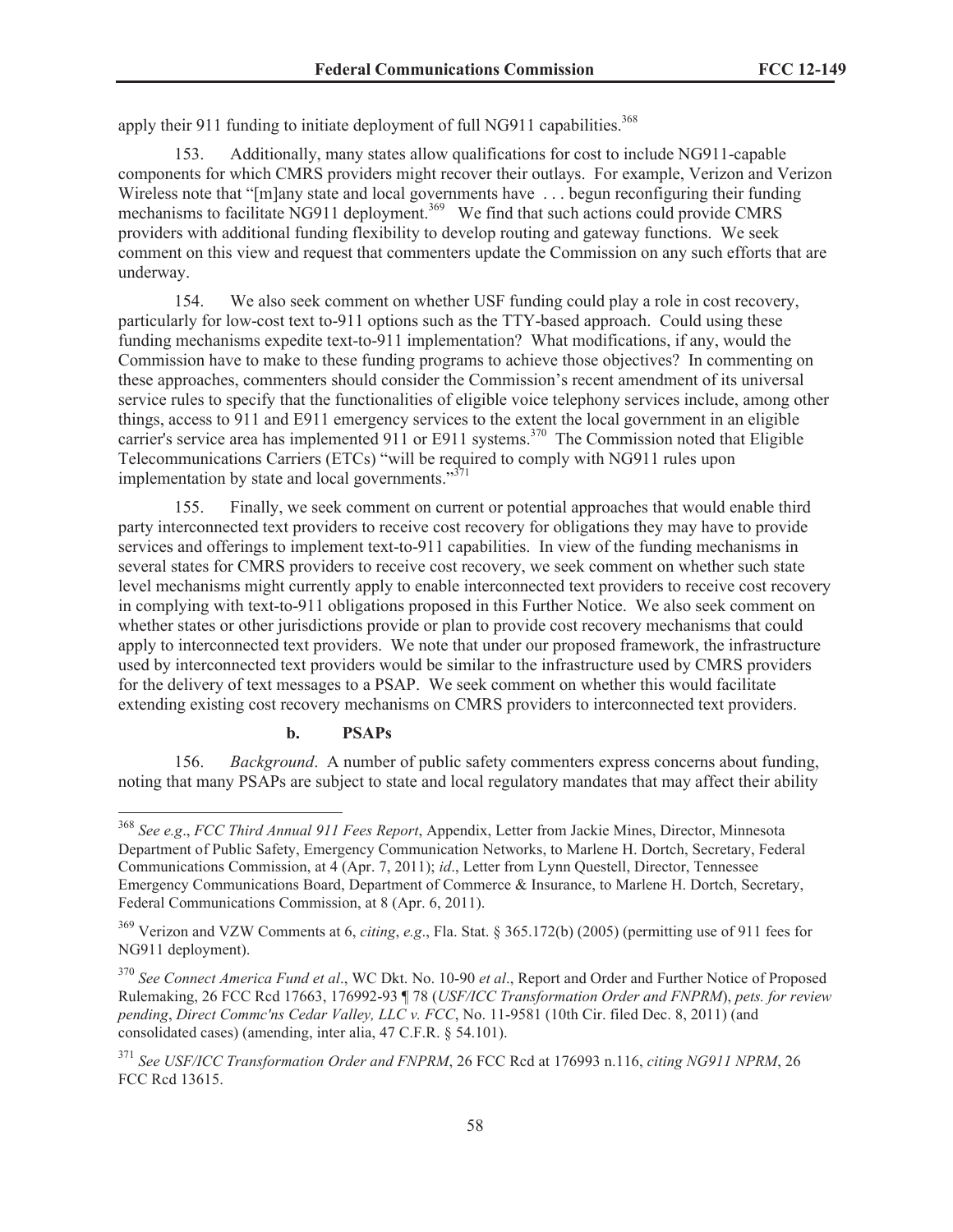apply their 911 funding to initiate deployment of full NG911 capabilities.<sup>368</sup>

153. Additionally, many states allow qualifications for cost to include NG911-capable components for which CMRS providers might recover their outlays. For example, Verizon and Verizon Wireless note that "[m]any state and local governments have ... begun reconfiguring their funding mechanisms to facilitate NG911 deployment.<sup>369</sup> We find that such actions could provide CMRS providers with additional funding flexibility to develop routing and gateway functions. We seek comment on this view and request that commenters update the Commission on any such efforts that are underway.

154. We also seek comment on whether USF funding could play a role in cost recovery, particularly for low-cost text to-911 options such as the TTY-based approach. Could using these funding mechanisms expedite text-to-911 implementation? What modifications, if any, would the Commission have to make to these funding programs to achieve those objectives? In commenting on these approaches, commenters should consider the Commission's recent amendment of its universal service rules to specify that the functionalities of eligible voice telephony services include, among other things, access to 911 and E911 emergency services to the extent the local government in an eligible carrier's service area has implemented 911 or E911 systems.<sup>370</sup> The Commission noted that Eligible Telecommunications Carriers (ETCs) "will be required to comply with NG911 rules upon implementation by state and local governments. $1371$ 

155. Finally, we seek comment on current or potential approaches that would enable third party interconnected text providers to receive cost recovery for obligations they may have to provide services and offerings to implement text-to-911 capabilities. In view of the funding mechanisms in several states for CMRS providers to receive cost recovery, we seek comment on whether such state level mechanisms might currently apply to enable interconnected text providers to receive cost recovery in complying with text-to-911 obligations proposed in this Further Notice. We also seek comment on whether states or other jurisdictions provide or plan to provide cost recovery mechanisms that could apply to interconnected text providers. We note that under our proposed framework, the infrastructure used by interconnected text providers would be similar to the infrastructure used by CMRS providers for the delivery of text messages to a PSAP. We seek comment on whether this would facilitate extending existing cost recovery mechanisms on CMRS providers to interconnected text providers.

### **b. PSAPs**

156. *Background*. A number of public safety commenters express concerns about funding, noting that many PSAPs are subject to state and local regulatory mandates that may affect their ability

<sup>368</sup> *See e.g*., *FCC Third Annual 911 Fees Report*, Appendix, Letter from Jackie Mines, Director, Minnesota Department of Public Safety, Emergency Communication Networks, to Marlene H. Dortch, Secretary, Federal Communications Commission, at 4 (Apr. 7, 2011); *id*., Letter from Lynn Questell, Director, Tennessee Emergency Communications Board, Department of Commerce & Insurance, to Marlene H. Dortch, Secretary, Federal Communications Commission, at 8 (Apr. 6, 2011).

<sup>369</sup> Verizon and VZW Comments at 6, *citing*, *e.g*., Fla. Stat. § 365.172(b) (2005) (permitting use of 911 fees for NG911 deployment).

<sup>370</sup> *See Connect America Fund et al*., WC Dkt. No. 10-90 *et al*., Report and Order and Further Notice of Proposed Rulemaking, 26 FCC Rcd 17663, 176992-93 ¶ 78 (*USF/ICC Transformation Order and FNPRM*), *pets. for review pending*, *Direct Commc'ns Cedar Valley, LLC v. FCC*, No. 11-9581 (10th Cir. filed Dec. 8, 2011) (and consolidated cases) (amending, inter alia, 47 C.F.R. § 54.101).

<sup>371</sup> *See USF/ICC Transformation Order and FNPRM*, 26 FCC Rcd at 176993 n.116, *citing NG911 NPRM*, 26 FCC Rcd 13615.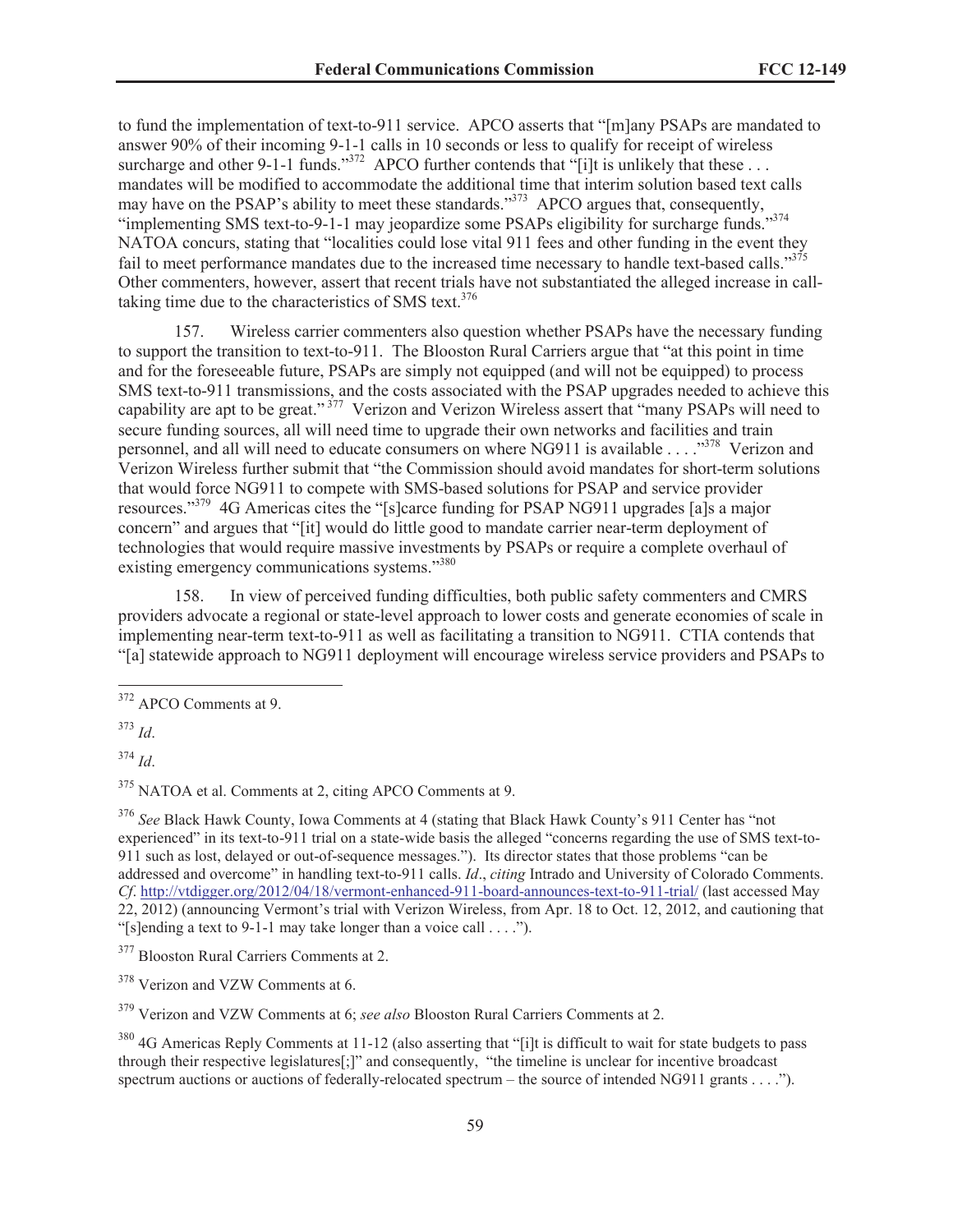to fund the implementation of text-to-911 service. APCO asserts that "[m]any PSAPs are mandated to answer 90% of their incoming 9-1-1 calls in 10 seconds or less to qualify for receipt of wireless surcharge and other 9-1-1 funds."<sup>372</sup> APCO further contends that "[i]t is unlikely that these ... mandates will be modified to accommodate the additional time that interim solution based text calls may have on the PSAP's ability to meet these standards."<sup>373</sup> APCO argues that, consequently, "implementing SMS text-to-9-1-1 may jeopardize some PSAPs eligibility for surcharge funds."<sup>374</sup> NATOA concurs, stating that "localities could lose vital 911 fees and other funding in the event they fail to meet performance mandates due to the increased time necessary to handle text-based calls."<sup>375</sup> Other commenters, however, assert that recent trials have not substantiated the alleged increase in calltaking time due to the characteristics of SMS text. $376$ 

157. Wireless carrier commenters also question whether PSAPs have the necessary funding to support the transition to text-to-911. The Blooston Rural Carriers argue that "at this point in time and for the foreseeable future, PSAPs are simply not equipped (and will not be equipped) to process SMS text-to-911 transmissions, and the costs associated with the PSAP upgrades needed to achieve this capability are apt to be great."<sup>377</sup> Verizon and Verizon Wireless assert that "many PSAPs will need to secure funding sources, all will need time to upgrade their own networks and facilities and train personnel, and all will need to educate consumers on where NG911 is available . . . ..<sup>378</sup> Verizon and Verizon Wireless further submit that "the Commission should avoid mandates for short-term solutions that would force NG911 to compete with SMS-based solutions for PSAP and service provider resources."<sup>379</sup> 4G Americas cites the "[s]carce funding for PSAP NG911 upgrades [a]s a major concern" and argues that "[it] would do little good to mandate carrier near-term deployment of technologies that would require massive investments by PSAPs or require a complete overhaul of existing emergency communications systems."<sup>380</sup>

158. In view of perceived funding difficulties, both public safety commenters and CMRS providers advocate a regional or state-level approach to lower costs and generate economies of scale in implementing near-term text-to-911 as well as facilitating a transition to NG911. CTIA contends that "[a] statewide approach to NG911 deployment will encourage wireless service providers and PSAPs to

<sup>373</sup> *Id*.

<sup>374</sup> *Id*.

<sup>375</sup> NATOA et al. Comments at 2, citing APCO Comments at 9.

<sup>376</sup> *See* Black Hawk County, Iowa Comments at 4 (stating that Black Hawk County's 911 Center has "not experienced" in its text-to-911 trial on a state-wide basis the alleged "concerns regarding the use of SMS text-to-911 such as lost, delayed or out-of-sequence messages."). Its director states that those problems "can be addressed and overcome" in handling text-to-911 calls. *Id*., *citing* Intrado and University of Colorado Comments. *Cf*. http://vtdigger.org/2012/04/18/vermont-enhanced-911-board-announces-text-to-911-trial/ (last accessed May 22, 2012) (announcing Vermont's trial with Verizon Wireless, from Apr. 18 to Oct. 12, 2012, and cautioning that "[s]ending a text to 9-1-1 may take longer than a voice call  $\dots$ ").

<sup>372</sup> APCO Comments at 9.

<sup>&</sup>lt;sup>377</sup> Blooston Rural Carriers Comments at 2.

<sup>378</sup> Verizon and VZW Comments at 6.

<sup>379</sup> Verizon and VZW Comments at 6; *see also* Blooston Rural Carriers Comments at 2.

<sup>&</sup>lt;sup>380</sup> 4G Americas Reply Comments at 11-12 (also asserting that "[i]t is difficult to wait for state budgets to pass through their respective legislatures[;]" and consequently, "the timeline is unclear for incentive broadcast spectrum auctions or auctions of federally-relocated spectrum – the source of intended NG911 grants . . . .").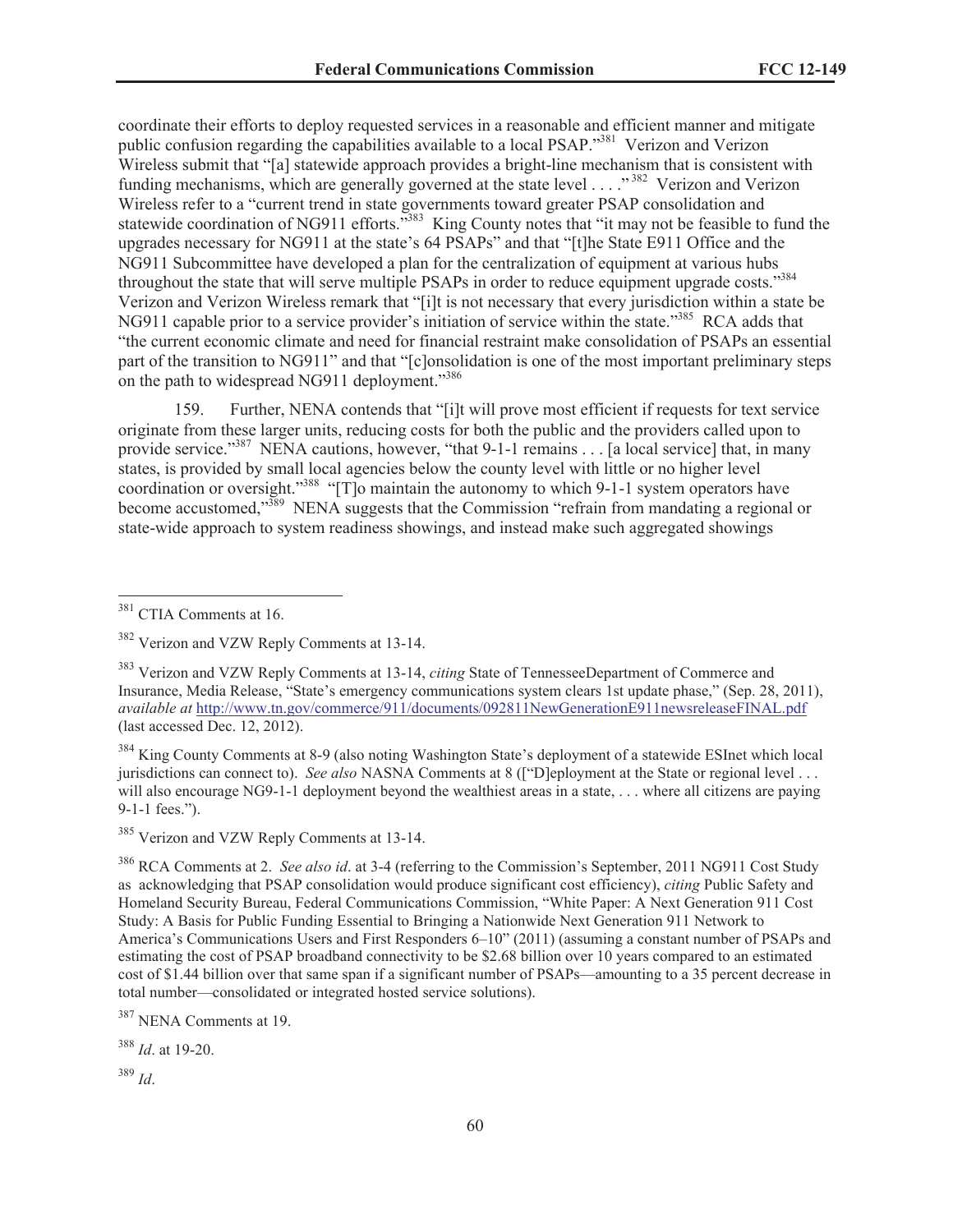coordinate their efforts to deploy requested services in a reasonable and efficient manner and mitigate public confusion regarding the capabilities available to a local PSAP.<sup>381</sup> Verizon and Verizon Wireless submit that "[a] statewide approach provides a bright-line mechanism that is consistent with funding mechanisms, which are generally governed at the state level . . . .<sup>"382</sup> Verizon and Verizon Wireless refer to a "current trend in state governments toward greater PSAP consolidation and statewide coordination of NG911 efforts."<sup>383</sup> King County notes that "it may not be feasible to fund the upgrades necessary for NG911 at the state's 64 PSAPs" and that "[t]he State E911 Office and the NG911 Subcommittee have developed a plan for the centralization of equipment at various hubs throughout the state that will serve multiple PSAPs in order to reduce equipment upgrade costs."<sup>384</sup> Verizon and Verizon Wireless remark that "[i]t is not necessary that every jurisdiction within a state be NG911 capable prior to a service provider's initiation of service within the state."<sup>385</sup> RCA adds that "the current economic climate and need for financial restraint make consolidation of PSAPs an essential part of the transition to NG911" and that "[c]onsolidation is one of the most important preliminary steps on the path to widespread NG911 deployment."<sup>386</sup>

159. Further, NENA contends that "[i]t will prove most efficient if requests for text service originate from these larger units, reducing costs for both the public and the providers called upon to provide service."<sup>387</sup> NENA cautions, however, "that 9-1-1 remains . . . [a local service] that, in many states, is provided by small local agencies below the county level with little or no higher level coordination or oversight."<sup>388</sup> "[T]o maintain the autonomy to which 9-1-1 system operators have become accustomed,"<sup>389</sup> NENA suggests that the Commission "refrain from mandating a regional or state-wide approach to system readiness showings, and instead make such aggregated showings

<sup>384</sup> King County Comments at 8-9 (also noting Washington State's deployment of a statewide ESInet which local jurisdictions can connect to). *See also* NASNA Comments at 8 (["D]eployment at the State or regional level . . . will also encourage NG9-1-1 deployment beyond the wealthiest areas in a state, ... where all citizens are paying 9-1-1 fees.").

<sup>386</sup> RCA Comments at 2. *See also id*. at 3-4 (referring to the Commission's September, 2011 NG911 Cost Study as acknowledging that PSAP consolidation would produce significant cost efficiency), *citing* Public Safety and Homeland Security Bureau, Federal Communications Commission, "White Paper: A Next Generation 911 Cost Study: A Basis for Public Funding Essential to Bringing a Nationwide Next Generation 911 Network to America's Communications Users and First Responders 6–10" (2011) (assuming a constant number of PSAPs and estimating the cost of PSAP broadband connectivity to be \$2.68 billion over 10 years compared to an estimated cost of \$1.44 billion over that same span if a significant number of PSAPs—amounting to a 35 percent decrease in total number—consolidated or integrated hosted service solutions).

<sup>388</sup> *Id*. at 19-20.

<sup>389</sup> *Id*.

<sup>&</sup>lt;sup>381</sup> CTIA Comments at 16.

<sup>382</sup> Verizon and VZW Reply Comments at 13-14.

<sup>383</sup> Verizon and VZW Reply Comments at 13-14, *citing* State of TennesseeDepartment of Commerce and Insurance, Media Release, "State's emergency communications system clears 1st update phase," (Sep. 28, 2011), *available at* http://www.tn.gov/commerce/911/documents/092811NewGenerationE911newsreleaseFINAL.pdf (last accessed Dec. 12, 2012).

<sup>&</sup>lt;sup>385</sup> Verizon and VZW Reply Comments at 13-14.

<sup>387</sup> NENA Comments at 19.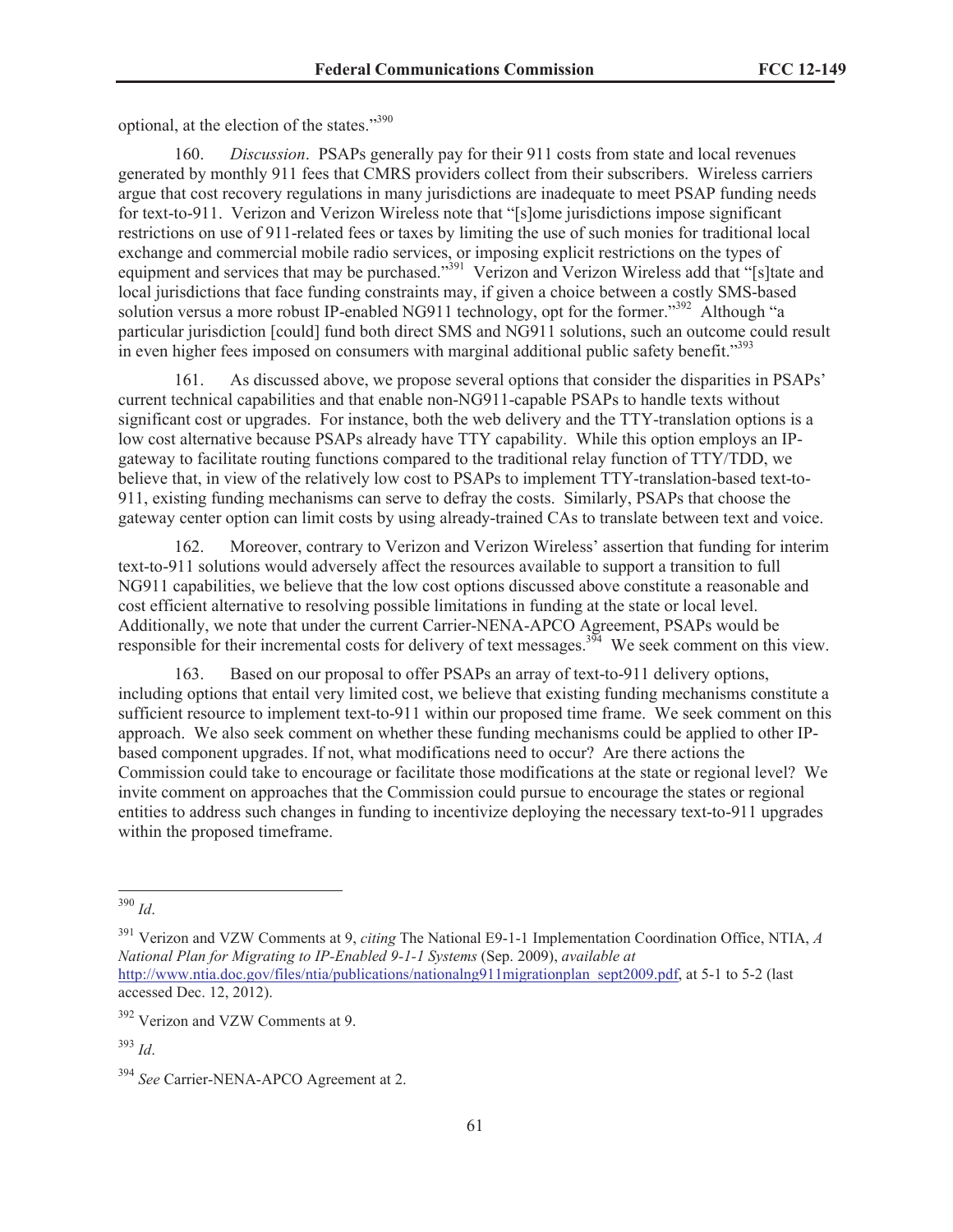optional, at the election of the states."<sup>390</sup>

160. *Discussion*. PSAPs generally pay for their 911 costs from state and local revenues generated by monthly 911 fees that CMRS providers collect from their subscribers. Wireless carriers argue that cost recovery regulations in many jurisdictions are inadequate to meet PSAP funding needs for text-to-911. Verizon and Verizon Wireless note that "[s]ome jurisdictions impose significant restrictions on use of 911-related fees or taxes by limiting the use of such monies for traditional local exchange and commercial mobile radio services, or imposing explicit restrictions on the types of equipment and services that may be purchased."<sup>391</sup> Verizon and Verizon Wireless add that "[s]tate and local jurisdictions that face funding constraints may, if given a choice between a costly SMS-based solution versus a more robust IP-enabled NG911 technology, opt for the former."<sup>392</sup> Although "a particular jurisdiction [could] fund both direct SMS and NG911 solutions, such an outcome could result in even higher fees imposed on consumers with marginal additional public safety benefit."<sup>393</sup>

161. As discussed above, we propose several options that consider the disparities in PSAPs' current technical capabilities and that enable non-NG911-capable PSAPs to handle texts without significant cost or upgrades. For instance, both the web delivery and the TTY-translation options is a low cost alternative because PSAPs already have TTY capability. While this option employs an IPgateway to facilitate routing functions compared to the traditional relay function of TTY/TDD, we believe that, in view of the relatively low cost to PSAPs to implement TTY-translation-based text-to-911, existing funding mechanisms can serve to defray the costs. Similarly, PSAPs that choose the gateway center option can limit costs by using already-trained CAs to translate between text and voice.

162. Moreover, contrary to Verizon and Verizon Wireless' assertion that funding for interim text-to-911 solutions would adversely affect the resources available to support a transition to full NG911 capabilities, we believe that the low cost options discussed above constitute a reasonable and cost efficient alternative to resolving possible limitations in funding at the state or local level. Additionally, we note that under the current Carrier-NENA-APCO Agreement, PSAPs would be responsible for their incremental costs for delivery of text messages.<sup>394</sup> We seek comment on this view.

163. Based on our proposal to offer PSAPs an array of text-to-911 delivery options, including options that entail very limited cost, we believe that existing funding mechanisms constitute a sufficient resource to implement text-to-911 within our proposed time frame. We seek comment on this approach. We also seek comment on whether these funding mechanisms could be applied to other IPbased component upgrades. If not, what modifications need to occur? Are there actions the Commission could take to encourage or facilitate those modifications at the state or regional level? We invite comment on approaches that the Commission could pursue to encourage the states or regional entities to address such changes in funding to incentivize deploying the necessary text-to-911 upgrades within the proposed timeframe.

<sup>390</sup> *Id*.

<sup>391</sup> Verizon and VZW Comments at 9, *citing* The National E9-1-1 Implementation Coordination Office, NTIA, *A National Plan for Migrating to IP-Enabled 9-1-1 Systems* (Sep. 2009), *available at* http://www.ntia.doc.gov/files/ntia/publications/nationalng911migrationplan\_sept2009.pdf, at 5-1 to 5-2 (last accessed Dec. 12, 2012).

<sup>392</sup> Verizon and VZW Comments at 9.

<sup>393</sup> *Id*.

<sup>394</sup> *See* Carrier-NENA-APCO Agreement at 2.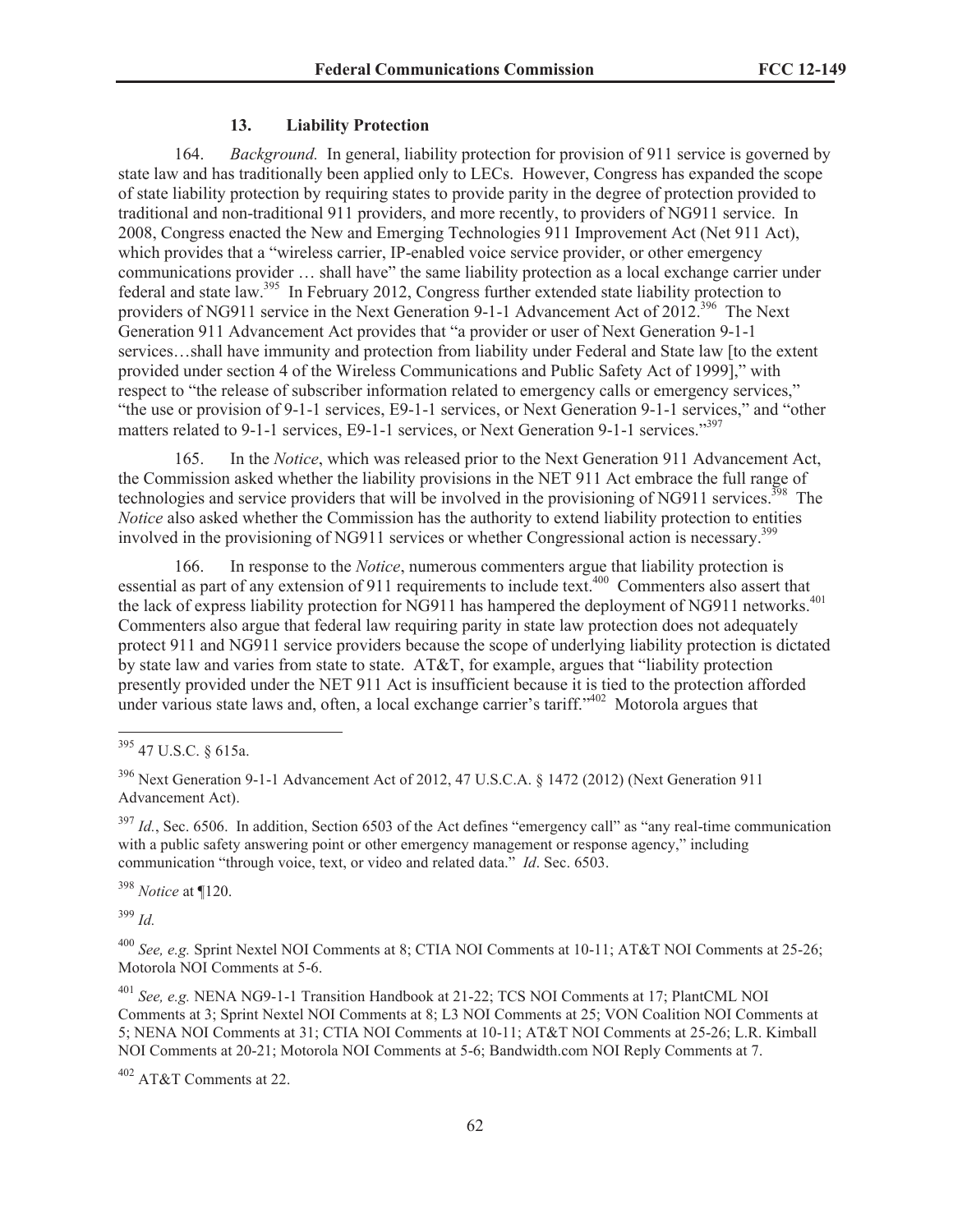#### **13. Liability Protection**

164. *Background.* In general, liability protection for provision of 911 service is governed by state law and has traditionally been applied only to LECs. However, Congress has expanded the scope of state liability protection by requiring states to provide parity in the degree of protection provided to traditional and non-traditional 911 providers, and more recently, to providers of NG911 service. In 2008, Congress enacted the New and Emerging Technologies 911 Improvement Act (Net 911 Act), which provides that a "wireless carrier, IP-enabled voice service provider, or other emergency communications provider … shall have" the same liability protection as a local exchange carrier under federal and state law.<sup>395</sup> In February 2012, Congress further extended state liability protection to providers of NG911 service in the Next Generation 9-1-1 Advancement Act of 2012.<sup>396</sup> The Next Generation 911 Advancement Act provides that "a provider or user of Next Generation 9-1-1 services…shall have immunity and protection from liability under Federal and State law [to the extent provided under section 4 of the Wireless Communications and Public Safety Act of 1999]," with respect to "the release of subscriber information related to emergency calls or emergency services," "the use or provision of 9-1-1 services, E9-1-1 services, or Next Generation 9-1-1 services," and "other matters related to 9-1-1 services, E9-1-1 services, or Next Generation 9-1-1 services."<sup>397</sup>

165. In the *Notice*, which was released prior to the Next Generation 911 Advancement Act, the Commission asked whether the liability provisions in the NET 911 Act embrace the full range of technologies and service providers that will be involved in the provisioning of NG911 services.<sup>398</sup> The *Notice* also asked whether the Commission has the authority to extend liability protection to entities involved in the provisioning of NG911 services or whether Congressional action is necessary.<sup>399</sup>

166. In response to the *Notice*, numerous commenters argue that liability protection is essential as part of any extension of 911 requirements to include text.<sup>400</sup> Commenters also assert that the lack of express liability protection for NG911 has hampered the deployment of NG911 networks.<sup>401</sup> Commenters also argue that federal law requiring parity in state law protection does not adequately protect 911 and NG911 service providers because the scope of underlying liability protection is dictated by state law and varies from state to state. AT&T, for example, argues that "liability protection presently provided under the NET 911 Act is insufficient because it is tied to the protection afforded under various state laws and, often, a local exchange carrier's tariff."<sup>402</sup> Motorola argues that

<sup>398</sup> *Notice* at ¶120.

<sup>399</sup> *Id.*

<sup>400</sup> *See, e.g.* Sprint Nextel NOI Comments at 8; CTIA NOI Comments at 10-11; AT&T NOI Comments at 25-26; Motorola NOI Comments at 5-6.

<sup>401</sup> *See, e.g.* NENA NG9-1-1 Transition Handbook at 21-22; TCS NOI Comments at 17; PlantCML NOI Comments at 3; Sprint Nextel NOI Comments at 8; L3 NOI Comments at 25; VON Coalition NOI Comments at 5; NENA NOI Comments at 31; CTIA NOI Comments at 10-11; AT&T NOI Comments at 25-26; L.R. Kimball NOI Comments at 20-21; Motorola NOI Comments at 5-6; Bandwidth.com NOI Reply Comments at 7.

<sup>402</sup> AT&T Comments at 22.

<sup>395</sup> 47 U.S.C. § 615a.

<sup>396</sup> Next Generation 9-1-1 Advancement Act of 2012, 47 U.S.C.A. § 1472 (2012) (Next Generation 911 Advancement Act).

<sup>&</sup>lt;sup>397</sup> *Id.*, Sec. 6506. In addition, Section 6503 of the Act defines "emergency call" as "any real-time communication with a public safety answering point or other emergency management or response agency," including communication "through voice, text, or video and related data." *Id*. Sec. 6503.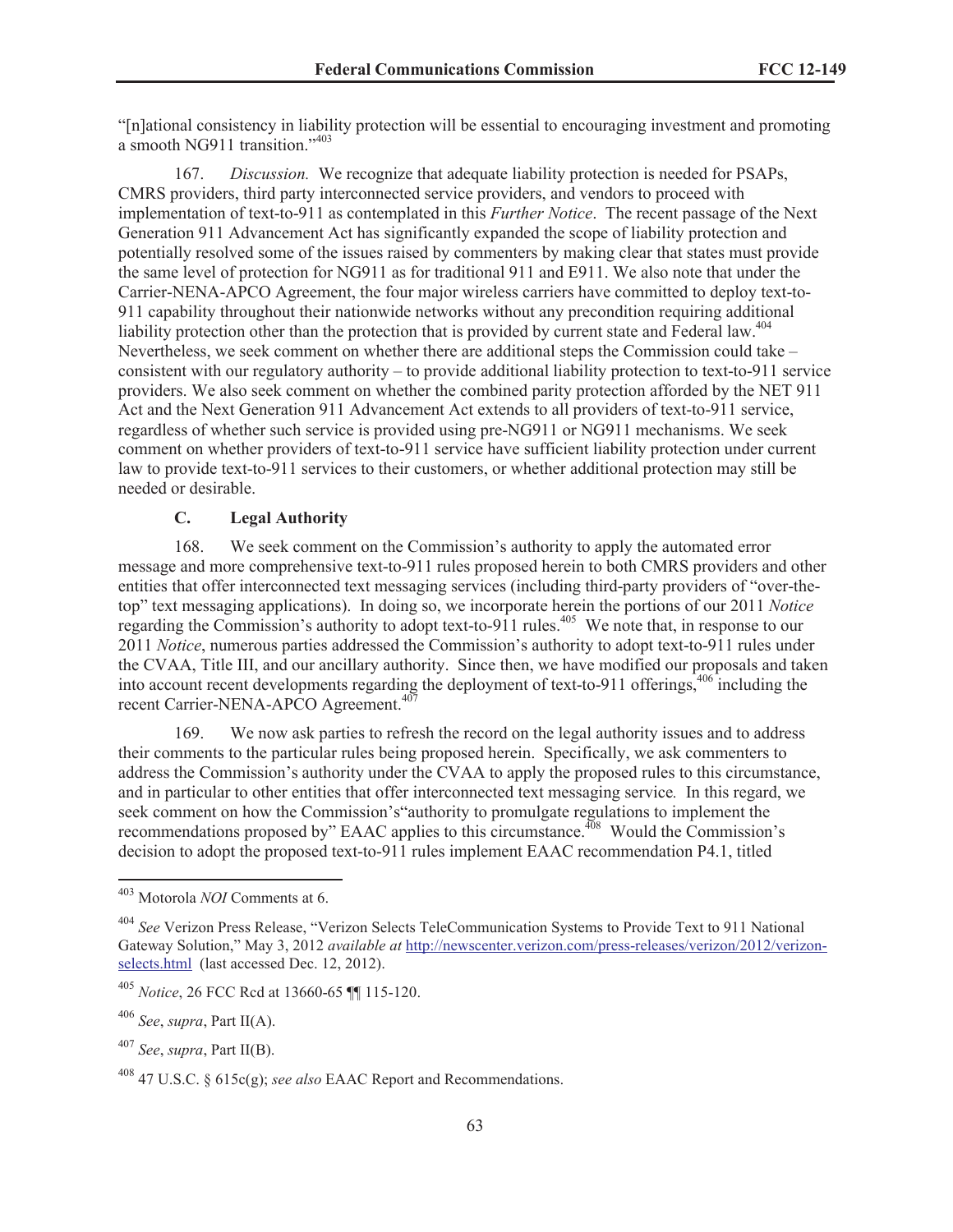"[n]ational consistency in liability protection will be essential to encouraging investment and promoting a smooth NG911 transition."<sup>403</sup>

167. *Discussion.* We recognize that adequate liability protection is needed for PSAPs, CMRS providers, third party interconnected service providers, and vendors to proceed with implementation of text-to-911 as contemplated in this *Further Notice*. The recent passage of the Next Generation 911 Advancement Act has significantly expanded the scope of liability protection and potentially resolved some of the issues raised by commenters by making clear that states must provide the same level of protection for NG911 as for traditional 911 and E911. We also note that under the Carrier-NENA-APCO Agreement, the four major wireless carriers have committed to deploy text-to-911 capability throughout their nationwide networks without any precondition requiring additional liability protection other than the protection that is provided by current state and Federal law.<sup>404</sup> Nevertheless, we seek comment on whether there are additional steps the Commission could take – consistent with our regulatory authority – to provide additional liability protection to text-to-911 service providers. We also seek comment on whether the combined parity protection afforded by the NET 911 Act and the Next Generation 911 Advancement Act extends to all providers of text-to-911 service, regardless of whether such service is provided using pre-NG911 or NG911 mechanisms. We seek comment on whether providers of text-to-911 service have sufficient liability protection under current law to provide text-to-911 services to their customers, or whether additional protection may still be needed or desirable.

# **C. Legal Authority**

168. We seek comment on the Commission's authority to apply the automated error message and more comprehensive text-to-911 rules proposed herein to both CMRS providers and other entities that offer interconnected text messaging services (including third-party providers of "over-thetop" text messaging applications). In doing so, we incorporate herein the portions of our 2011 *Notice*  regarding the Commission's authority to adopt text-to-911 rules.<sup>405</sup> We note that, in response to our 2011 *Notice*, numerous parties addressed the Commission's authority to adopt text-to-911 rules under the CVAA, Title III, and our ancillary authority. Since then, we have modified our proposals and taken into account recent developments regarding the deployment of text-to-911 offerings, <sup>406</sup> including the recent Carrier-NENA-APCO Agreement.<sup>407</sup>

169. We now ask parties to refresh the record on the legal authority issues and to address their comments to the particular rules being proposed herein. Specifically, we ask commenters to address the Commission's authority under the CVAA to apply the proposed rules to this circumstance, and in particular to other entities that offer interconnected text messaging service*.* In this regard, we seek comment on how the Commission's"authority to promulgate regulations to implement the recommendations proposed by" EAAC applies to this circumstance.<sup>408</sup> Would the Commission's decision to adopt the proposed text-to-911 rules implement EAAC recommendation P4.1, titled

<sup>403</sup> Motorola *NOI* Comments at 6.

<sup>404</sup> *See* Verizon Press Release, "Verizon Selects TeleCommunication Systems to Provide Text to 911 National Gateway Solution," May 3, 2012 *available at* http://newscenter.verizon.com/press-releases/verizon/2012/verizonselects.html (last accessed Dec. 12, 2012).

<sup>405</sup> *Notice*, 26 FCC Rcd at 13660-65 ¶¶ 115-120.

<sup>406</sup> *See*, *supra*, Part II(A).

<sup>407</sup> *See*, *supra*, Part II(B).

<sup>408</sup> 47 U.S.C. § 615c(g); *see also* EAAC Report and Recommendations.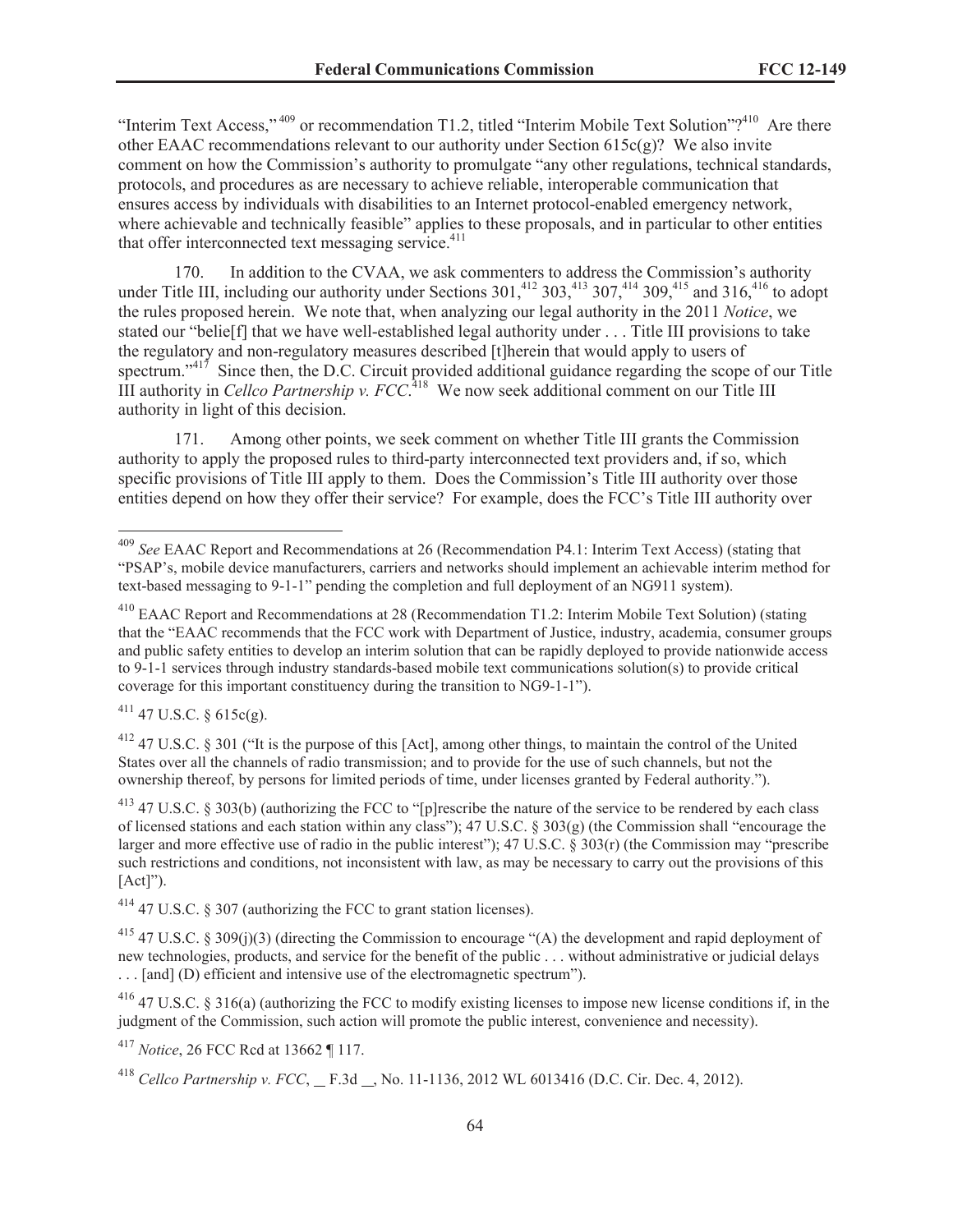"Interim Text Access,"<sup>409</sup> or recommendation T1.2, titled "Interim Mobile Text Solution"?<sup>410</sup> Are there other EAAC recommendations relevant to our authority under Section 615c(g)? We also invite comment on how the Commission's authority to promulgate "any other regulations, technical standards, protocols, and procedures as are necessary to achieve reliable, interoperable communication that ensures access by individuals with disabilities to an Internet protocol-enabled emergency network, where achievable and technically feasible" applies to these proposals, and in particular to other entities that offer interconnected text messaging service. $411$ 

170. In addition to the CVAA, we ask commenters to address the Commission's authority under Title III, including our authority under Sections  $301<sup>{412}</sup> 303<sup>{413}</sup> 307<sup>{414}</sup> 309<sup>{415}</sup>$  and  $316<sup>{416}</sup>$  to adopt the rules proposed herein. We note that, when analyzing our legal authority in the 2011 *Notice*, we stated our "belie[f] that we have well-established legal authority under . . . Title III provisions to take the regulatory and non-regulatory measures described [t]herein that would apply to users of spectrum." $417$  Since then, the D.C. Circuit provided additional guidance regarding the scope of our Title III authority in *Cellco Partnership v. FCC*.<sup>418</sup> We now seek additional comment on our Title III authority in light of this decision.

171. Among other points, we seek comment on whether Title III grants the Commission authority to apply the proposed rules to third-party interconnected text providers and, if so, which specific provisions of Title III apply to them. Does the Commission's Title III authority over those entities depend on how they offer their service? For example, does the FCC's Title III authority over

 $411$  47 U.S.C. § 615c(g).

<sup>412</sup> 47 U.S.C. § 301 ("It is the purpose of this [Act], among other things, to maintain the control of the United States over all the channels of radio transmission; and to provide for the use of such channels, but not the ownership thereof, by persons for limited periods of time, under licenses granted by Federal authority.").

 $413$  47 U.S.C. § 303(b) (authorizing the FCC to "[p]rescribe the nature of the service to be rendered by each class of licensed stations and each station within any class"); 47 U.S.C. § 303(g) (the Commission shall "encourage the larger and more effective use of radio in the public interest"); 47 U.S.C. § 303(r) (the Commission may "prescribe such restrictions and conditions, not inconsistent with law, as may be necessary to carry out the provisions of this  $[Act]$ ").

<sup>414</sup> 47 U.S.C. § 307 (authorizing the FCC to grant station licenses).

<sup>415</sup> 47 U.S.C. § 309(j)(3) (directing the Commission to encourage "(A) the development and rapid deployment of new technologies, products, and service for the benefit of the public . . . without administrative or judicial delays . . . [and] (D) efficient and intensive use of the electromagnetic spectrum").

<sup>416</sup> 47 U.S.C. § 316(a) (authorizing the FCC to modify existing licenses to impose new license conditions if, in the judgment of the Commission, such action will promote the public interest, convenience and necessity).

<sup>417</sup> *Notice*, 26 FCC Rcd at 13662 ¶ 117.

<sup>409</sup> *See* EAAC Report and Recommendations at 26 (Recommendation P4.1: Interim Text Access) (stating that "PSAP's, mobile device manufacturers, carriers and networks should implement an achievable interim method for text-based messaging to 9-1-1" pending the completion and full deployment of an NG911 system).

<sup>410</sup> EAAC Report and Recommendations at 28 (Recommendation T1.2: Interim Mobile Text Solution) (stating that the "EAAC recommends that the FCC work with Department of Justice, industry, academia, consumer groups and public safety entities to develop an interim solution that can be rapidly deployed to provide nationwide access to 9-1-1 services through industry standards-based mobile text communications solution(s) to provide critical coverage for this important constituency during the transition to NG9-1-1").

<sup>&</sup>lt;sup>418</sup> *Cellco Partnership v. FCC*, \_ F.3d \_, No. 11-1136, 2012 WL 6013416 (D.C. Cir. Dec. 4, 2012).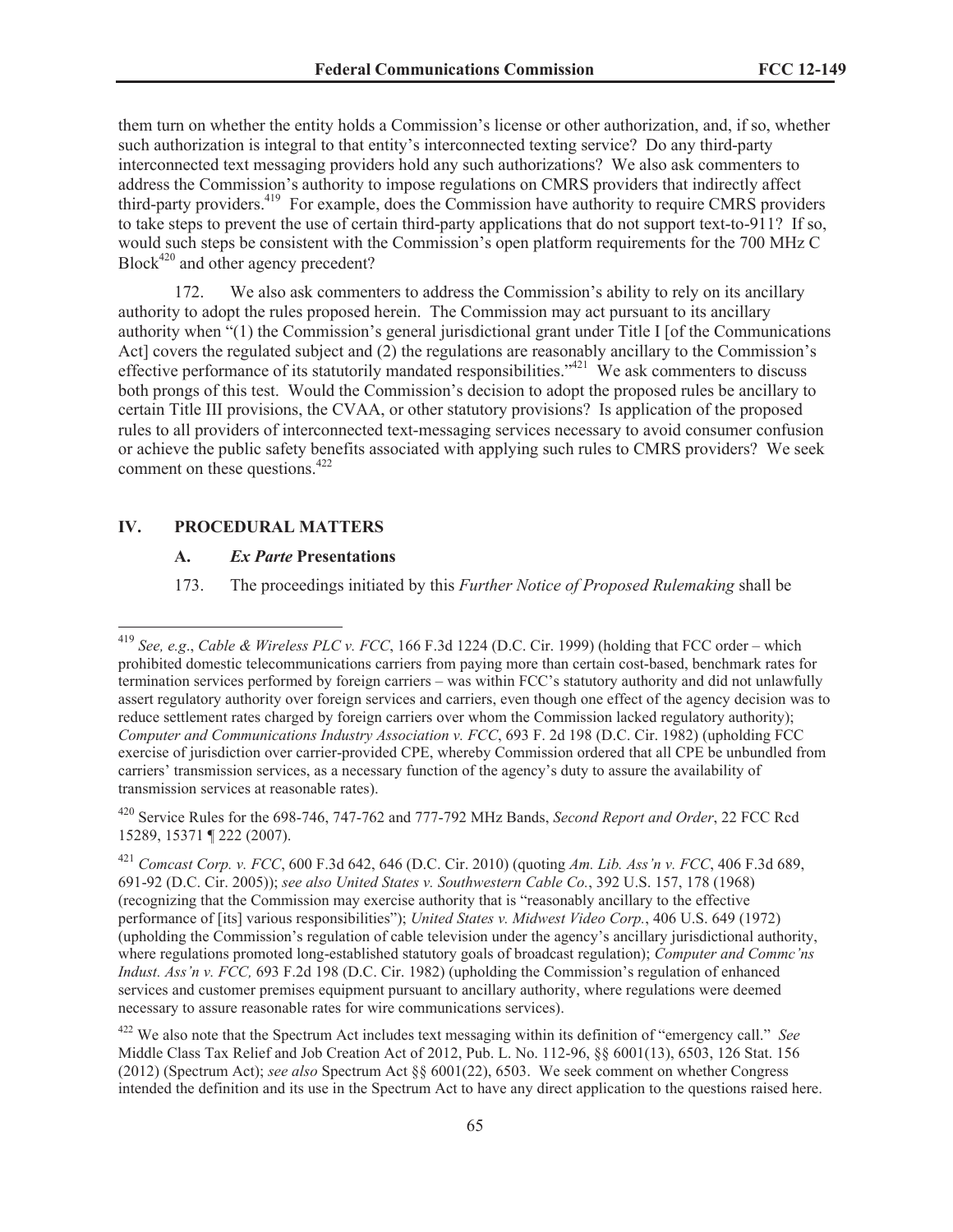them turn on whether the entity holds a Commission's license or other authorization, and, if so, whether such authorization is integral to that entity's interconnected texting service? Do any third-party interconnected text messaging providers hold any such authorizations? We also ask commenters to address the Commission's authority to impose regulations on CMRS providers that indirectly affect third-party providers.<sup>419</sup> For example, does the Commission have authority to require CMRS providers to take steps to prevent the use of certain third-party applications that do not support text-to-911? If so, would such steps be consistent with the Commission's open platform requirements for the 700 MHz C Block<sup>420</sup> and other agency precedent?

172. We also ask commenters to address the Commission's ability to rely on its ancillary authority to adopt the rules proposed herein. The Commission may act pursuant to its ancillary authority when "(1) the Commission's general jurisdictional grant under Title I [of the Communications Act] covers the regulated subject and (2) the regulations are reasonably ancillary to the Commission's effective performance of its statutorily mandated responsibilities."<sup>421</sup> We ask commenters to discuss both prongs of this test. Would the Commission's decision to adopt the proposed rules be ancillary to certain Title III provisions, the CVAA, or other statutory provisions? Is application of the proposed rules to all providers of interconnected text-messaging services necessary to avoid consumer confusion or achieve the public safety benefits associated with applying such rules to CMRS providers? We seek comment on these questions.<sup>422</sup>

#### **IV. PROCEDURAL MATTERS**

### **A.** *Ex Parte* **Presentations**

173. The proceedings initiated by this *Further Notice of Proposed Rulemaking* shall be

<sup>419</sup> *See, e.g*., *Cable & Wireless PLC v. FCC*, 166 F.3d 1224 (D.C. Cir. 1999) (holding that FCC order – which prohibited domestic telecommunications carriers from paying more than certain cost-based, benchmark rates for termination services performed by foreign carriers – was within FCC's statutory authority and did not unlawfully assert regulatory authority over foreign services and carriers, even though one effect of the agency decision was to reduce settlement rates charged by foreign carriers over whom the Commission lacked regulatory authority); *Computer and Communications Industry Association v. FCC*, 693 F. 2d 198 (D.C. Cir. 1982) (upholding FCC exercise of jurisdiction over carrier-provided CPE, whereby Commission ordered that all CPE be unbundled from carriers' transmission services, as a necessary function of the agency's duty to assure the availability of transmission services at reasonable rates).

<sup>420</sup> Service Rules for the 698-746, 747-762 and 777-792 MHz Bands, *Second Report and Order*, 22 FCC Rcd 15289, 15371 ¶ 222 (2007).

<sup>421</sup> *Comcast Corp. v. FCC*, 600 F.3d 642, 646 (D.C. Cir. 2010) (quoting *Am. Lib. Ass'n v. FCC*, 406 F.3d 689, 691-92 (D.C. Cir. 2005)); *see also United States v. Southwestern Cable Co.*, 392 U.S. 157, 178 (1968) (recognizing that the Commission may exercise authority that is "reasonably ancillary to the effective performance of [its] various responsibilities"); *United States v. Midwest Video Corp.*, 406 U.S. 649 (1972) (upholding the Commission's regulation of cable television under the agency's ancillary jurisdictional authority, where regulations promoted long-established statutory goals of broadcast regulation); *Computer and Commc'ns Indust. Ass'n v. FCC,* 693 F.2d 198 (D.C. Cir. 1982) (upholding the Commission's regulation of enhanced services and customer premises equipment pursuant to ancillary authority, where regulations were deemed necessary to assure reasonable rates for wire communications services).

<sup>422</sup> We also note that the Spectrum Act includes text messaging within its definition of "emergency call." *See* Middle Class Tax Relief and Job Creation Act of 2012, Pub. L. No. 112-96, §§ 6001(13), 6503, 126 Stat. 156 (2012) (Spectrum Act); *see also* Spectrum Act §§ 6001(22), 6503. We seek comment on whether Congress intended the definition and its use in the Spectrum Act to have any direct application to the questions raised here.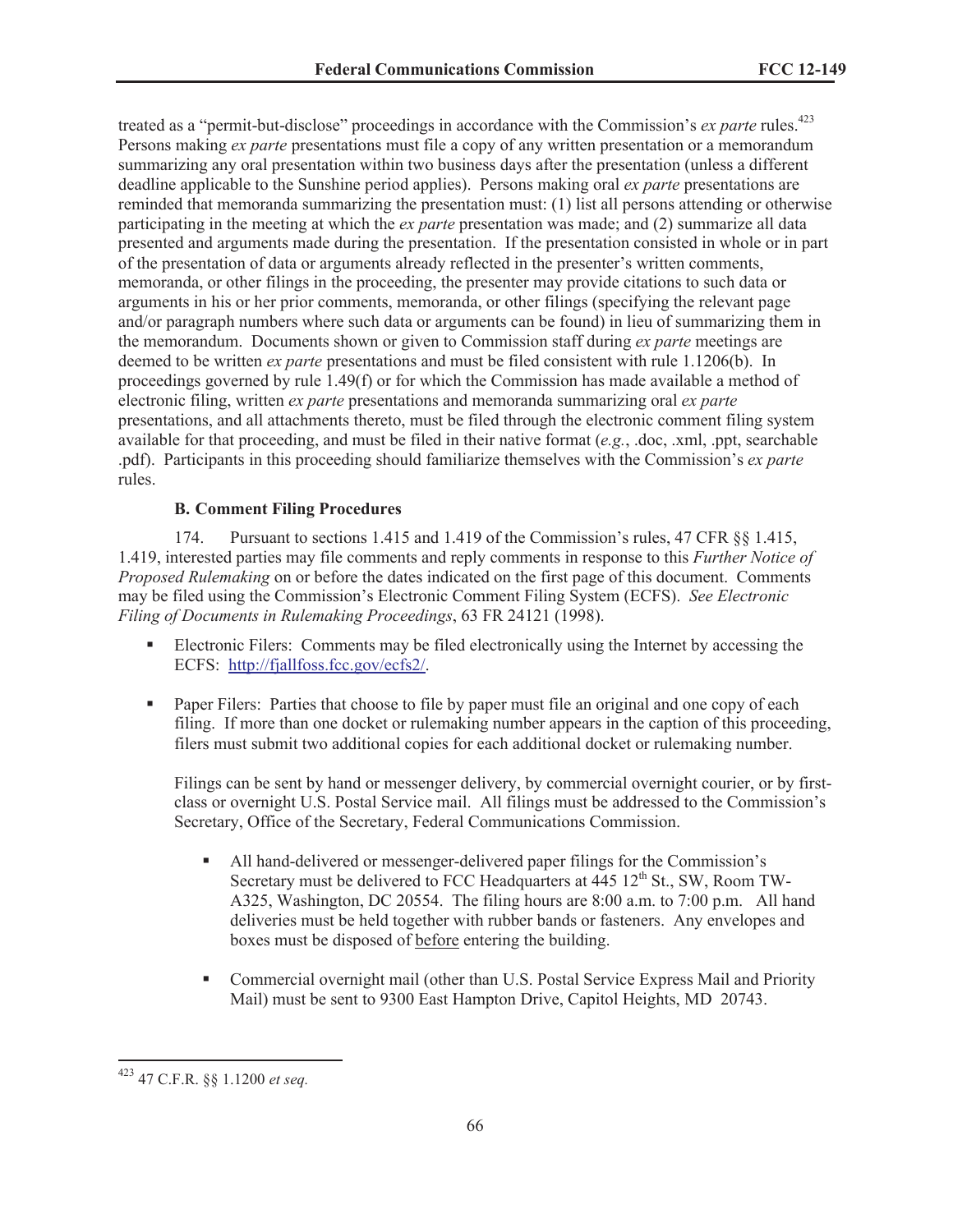treated as a "permit-but-disclose" proceedings in accordance with the Commission's *ex parte* rules.<sup>423</sup> Persons making *ex parte* presentations must file a copy of any written presentation or a memorandum summarizing any oral presentation within two business days after the presentation (unless a different deadline applicable to the Sunshine period applies). Persons making oral *ex parte* presentations are reminded that memoranda summarizing the presentation must: (1) list all persons attending or otherwise participating in the meeting at which the *ex parte* presentation was made; and (2) summarize all data presented and arguments made during the presentation. If the presentation consisted in whole or in part of the presentation of data or arguments already reflected in the presenter's written comments, memoranda, or other filings in the proceeding, the presenter may provide citations to such data or arguments in his or her prior comments, memoranda, or other filings (specifying the relevant page and/or paragraph numbers where such data or arguments can be found) in lieu of summarizing them in the memorandum. Documents shown or given to Commission staff during *ex parte* meetings are deemed to be written *ex parte* presentations and must be filed consistent with rule 1.1206(b). In proceedings governed by rule 1.49(f) or for which the Commission has made available a method of electronic filing, written *ex parte* presentations and memoranda summarizing oral *ex parte*  presentations, and all attachments thereto, must be filed through the electronic comment filing system available for that proceeding, and must be filed in their native format (*e.g.*, .doc, .xml, .ppt, searchable .pdf). Participants in this proceeding should familiarize themselves with the Commission's *ex parte*  rules.

## **B. Comment Filing Procedures**

174. Pursuant to sections 1.415 and 1.419 of the Commission's rules, 47 CFR §§ 1.415, 1.419, interested parties may file comments and reply comments in response to this *Further Notice of Proposed Rulemaking* on or before the dates indicated on the first page of this document. Comments may be filed using the Commission's Electronic Comment Filing System (ECFS). *See Electronic Filing of Documents in Rulemaking Proceedings*, 63 FR 24121 (1998).

- Electronic Filers: Comments may be filed electronically using the Internet by accessing the ECFS: http://fjallfoss.fcc.gov/ecfs2/.
- Paper Filers: Parties that choose to file by paper must file an original and one copy of each filing. If more than one docket or rulemaking number appears in the caption of this proceeding, filers must submit two additional copies for each additional docket or rulemaking number.

Filings can be sent by hand or messenger delivery, by commercial overnight courier, or by firstclass or overnight U.S. Postal Service mail. All filings must be addressed to the Commission's Secretary, Office of the Secretary, Federal Communications Commission.

- § All hand-delivered or messenger-delivered paper filings for the Commission's Secretary must be delivered to FCC Headquarters at  $445 \frac{12^{th}}{S}$  St., SW, Room TW-A325, Washington, DC 20554. The filing hours are 8:00 a.m. to 7:00 p.m. All hand deliveries must be held together with rubber bands or fasteners. Any envelopes and boxes must be disposed of before entering the building.
- § Commercial overnight mail (other than U.S. Postal Service Express Mail and Priority Mail) must be sent to 9300 East Hampton Drive, Capitol Heights, MD 20743.

<sup>423</sup> 47 C.F.R. §§ 1.1200 *et seq.*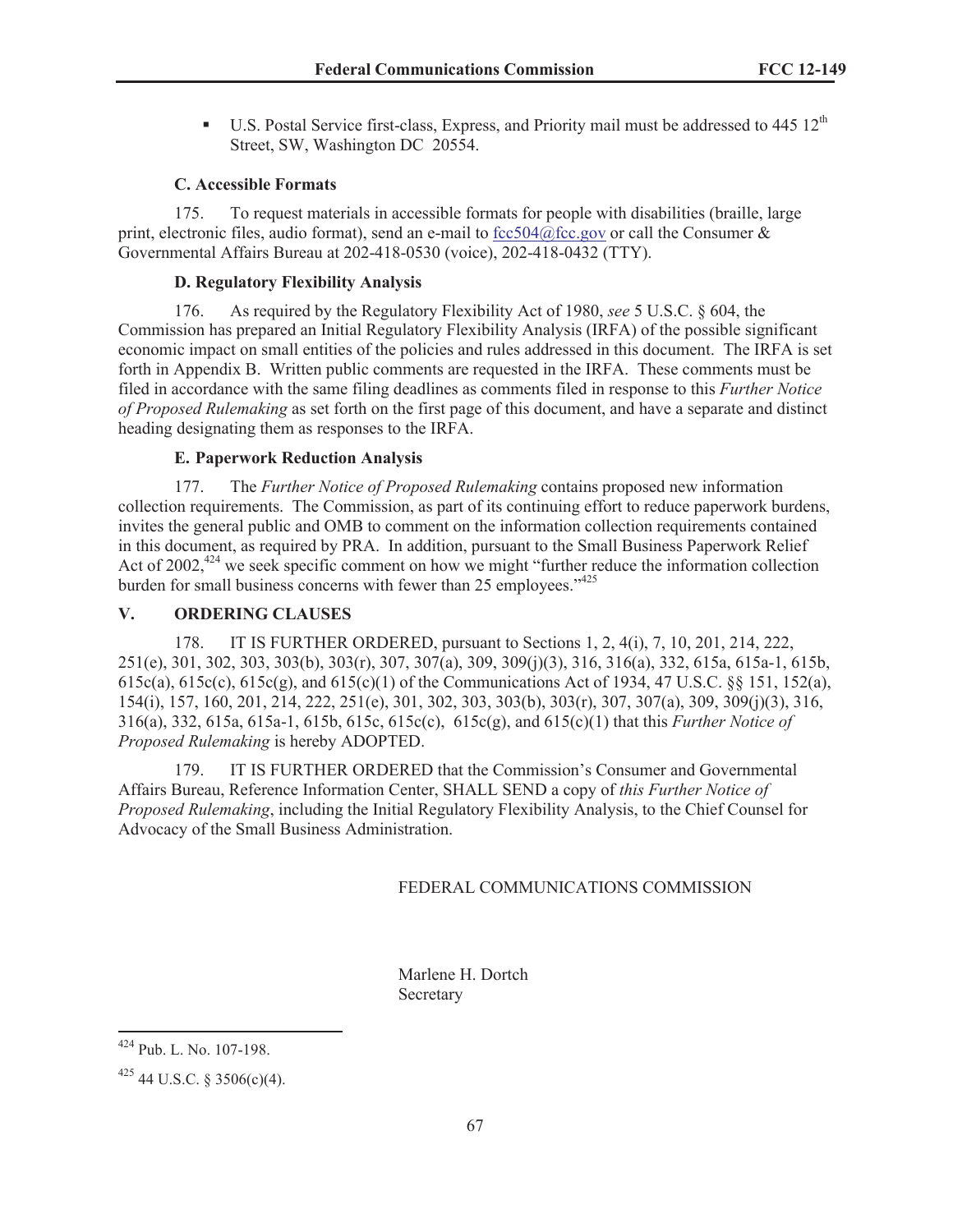**•** U.S. Postal Service first-class, Express, and Priority mail must be addressed to 445  $12<sup>th</sup>$ Street, SW, Washington DC 20554.

## **C. Accessible Formats**

175. To request materials in accessible formats for people with disabilities (braille, large print, electronic files, audio format), send an e-mail to fcc504@fcc.gov or call the Consumer  $\&$ Governmental Affairs Bureau at 202-418-0530 (voice), 202-418-0432 (TTY).

## **D. Regulatory Flexibility Analysis**

176. As required by the Regulatory Flexibility Act of 1980, *see* 5 U.S.C. § 604, the Commission has prepared an Initial Regulatory Flexibility Analysis (IRFA) of the possible significant economic impact on small entities of the policies and rules addressed in this document. The IRFA is set forth in Appendix B. Written public comments are requested in the IRFA. These comments must be filed in accordance with the same filing deadlines as comments filed in response to this *Further Notice of Proposed Rulemaking* as set forth on the first page of this document, and have a separate and distinct heading designating them as responses to the IRFA.

# **E. Paperwork Reduction Analysis**

177. The *Further Notice of Proposed Rulemaking* contains proposed new information collection requirements. The Commission, as part of its continuing effort to reduce paperwork burdens, invites the general public and OMB to comment on the information collection requirements contained in this document, as required by PRA. In addition, pursuant to the Small Business Paperwork Relief Act of 2002, $424$  we seek specific comment on how we might "further reduce the information collection" burden for small business concerns with fewer than 25 employees."<sup>425</sup>

### **V. ORDERING CLAUSES**

178. IT IS FURTHER ORDERED, pursuant to Sections 1, 2, 4(i), 7, 10, 201, 214, 222, 251(e), 301, 302, 303, 303(b), 303(r), 307, 307(a), 309, 309(j)(3), 316, 316(a), 332, 615a, 615a-1, 615b, 615c(a), 615c(c), 615c(g), and 615(c)(1) of the Communications Act of 1934, 47 U.S.C. §§ 151, 152(a), 154(i), 157, 160, 201, 214, 222, 251(e), 301, 302, 303, 303(b), 303(r), 307, 307(a), 309, 309(j)(3), 316, 316(a), 332, 615a, 615a-1, 615b, 615c, 615c(c), 615c(g), and 615(c)(1) that this *Further Notice of Proposed Rulemaking* is hereby ADOPTED.

179. IT IS FURTHER ORDERED that the Commission's Consumer and Governmental Affairs Bureau, Reference Information Center, SHALL SEND a copy of *this Further Notice of Proposed Rulemaking*, including the Initial Regulatory Flexibility Analysis, to the Chief Counsel for Advocacy of the Small Business Administration.

### FEDERAL COMMUNICATIONS COMMISSION

Marlene H. Dortch Secretary

<sup>424</sup> Pub. L. No. 107-198.

 $425$  44 U.S.C. § 3506(c)(4).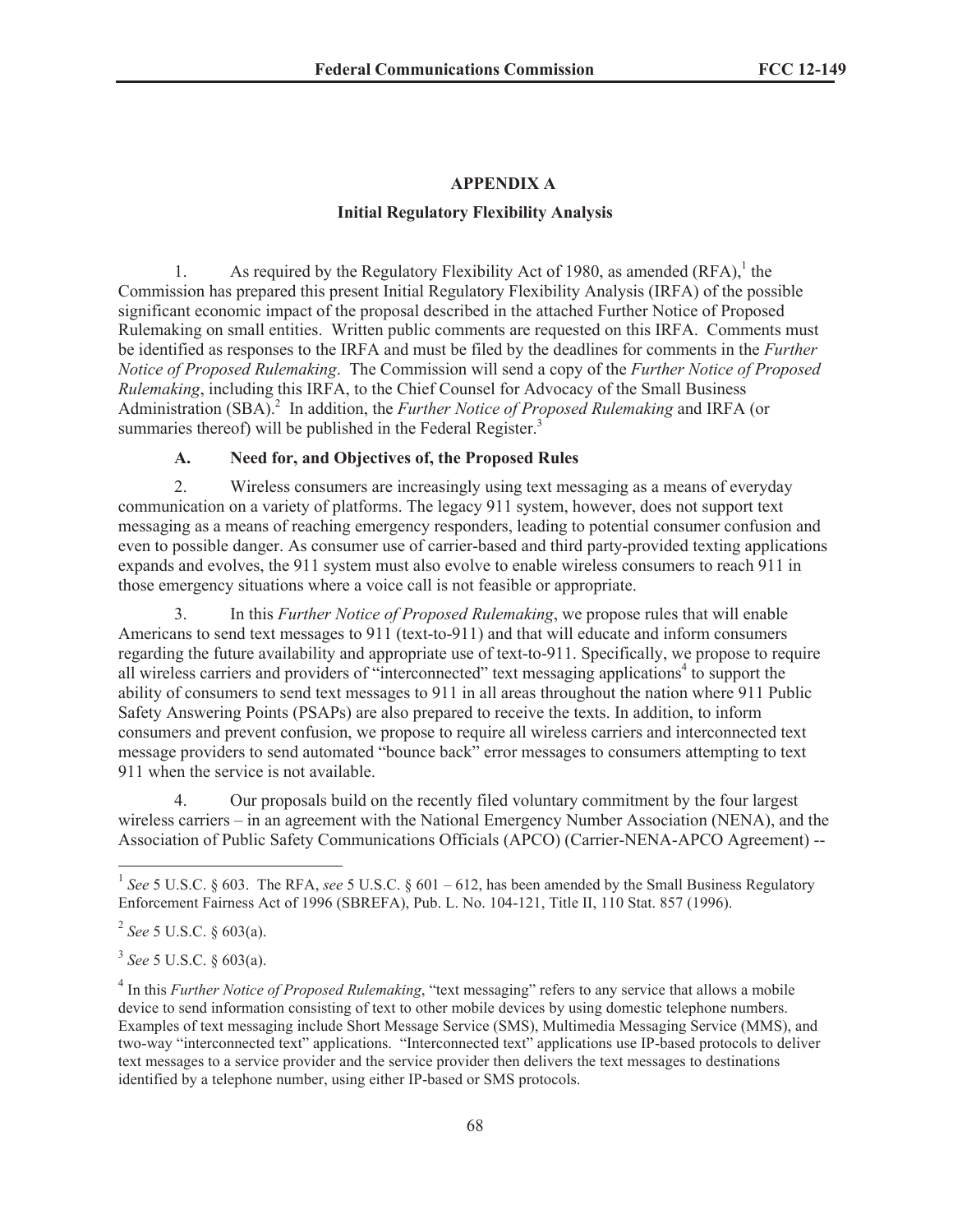## **APPENDIX A**

## **Initial Regulatory Flexibility Analysis**

1. As required by the Regulatory Flexibility Act of 1980, as amended  $(RFA)$ ,<sup>1</sup> the Commission has prepared this present Initial Regulatory Flexibility Analysis (IRFA) of the possible significant economic impact of the proposal described in the attached Further Notice of Proposed Rulemaking on small entities. Written public comments are requested on this IRFA. Comments must be identified as responses to the IRFA and must be filed by the deadlines for comments in the *Further Notice of Proposed Rulemaking*. The Commission will send a copy of the *Further Notice of Proposed Rulemaking*, including this IRFA, to the Chief Counsel for Advocacy of the Small Business Administration (SBA).<sup>2</sup> In addition, the *Further Notice of Proposed Rulemaking* and IRFA (or summaries thereof) will be published in the Federal Register.<sup>3</sup>

## **A. Need for, and Objectives of, the Proposed Rules**

2. Wireless consumers are increasingly using text messaging as a means of everyday communication on a variety of platforms. The legacy 911 system, however, does not support text messaging as a means of reaching emergency responders, leading to potential consumer confusion and even to possible danger. As consumer use of carrier-based and third party-provided texting applications expands and evolves, the 911 system must also evolve to enable wireless consumers to reach 911 in those emergency situations where a voice call is not feasible or appropriate.

3. In this *Further Notice of Proposed Rulemaking*, we propose rules that will enable Americans to send text messages to 911 (text-to-911) and that will educate and inform consumers regarding the future availability and appropriate use of text-to-911. Specifically, we propose to require all wireless carriers and providers of "interconnected" text messaging applications<sup>4</sup> to support the ability of consumers to send text messages to 911 in all areas throughout the nation where 911 Public Safety Answering Points (PSAPs) are also prepared to receive the texts. In addition, to inform consumers and prevent confusion, we propose to require all wireless carriers and interconnected text message providers to send automated "bounce back" error messages to consumers attempting to text 911 when the service is not available.

4. Our proposals build on the recently filed voluntary commitment by the four largest wireless carriers – in an agreement with the National Emergency Number Association (NENA), and the Association of Public Safety Communications Officials (APCO) (Carrier-NENA-APCO Agreement) --

3 *See* 5 U.S.C. § 603(a).

<sup>&</sup>lt;sup>1</sup> See 5 U.S.C. § 603. The RFA, see 5 U.S.C. § 601 – 612, has been amended by the Small Business Regulatory Enforcement Fairness Act of 1996 (SBREFA), Pub. L. No. 104-121, Title II, 110 Stat. 857 (1996).

<sup>2</sup> *See* 5 U.S.C. § 603(a).

<sup>&</sup>lt;sup>4</sup> In this *Further Notice of Proposed Rulemaking*, "text messaging" refers to any service that allows a mobile device to send information consisting of text to other mobile devices by using domestic telephone numbers. Examples of text messaging include Short Message Service (SMS), Multimedia Messaging Service (MMS), and two-way "interconnected text" applications. "Interconnected text" applications use IP-based protocols to deliver text messages to a service provider and the service provider then delivers the text messages to destinations identified by a telephone number, using either IP-based or SMS protocols.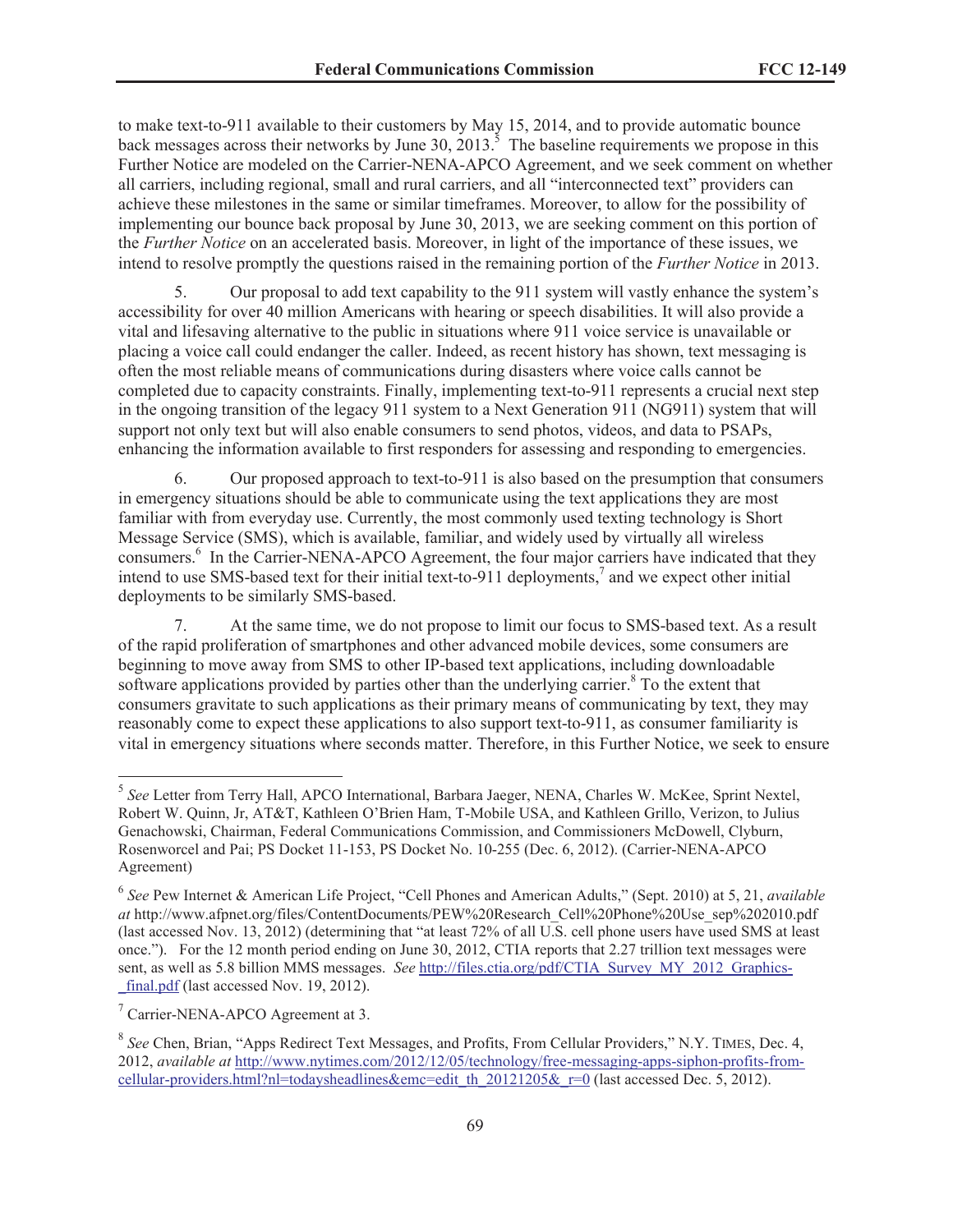to make text-to-911 available to their customers by May 15, 2014, and to provide automatic bounce back messages across their networks by June 30,  $2013<sup>5</sup>$ . The baseline requirements we propose in this Further Notice are modeled on the Carrier-NENA-APCO Agreement, and we seek comment on whether all carriers, including regional, small and rural carriers, and all "interconnected text" providers can achieve these milestones in the same or similar timeframes. Moreover, to allow for the possibility of implementing our bounce back proposal by June 30, 2013, we are seeking comment on this portion of the *Further Notice* on an accelerated basis. Moreover, in light of the importance of these issues, we intend to resolve promptly the questions raised in the remaining portion of the *Further Notice* in 2013.

5. Our proposal to add text capability to the 911 system will vastly enhance the system's accessibility for over 40 million Americans with hearing or speech disabilities. It will also provide a vital and lifesaving alternative to the public in situations where 911 voice service is unavailable or placing a voice call could endanger the caller. Indeed, as recent history has shown, text messaging is often the most reliable means of communications during disasters where voice calls cannot be completed due to capacity constraints. Finally, implementing text-to-911 represents a crucial next step in the ongoing transition of the legacy 911 system to a Next Generation 911 (NG911) system that will support not only text but will also enable consumers to send photos, videos, and data to PSAPs, enhancing the information available to first responders for assessing and responding to emergencies.

6. Our proposed approach to text-to-911 is also based on the presumption that consumers in emergency situations should be able to communicate using the text applications they are most familiar with from everyday use. Currently, the most commonly used texting technology is Short Message Service (SMS), which is available, familiar, and widely used by virtually all wireless consumers.<sup>6</sup> In the Carrier-NENA-APCO Agreement, the four major carriers have indicated that they intend to use SMS-based text for their initial text-to-911 deployments,<sup>7</sup> and we expect other initial deployments to be similarly SMS-based.

7. At the same time, we do not propose to limit our focus to SMS-based text. As a result of the rapid proliferation of smartphones and other advanced mobile devices, some consumers are beginning to move away from SMS to other IP-based text applications, including downloadable software applications provided by parties other than the underlying carrier.<sup>8</sup> To the extent that consumers gravitate to such applications as their primary means of communicating by text, they may reasonably come to expect these applications to also support text-to-911, as consumer familiarity is vital in emergency situations where seconds matter. Therefore, in this Further Notice, we seek to ensure

<sup>5</sup> *See* Letter from Terry Hall, APCO International, Barbara Jaeger, NENA, Charles W. McKee, Sprint Nextel, Robert W. Quinn, Jr, AT&T, Kathleen O'Brien Ham, T-Mobile USA, and Kathleen Grillo, Verizon, to Julius Genachowski, Chairman, Federal Communications Commission, and Commissioners McDowell, Clyburn, Rosenworcel and Pai; PS Docket 11-153, PS Docket No. 10-255 (Dec. 6, 2012). (Carrier-NENA-APCO Agreement)

<sup>6</sup> *See* Pew Internet & American Life Project, "Cell Phones and American Adults," (Sept. 2010) at 5, 21, *available at* http://www.afpnet.org/files/ContentDocuments/PEW%20Research\_Cell%20Phone%20Use\_sep%202010.pdf (last accessed Nov. 13, 2012) (determining that "at least 72% of all U.S. cell phone users have used SMS at least once."). For the 12 month period ending on June 30, 2012, CTIA reports that 2.27 trillion text messages were sent, as well as 5.8 billion MMS messages. *See* http://files.ctia.org/pdf/CTIA\_Survey\_MY\_2012\_Graphicsfinal.pdf (last accessed Nov. 19, 2012).

<sup>&</sup>lt;sup>7</sup> Carrier-NENA-APCO Agreement at 3.

<sup>8</sup> *See* Chen, Brian, "Apps Redirect Text Messages, and Profits, From Cellular Providers," N.Y. TIMES, Dec. 4, 2012, *available at* http://www.nytimes.com/2012/12/05/technology/free-messaging-apps-siphon-profits-fromcellular-providers.html?nl=todaysheadlines&emc=edit\_th\_20121205&\_r=0 (last accessed Dec. 5, 2012).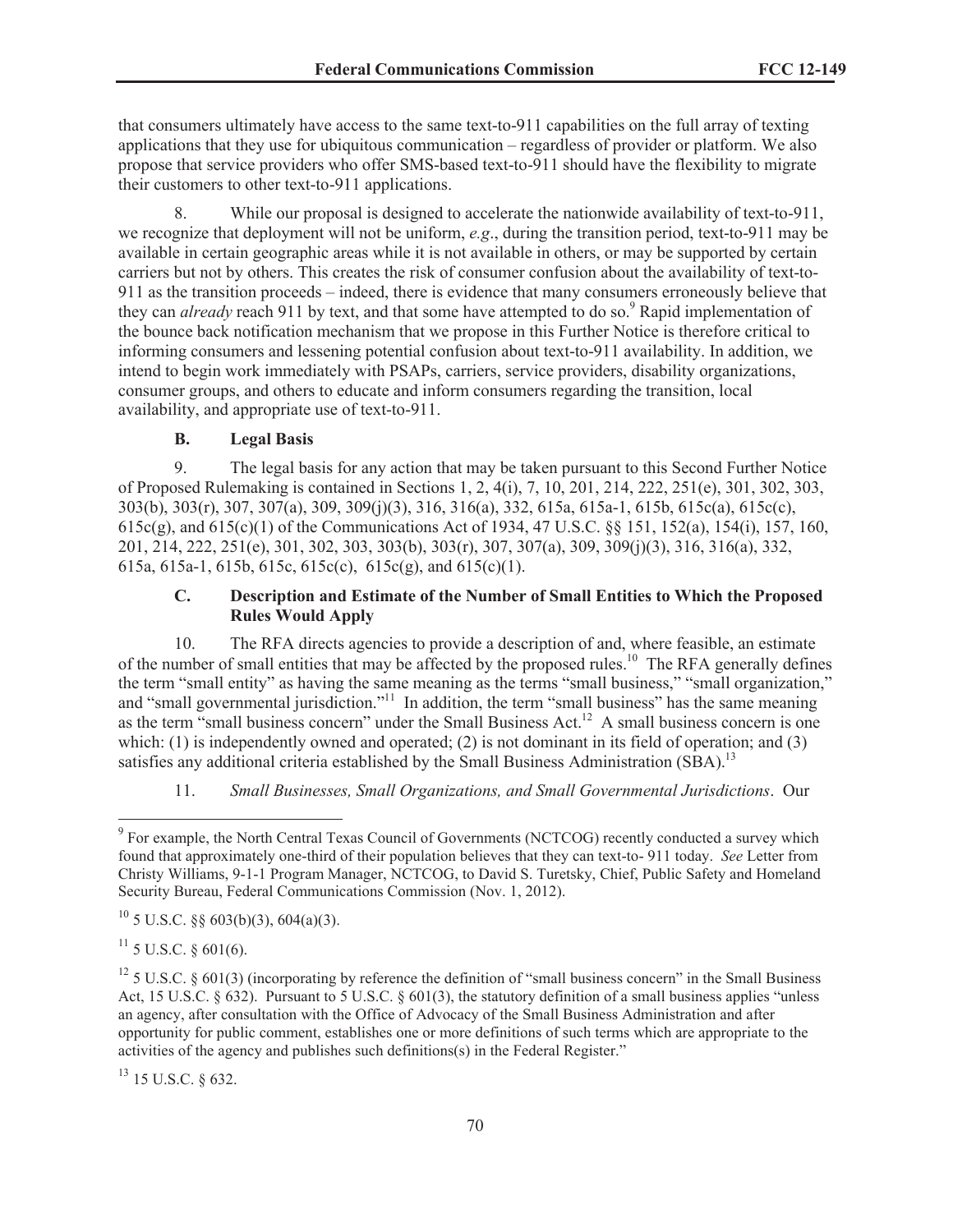that consumers ultimately have access to the same text-to-911 capabilities on the full array of texting applications that they use for ubiquitous communication – regardless of provider or platform. We also propose that service providers who offer SMS-based text-to-911 should have the flexibility to migrate their customers to other text-to-911 applications.

8. While our proposal is designed to accelerate the nationwide availability of text-to-911, we recognize that deployment will not be uniform, *e.g*., during the transition period, text-to-911 may be available in certain geographic areas while it is not available in others, or may be supported by certain carriers but not by others. This creates the risk of consumer confusion about the availability of text-to-911 as the transition proceeds – indeed, there is evidence that many consumers erroneously believe that they can *already* reach 911 by text, and that some have attempted to do so.<sup>9</sup> Rapid implementation of the bounce back notification mechanism that we propose in this Further Notice is therefore critical to informing consumers and lessening potential confusion about text-to-911 availability. In addition, we intend to begin work immediately with PSAPs, carriers, service providers, disability organizations, consumer groups, and others to educate and inform consumers regarding the transition, local availability, and appropriate use of text-to-911.

### **B. Legal Basis**

9. The legal basis for any action that may be taken pursuant to this Second Further Notice of Proposed Rulemaking is contained in Sections 1, 2, 4(i), 7, 10, 201, 214, 222, 251(e), 301, 302, 303, 303(b), 303(r), 307, 307(a), 309, 309(j)(3), 316, 316(a), 332, 615a, 615a-1, 615b, 615c(a), 615c(c), 615c(g), and 615(c)(1) of the Communications Act of 1934, 47 U.S.C. §§ 151, 152(a), 154(i), 157, 160, 201, 214, 222, 251(e), 301, 302, 303, 303(b), 303(r), 307, 307(a), 309, 309(j)(3), 316, 316(a), 332, 615a, 615a-1, 615b, 615c, 615c(c), 615c(g), and 615(c)(1).

### **C. Description and Estimate of the Number of Small Entities to Which the Proposed Rules Would Apply**

10. The RFA directs agencies to provide a description of and, where feasible, an estimate of the number of small entities that may be affected by the proposed rules.<sup>10</sup> The RFA generally defines the term "small entity" as having the same meaning as the terms "small business," "small organization," and "small governmental jurisdiction."<sup>11</sup> In addition, the term "small business" has the same meaning as the term "small business concern" under the Small Business Act.<sup>12</sup> A small business concern is one which: (1) is independently owned and operated; (2) is not dominant in its field of operation; and (3) satisfies any additional criteria established by the Small Business Administration (SBA).<sup>13</sup>

11. *Small Businesses, Small Organizations, and Small Governmental Jurisdictions*. Our

 $^{10}$  5 U.S.C. §§ 603(b)(3), 604(a)(3).

 $11$  5 U.S.C. § 601(6).

<sup>13</sup> 15 U.S.C. § 632.

<sup>&</sup>lt;sup>9</sup> For example, the North Central Texas Council of Governments (NCTCOG) recently conducted a survey which found that approximately one-third of their population believes that they can text-to- 911 today. *See* Letter from Christy Williams, 9-1-1 Program Manager, NCTCOG, to David S. Turetsky, Chief, Public Safety and Homeland Security Bureau, Federal Communications Commission (Nov. 1, 2012).

<sup>&</sup>lt;sup>12</sup> 5 U.S.C.  $\&$  601(3) (incorporating by reference the definition of "small business concern" in the Small Business Act, 15 U.S.C. § 632). Pursuant to 5 U.S.C. § 601(3), the statutory definition of a small business applies "unless an agency, after consultation with the Office of Advocacy of the Small Business Administration and after opportunity for public comment, establishes one or more definitions of such terms which are appropriate to the activities of the agency and publishes such definitions(s) in the Federal Register."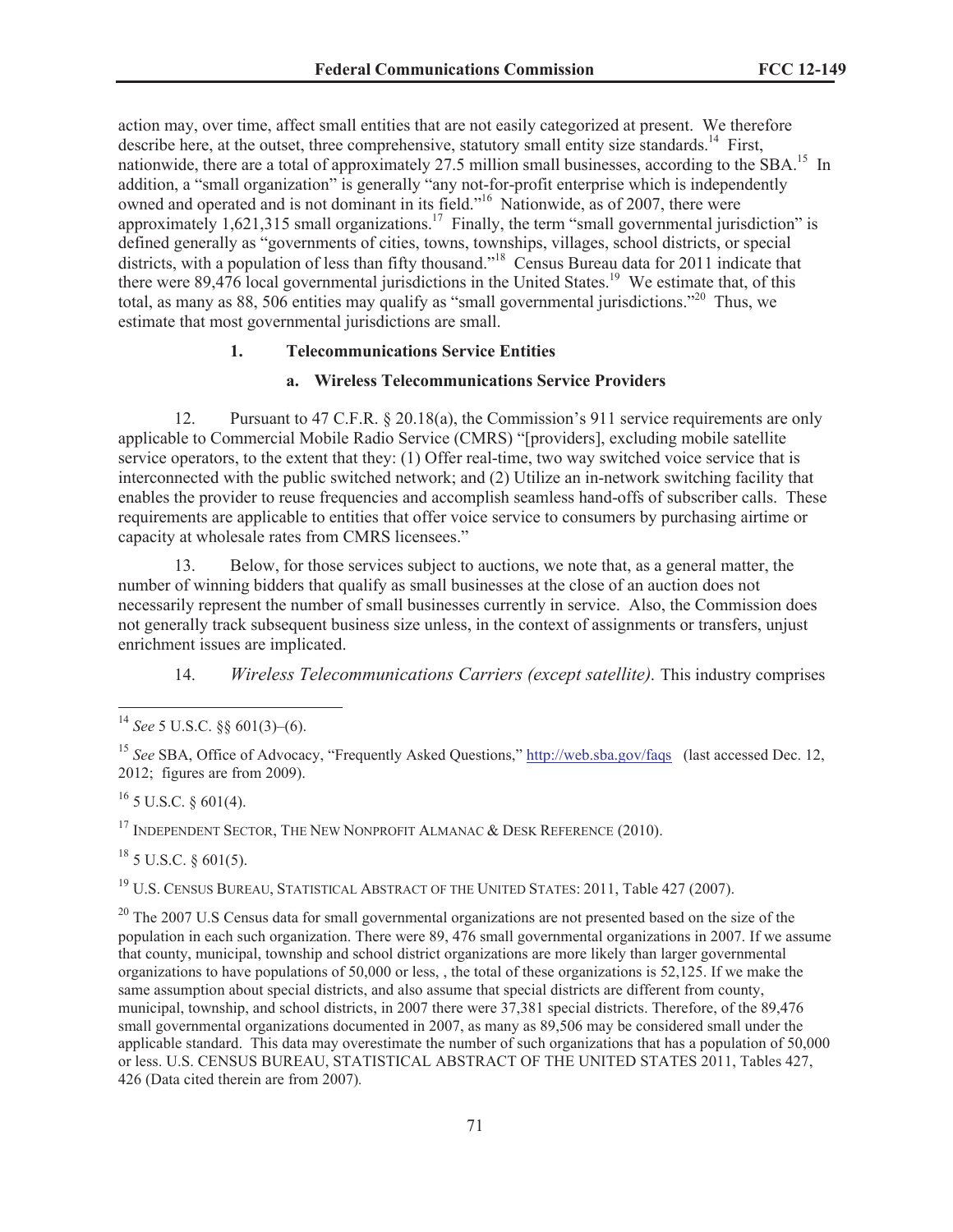action may, over time, affect small entities that are not easily categorized at present. We therefore describe here, at the outset, three comprehensive, statutory small entity size standards.<sup>14</sup> First, nationwide, there are a total of approximately 27.5 million small businesses, according to the SBA.<sup>15</sup> In addition, a "small organization" is generally "any not-for-profit enterprise which is independently owned and operated and is not dominant in its field."<sup>16</sup> Nationwide, as of 2007, there were approximately  $1,621,315$  small organizations.<sup>17</sup> Finally, the term "small governmental jurisdiction" is defined generally as "governments of cities, towns, townships, villages, school districts, or special districts, with a population of less than fifty thousand."<sup>18</sup> Census Bureau data for 2011 indicate that there were 89,476 local governmental jurisdictions in the United States.<sup>19</sup> We estimate that, of this total, as many as 88, 506 entities may qualify as "small governmental jurisdictions."<sup>20</sup> Thus, we estimate that most governmental jurisdictions are small.

## **1. Telecommunications Service Entities**

## **a. Wireless Telecommunications Service Providers**

12. Pursuant to 47 C.F.R. § 20.18(a), the Commission's 911 service requirements are only applicable to Commercial Mobile Radio Service (CMRS) "[providers], excluding mobile satellite service operators, to the extent that they: (1) Offer real-time, two way switched voice service that is interconnected with the public switched network; and (2) Utilize an in-network switching facility that enables the provider to reuse frequencies and accomplish seamless hand-offs of subscriber calls. These requirements are applicable to entities that offer voice service to consumers by purchasing airtime or capacity at wholesale rates from CMRS licensees."

13. Below, for those services subject to auctions, we note that, as a general matter, the number of winning bidders that qualify as small businesses at the close of an auction does not necessarily represent the number of small businesses currently in service. Also, the Commission does not generally track subsequent business size unless, in the context of assignments or transfers, unjust enrichment issues are implicated.

14. *Wireless Telecommunications Carriers (except satellite).* This industry comprises

 $^{16}$  5 U.S.C. § 601(4).

<sup>17</sup> INDEPENDENT SECTOR, THE NEW NONPROFIT ALMANAC  $\&$  DESK REFERENCE (2010).

 $18$  5 U.S.C. § 601(5).

<sup>19</sup> U.S. CENSUS BUREAU, STATISTICAL ABSTRACT OF THE UNITED STATES: 2011, Table 427 (2007).

<sup>20</sup> The 2007 U.S Census data for small governmental organizations are not presented based on the size of the population in each such organization. There were 89, 476 small governmental organizations in 2007. If we assume that county, municipal, township and school district organizations are more likely than larger governmental organizations to have populations of 50,000 or less, , the total of these organizations is 52,125. If we make the same assumption about special districts, and also assume that special districts are different from county, municipal, township, and school districts, in 2007 there were 37,381 special districts. Therefore, of the 89,476 small governmental organizations documented in 2007, as many as 89,506 may be considered small under the applicable standard. This data may overestimate the number of such organizations that has a population of 50,000 or less. U.S. CENSUS BUREAU, STATISTICAL ABSTRACT OF THE UNITED STATES 2011, Tables 427, 426 (Data cited therein are from 2007)*.*

<sup>14</sup> *See* 5 U.S.C. §§ 601(3)–(6).

<sup>15</sup> *See* SBA, Office of Advocacy, "Frequently Asked Questions," http://web.sba.gov/faqs (last accessed Dec. 12, 2012; figures are from 2009).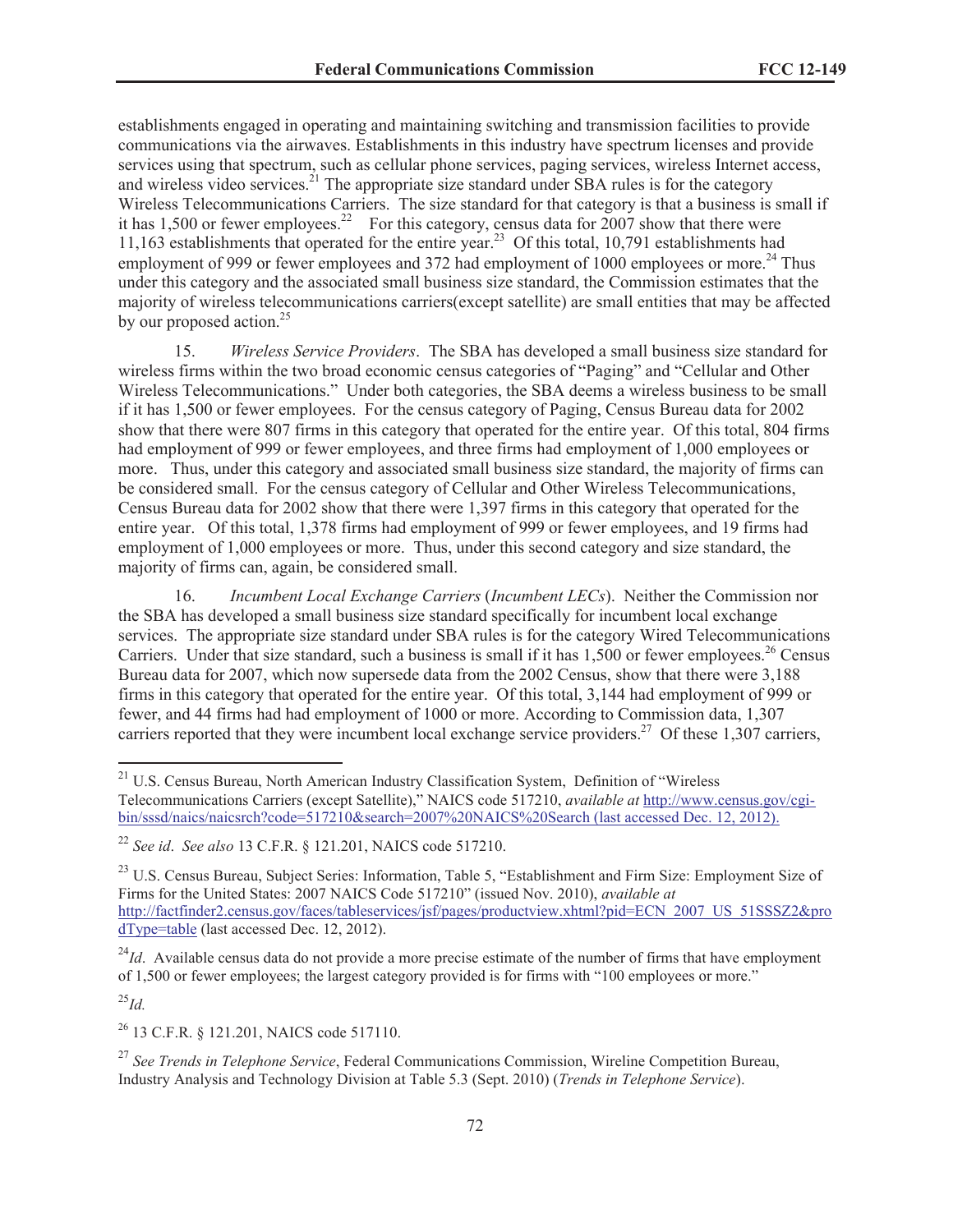establishments engaged in operating and maintaining switching and transmission facilities to provide communications via the airwaves. Establishments in this industry have spectrum licenses and provide services using that spectrum, such as cellular phone services, paging services, wireless Internet access, and wireless video services.<sup>21</sup> The appropriate size standard under SBA rules is for the category Wireless Telecommunications Carriers. The size standard for that category is that a business is small if it has 1,500 or fewer employees.<sup>22</sup> For this category, census data for  $2007$  show that there were 11,163 establishments that operated for the entire year.<sup>23</sup> Of this total, 10,791 establishments had employment of 999 or fewer employees and 372 had employment of 1000 employees or more.<sup>24</sup> Thus under this category and the associated small business size standard, the Commission estimates that the majority of wireless telecommunications carriers(except satellite) are small entities that may be affected by our proposed action. $25$ 

15. *Wireless Service Providers*. The SBA has developed a small business size standard for wireless firms within the two broad economic census categories of "Paging" and "Cellular and Other Wireless Telecommunications." Under both categories, the SBA deems a wireless business to be small if it has 1,500 or fewer employees. For the census category of Paging, Census Bureau data for 2002 show that there were 807 firms in this category that operated for the entire year. Of this total, 804 firms had employment of 999 or fewer employees, and three firms had employment of 1,000 employees or more. Thus, under this category and associated small business size standard, the majority of firms can be considered small. For the census category of Cellular and Other Wireless Telecommunications, Census Bureau data for 2002 show that there were 1,397 firms in this category that operated for the entire year. Of this total, 1,378 firms had employment of 999 or fewer employees, and 19 firms had employment of 1,000 employees or more. Thus, under this second category and size standard, the majority of firms can, again, be considered small.

16. *Incumbent Local Exchange Carriers* (*Incumbent LECs*). Neither the Commission nor the SBA has developed a small business size standard specifically for incumbent local exchange services. The appropriate size standard under SBA rules is for the category Wired Telecommunications Carriers. Under that size standard, such a business is small if it has 1,500 or fewer employees.<sup>26</sup> Census Bureau data for 2007, which now supersede data from the 2002 Census, show that there were 3,188 firms in this category that operated for the entire year. Of this total, 3,144 had employment of 999 or fewer, and 44 firms had had employment of 1000 or more. According to Commission data, 1,307 carriers reported that they were incumbent local exchange service providers.<sup>27</sup> Of these 1,307 carriers,

<sup>24</sup>*Id*. Available census data do not provide a more precise estimate of the number of firms that have employment of 1,500 or fewer employees; the largest category provided is for firms with "100 employees or more."

<sup>25</sup>*Id.*

<sup>26</sup> 13 C.F.R. § 121.201, NAICS code 517110.

<sup>27</sup> *See Trends in Telephone Service*, Federal Communications Commission, Wireline Competition Bureau, Industry Analysis and Technology Division at Table 5.3 (Sept. 2010) (*Trends in Telephone Service*).

<sup>&</sup>lt;sup>21</sup> U.S. Census Bureau, North American Industry Classification System, Definition of "Wireless Telecommunications Carriers (except Satellite)," NAICS code 517210, *available at* http://www.census.gov/cgibin/sssd/naics/naicsrch?code=517210&search=2007%20NAICS%20Search (last accessed Dec. 12, 2012).

<sup>22</sup> *See id*. *See also* 13 C.F.R. § 121.201, NAICS code 517210.

<sup>&</sup>lt;sup>23</sup> U.S. Census Bureau, Subject Series: Information, Table 5, "Establishment and Firm Size: Employment Size of Firms for the United States: 2007 NAICS Code 517210" (issued Nov. 2010), *available at* http://factfinder2.census.gov/faces/tableservices/jsf/pages/productview.xhtml?pid=ECN\_2007\_US\_51SSSZ2&pro dType=table (last accessed Dec. 12, 2012).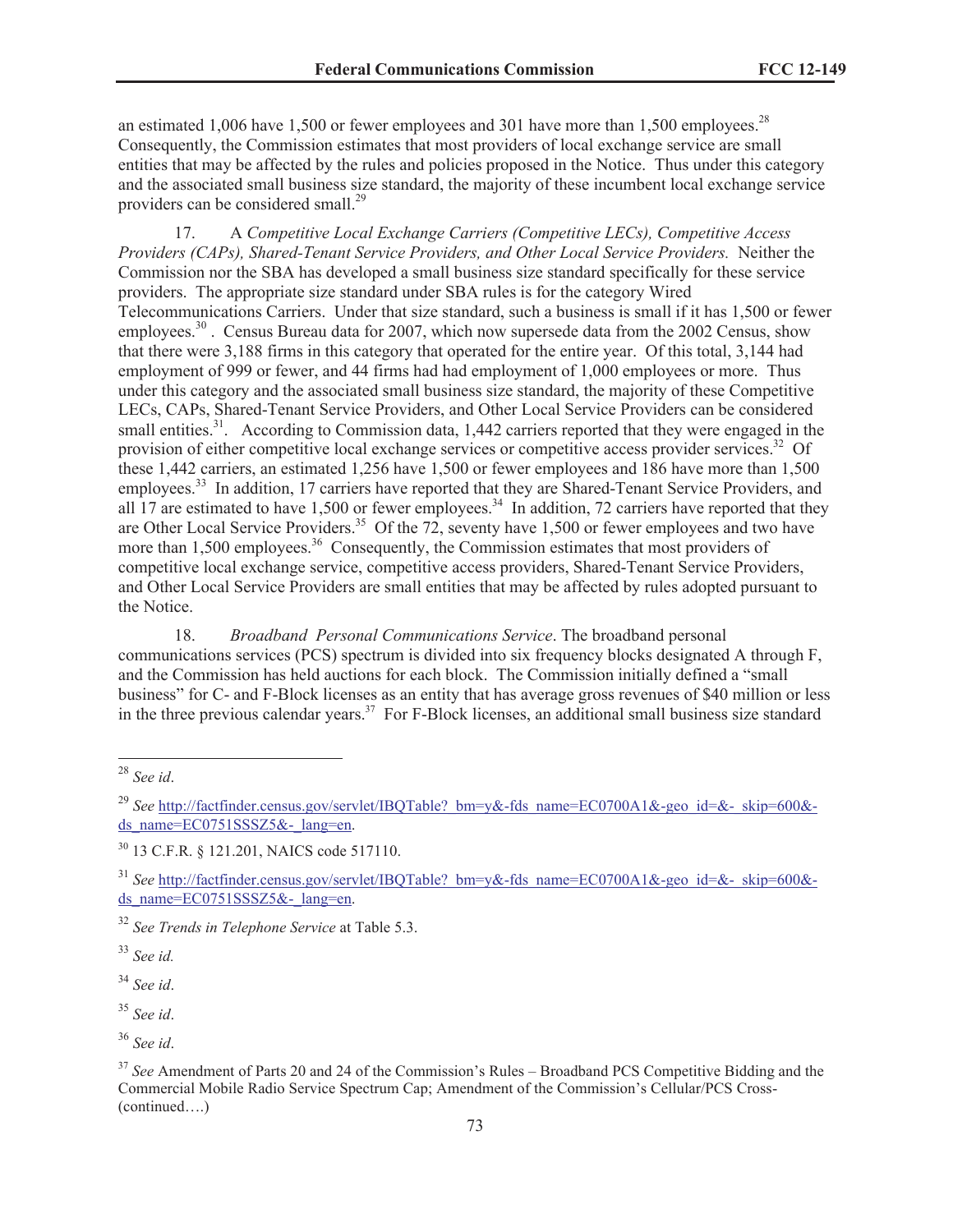an estimated 1,006 have 1,500 or fewer employees and 301 have more than 1,500 employees.<sup>28</sup> Consequently, the Commission estimates that most providers of local exchange service are small entities that may be affected by the rules and policies proposed in the Notice. Thus under this category and the associated small business size standard, the majority of these incumbent local exchange service providers can be considered small.<sup>29</sup>

17. A *Competitive Local Exchange Carriers (Competitive LECs), Competitive Access Providers (CAPs), Shared-Tenant Service Providers, and Other Local Service Providers.* Neither the Commission nor the SBA has developed a small business size standard specifically for these service providers. The appropriate size standard under SBA rules is for the category Wired Telecommunications Carriers. Under that size standard, such a business is small if it has 1,500 or fewer employees.<sup>30</sup>. Census Bureau data for 2007, which now supersede data from the 2002 Census, show that there were 3,188 firms in this category that operated for the entire year. Of this total, 3,144 had employment of 999 or fewer, and 44 firms had had employment of 1,000 employees or more. Thus under this category and the associated small business size standard, the majority of these Competitive LECs, CAPs, Shared-Tenant Service Providers, and Other Local Service Providers can be considered small entities.<sup>31</sup>. According to Commission data, 1,442 carriers reported that they were engaged in the provision of either competitive local exchange services or competitive access provider services.<sup>32</sup> Of these 1,442 carriers, an estimated 1,256 have 1,500 or fewer employees and 186 have more than 1,500 employees.<sup>33</sup> In addition, 17 carriers have reported that they are Shared-Tenant Service Providers, and all  $17$  are estimated to have 1,500 or fewer employees.<sup>34</sup> In addition, 72 carriers have reported that they are Other Local Service Providers.<sup>35</sup> Of the 72, seventy have 1,500 or fewer employees and two have more than 1,500 employees.<sup>36</sup> Consequently, the Commission estimates that most providers of competitive local exchange service, competitive access providers, Shared-Tenant Service Providers, and Other Local Service Providers are small entities that may be affected by rules adopted pursuant to the Notice.

18. *Broadband Personal Communications Service*. The broadband personal communications services (PCS) spectrum is divided into six frequency blocks designated A through F, and the Commission has held auctions for each block. The Commission initially defined a "small business" for C- and F-Block licenses as an entity that has average gross revenues of \$40 million or less in the three previous calendar years.<sup>37</sup> For F-Block licenses, an additional small business size standard

<sup>33</sup> *See id.*

<sup>28</sup> *See id*.

<sup>&</sup>lt;sup>29</sup> See http://factfinder.census.gov/servlet/IBQTable? bm=y&-fds\_name=EC0700A1&-geo\_id=&-\_skip=600&ds\_name=EC0751SSSZ5&-\_lang=en.

<sup>30</sup> 13 C.F.R. § 121.201, NAICS code 517110.

<sup>&</sup>lt;sup>31</sup> See http://factfinder.census.gov/servlet/IBQTable? bm=y&-fds\_name=EC0700A1&-geo\_id=&-\_skip=600&ds\_name=EC0751SSSZ5&-\_lang=en.

<sup>32</sup> *See Trends in Telephone Service* at Table 5.3.

<sup>34</sup> *See id*.

<sup>35</sup> *See id*.

<sup>36</sup> *See id*.

<sup>&</sup>lt;sup>37</sup> See Amendment of Parts 20 and 24 of the Commission's Rules – Broadband PCS Competitive Bidding and the Commercial Mobile Radio Service Spectrum Cap; Amendment of the Commission's Cellular/PCS Cross- (continued….)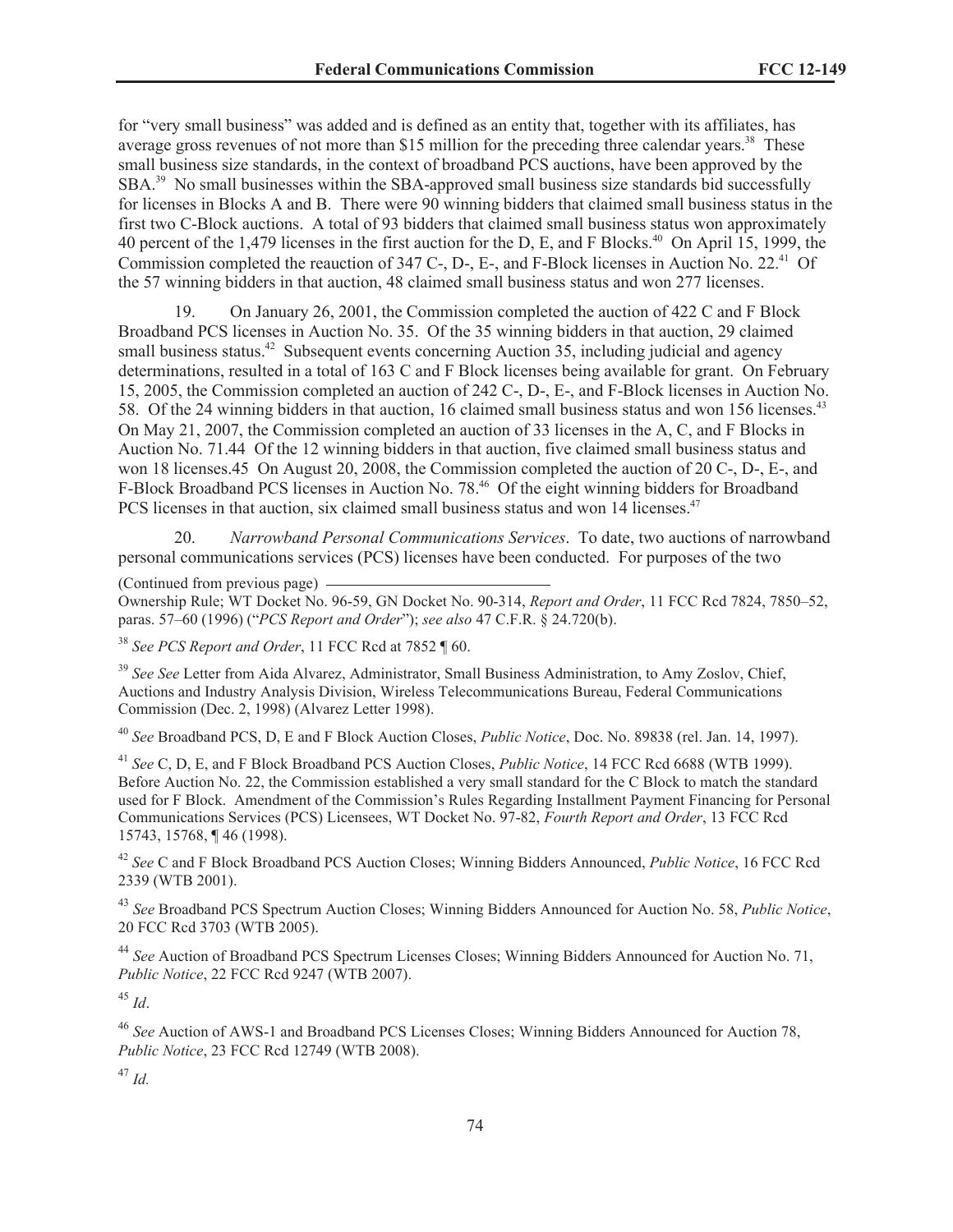for "very small business" was added and is defined as an entity that, together with its affiliates, has average gross revenues of not more than \$15 million for the preceding three calendar years.<sup>38</sup> These small business size standards, in the context of broadband PCS auctions, have been approved by the SBA.<sup>39</sup> No small businesses within the SBA-approved small business size standards bid successfully for licenses in Blocks A and B. There were 90 winning bidders that claimed small business status in the first two C-Block auctions. A total of 93 bidders that claimed small business status won approximately 40 percent of the 1,479 licenses in the first auction for the D, E, and F Blocks.<sup>40</sup> On April 15, 1999, the Commission completed the reauction of 347 C-, D-, E-, and F-Block licenses in Auction No. 22.<sup>41</sup> Of the 57 winning bidders in that auction, 48 claimed small business status and won 277 licenses.

19. On January 26, 2001, the Commission completed the auction of 422 C and F Block Broadband PCS licenses in Auction No. 35. Of the 35 winning bidders in that auction, 29 claimed small business status.<sup>42</sup> Subsequent events concerning Auction 35, including judicial and agency determinations, resulted in a total of 163 C and F Block licenses being available for grant. On February 15, 2005, the Commission completed an auction of 242 C-, D-, E-, and F-Block licenses in Auction No. 58. Of the 24 winning bidders in that auction, 16 claimed small business status and won 156 licenses.<sup>43</sup> On May 21, 2007, the Commission completed an auction of 33 licenses in the A, C, and F Blocks in Auction No. 71.44 Of the 12 winning bidders in that auction, five claimed small business status and won 18 licenses.45 On August 20, 2008, the Commission completed the auction of 20 C-, D-, E-, and F-Block Broadband PCS licenses in Auction No. 78.<sup>46</sup> Of the eight winning bidders for Broadband PCS licenses in that auction, six claimed small business status and won 14 licenses.<sup>47</sup>

20. *Narrowband Personal Communications Services*. To date, two auctions of narrowband personal communications services (PCS) licenses have been conducted. For purposes of the two

(Continued from previous page)

Ownership Rule; WT Docket No. 96-59, GN Docket No. 90-314, *Report and Order*, 11 FCC Rcd 7824, 7850–52, paras. 57–60 (1996) ("*PCS Report and Order*"); *see also* 47 C.F.R. § 24.720(b).

<sup>38</sup> *See PCS Report and Order*, 11 FCC Rcd at 7852 ¶ 60.

<sup>39</sup> See See Letter from Aida Alvarez, Administrator, Small Business Administration, to Amy Zoslov, Chief, Auctions and Industry Analysis Division, Wireless Telecommunications Bureau, Federal Communications Commission (Dec. 2, 1998) (Alvarez Letter 1998).

<sup>40</sup> *See* Broadband PCS, D, E and F Block Auction Closes, *Public Notice*, Doc. No. 89838 (rel. Jan. 14, 1997).

<sup>41</sup> *See* C, D, E, and F Block Broadband PCS Auction Closes, *Public Notice*, 14 FCC Rcd 6688 (WTB 1999). Before Auction No. 22, the Commission established a very small standard for the C Block to match the standard used for F Block. Amendment of the Commission's Rules Regarding Installment Payment Financing for Personal Communications Services (PCS) Licensees, WT Docket No. 97-82, *Fourth Report and Order*, 13 FCC Rcd 15743, 15768, ¶ 46 (1998).

<sup>42</sup> *See* C and F Block Broadband PCS Auction Closes; Winning Bidders Announced, *Public Notice*, 16 FCC Rcd 2339 (WTB 2001).

<sup>43</sup> *See* Broadband PCS Spectrum Auction Closes; Winning Bidders Announced for Auction No. 58, *Public Notice*, 20 FCC Rcd 3703 (WTB 2005).

<sup>44</sup> *See* Auction of Broadband PCS Spectrum Licenses Closes; Winning Bidders Announced for Auction No. 71, *Public Notice*, 22 FCC Rcd 9247 (WTB 2007).

<sup>45</sup> *Id*.

<sup>46</sup> *See* Auction of AWS-1 and Broadband PCS Licenses Closes; Winning Bidders Announced for Auction 78, *Public Notice*, 23 FCC Rcd 12749 (WTB 2008).

<sup>47</sup> *Id.*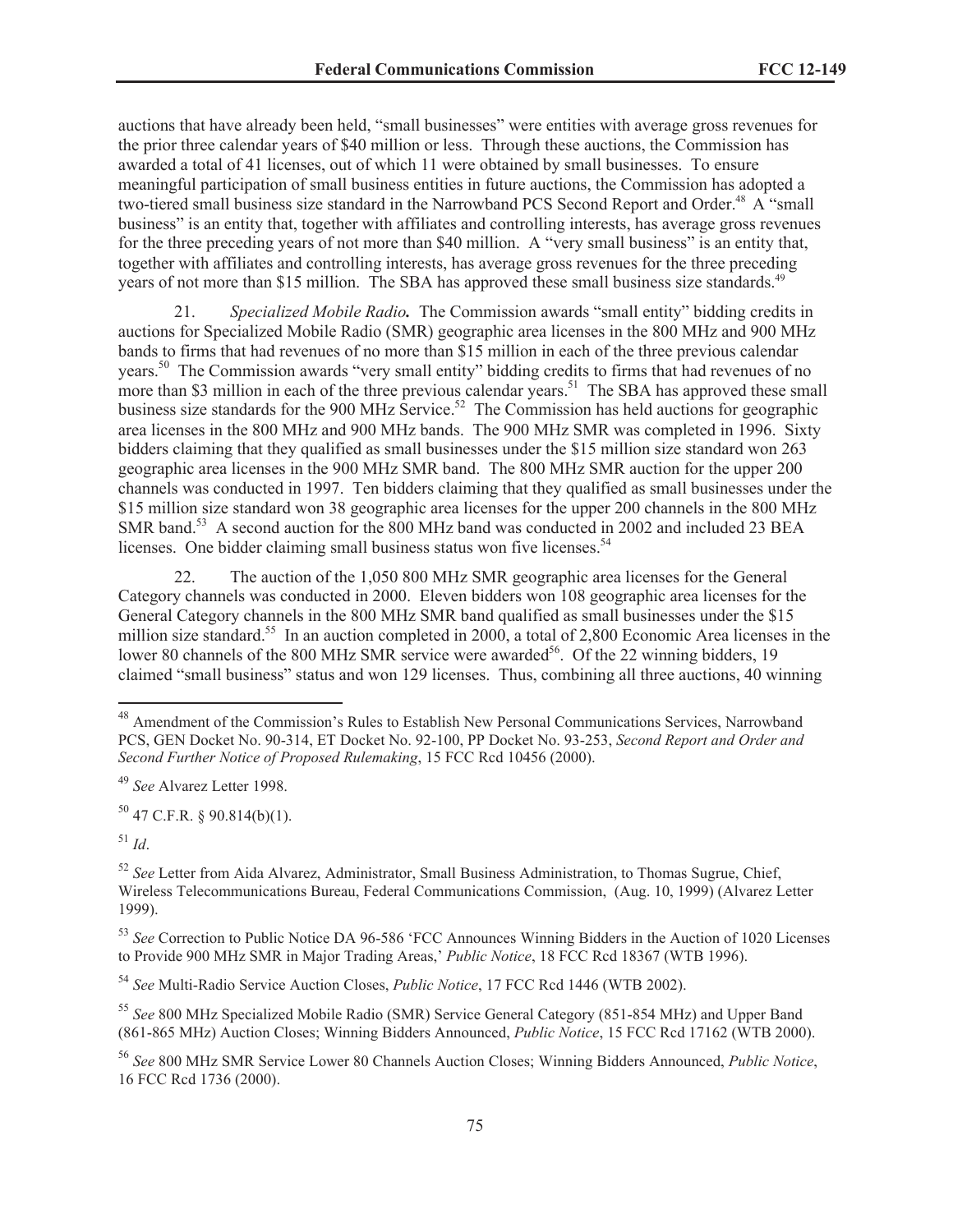auctions that have already been held, "small businesses" were entities with average gross revenues for the prior three calendar years of \$40 million or less. Through these auctions, the Commission has awarded a total of 41 licenses, out of which 11 were obtained by small businesses. To ensure meaningful participation of small business entities in future auctions, the Commission has adopted a two-tiered small business size standard in the Narrowband PCS Second Report and Order.<sup>48</sup> A "small business" is an entity that, together with affiliates and controlling interests, has average gross revenues for the three preceding years of not more than \$40 million. A "very small business" is an entity that, together with affiliates and controlling interests, has average gross revenues for the three preceding years of not more than \$15 million. The SBA has approved these small business size standards.<sup>49</sup>

21. *Specialized Mobile Radio.* The Commission awards "small entity" bidding credits in auctions for Specialized Mobile Radio (SMR) geographic area licenses in the 800 MHz and 900 MHz bands to firms that had revenues of no more than \$15 million in each of the three previous calendar years.<sup>50</sup> The Commission awards "very small entity" bidding credits to firms that had revenues of no more than \$3 million in each of the three previous calendar years.<sup>51</sup> The SBA has approved these small business size standards for the 900 MHz Service.<sup>52</sup> The Commission has held auctions for geographic area licenses in the 800 MHz and 900 MHz bands. The 900 MHz SMR was completed in 1996. Sixty bidders claiming that they qualified as small businesses under the \$15 million size standard won 263 geographic area licenses in the 900 MHz SMR band. The 800 MHz SMR auction for the upper 200 channels was conducted in 1997. Ten bidders claiming that they qualified as small businesses under the \$15 million size standard won 38 geographic area licenses for the upper 200 channels in the 800 MHz SMR band.<sup>53</sup> A second auction for the 800 MHz band was conducted in 2002 and included 23 BEA licenses. One bidder claiming small business status won five licenses.<sup>54</sup>

22. The auction of the 1,050 800 MHz SMR geographic area licenses for the General Category channels was conducted in 2000. Eleven bidders won 108 geographic area licenses for the General Category channels in the 800 MHz SMR band qualified as small businesses under the \$15 million size standard.<sup>55</sup> In an auction completed in 2000, a total of 2,800 Economic Area licenses in the lower 80 channels of the 800 MHz SMR service were awarded<sup>56</sup>. Of the 22 winning bidders, 19 claimed "small business" status and won 129 licenses. Thus, combining all three auctions, 40 winning

 $50$  47 C.F.R. § 90.814(b)(1).

 $^{51}$  *Id*.

<sup>48</sup> Amendment of the Commission's Rules to Establish New Personal Communications Services, Narrowband PCS, GEN Docket No. 90-314, ET Docket No. 92-100, PP Docket No. 93-253, *Second Report and Order and Second Further Notice of Proposed Rulemaking*, 15 FCC Rcd 10456 (2000).

<sup>49</sup> *See* Alvarez Letter 1998.

<sup>52</sup> *See* Letter from Aida Alvarez, Administrator, Small Business Administration, to Thomas Sugrue, Chief, Wireless Telecommunications Bureau, Federal Communications Commission, (Aug. 10, 1999) (Alvarez Letter 1999).

<sup>53</sup> *See* Correction to Public Notice DA 96-586 'FCC Announces Winning Bidders in the Auction of 1020 Licenses to Provide 900 MHz SMR in Major Trading Areas,' *Public Notice*, 18 FCC Rcd 18367 (WTB 1996).

<sup>54</sup> *See* Multi-Radio Service Auction Closes, *Public Notice*, 17 FCC Rcd 1446 (WTB 2002).

<sup>55</sup> *See* 800 MHz Specialized Mobile Radio (SMR) Service General Category (851-854 MHz) and Upper Band (861-865 MHz) Auction Closes; Winning Bidders Announced, *Public Notice*, 15 FCC Rcd 17162 (WTB 2000).

<sup>56</sup> *See* 800 MHz SMR Service Lower 80 Channels Auction Closes; Winning Bidders Announced, *Public Notice*, 16 FCC Rcd 1736 (2000).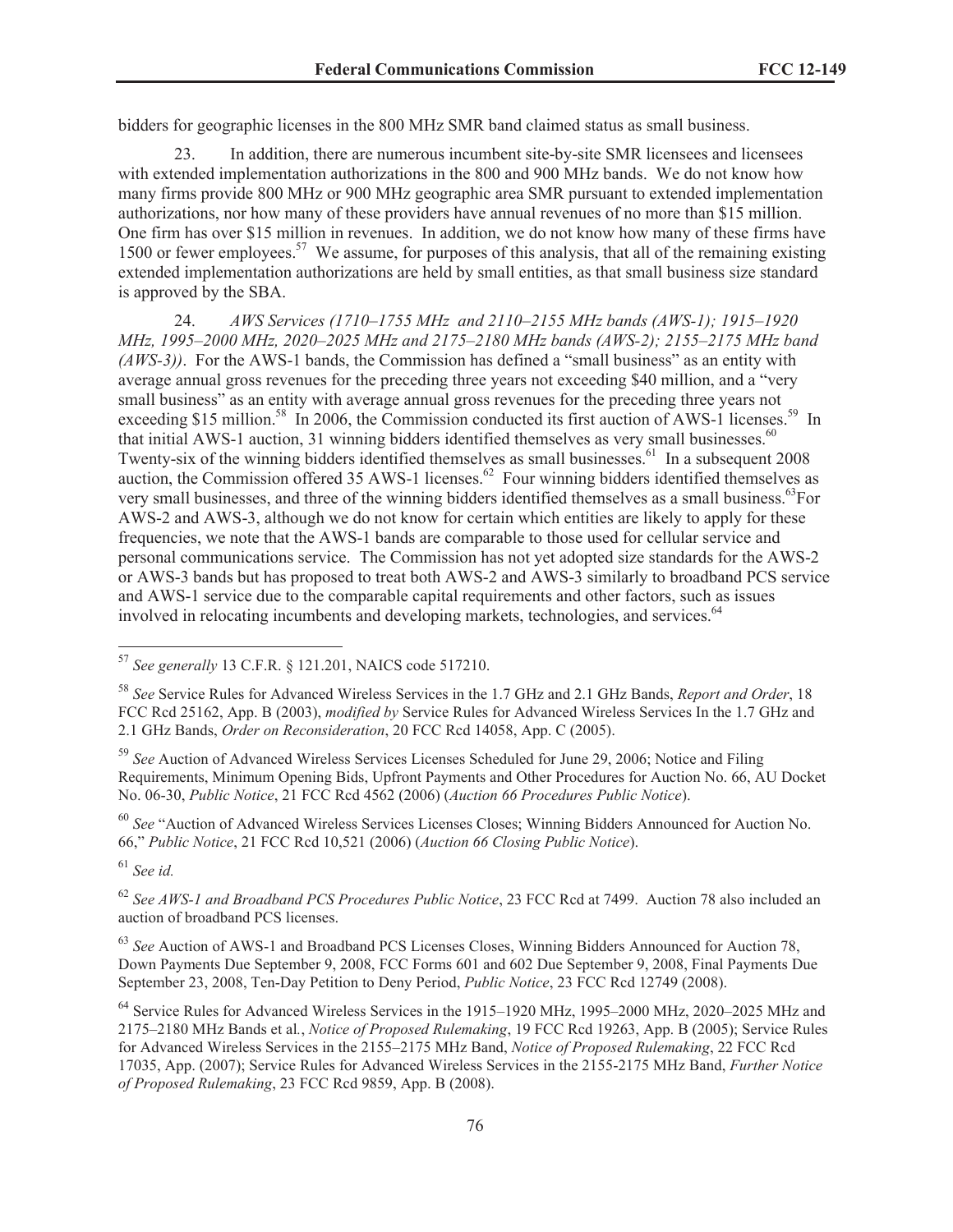bidders for geographic licenses in the 800 MHz SMR band claimed status as small business.

23. In addition, there are numerous incumbent site-by-site SMR licensees and licensees with extended implementation authorizations in the 800 and 900 MHz bands. We do not know how many firms provide 800 MHz or 900 MHz geographic area SMR pursuant to extended implementation authorizations, nor how many of these providers have annual revenues of no more than \$15 million. One firm has over \$15 million in revenues. In addition, we do not know how many of these firms have 1500 or fewer employees.<sup>57</sup> We assume, for purposes of this analysis, that all of the remaining existing extended implementation authorizations are held by small entities, as that small business size standard is approved by the SBA.

24. *AWS Services (1710–1755 MHz and 2110–2155 MHz bands (AWS-1); 1915–1920 MHz, 1995–2000 MHz, 2020–2025 MHz and 2175–2180 MHz bands (AWS-2); 2155–2175 MHz band (AWS-3))*. For the AWS-1 bands, the Commission has defined a "small business" as an entity with average annual gross revenues for the preceding three years not exceeding \$40 million, and a "very small business" as an entity with average annual gross revenues for the preceding three years not exceeding \$15 million.<sup>58</sup> In 2006, the Commission conducted its first auction of AWS-1 licenses.<sup>59</sup> In that initial AWS-1 auction, 31 winning bidders identified themselves as very small businesses.<sup>60</sup> Twenty-six of the winning bidders identified themselves as small businesses.<sup>61</sup> In a subsequent 2008 auction, the Commission offered 35 AWS-1 licenses.<sup>62</sup> Four winning bidders identified themselves as very small businesses, and three of the winning bidders identified themselves as a small business.<sup>63</sup>For AWS-2 and AWS-3, although we do not know for certain which entities are likely to apply for these frequencies, we note that the AWS-1 bands are comparable to those used for cellular service and personal communications service. The Commission has not yet adopted size standards for the AWS-2 or AWS-3 bands but has proposed to treat both AWS-2 and AWS-3 similarly to broadband PCS service and AWS-1 service due to the comparable capital requirements and other factors, such as issues involved in relocating incumbents and developing markets, technologies, and services.<sup>64</sup>

<sup>60</sup> *See* "Auction of Advanced Wireless Services Licenses Closes; Winning Bidders Announced for Auction No. 66," *Public Notice*, 21 FCC Rcd 10,521 (2006) (*Auction 66 Closing Public Notice*).

<sup>61</sup> *See id.*

<sup>62</sup> *See AWS-1 and Broadband PCS Procedures Public Notice*, 23 FCC Rcd at 7499. Auction 78 also included an auction of broadband PCS licenses.

<sup>63</sup> *See* Auction of AWS-1 and Broadband PCS Licenses Closes, Winning Bidders Announced for Auction 78, Down Payments Due September 9, 2008, FCC Forms 601 and 602 Due September 9, 2008, Final Payments Due September 23, 2008, Ten-Day Petition to Deny Period, *Public Notice*, 23 FCC Rcd 12749 (2008).

<sup>57</sup> *See generally* 13 C.F.R. § 121.201, NAICS code 517210.

<sup>58</sup> *See* Service Rules for Advanced Wireless Services in the 1.7 GHz and 2.1 GHz Bands, *Report and Order*, 18 FCC Rcd 25162, App. B (2003), *modified by* Service Rules for Advanced Wireless Services In the 1.7 GHz and 2.1 GHz Bands, *Order on Reconsideration*, 20 FCC Rcd 14058, App. C (2005).

<sup>59</sup> *See* Auction of Advanced Wireless Services Licenses Scheduled for June 29, 2006; Notice and Filing Requirements, Minimum Opening Bids, Upfront Payments and Other Procedures for Auction No. 66, AU Docket No. 06-30, *Public Notice*, 21 FCC Rcd 4562 (2006) (*Auction 66 Procedures Public Notice*).

<sup>&</sup>lt;sup>64</sup> Service Rules for Advanced Wireless Services in the 1915–1920 MHz, 1995–2000 MHz, 2020–2025 MHz and 2175–2180 MHz Bands et al*.*, *Notice of Proposed Rulemaking*, 19 FCC Rcd 19263, App. B (2005); Service Rules for Advanced Wireless Services in the 2155–2175 MHz Band, *Notice of Proposed Rulemaking*, 22 FCC Rcd 17035, App. (2007); Service Rules for Advanced Wireless Services in the 2155-2175 MHz Band, *Further Notice of Proposed Rulemaking*, 23 FCC Rcd 9859, App. B (2008).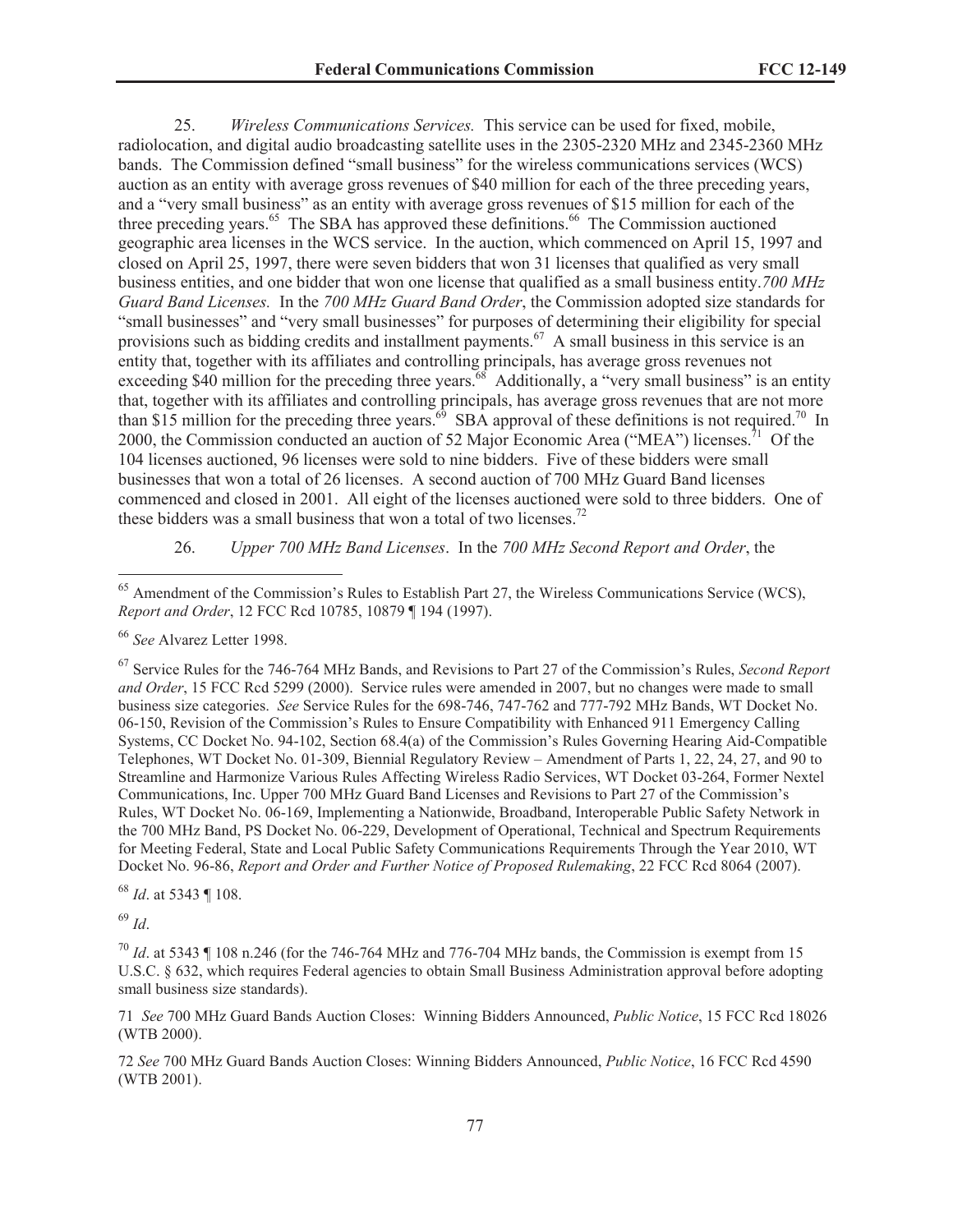25. *Wireless Communications Services.* This service can be used for fixed, mobile, radiolocation, and digital audio broadcasting satellite uses in the 2305-2320 MHz and 2345-2360 MHz bands. The Commission defined "small business" for the wireless communications services (WCS) auction as an entity with average gross revenues of \$40 million for each of the three preceding years, and a "very small business" as an entity with average gross revenues of \$15 million for each of the three preceding years.<sup>65</sup> The SBA has approved these definitions.<sup>66</sup> The Commission auctioned geographic area licenses in the WCS service. In the auction, which commenced on April 15, 1997 and closed on April 25, 1997, there were seven bidders that won 31 licenses that qualified as very small business entities, and one bidder that won one license that qualified as a small business entity.*700 MHz Guard Band Licenses.* In the *700 MHz Guard Band Order*, the Commission adopted size standards for "small businesses" and "very small businesses" for purposes of determining their eligibility for special provisions such as bidding credits and installment payments.<sup>67</sup> A small business in this service is an entity that, together with its affiliates and controlling principals, has average gross revenues not exceeding \$40 million for the preceding three years.<sup>68</sup> Additionally, a "very small business" is an entity that, together with its affiliates and controlling principals, has average gross revenues that are not more than \$15 million for the preceding three years.<sup>69</sup> SBA approval of these definitions is not required.<sup>70</sup> In 2000, the Commission conducted an auction of 52 Major Economic Area ("MEA") licenses.<sup>71</sup> Of the 104 licenses auctioned, 96 licenses were sold to nine bidders. Five of these bidders were small businesses that won a total of 26 licenses. A second auction of 700 MHz Guard Band licenses commenced and closed in 2001. All eight of the licenses auctioned were sold to three bidders. One of these bidders was a small business that won a total of two licenses.<sup>72</sup>

# 26. *Upper 700 MHz Band Licenses*. In the *700 MHz Second Report and Order*, the

<sup>67</sup> Service Rules for the 746-764 MHz Bands, and Revisions to Part 27 of the Commission's Rules, *Second Report and Order*, 15 FCC Rcd 5299 (2000). Service rules were amended in 2007, but no changes were made to small business size categories. *See* Service Rules for the 698-746, 747-762 and 777-792 MHz Bands, WT Docket No. 06-150, Revision of the Commission's Rules to Ensure Compatibility with Enhanced 911 Emergency Calling Systems, CC Docket No. 94-102, Section 68.4(a) of the Commission's Rules Governing Hearing Aid-Compatible Telephones, WT Docket No. 01-309, Biennial Regulatory Review – Amendment of Parts 1, 22, 24, 27, and 90 to Streamline and Harmonize Various Rules Affecting Wireless Radio Services, WT Docket 03-264, Former Nextel Communications, Inc. Upper 700 MHz Guard Band Licenses and Revisions to Part 27 of the Commission's Rules, WT Docket No. 06-169, Implementing a Nationwide, Broadband, Interoperable Public Safety Network in the 700 MHz Band, PS Docket No. 06-229, Development of Operational, Technical and Spectrum Requirements for Meeting Federal, State and Local Public Safety Communications Requirements Through the Year 2010, WT Docket No. 96-86, *Report and Order and Further Notice of Proposed Rulemaking*, 22 FCC Rcd 8064 (2007).

<sup>68</sup> *Id*. at 5343 ¶ 108.

<sup>69</sup> *Id*.

 $^{70}$  *Id.* at 5343  $\parallel$  108 n.246 (for the 746-764 MHz and 776-704 MHz bands, the Commission is exempt from 15 U.S.C. § 632, which requires Federal agencies to obtain Small Business Administration approval before adopting small business size standards).

71 *See* 700 MHz Guard Bands Auction Closes: Winning Bidders Announced, *Public Notice*, 15 FCC Rcd 18026 (WTB 2000).

72 *See* 700 MHz Guard Bands Auction Closes: Winning Bidders Announced, *Public Notice*, 16 FCC Rcd 4590 (WTB 2001).

<sup>&</sup>lt;sup>65</sup> Amendment of the Commission's Rules to Establish Part 27, the Wireless Communications Service (WCS), *Report and Order*, 12 FCC Rcd 10785, 10879 ¶ 194 (1997).

<sup>66</sup> *See* Alvarez Letter 1998.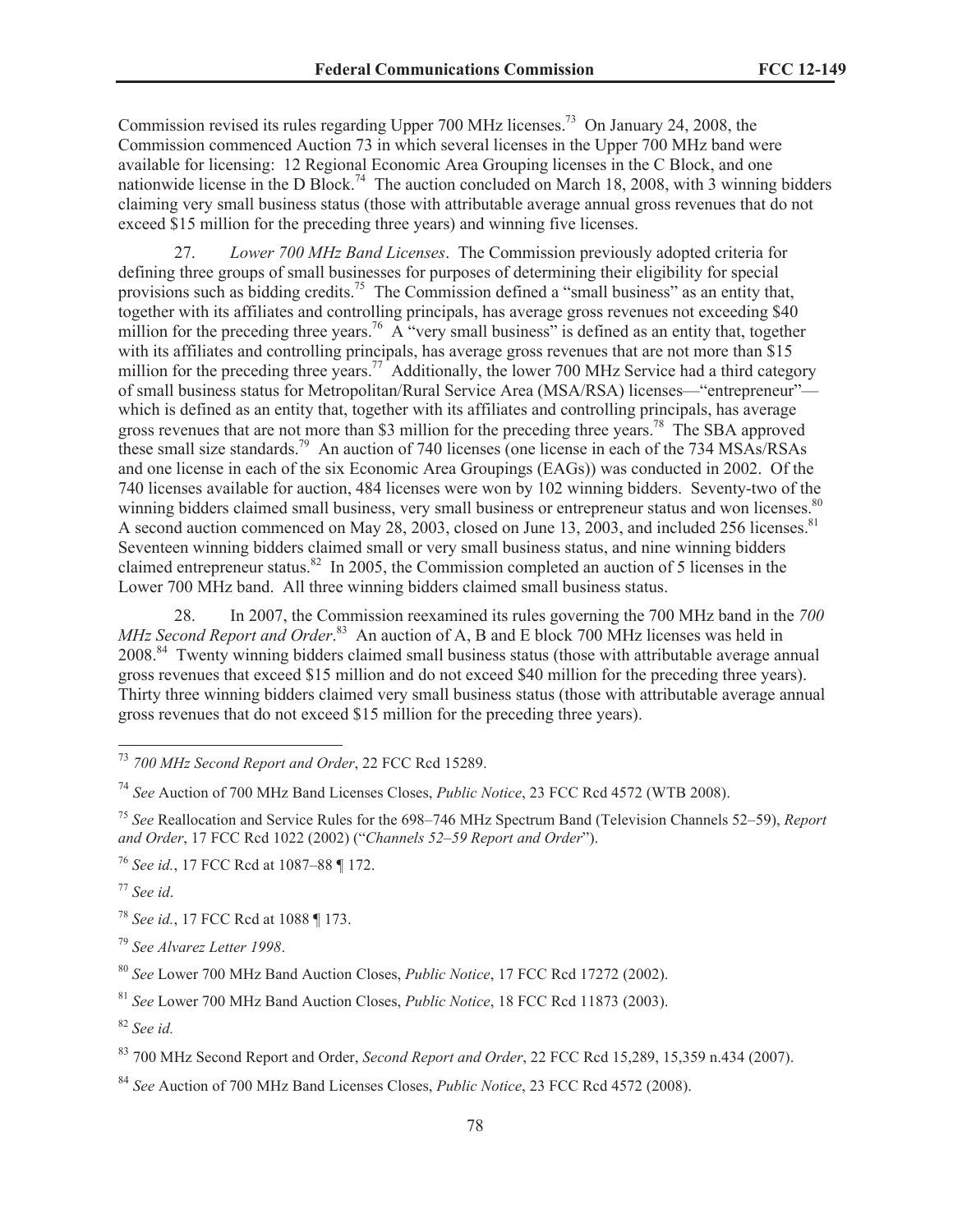Commission revised its rules regarding Upper 700 MHz licenses.<sup>73</sup> On January 24, 2008, the Commission commenced Auction 73 in which several licenses in the Upper 700 MHz band were available for licensing: 12 Regional Economic Area Grouping licenses in the C Block, and one nationwide license in the D Block.<sup>74</sup> The auction concluded on March 18, 2008, with 3 winning bidders claiming very small business status (those with attributable average annual gross revenues that do not exceed \$15 million for the preceding three years) and winning five licenses.

27. *Lower 700 MHz Band Licenses*. The Commission previously adopted criteria for defining three groups of small businesses for purposes of determining their eligibility for special provisions such as bidding credits.<sup>75</sup> The Commission defined a "small business" as an entity that, together with its affiliates and controlling principals, has average gross revenues not exceeding \$40 million for the preceding three years.<sup>76</sup> A "very small business" is defined as an entity that, together with its affiliates and controlling principals, has average gross revenues that are not more than \$15 million for the preceding three years.<sup>77</sup> Additionally, the lower 700 MHz Service had a third category of small business status for Metropolitan/Rural Service Area (MSA/RSA) licenses—"entrepreneur" which is defined as an entity that, together with its affiliates and controlling principals, has average gross revenues that are not more than \$3 million for the preceding three years.<sup>78</sup> The SBA approved these small size standards.<sup>79</sup> An auction of 740 licenses (one license in each of the 734 MSAs/RSAs and one license in each of the six Economic Area Groupings (EAGs)) was conducted in 2002. Of the 740 licenses available for auction, 484 licenses were won by 102 winning bidders. Seventy-two of the winning bidders claimed small business, very small business or entrepreneur status and won licenses.<sup>80</sup> A second auction commenced on May 28, 2003, closed on June 13, 2003, and included 256 licenses.<sup>81</sup> Seventeen winning bidders claimed small or very small business status, and nine winning bidders claimed entrepreneur status.<sup>82</sup> In 2005, the Commission completed an auction of 5 licenses in the Lower 700 MHz band. All three winning bidders claimed small business status.

28. In 2007, the Commission reexamined its rules governing the 700 MHz band in the *700*  MHz Second Report and Order.<sup>83</sup> An auction of A, B and E block 700 MHz licenses was held in 2008.<sup>84</sup> Twenty winning bidders claimed small business status (those with attributable average annual gross revenues that exceed \$15 million and do not exceed \$40 million for the preceding three years). Thirty three winning bidders claimed very small business status (those with attributable average annual gross revenues that do not exceed \$15 million for the preceding three years).

<sup>78</sup> *See id.*, 17 FCC Rcd at 1088 ¶ 173.

<sup>79</sup> *See Alvarez Letter 1998*.

<sup>81</sup> *See* Lower 700 MHz Band Auction Closes, *Public Notice*, 18 FCC Rcd 11873 (2003).

<sup>82</sup> *See id.*

<sup>73</sup> *700 MHz Second Report and Order*, 22 FCC Rcd 15289.

<sup>74</sup> *See* Auction of 700 MHz Band Licenses Closes, *Public Notice*, 23 FCC Rcd 4572 (WTB 2008).

<sup>75</sup> *See* Reallocation and Service Rules for the 698–746 MHz Spectrum Band (Television Channels 52–59), *Report and Order*, 17 FCC Rcd 1022 (2002) ("*Channels 52*–*59 Report and Order*").

<sup>76</sup> *See id.*, 17 FCC Rcd at 1087–88 ¶ 172.

<sup>77</sup> *See id*.

<sup>80</sup> *See* Lower 700 MHz Band Auction Closes, *Public Notice*, 17 FCC Rcd 17272 (2002).

<sup>83</sup> 700 MHz Second Report and Order, *Second Report and Order*, 22 FCC Rcd 15,289, 15,359 n.434 (2007).

<sup>84</sup> *See* Auction of 700 MHz Band Licenses Closes, *Public Notice*, 23 FCC Rcd 4572 (2008).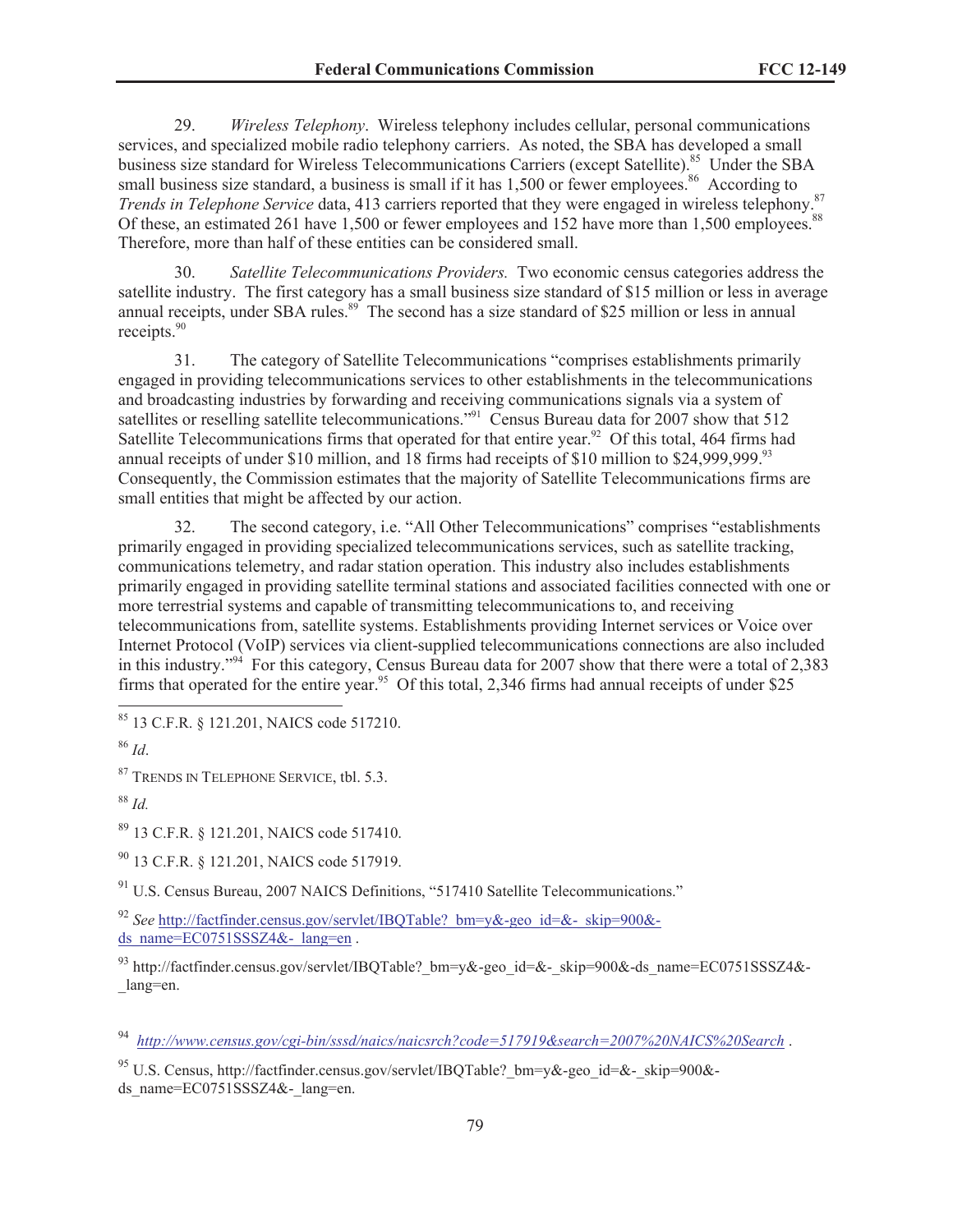29. *Wireless Telephony*. Wireless telephony includes cellular, personal communications services, and specialized mobile radio telephony carriers. As noted, the SBA has developed a small business size standard for Wireless Telecommunications Carriers (except Satellite).<sup>85</sup> Under the SBA small business size standard, a business is small if it has 1,500 or fewer employees.<sup>86</sup> According to *Trends in Telephone Service* data, 413 carriers reported that they were engaged in wireless telephony.<sup>87</sup> Of these, an estimated 261 have 1,500 or fewer employees and 152 have more than 1,500 employees.<sup>88</sup> Therefore, more than half of these entities can be considered small.

30. *Satellite Telecommunications Providers.* Two economic census categories address the satellite industry. The first category has a small business size standard of \$15 million or less in average annual receipts, under SBA rules.<sup>89</sup> The second has a size standard of \$25 million or less in annual receipts.<sup>90</sup>

31. The category of Satellite Telecommunications "comprises establishments primarily engaged in providing telecommunications services to other establishments in the telecommunications and broadcasting industries by forwarding and receiving communications signals via a system of satellites or reselling satellite telecommunications."<sup>91</sup> Census Bureau data for 2007 show that 512 Satellite Telecommunications firms that operated for that entire year.<sup>92</sup> Of this total, 464 firms had annual receipts of under \$10 million, and 18 firms had receipts of \$10 million to \$24,999,999.<sup>93</sup> Consequently, the Commission estimates that the majority of Satellite Telecommunications firms are small entities that might be affected by our action.

32. The second category, i.e. "All Other Telecommunications" comprises "establishments primarily engaged in providing specialized telecommunications services, such as satellite tracking, communications telemetry, and radar station operation. This industry also includes establishments primarily engaged in providing satellite terminal stations and associated facilities connected with one or more terrestrial systems and capable of transmitting telecommunications to, and receiving telecommunications from, satellite systems. Establishments providing Internet services or Voice over Internet Protocol (VoIP) services via client-supplied telecommunications connections are also included in this industry."<sup>94</sup> For this category, Census Bureau data for 2007 show that there were a total of 2,383 firms that operated for the entire year.<sup>95</sup> Of this total, 2,346 firms had annual receipts of under \$25

<sup>87</sup> TRENDS IN TELEPHONE SERVICE, tbl. 5.3.

<sup>89</sup> 13 C.F.R. § 121.201, NAICS code 517410.

<sup>90</sup> 13 C.F.R. § 121.201, NAICS code 517919.

 $91$  U.S. Census Bureau, 2007 NAICS Definitions, "517410 Satellite Telecommunications."

<sup>92</sup> *See* http://factfinder.census.gov/servlet/IBQTable?\_bm=y&-geo\_id=&-\_skip=900& ds\_name=EC0751SSSZ4&-\_lang=en .

93 http://factfinder.census.gov/servlet/IBOTable? bm=y&-geo\_id=&-\_skip=900&-ds\_name=EC0751SSSZ4&-\_lang=en.

<sup>94</sup> *http://www.census.gov/cgi-bin/sssd/naics/naicsrch?code=517919&search=2007%20NAICS%20Search* .

<sup>95</sup> U.S. Census, http://factfinder.census.gov/servlet/IBQTable? bm=y&-geo\_id=&-\_skip=900&ds\_name=EC0751SSSZ4&-\_lang=en.

<sup>85</sup> 13 C.F.R. § 121.201, NAICS code 517210.

<sup>86</sup> *Id*.

<sup>88</sup> *Id.*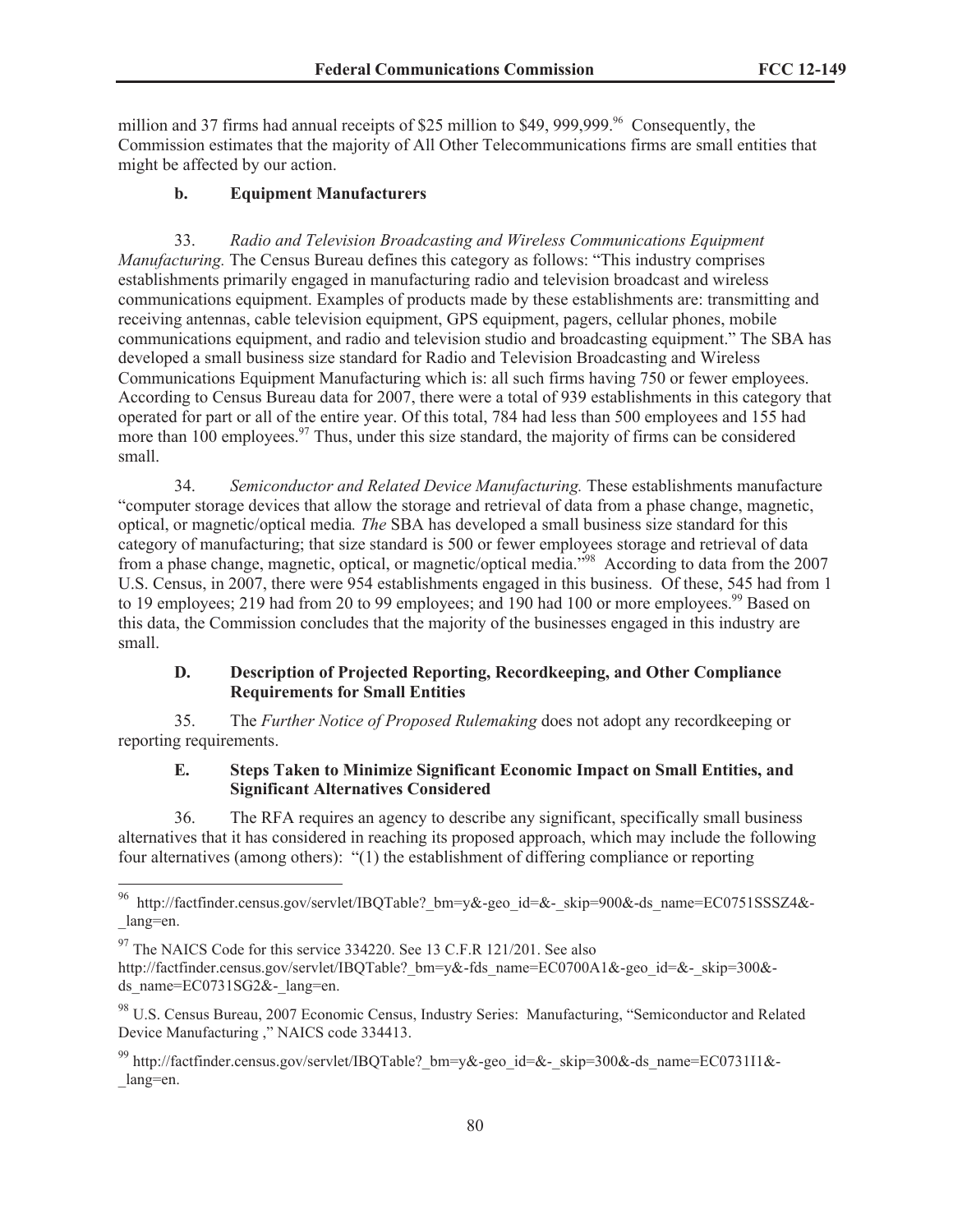million and 37 firms had annual receipts of \$25 million to \$49, 999,999.<sup>96</sup> Consequently, the Commission estimates that the majority of All Other Telecommunications firms are small entities that might be affected by our action.

### **b. Equipment Manufacturers**

33. *Radio and Television Broadcasting and Wireless Communications Equipment Manufacturing.* The Census Bureau defines this category as follows: "This industry comprises establishments primarily engaged in manufacturing radio and television broadcast and wireless communications equipment. Examples of products made by these establishments are: transmitting and receiving antennas, cable television equipment, GPS equipment, pagers, cellular phones, mobile communications equipment, and radio and television studio and broadcasting equipment." The SBA has developed a small business size standard for Radio and Television Broadcasting and Wireless Communications Equipment Manufacturing which is: all such firms having 750 or fewer employees. According to Census Bureau data for 2007, there were a total of 939 establishments in this category that operated for part or all of the entire year. Of this total, 784 had less than 500 employees and 155 had more than  $100$  employees.<sup>97</sup> Thus, under this size standard, the majority of firms can be considered small.

34. *Semiconductor and Related Device Manufacturing.* These establishments manufacture "computer storage devices that allow the storage and retrieval of data from a phase change, magnetic, optical, or magnetic/optical media*. The* SBA has developed a small business size standard for this category of manufacturing; that size standard is 500 or fewer employees storage and retrieval of data from a phase change, magnetic, optical, or magnetic/optical media.<sup>598</sup> According to data from the 2007 U.S. Census, in 2007, there were 954 establishments engaged in this business. Of these, 545 had from 1 to 19 employees; 219 had from 20 to 99 employees; and 190 had 100 or more employees.<sup>99</sup> Based on this data, the Commission concludes that the majority of the businesses engaged in this industry are small.

## **D. Description of Projected Reporting, Recordkeeping, and Other Compliance Requirements for Small Entities**

35. The *Further Notice of Proposed Rulemaking* does not adopt any recordkeeping or reporting requirements.

## **E. Steps Taken to Minimize Significant Economic Impact on Small Entities, and Significant Alternatives Considered**

36. The RFA requires an agency to describe any significant, specifically small business alternatives that it has considered in reaching its proposed approach, which may include the following four alternatives (among others): "(1) the establishment of differing compliance or reporting

<sup>96</sup> http://factfinder.census.gov/servlet/IBQTable?\_bm=y&-geo\_id=&-\_skip=900&-ds\_name=EC0751SSSZ4&- \_lang=en.

<sup>&</sup>lt;sup>97</sup> The NAICS Code for this service 334220. See 13 C.F.R 121/201. See also

http://factfinder.census.gov/servlet/IBQTable? bm=y&-fds\_name=EC0700A1&-geo\_id=&-\_skip=300&ds\_name= $EC0731SG2\&-$ lang=en.

<sup>98</sup> U.S. Census Bureau, 2007 Economic Census, Industry Series: Manufacturing, "Semiconductor and Related Device Manufacturing ," NAICS code 334413.

<sup>99</sup> http://factfinder.census.gov/servlet/IBQTable? bm=y&-geo\_id=&-\_skip=300&-ds\_name=EC0731I1&-\_lang=en.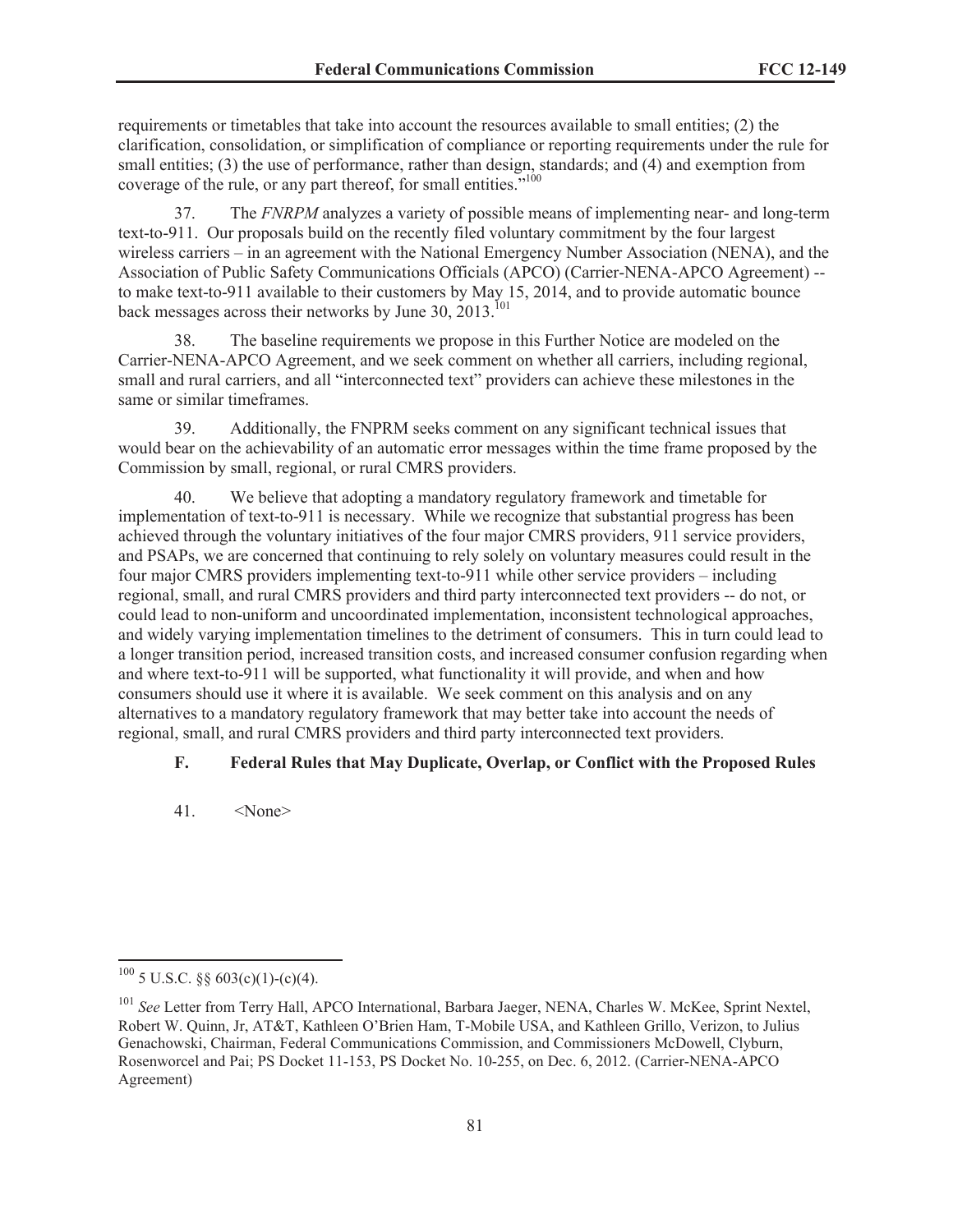requirements or timetables that take into account the resources available to small entities; (2) the clarification, consolidation, or simplification of compliance or reporting requirements under the rule for small entities; (3) the use of performance, rather than design, standards; and (4) and exemption from coverage of the rule, or any part thereof, for small entities."<sup>100</sup>

37. The *FNRPM* analyzes a variety of possible means of implementing near- and long-term text-to-911. Our proposals build on the recently filed voluntary commitment by the four largest wireless carriers – in an agreement with the National Emergency Number Association (NENA), and the Association of Public Safety Communications Officials (APCO) (Carrier-NENA-APCO Agreement) - to make text-to-911 available to their customers by May 15, 2014, and to provide automatic bounce back messages across their networks by June  $30, 2013$ <sup>101</sup>

38. The baseline requirements we propose in this Further Notice are modeled on the Carrier-NENA-APCO Agreement, and we seek comment on whether all carriers, including regional, small and rural carriers, and all "interconnected text" providers can achieve these milestones in the same or similar timeframes.

39. Additionally, the FNPRM seeks comment on any significant technical issues that would bear on the achievability of an automatic error messages within the time frame proposed by the Commission by small, regional, or rural CMRS providers.

40. We believe that adopting a mandatory regulatory framework and timetable for implementation of text-to-911 is necessary. While we recognize that substantial progress has been achieved through the voluntary initiatives of the four major CMRS providers, 911 service providers, and PSAPs, we are concerned that continuing to rely solely on voluntary measures could result in the four major CMRS providers implementing text-to-911 while other service providers – including regional, small, and rural CMRS providers and third party interconnected text providers -- do not, or could lead to non-uniform and uncoordinated implementation, inconsistent technological approaches, and widely varying implementation timelines to the detriment of consumers. This in turn could lead to a longer transition period, increased transition costs, and increased consumer confusion regarding when and where text-to-911 will be supported, what functionality it will provide, and when and how consumers should use it where it is available. We seek comment on this analysis and on any alternatives to a mandatory regulatory framework that may better take into account the needs of regional, small, and rural CMRS providers and third party interconnected text providers.

### **F. Federal Rules that May Duplicate, Overlap, or Conflict with the Proposed Rules**

41. <None>

 $100$  5 U.S.C. §§ 603(c)(1)-(c)(4).

<sup>&</sup>lt;sup>101</sup> See Letter from Terry Hall, APCO International, Barbara Jaeger, NENA, Charles W. McKee, Sprint Nextel, Robert W. Quinn, Jr, AT&T, Kathleen O'Brien Ham, T-Mobile USA, and Kathleen Grillo, Verizon, to Julius Genachowski, Chairman, Federal Communications Commission, and Commissioners McDowell, Clyburn, Rosenworcel and Pai; PS Docket 11-153, PS Docket No. 10-255, on Dec. 6, 2012. (Carrier-NENA-APCO Agreement)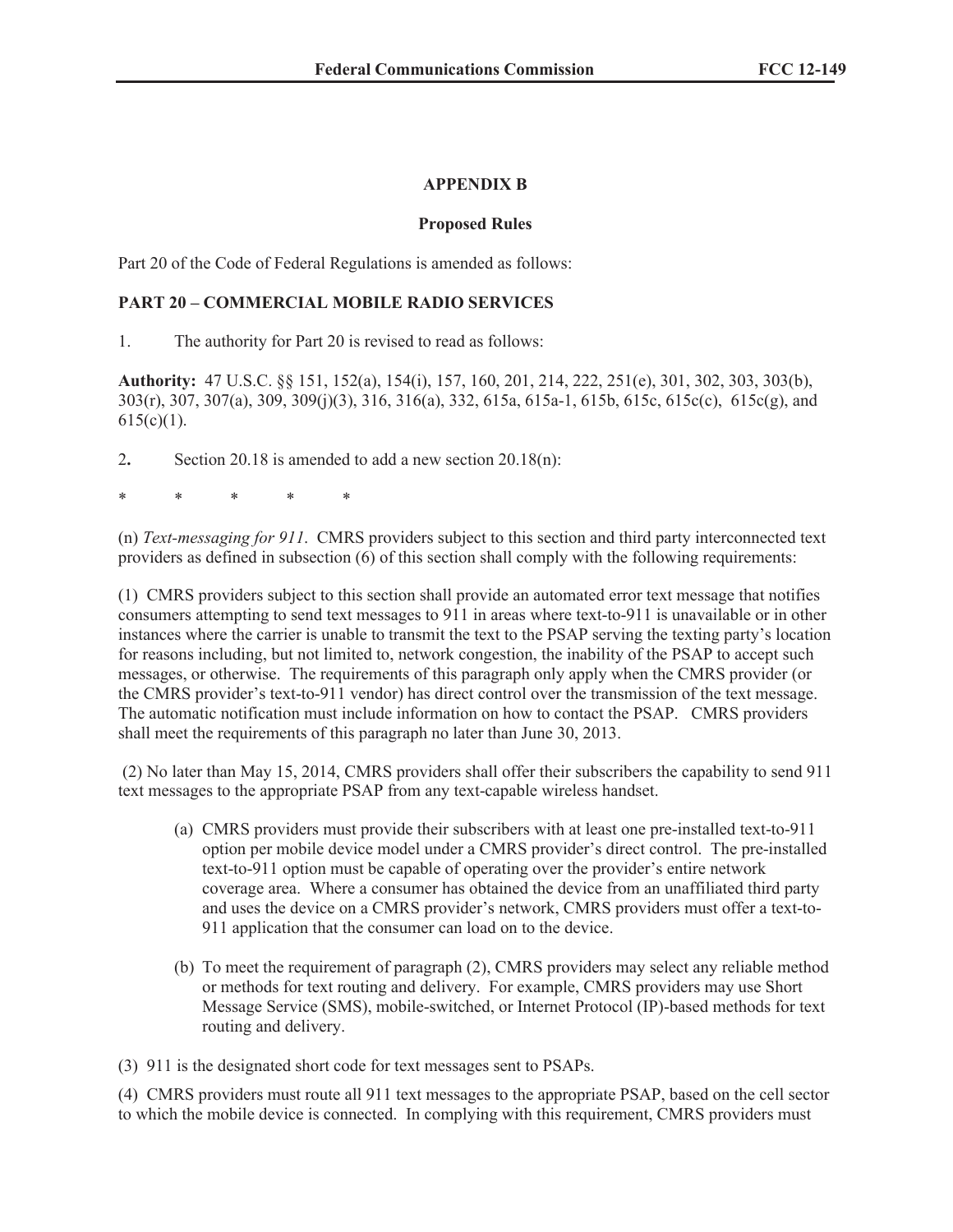## **APPENDIX B**

## **Proposed Rules**

Part 20 of the Code of Federal Regulations is amended as follows:

## **PART 20 – COMMERCIAL MOBILE RADIO SERVICES**

1. The authority for Part 20 is revised to read as follows:

**Authority:** 47 U.S.C. §§ 151, 152(a), 154(i), 157, 160, 201, 214, 222, 251(e), 301, 302, 303, 303(b), 303(r), 307, 307(a), 309, 309(j)(3), 316, 316(a), 332, 615a, 615a-1, 615b, 615c, 615c(c), 615c(g), and  $615(c)(1)$ .

2**.** Section 20.18 is amended to add a new section 20.18(n):

\* \* \* \* \*

(n) *Text-messaging for 911*. CMRS providers subject to this section and third party interconnected text providers as defined in subsection (6) of this section shall comply with the following requirements:

(1) CMRS providers subject to this section shall provide an automated error text message that notifies consumers attempting to send text messages to 911 in areas where text-to-911 is unavailable or in other instances where the carrier is unable to transmit the text to the PSAP serving the texting party's location for reasons including, but not limited to, network congestion, the inability of the PSAP to accept such messages, or otherwise. The requirements of this paragraph only apply when the CMRS provider (or the CMRS provider's text-to-911 vendor) has direct control over the transmission of the text message. The automatic notification must include information on how to contact the PSAP. CMRS providers shall meet the requirements of this paragraph no later than June 30, 2013.

(2) No later than May 15, 2014, CMRS providers shall offer their subscribers the capability to send 911 text messages to the appropriate PSAP from any text-capable wireless handset.

- (a) CMRS providers must provide their subscribers with at least one pre-installed text-to-911 option per mobile device model under a CMRS provider's direct control. The pre-installed text-to-911 option must be capable of operating over the provider's entire network coverage area. Where a consumer has obtained the device from an unaffiliated third party and uses the device on a CMRS provider's network, CMRS providers must offer a text-to-911 application that the consumer can load on to the device.
- (b) To meet the requirement of paragraph (2), CMRS providers may select any reliable method or methods for text routing and delivery. For example, CMRS providers may use Short Message Service (SMS), mobile-switched, or Internet Protocol (IP)-based methods for text routing and delivery.

(3) 911 is the designated short code for text messages sent to PSAPs.

(4) CMRS providers must route all 911 text messages to the appropriate PSAP, based on the cell sector to which the mobile device is connected. In complying with this requirement, CMRS providers must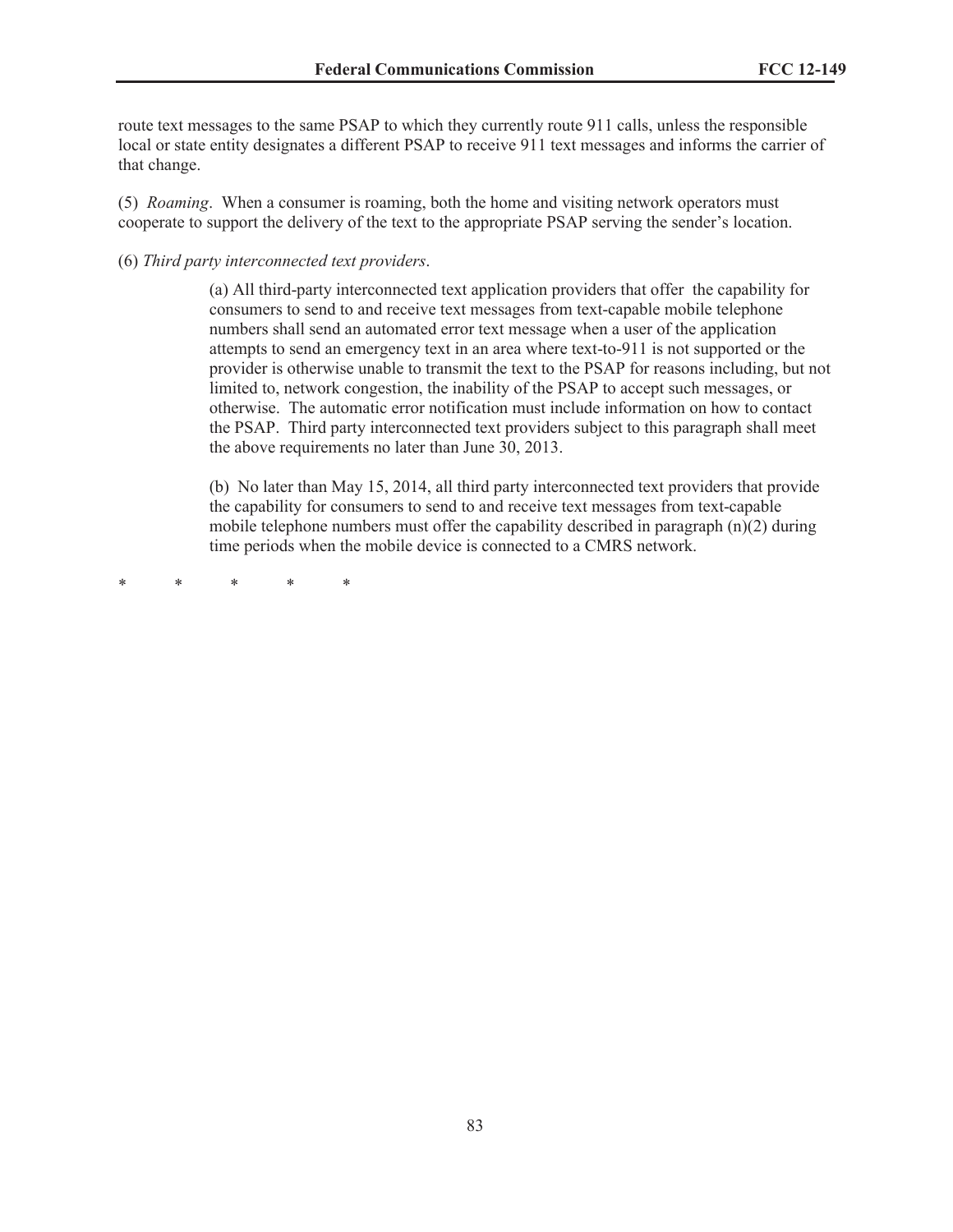route text messages to the same PSAP to which they currently route 911 calls, unless the responsible local or state entity designates a different PSAP to receive 911 text messages and informs the carrier of that change.

(5) *Roaming*. When a consumer is roaming, both the home and visiting network operators must cooperate to support the delivery of the text to the appropriate PSAP serving the sender's location.

(6) *Third party interconnected text providers*.

(a) All third-party interconnected text application providers that offer the capability for consumers to send to and receive text messages from text-capable mobile telephone numbers shall send an automated error text message when a user of the application attempts to send an emergency text in an area where text-to-911 is not supported or the provider is otherwise unable to transmit the text to the PSAP for reasons including, but not limited to, network congestion, the inability of the PSAP to accept such messages, or otherwise. The automatic error notification must include information on how to contact the PSAP. Third party interconnected text providers subject to this paragraph shall meet the above requirements no later than June 30, 2013.

(b) No later than May 15, 2014, all third party interconnected text providers that provide the capability for consumers to send to and receive text messages from text-capable mobile telephone numbers must offer the capability described in paragraph  $(n)(2)$  during time periods when the mobile device is connected to a CMRS network.

\* \* \* \* \*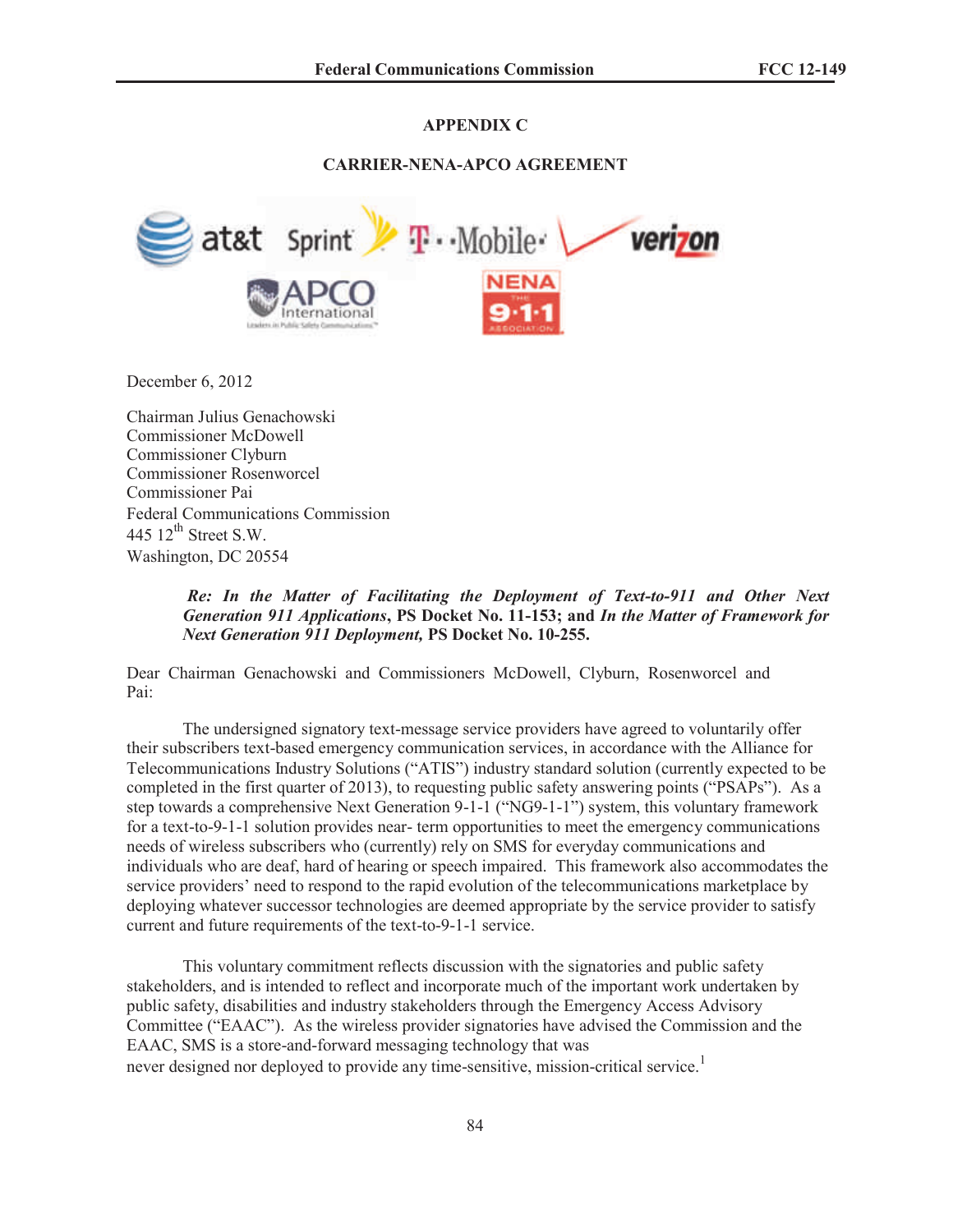# **APPENDIX C**

### **CARRIER-NENA-APCO AGREEMENT**



December 6, 2012

Chairman Julius Genachowski Commissioner McDowell Commissioner Clyburn Commissioner Rosenworcel Commissioner Pai Federal Communications Commission 445  $12^{\text{th}}$  Street S.W. Washington, DC 20554

> *Re: In the Matter of Facilitating the Deployment of Text-to-911 and Other Next Generation 911 Applications***, PS Docket No. 11-153; and** *In the Matter of Framework for Next Generation 911 Deployment,* **PS Docket No. 10-255.**

Dear Chairman Genachowski and Commissioners McDowell, Clyburn, Rosenworcel and Pai:

The undersigned signatory text-message service providers have agreed to voluntarily offer their subscribers text-based emergency communication services, in accordance with the Alliance for Telecommunications Industry Solutions ("ATIS") industry standard solution (currently expected to be completed in the first quarter of 2013), to requesting public safety answering points ("PSAPs"). As a step towards a comprehensive Next Generation 9-1-1 ("NG9-1-1") system, this voluntary framework for a text-to-9-1-1 solution provides near- term opportunities to meet the emergency communications needs of wireless subscribers who (currently) rely on SMS for everyday communications and individuals who are deaf, hard of hearing or speech impaired. This framework also accommodates the service providers' need to respond to the rapid evolution of the telecommunications marketplace by deploying whatever successor technologies are deemed appropriate by the service provider to satisfy current and future requirements of the text-to-9-1-1 service.

This voluntary commitment reflects discussion with the signatories and public safety stakeholders, and is intended to reflect and incorporate much of the important work undertaken by public safety, disabilities and industry stakeholders through the Emergency Access Advisory Committee ("EAAC"). As the wireless provider signatories have advised the Commission and the EAAC, SMS is a store-and-forward messaging technology that was never designed nor deployed to provide any time-sensitive, mission-critical service.<sup>1</sup>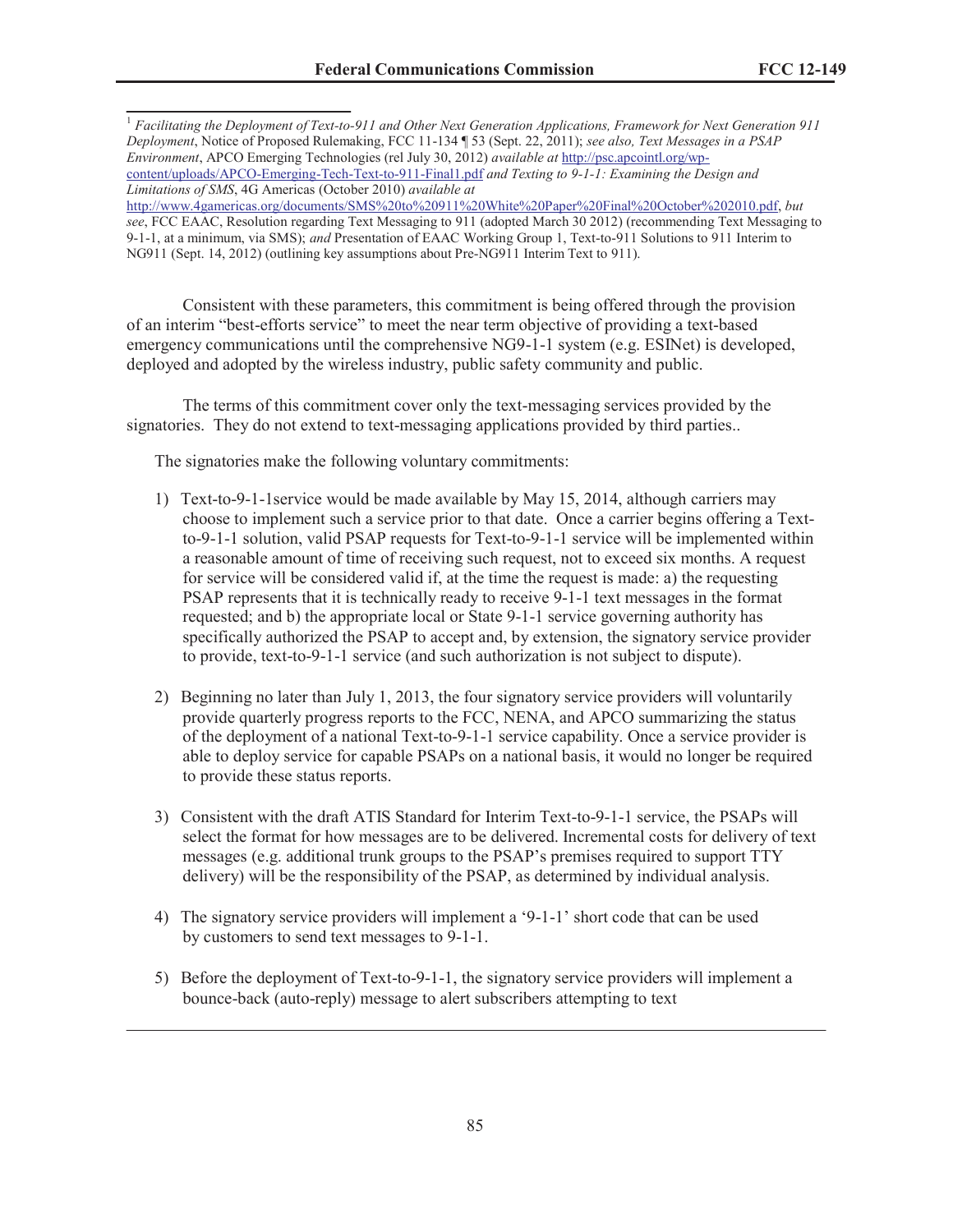<sup>1</sup> *Facilitating the Deployment of Text-to-911 and Other Next Generation Applications, Framework for Next Generation 911 Deployment*, Notice of Proposed Rulemaking, FCC 11-134 ¶ 53 (Sept. 22, 2011); *see also, Text Messages in a PSAP Environment*, APCO Emerging Technologies (rel July 30, 2012) *available at* http://psc.apcointl.org/wpcontent/uploads/APCO-Emerging-Tech-Text-to-911-Final1.pdf *and Texting to 9-1-1: Examining the Design and Limitations of SMS*, 4G Americas (October 2010) *available at*  http://www.4gamericas.org/documents/SMS%20to%20911%20White%20Paper%20Final%20October%202010.pdf, *but* 

*see*, FCC EAAC, Resolution regarding Text Messaging to 911 (adopted March 30 2012) (recommending Text Messaging to 9-1-1, at a minimum, via SMS); *and* Presentation of EAAC Working Group 1, Text-to-911 Solutions to 911 Interim to NG911 (Sept. 14, 2012) (outlining key assumptions about Pre-NG911 Interim Text to 911).

Consistent with these parameters, this commitment is being offered through the provision of an interim "best-efforts service" to meet the near term objective of providing a text-based emergency communications until the comprehensive NG9-1-1 system (e.g. ESINet) is developed, deployed and adopted by the wireless industry, public safety community and public.

The terms of this commitment cover only the text-messaging services provided by the signatories. They do not extend to text-messaging applications provided by third parties..

The signatories make the following voluntary commitments:

- 1) Text-to-9-1-1service would be made available by May 15, 2014, although carriers may choose to implement such a service prior to that date. Once a carrier begins offering a Textto-9-1-1 solution, valid PSAP requests for Text-to-9-1-1 service will be implemented within a reasonable amount of time of receiving such request, not to exceed six months. A request for service will be considered valid if, at the time the request is made: a) the requesting PSAP represents that it is technically ready to receive 9-1-1 text messages in the format requested; and b) the appropriate local or State 9-1-1 service governing authority has specifically authorized the PSAP to accept and, by extension, the signatory service provider to provide, text-to-9-1-1 service (and such authorization is not subject to dispute).
- 2) Beginning no later than July 1, 2013, the four signatory service providers will voluntarily provide quarterly progress reports to the FCC, NENA, and APCO summarizing the status of the deployment of a national Text-to-9-1-1 service capability. Once a service provider is able to deploy service for capable PSAPs on a national basis, it would no longer be required to provide these status reports.
- 3) Consistent with the draft ATIS Standard for Interim Text-to-9-1-1 service, the PSAPs will select the format for how messages are to be delivered. Incremental costs for delivery of text messages (e.g. additional trunk groups to the PSAP's premises required to support TTY delivery) will be the responsibility of the PSAP, as determined by individual analysis.
- 4) The signatory service providers will implement a '9-1-1' short code that can be used by customers to send text messages to 9-1-1.
- 5) Before the deployment of Text-to-9-1-1, the signatory service providers will implement a bounce-back (auto-reply) message to alert subscribers attempting to text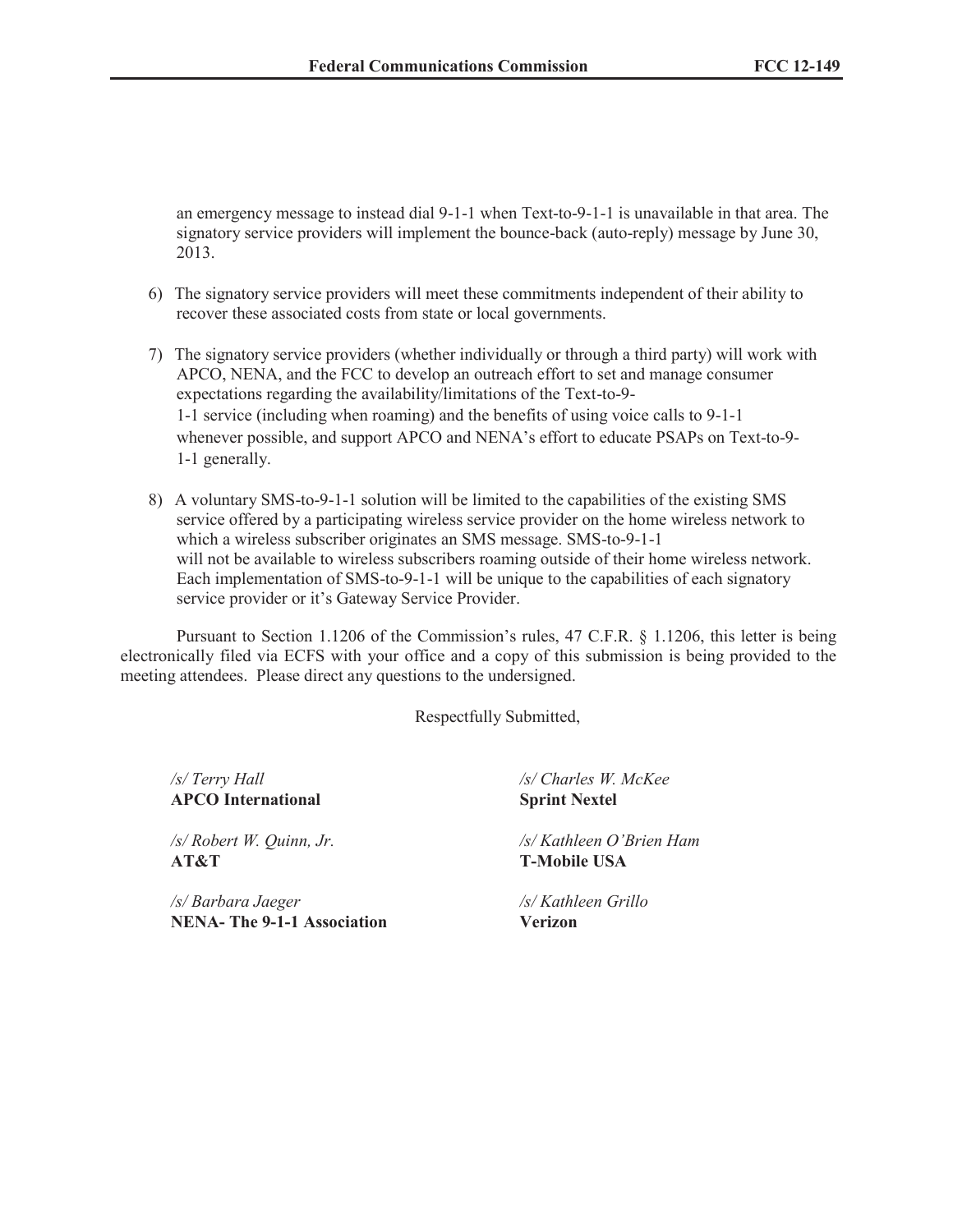an emergency message to instead dial 9-1-1 when Text-to-9-1-1 is unavailable in that area. The signatory service providers will implement the bounce-back (auto-reply) message by June 30, 2013.

- 6) The signatory service providers will meet these commitments independent of their ability to recover these associated costs from state or local governments.
- 7) The signatory service providers (whether individually or through a third party) will work with APCO, NENA, and the FCC to develop an outreach effort to set and manage consumer expectations regarding the availability/limitations of the Text-to-9- 1-1 service (including when roaming) and the benefits of using voice calls to 9-1-1 whenever possible, and support APCO and NENA's effort to educate PSAPs on Text-to-9- 1-1 generally.
- 8) A voluntary SMS-to-9-1-1 solution will be limited to the capabilities of the existing SMS service offered by a participating wireless service provider on the home wireless network to which a wireless subscriber originates an SMS message. SMS-to-9-1-1 will not be available to wireless subscribers roaming outside of their home wireless network. Each implementation of SMS-to-9-1-1 will be unique to the capabilities of each signatory service provider or it's Gateway Service Provider.

Pursuant to Section 1.1206 of the Commission's rules, 47 C.F.R. § 1.1206, this letter is being electronically filed via ECFS with your office and a copy of this submission is being provided to the meeting attendees. Please direct any questions to the undersigned.

Respectfully Submitted,

**APCO International Sprint Nextel**

**AT&T T-Mobile USA**

*/s/ Barbara Jaeger /s/ Kathleen Grillo* **NENA- The 9-1-1 Association Verizon**

*/s/ Terry Hall /s/ Charles W. McKee*

*/s/ Robert W. Quinn, Jr. /s/ Kathleen O'Brien Ham*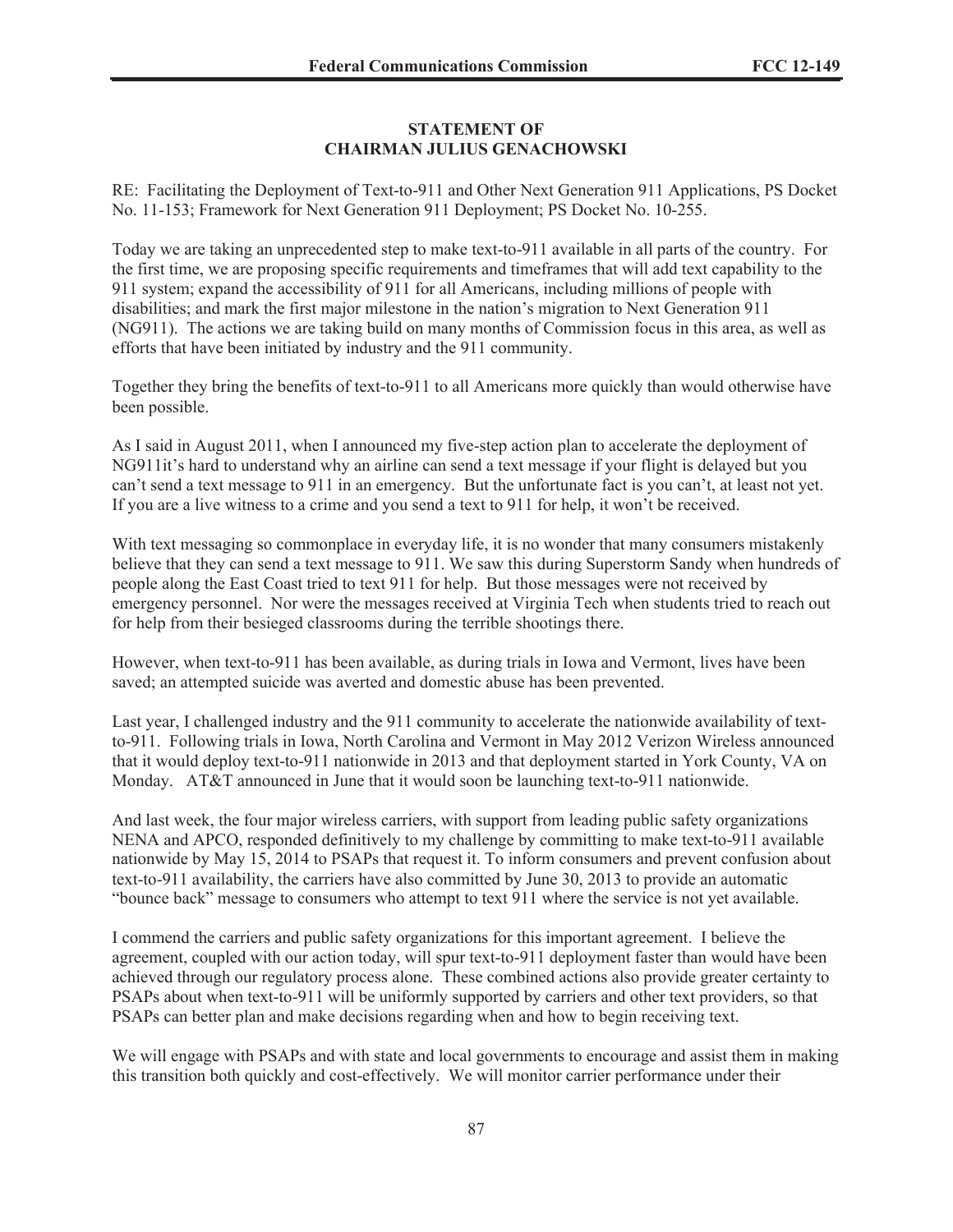## **STATEMENT OF CHAIRMAN JULIUS GENACHOWSKI**

RE: Facilitating the Deployment of Text-to-911 and Other Next Generation 911 Applications, PS Docket No. 11-153; Framework for Next Generation 911 Deployment; PS Docket No. 10-255.

Today we are taking an unprecedented step to make text-to-911 available in all parts of the country. For the first time, we are proposing specific requirements and timeframes that will add text capability to the 911 system; expand the accessibility of 911 for all Americans, including millions of people with disabilities; and mark the first major milestone in the nation's migration to Next Generation 911 (NG911). The actions we are taking build on many months of Commission focus in this area, as well as efforts that have been initiated by industry and the 911 community.

Together they bring the benefits of text-to-911 to all Americans more quickly than would otherwise have been possible.

As I said in August 2011, when I announced my five-step action plan to accelerate the deployment of NG911it's hard to understand why an airline can send a text message if your flight is delayed but you can't send a text message to 911 in an emergency. But the unfortunate fact is you can't, at least not yet. If you are a live witness to a crime and you send a text to 911 for help, it won't be received.

With text messaging so commonplace in everyday life, it is no wonder that many consumers mistakenly believe that they can send a text message to 911. We saw this during Superstorm Sandy when hundreds of people along the East Coast tried to text 911 for help. But those messages were not received by emergency personnel. Nor were the messages received at Virginia Tech when students tried to reach out for help from their besieged classrooms during the terrible shootings there.

However, when text-to-911 has been available, as during trials in Iowa and Vermont, lives have been saved; an attempted suicide was averted and domestic abuse has been prevented.

Last year, I challenged industry and the 911 community to accelerate the nationwide availability of textto-911. Following trials in Iowa, North Carolina and Vermont in May 2012 Verizon Wireless announced that it would deploy text-to-911 nationwide in 2013 and that deployment started in York County, VA on Monday. AT&T announced in June that it would soon be launching text-to-911 nationwide.

And last week, the four major wireless carriers, with support from leading public safety organizations NENA and APCO, responded definitively to my challenge by committing to make text-to-911 available nationwide by May 15, 2014 to PSAPs that request it. To inform consumers and prevent confusion about text-to-911 availability, the carriers have also committed by June 30, 2013 to provide an automatic "bounce back" message to consumers who attempt to text 911 where the service is not yet available.

I commend the carriers and public safety organizations for this important agreement. I believe the agreement, coupled with our action today, will spur text-to-911 deployment faster than would have been achieved through our regulatory process alone. These combined actions also provide greater certainty to PSAPs about when text-to-911 will be uniformly supported by carriers and other text providers, so that PSAPs can better plan and make decisions regarding when and how to begin receiving text.

We will engage with PSAPs and with state and local governments to encourage and assist them in making this transition both quickly and cost-effectively. We will monitor carrier performance under their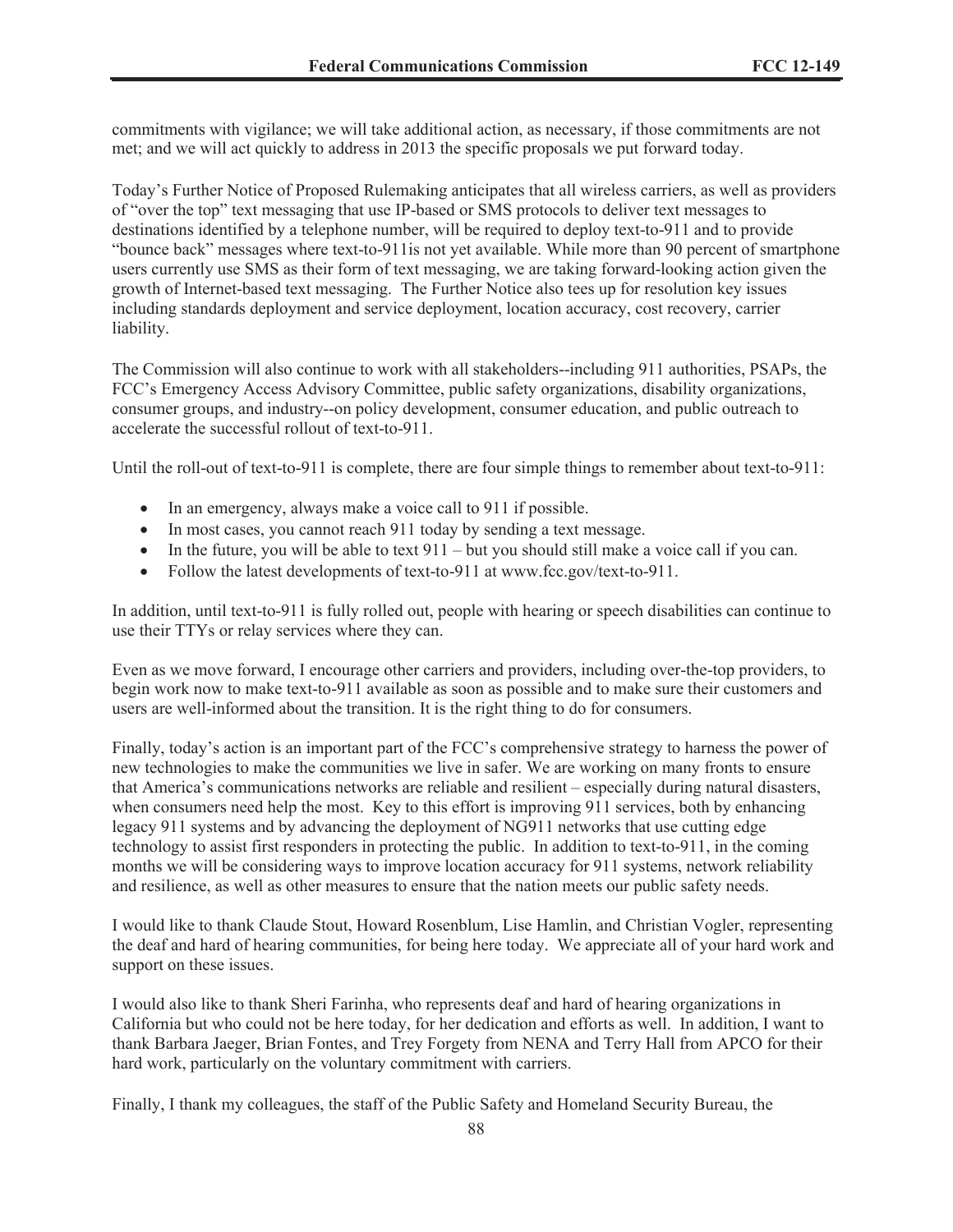commitments with vigilance; we will take additional action, as necessary, if those commitments are not met; and we will act quickly to address in 2013 the specific proposals we put forward today.

Today's Further Notice of Proposed Rulemaking anticipates that all wireless carriers, as well as providers of "over the top" text messaging that use IP-based or SMS protocols to deliver text messages to destinations identified by a telephone number, will be required to deploy text-to-911 and to provide "bounce back" messages where text-to-911is not yet available. While more than 90 percent of smartphone users currently use SMS as their form of text messaging, we are taking forward-looking action given the growth of Internet-based text messaging. The Further Notice also tees up for resolution key issues including standards deployment and service deployment, location accuracy, cost recovery, carrier liability.

The Commission will also continue to work with all stakeholders--including 911 authorities, PSAPs, the FCC's Emergency Access Advisory Committee, public safety organizations, disability organizations, consumer groups, and industry--on policy development, consumer education, and public outreach to accelerate the successful rollout of text-to-911.

Until the roll-out of text-to-911 is complete, there are four simple things to remember about text-to-911:

- · In an emergency, always make a voice call to 911 if possible.
- In most cases, you cannot reach 911 today by sending a text message.
- In the future, you will be able to text  $911 -$  but you should still make a voice call if you can.
- Follow the latest developments of text-to-911 at www.fcc.gov/text-to-911.

In addition, until text-to-911 is fully rolled out, people with hearing or speech disabilities can continue to use their TTYs or relay services where they can.

Even as we move forward, I encourage other carriers and providers, including over-the-top providers, to begin work now to make text-to-911 available as soon as possible and to make sure their customers and users are well-informed about the transition. It is the right thing to do for consumers.

Finally, today's action is an important part of the FCC's comprehensive strategy to harness the power of new technologies to make the communities we live in safer. We are working on many fronts to ensure that America's communications networks are reliable and resilient – especially during natural disasters, when consumers need help the most. Key to this effort is improving 911 services, both by enhancing legacy 911 systems and by advancing the deployment of NG911 networks that use cutting edge technology to assist first responders in protecting the public. In addition to text-to-911, in the coming months we will be considering ways to improve location accuracy for 911 systems, network reliability and resilience, as well as other measures to ensure that the nation meets our public safety needs.

I would like to thank Claude Stout, Howard Rosenblum, Lise Hamlin, and Christian Vogler, representing the deaf and hard of hearing communities, for being here today. We appreciate all of your hard work and support on these issues.

I would also like to thank Sheri Farinha, who represents deaf and hard of hearing organizations in California but who could not be here today, for her dedication and efforts as well. In addition, I want to thank Barbara Jaeger, Brian Fontes, and Trey Forgety from NENA and Terry Hall from APCO for their hard work, particularly on the voluntary commitment with carriers.

Finally, I thank my colleagues, the staff of the Public Safety and Homeland Security Bureau, the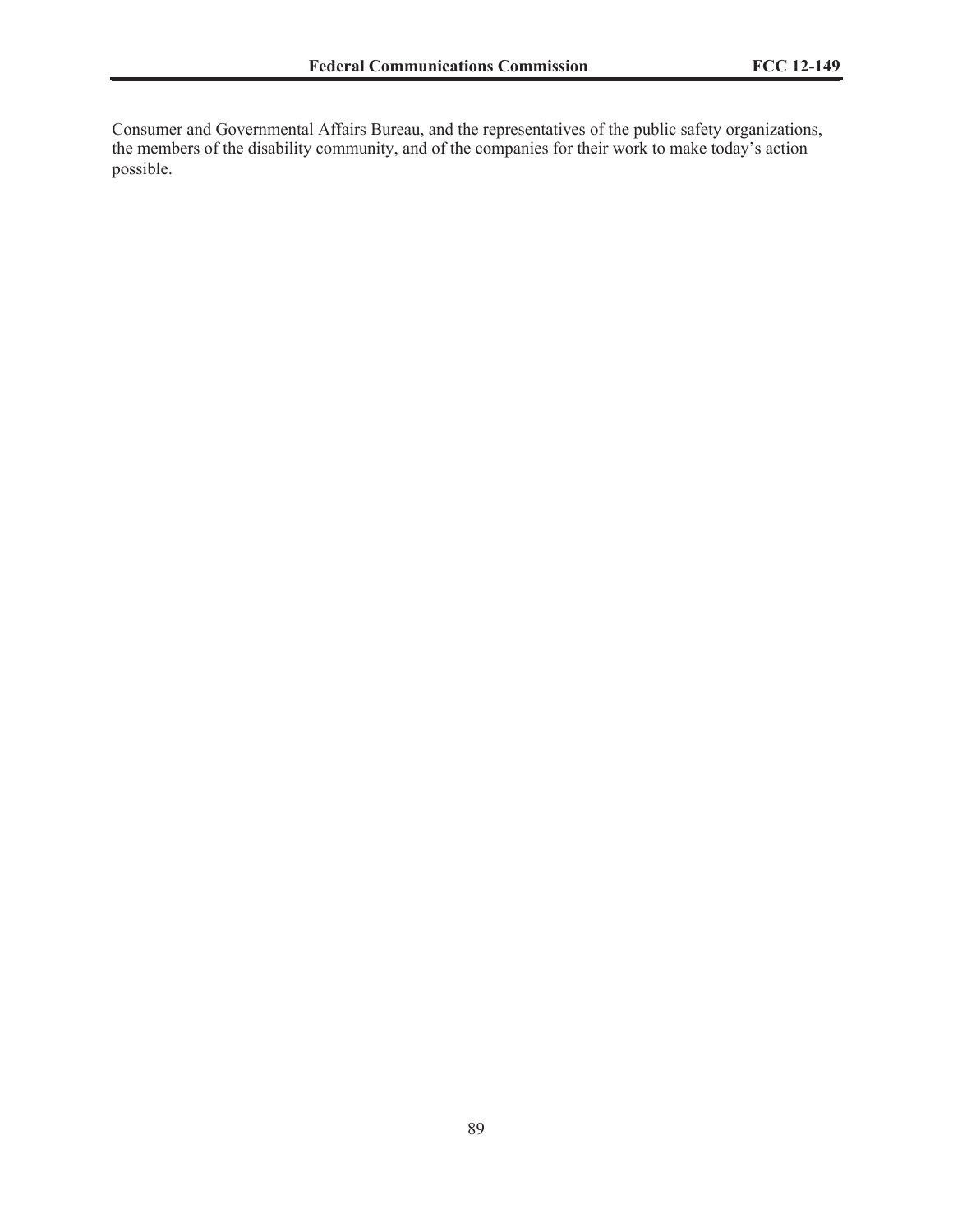Consumer and Governmental Affairs Bureau, and the representatives of the public safety organizations, the members of the disability community, and of the companies for their work to make today's action possible.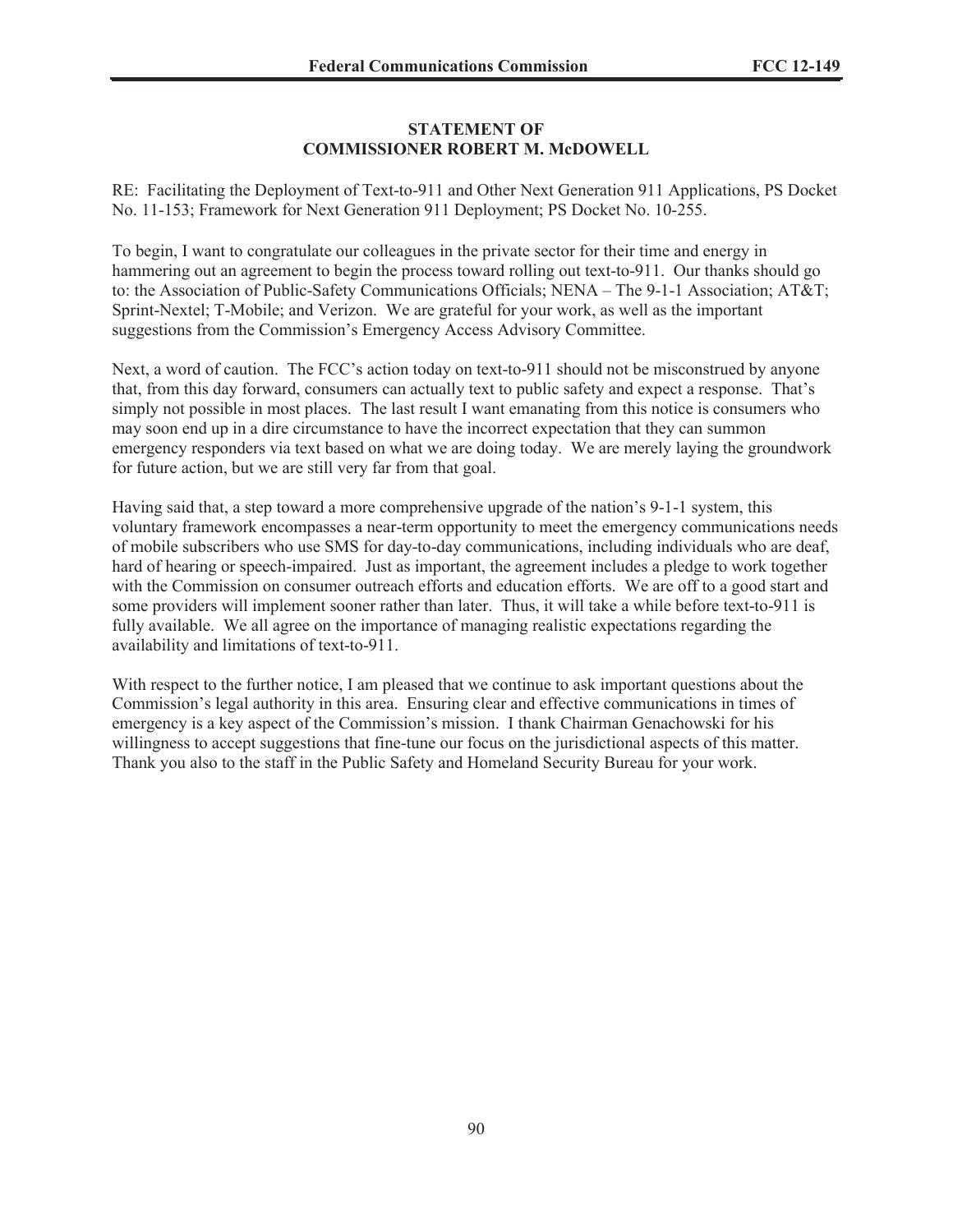## **STATEMENT OF COMMISSIONER ROBERT M. McDOWELL**

RE: Facilitating the Deployment of Text-to-911 and Other Next Generation 911 Applications, PS Docket No. 11-153; Framework for Next Generation 911 Deployment; PS Docket No. 10-255.

To begin, I want to congratulate our colleagues in the private sector for their time and energy in hammering out an agreement to begin the process toward rolling out text-to-911. Our thanks should go to: the Association of Public-Safety Communications Officials; NENA – The 9-1-1 Association; AT&T; Sprint-Nextel; T-Mobile; and Verizon. We are grateful for your work, as well as the important suggestions from the Commission's Emergency Access Advisory Committee.

Next, a word of caution. The FCC's action today on text-to-911 should not be misconstrued by anyone that, from this day forward, consumers can actually text to public safety and expect a response. That's simply not possible in most places. The last result I want emanating from this notice is consumers who may soon end up in a dire circumstance to have the incorrect expectation that they can summon emergency responders via text based on what we are doing today. We are merely laying the groundwork for future action, but we are still very far from that goal.

Having said that, a step toward a more comprehensive upgrade of the nation's 9-1-1 system, this voluntary framework encompasses a near-term opportunity to meet the emergency communications needs of mobile subscribers who use SMS for day-to-day communications, including individuals who are deaf, hard of hearing or speech-impaired. Just as important, the agreement includes a pledge to work together with the Commission on consumer outreach efforts and education efforts. We are off to a good start and some providers will implement sooner rather than later. Thus, it will take a while before text-to-911 is fully available. We all agree on the importance of managing realistic expectations regarding the availability and limitations of text-to-911.

With respect to the further notice, I am pleased that we continue to ask important questions about the Commission's legal authority in this area. Ensuring clear and effective communications in times of emergency is a key aspect of the Commission's mission. I thank Chairman Genachowski for his willingness to accept suggestions that fine-tune our focus on the jurisdictional aspects of this matter. Thank you also to the staff in the Public Safety and Homeland Security Bureau for your work.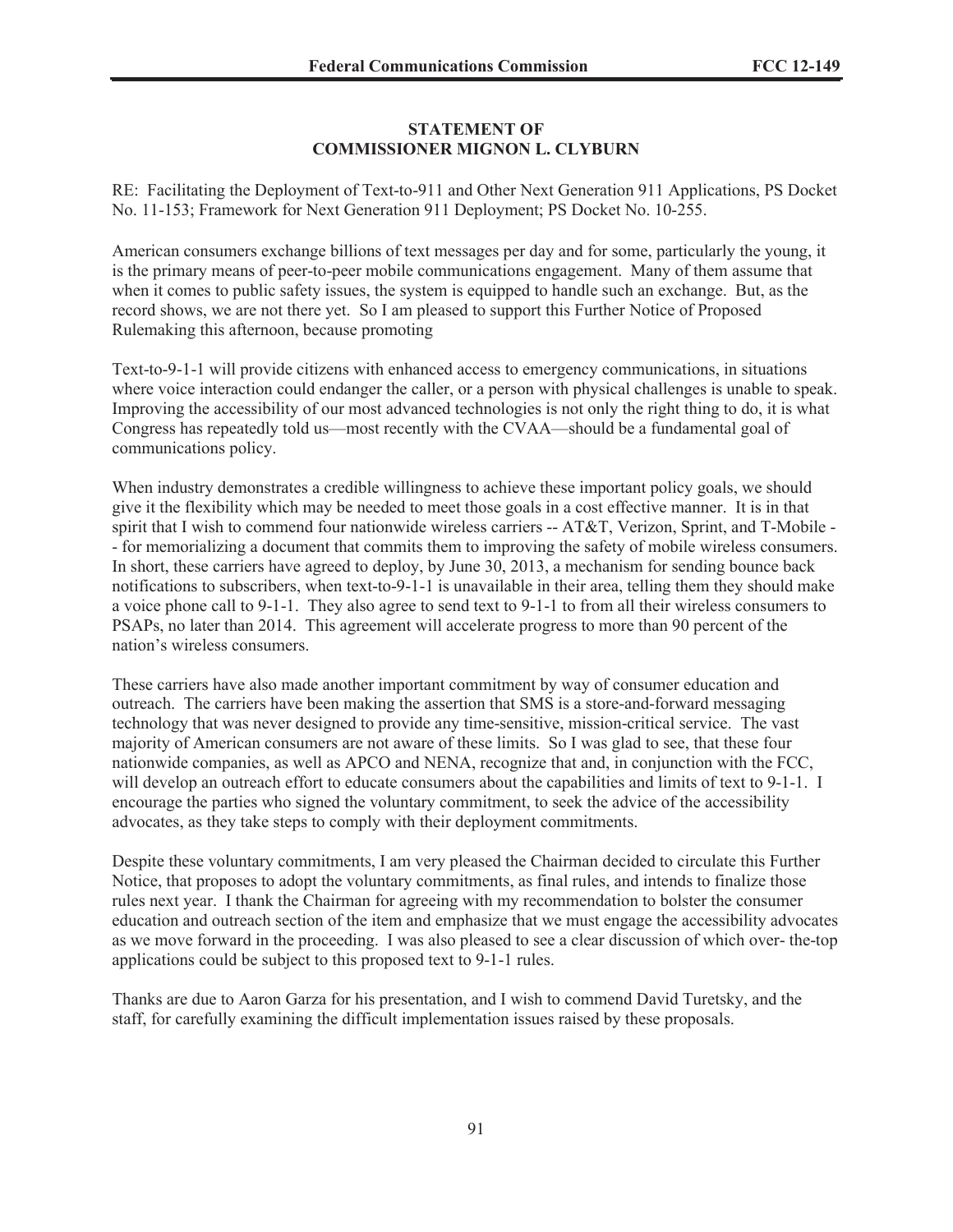#### **STATEMENT OF COMMISSIONER MIGNON L. CLYBURN**

RE: Facilitating the Deployment of Text-to-911 and Other Next Generation 911 Applications, PS Docket No. 11-153; Framework for Next Generation 911 Deployment; PS Docket No. 10-255.

American consumers exchange billions of text messages per day and for some, particularly the young, it is the primary means of peer-to-peer mobile communications engagement. Many of them assume that when it comes to public safety issues, the system is equipped to handle such an exchange. But, as the record shows, we are not there yet. So I am pleased to support this Further Notice of Proposed Rulemaking this afternoon, because promoting

Text-to-9-1-1 will provide citizens with enhanced access to emergency communications, in situations where voice interaction could endanger the caller, or a person with physical challenges is unable to speak. Improving the accessibility of our most advanced technologies is not only the right thing to do, it is what Congress has repeatedly told us—most recently with the CVAA—should be a fundamental goal of communications policy.

When industry demonstrates a credible willingness to achieve these important policy goals, we should give it the flexibility which may be needed to meet those goals in a cost effective manner. It is in that spirit that I wish to commend four nationwide wireless carriers -- AT&T, Verizon, Sprint, and T-Mobile -- for memorializing a document that commits them to improving the safety of mobile wireless consumers. In short, these carriers have agreed to deploy, by June 30, 2013, a mechanism for sending bounce back notifications to subscribers, when text-to-9-1-1 is unavailable in their area, telling them they should make a voice phone call to 9-1-1. They also agree to send text to 9-1-1 to from all their wireless consumers to PSAPs, no later than 2014. This agreement will accelerate progress to more than 90 percent of the nation's wireless consumers.

These carriers have also made another important commitment by way of consumer education and outreach. The carriers have been making the assertion that SMS is a store-and-forward messaging technology that was never designed to provide any time-sensitive, mission-critical service. The vast majority of American consumers are not aware of these limits. So I was glad to see, that these four nationwide companies, as well as APCO and NENA, recognize that and, in conjunction with the FCC, will develop an outreach effort to educate consumers about the capabilities and limits of text to 9-1-1. I encourage the parties who signed the voluntary commitment, to seek the advice of the accessibility advocates, as they take steps to comply with their deployment commitments.

Despite these voluntary commitments, I am very pleased the Chairman decided to circulate this Further Notice, that proposes to adopt the voluntary commitments, as final rules, and intends to finalize those rules next year. I thank the Chairman for agreeing with my recommendation to bolster the consumer education and outreach section of the item and emphasize that we must engage the accessibility advocates as we move forward in the proceeding. I was also pleased to see a clear discussion of which over- the-top applications could be subject to this proposed text to 9-1-1 rules.

Thanks are due to Aaron Garza for his presentation, and I wish to commend David Turetsky, and the staff, for carefully examining the difficult implementation issues raised by these proposals.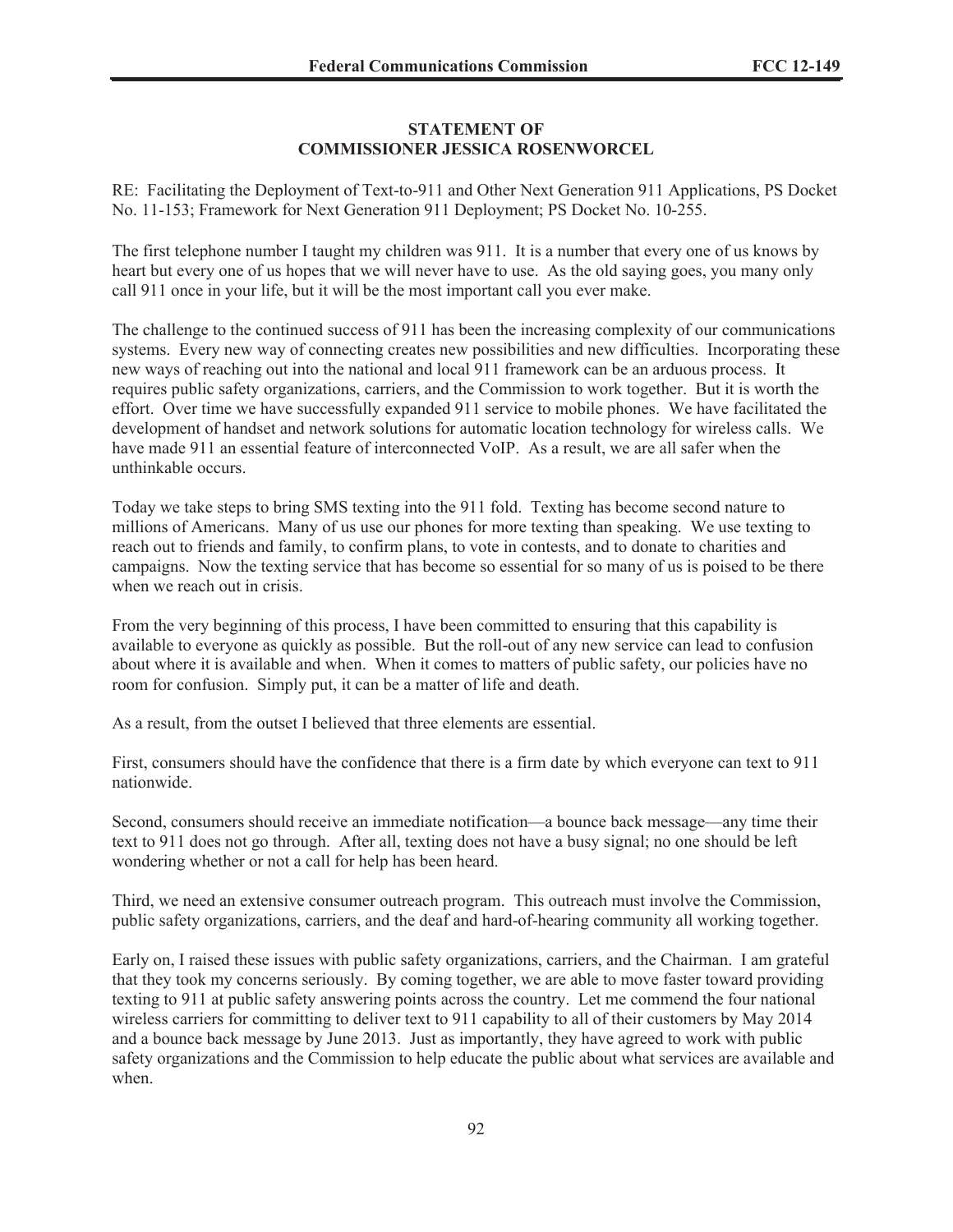## **STATEMENT OF COMMISSIONER JESSICA ROSENWORCEL**

RE: Facilitating the Deployment of Text-to-911 and Other Next Generation 911 Applications, PS Docket No. 11-153; Framework for Next Generation 911 Deployment; PS Docket No. 10-255.

The first telephone number I taught my children was 911. It is a number that every one of us knows by heart but every one of us hopes that we will never have to use. As the old saying goes, you many only call 911 once in your life, but it will be the most important call you ever make.

The challenge to the continued success of 911 has been the increasing complexity of our communications systems. Every new way of connecting creates new possibilities and new difficulties. Incorporating these new ways of reaching out into the national and local 911 framework can be an arduous process. It requires public safety organizations, carriers, and the Commission to work together. But it is worth the effort. Over time we have successfully expanded 911 service to mobile phones. We have facilitated the development of handset and network solutions for automatic location technology for wireless calls. We have made 911 an essential feature of interconnected VoIP. As a result, we are all safer when the unthinkable occurs.

Today we take steps to bring SMS texting into the 911 fold. Texting has become second nature to millions of Americans. Many of us use our phones for more texting than speaking. We use texting to reach out to friends and family, to confirm plans, to vote in contests, and to donate to charities and campaigns. Now the texting service that has become so essential for so many of us is poised to be there when we reach out in crisis.

From the very beginning of this process, I have been committed to ensuring that this capability is available to everyone as quickly as possible. But the roll-out of any new service can lead to confusion about where it is available and when. When it comes to matters of public safety, our policies have no room for confusion. Simply put, it can be a matter of life and death.

As a result, from the outset I believed that three elements are essential.

First, consumers should have the confidence that there is a firm date by which everyone can text to 911 nationwide.

Second, consumers should receive an immediate notification—a bounce back message—any time their text to 911 does not go through. After all, texting does not have a busy signal; no one should be left wondering whether or not a call for help has been heard.

Third, we need an extensive consumer outreach program. This outreach must involve the Commission, public safety organizations, carriers, and the deaf and hard-of-hearing community all working together.

Early on, I raised these issues with public safety organizations, carriers, and the Chairman. I am grateful that they took my concerns seriously. By coming together, we are able to move faster toward providing texting to 911 at public safety answering points across the country. Let me commend the four national wireless carriers for committing to deliver text to 911 capability to all of their customers by May 2014 and a bounce back message by June 2013. Just as importantly, they have agreed to work with public safety organizations and the Commission to help educate the public about what services are available and when.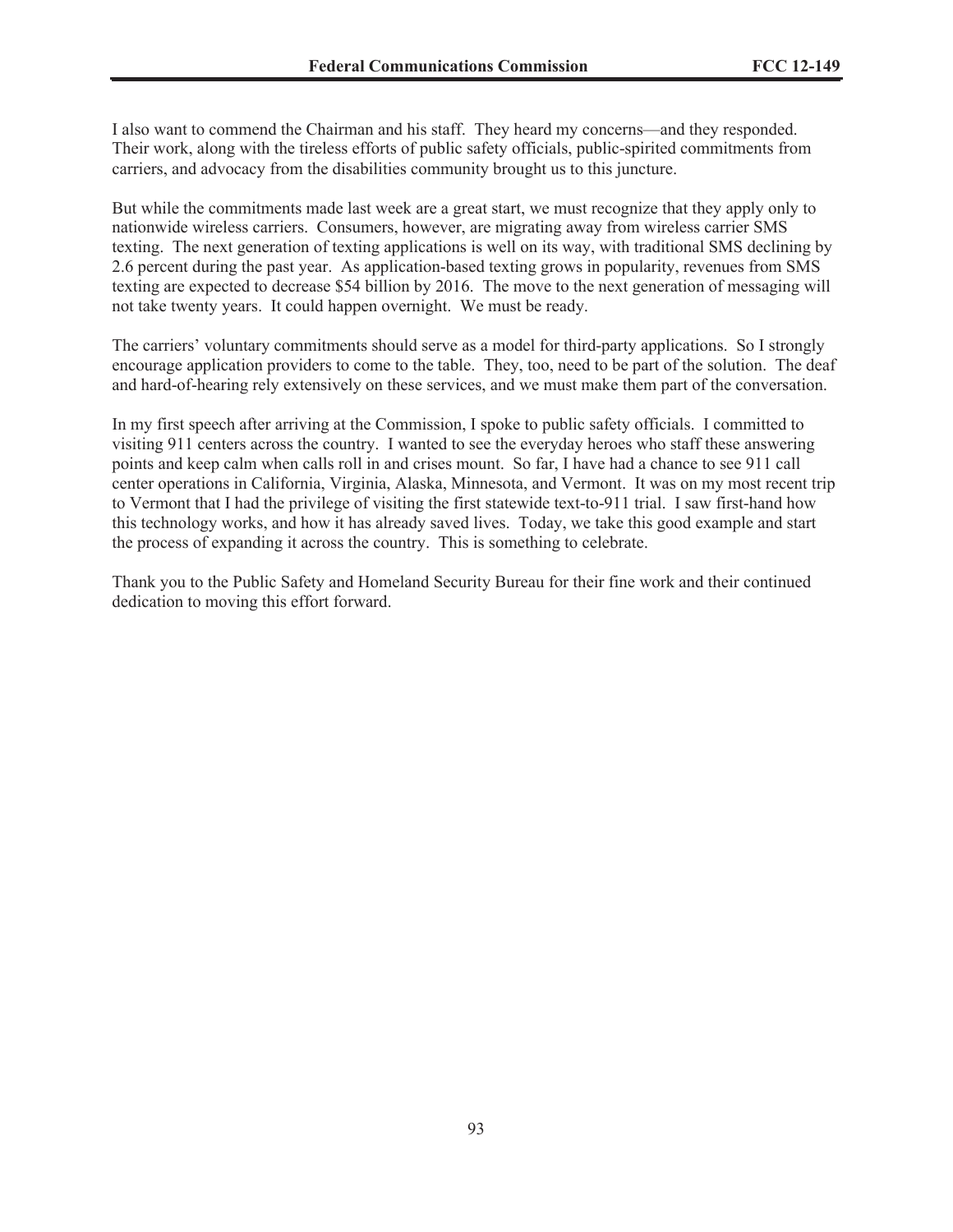I also want to commend the Chairman and his staff. They heard my concerns—and they responded. Their work, along with the tireless efforts of public safety officials, public-spirited commitments from carriers, and advocacy from the disabilities community brought us to this juncture.

But while the commitments made last week are a great start, we must recognize that they apply only to nationwide wireless carriers. Consumers, however, are migrating away from wireless carrier SMS texting. The next generation of texting applications is well on its way, with traditional SMS declining by 2.6 percent during the past year. As application-based texting grows in popularity, revenues from SMS texting are expected to decrease \$54 billion by 2016. The move to the next generation of messaging will not take twenty years. It could happen overnight. We must be ready.

The carriers' voluntary commitments should serve as a model for third-party applications. So I strongly encourage application providers to come to the table. They, too, need to be part of the solution. The deaf and hard-of-hearing rely extensively on these services, and we must make them part of the conversation.

In my first speech after arriving at the Commission, I spoke to public safety officials. I committed to visiting 911 centers across the country. I wanted to see the everyday heroes who staff these answering points and keep calm when calls roll in and crises mount. So far, I have had a chance to see 911 call center operations in California, Virginia, Alaska, Minnesota, and Vermont. It was on my most recent trip to Vermont that I had the privilege of visiting the first statewide text-to-911 trial. I saw first-hand how this technology works, and how it has already saved lives. Today, we take this good example and start the process of expanding it across the country. This is something to celebrate.

Thank you to the Public Safety and Homeland Security Bureau for their fine work and their continued dedication to moving this effort forward.